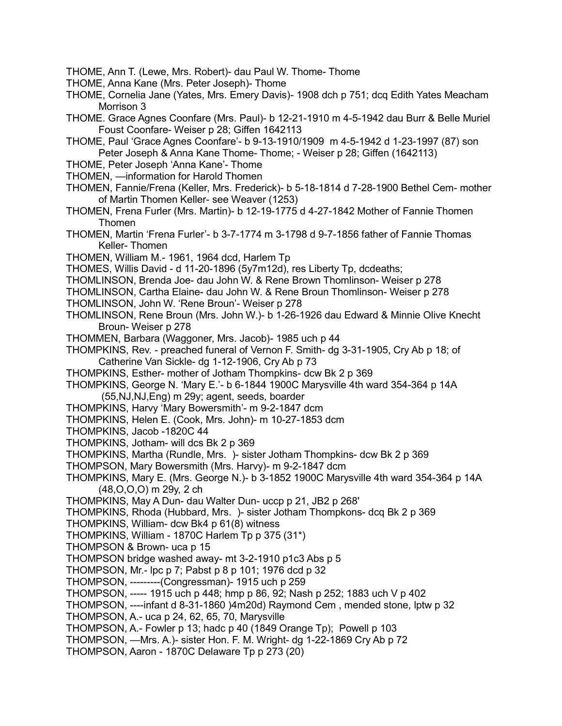- THOME, Ann T. (Lewe, Mrs. Robert)- dau Paul W. Thome- Thome
- THOME, Anna Kane (Mrs. Peter Joseph)- Thome
- THOME, Cornelia Jane (Yates, Mrs. Emery Davis)- 1908 dch p 751; dcq Edith Yates Meacham Morrison 3
- THOME. Grace Agnes Coonfare (Mrs. Paul)- b 12-21-1910 m 4-5-1942 dau Burr & Belle Muriel Foust Coonfare- Weiser p 28; Giffen 1642113
- THOME, Paul 'Grace Agnes Coonfare'- b 9-13-1910/1909 m 4-5-1942 d 1-23-1997 (87) son Peter Joseph & Anna Kane Thome- Thome; - Weiser p 28; Giffen (1642113)
- THOME, Peter Joseph 'Anna Kane'- Thome
- THOMEN, —information for Harold Thomen
- THOMEN, Fannie/Frena (Keller, Mrs. Frederick)- b 5-18-1814 d 7-28-1900 Bethel Cem- mother of Martin Thomen Keller- see Weaver (1253)
- THOMEN, Frena Furler (Mrs. Martin)- b 12-19-1775 d 4-27-1842 Mother of Fannie Thomen Thomen
- THOMEN, Martin 'Frena Furler'- b 3-7-1774 m 3-1798 d 9-7-1856 father of Fannie Thomas Keller- Thomen
- THOMEN, William M.- 1961, 1964 dcd, Harlem Tp
- THOMES, Willis David d 11-20-1896 (5y7m12d), res Liberty Tp, dcdeaths;
- THOMLINSON, Brenda Joe- dau John W. & Rene Brown Thomlinson- Weiser p 278
- THOMLINSON, Cartha Elaine- dau John W. & Rene Broun Thomlinson- Weiser p 278
- THOMLINSON, John W. 'Rene Broun'- Weiser p 278
- THOMLINSON, Rene Broun (Mrs. John W.)- b 1-26-1926 dau Edward & Minnie Olive Knecht Broun- Weiser p 278
- THOMMEN, Barbara (Waggoner, Mrs. Jacob)- 1985 uch p 44
- THOMPKINS, Rev. preached funeral of Vernon F. Smith- dg 3-31-1905, Cry Ab p 18; of Catherine Van Sickle- dg 1-12-1906, Cry Ab p 73
- THOMPKINS, Esther- mother of Jotham Thompkins- dcw Bk 2 p 369
- THOMPKINS, George N. 'Mary E.'- b 6-1844 1900C Marysville 4th ward 354-364 p 14A (55,NJ,NJ,Eng) m 29y; agent, seeds, boarder
- THOMPKINS, Harvy 'Mary Bowersmith'- m 9-2-1847 dcm
- THOMPKINS, Helen E. (Cook, Mrs. John)- m 10-27-1853 dcm
- THOMPKINS, Jacob -1820C 44
- THOMPKINS, Jotham- will dcs Bk 2 p 369
- THOMPKINS, Martha (Rundle, Mrs. )- sister Jotham Thompkins- dcw Bk 2 p 369
- THOMPSON, Mary Bowersmith (Mrs. Harvy)- m 9-2-1847 dcm
- THOMPKINS, Mary E. (Mrs. George N.)- b 3-1852 1900C Marysville 4th ward 354-364 p 14A (48,O,O,O) m 29y, 2 ch
- THOMPKINS, May A Dun- dau Walter Dun- uccp p 21, JB2 p 268'
- THOMPKINS, Rhoda (Hubbard, Mrs. )- sister Jotham Thompkons- dcq Bk 2 p 369
- THOMPKINS, William- dcw Bk4 p 61(8) witness
- THOMPKINS, William 1870C Harlem Tp p 375 (31\*)
- THOMPSON & Brown- uca p 15
- THOMPSON bridge washed away- mt 3-2-1910 p1c3 Abs p 5
- THOMPSON, Mr.- lpc p 7; Pabst p 8 p 101; 1976 dcd p 32
- THOMPSON, ---------(Congressman)- 1915 uch p 259
- THOMPSON, ----- 1915 uch p 448; hmp p 86, 92; Nash p 252; 1883 uch V p 402
- THOMPSON, ----infant d 8-31-1860 )4m20d) Raymond Cem , mended stone, lptw p 32
- THOMPSON, A.- uca p 24, 62, 65, 70, Marysville
- THOMPSON, A.- Fowler p 13; hadc p 40 (1849 Orange Tp); Powell p 103
- THOMPSON, —Mrs. A.)- sister Hon. F. M. Wright- dg 1-22-1869 Cry Ab p 72
- THOMPSON, Aaron 1870C Delaware Tp p 273 (20)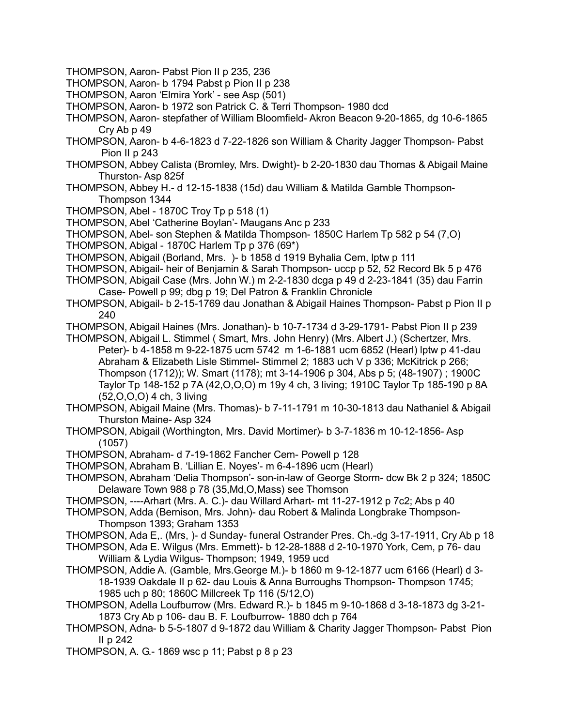- THOMPSON, Aaron- Pabst Pion II p 235, 236
- THOMPSON, Aaron- b 1794 Pabst p Pion II p 238
- THOMPSON, Aaron 'Elmira York' see Asp (501)
- THOMPSON, Aaron- b 1972 son Patrick C. & Terri Thompson- 1980 dcd
- THOMPSON, Aaron- stepfather of William Bloomfield- Akron Beacon 9-20-1865, dg 10-6-1865 Cry Ab p 49
- THOMPSON, Aaron- b 4-6-1823 d 7-22-1826 son William & Charity Jagger Thompson- Pabst Pion II p 243
- THOMPSON, Abbey Calista (Bromley, Mrs. Dwight)- b 2-20-1830 dau Thomas & Abigail Maine Thurston- Asp 825f
- THOMPSON, Abbey H.- d 12-15-1838 (15d) dau William & Matilda Gamble Thompson-Thompson 1344
- THOMPSON, Abel 1870C Troy Tp p 518 (1)
- THOMPSON, Abel 'Catherine Boylan'- Maugans Anc p 233
- THOMPSON, Abel- son Stephen & Matilda Thompson- 1850C Harlem Tp 582 p 54 (7,O)
- THOMPSON, Abigal 1870C Harlem Tp p 376 (69\*)
- THOMPSON, Abigail (Borland, Mrs. )- b 1858 d 1919 Byhalia Cem, lptw p 111
- THOMPSON, Abigail- heir of Benjamin & Sarah Thompson- uccp p 52, 52 Record Bk 5 p 476
- THOMPSON, Abigail Case (Mrs. John W.) m 2-2-1830 dcga p 49 d 2-23-1841 (35) dau Farrin Case- Powell p 99; dbg p 19; Del Patron & Franklin Chronicle
- THOMPSON, Abigail- b 2-15-1769 dau Jonathan & Abigail Haines Thompson- Pabst p Pion II p 240
- THOMPSON, Abigail Haines (Mrs. Jonathan)- b 10-7-1734 d 3-29-1791- Pabst Pion II p 239
- THOMPSON, Abigail L. Stimmel ( Smart, Mrs. John Henry) (Mrs. Albert J.) (Schertzer, Mrs. Peter)- b 4-1858 m 9-22-1875 ucm 5742 m 1-6-1881 ucm 6852 (Hearl) lptw p 41-dau Abraham & Elizabeth Lisle Stimmel- Stimmel 2; 1883 uch V p 336; McKitrick p 266; Thompson (1712)); W. Smart (1178); mt 3-14-1906 p 304, Abs p 5; (48-1907) ; 1900C Taylor Tp 148-152 p 7A (42,O,O,O) m 19y 4 ch, 3 living; 1910C Taylor Tp 185-190 p 8A (52,O,O,O) 4 ch, 3 living
- THOMPSON, Abigail Maine (Mrs. Thomas)- b 7-11-1791 m 10-30-1813 dau Nathaniel & Abigail Thurston Maine- Asp 324
- THOMPSON, Abigail (Worthington, Mrs. David Mortimer)- b 3-7-1836 m 10-12-1856- Asp (1057)
- THOMPSON, Abraham- d 7-19-1862 Fancher Cem- Powell p 128
- THOMPSON, Abraham B. 'Lillian E. Noyes'- m 6-4-1896 ucm (Hearl)
- THOMPSON, Abraham 'Delia Thompson'- son-in-law of George Storm- dcw Bk 2 p 324; 1850C Delaware Town 988 p 78 (35,Md,O,Mass) see Thomson
- THOMPSON, ----Arhart (Mrs. A. C.)- dau Willard Arhart- mt 11-27-1912 p 7c2; Abs p 40
- THOMPSON, Adda (Bernison, Mrs. John)- dau Robert & Malinda Longbrake Thompson-Thompson 1393; Graham 1353
- THOMPSON, Ada E,. (Mrs, )- d Sunday- funeral Ostrander Pres. Ch.-dg 3-17-1911, Cry Ab p 18
- THOMPSON, Ada E. Wilgus (Mrs. Emmett)- b 12-28-1888 d 2-10-1970 York, Cem, p 76- dau William & Lydia Wilgus- Thompson; 1949, 1959 ucd
- THOMPSON, Addie A. (Gamble, Mrs.George M.)- b 1860 m 9-12-1877 ucm 6166 (Hearl) d 3- 18-1939 Oakdale II p 62- dau Louis & Anna Burroughs Thompson- Thompson 1745; 1985 uch p 80; 1860C Millcreek Tp 116 (5/12,O)
- THOMPSON, Adella Loufburrow (Mrs. Edward R.)- b 1845 m 9-10-1868 d 3-18-1873 dg 3-21- 1873 Cry Ab p 106- dau B. F. Loufburrow- 1880 dch p 764
- THOMPSON, Adna- b 5-5-1807 d 9-1872 dau William & Charity Jagger Thompson- Pabst Pion II p 242
- THOMPSON, A. G.- 1869 wsc p 11; Pabst p 8 p 23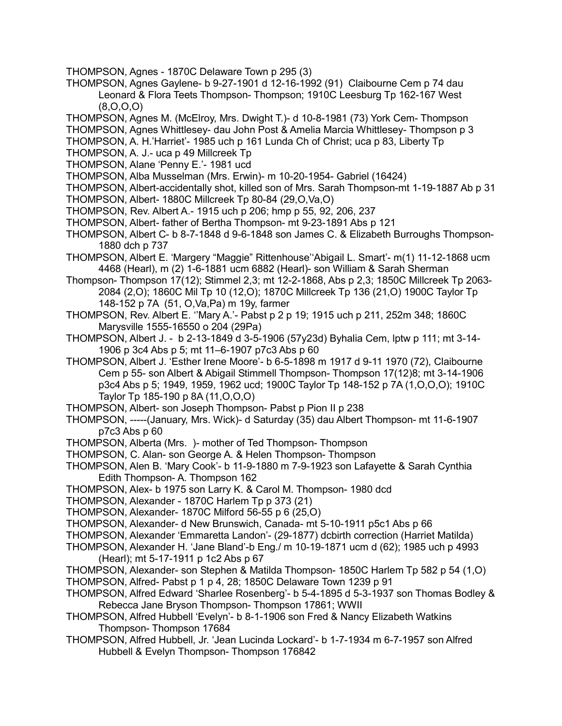- THOMPSON, Agnes 1870C Delaware Town p 295 (3)
- THOMPSON, Agnes Gaylene- b 9-27-1901 d 12-16-1992 (91) Claibourne Cem p 74 dau Leonard & Flora Teets Thompson- Thompson; 1910C Leesburg Tp 162-167 West (8,O,O,O)
- THOMPSON, Agnes M. (McElroy, Mrs. Dwight T.)- d 10-8-1981 (73) York Cem- Thompson
- THOMPSON, Agnes Whittlesey- dau John Post & Amelia Marcia Whittlesey- Thompson p 3
- THOMPSON, A. H.'Harriet'- 1985 uch p 161 Lunda Ch of Christ; uca p 83, Liberty Tp
- THOMPSON, A. J.- uca p 49 Millcreek Tp
- THOMPSON, Alane 'Penny E.'- 1981 ucd
- THOMPSON, Alba Musselman (Mrs. Erwin)- m 10-20-1954- Gabriel (16424)
- THOMPSON, Albert-accidentally shot, killed son of Mrs. Sarah Thompson-mt 1-19-1887 Ab p 31
- THOMPSON, Albert- 1880C Millcreek Tp 80-84 (29,O,Va,O)
- THOMPSON, Rev. Albert A.- 1915 uch p 206; hmp p 55, 92, 206, 237
- THOMPSON, Albert- father of Bertha Thompson- mt 9-23-1891 Abs p 121
- THOMPSON, Albert C- b 8-7-1848 d 9-6-1848 son James C. & Elizabeth Burroughs Thompson-1880 dch p 737
- THOMPSON, Albert E. 'Margery "Maggie" Rittenhouse''Abigail L. Smart'- m(1) 11-12-1868 ucm 4468 (Hearl), m (2) 1-6-1881 ucm 6882 (Hearl)- son William & Sarah Sherman
- Thompson- Thompson 17(12); Stimmel 2,3; mt 12-2-1868, Abs p 2,3; 1850C Millcreek Tp 2063- 2084 (2,O); 1860C Mil Tp 10 (12,O); 1870C Millcreek Tp 136 (21,O) 1900C Taylor Tp 148-152 p 7A (51, O,Va,Pa) m 19y, farmer
- THOMPSON, Rev. Albert E. ''Mary A.'- Pabst p 2 p 19; 1915 uch p 211, 252m 348; 1860C Marysville 1555-16550 o 204 (29Pa)
- THOMPSON, Albert J. b 2-13-1849 d 3-5-1906 (57y23d) Byhalia Cem, lptw p 111; mt 3-14- 1906 p 3c4 Abs p 5; mt 11–6-1907 p7c3 Abs p 60
- THOMPSON, Albert J. 'Esther Irene Moore'- b 6-5-1898 m 1917 d 9-11 1970 (72), Claibourne Cem p 55- son Albert & Abigail Stimmell Thompson- Thompson 17(12)8; mt 3-14-1906 p3c4 Abs p 5; 1949, 1959, 1962 ucd; 1900C Taylor Tp 148-152 p 7A (1,O,O,O); 1910C Taylor Tp 185-190 p 8A (11,O,O,O)
- THOMPSON, Albert- son Joseph Thompson- Pabst p Pion II p 238
- THOMPSON, -----(January, Mrs. Wick)- d Saturday (35) dau Albert Thompson- mt 11-6-1907 p7c3 Abs p 60
- THOMPSON, Alberta (Mrs. )- mother of Ted Thompson- Thompson
- THOMPSON, C. Alan- son George A. & Helen Thompson- Thompson
- THOMPSON, Alen B. 'Mary Cook'- b 11-9-1880 m 7-9-1923 son Lafayette & Sarah Cynthia Edith Thompson- A. Thompson 162
- THOMPSON, Alex- b 1975 son Larry K. & Carol M. Thompson- 1980 dcd
- THOMPSON, Alexander 1870C Harlem Tp p 373 (21)
- THOMPSON, Alexander- 1870C Milford 56-55 p 6 (25,O)
- THOMPSON, Alexander- d New Brunswich, Canada- mt 5-10-1911 p5c1 Abs p 66
- THOMPSON, Alexander 'Emmaretta Landon'- (29-1877) dcbirth correction (Harriet Matilda)
- THOMPSON, Alexander H. 'Jane Bland'-b Eng./ m 10-19-1871 ucm d (62); 1985 uch p 4993 (Hearl); mt 5-17-1911 p 1c2 Abs p 67
- THOMPSON, Alexander- son Stephen & Matilda Thompson- 1850C Harlem Tp 582 p 54 (1,O) THOMPSON, Alfred- Pabst p 1 p 4, 28; 1850C Delaware Town 1239 p 91
- THOMPSON, Alfred Edward 'Sharlee Rosenberg'- b 5-4-1895 d 5-3-1937 son Thomas Bodley & Rebecca Jane Bryson Thompson- Thompson 17861; WWII
- THOMPSON, Alfred Hubbell 'Evelyn'- b 8-1-1906 son Fred & Nancy Elizabeth Watkins Thompson- Thompson 17684
- THOMPSON, Alfred Hubbell, Jr. 'Jean Lucinda Lockard'- b 1-7-1934 m 6-7-1957 son Alfred Hubbell & Evelyn Thompson- Thompson 176842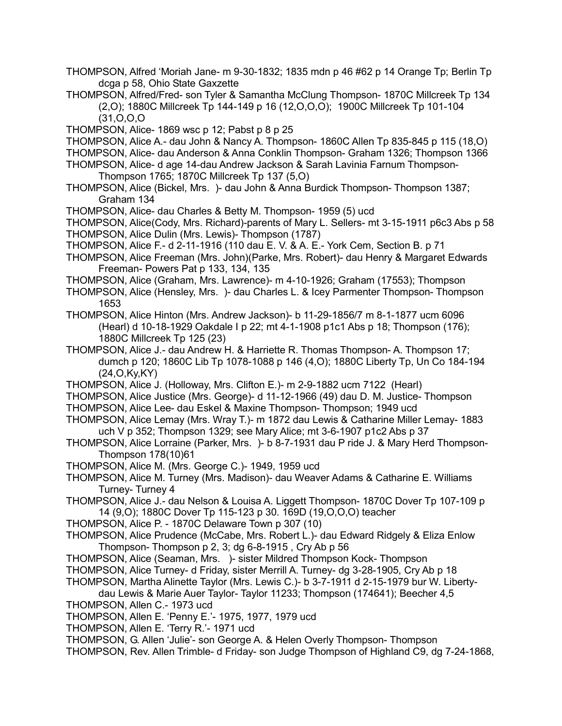- THOMPSON, Alfred 'Moriah Jane- m 9-30-1832; 1835 mdn p 46 #62 p 14 Orange Tp; Berlin Tp dcga p 58, Ohio State Gaxzette
- THOMPSON, Alfred/Fred- son Tyler & Samantha McClung Thompson- 1870C Millcreek Tp 134 (2,O); 1880C Millcreek Tp 144-149 p 16 (12,O,O,O); 1900C Millcreek Tp 101-104 (31,O,O,O
- THOMPSON, Alice- 1869 wsc p 12; Pabst p 8 p 25
- THOMPSON, Alice A.- dau John & Nancy A. Thompson- 1860C Allen Tp 835-845 p 115 (18,O)
- THOMPSON, Alice- dau Anderson & Anna Conklin Thompson- Graham 1326; Thompson 1366
- THOMPSON, Alice- d age 14-dau Andrew Jackson & Sarah Lavinia Farnum Thompson-Thompson 1765; 1870C Millcreek Tp 137 (5,O)
- THOMPSON, Alice (Bickel, Mrs. )- dau John & Anna Burdick Thompson- Thompson 1387; Graham 134
- THOMPSON, Alice- dau Charles & Betty M. Thompson- 1959 (5) ucd
- THOMPSON, Alice(Cody, Mrs. Richard)-parents of Mary L. Sellers- mt 3-15-1911 p6c3 Abs p 58 THOMPSON, Alice Dulin (Mrs. Lewis)- Thompson (1787)
- THOMPSON, Alice F.- d 2-11-1916 (110 dau E. V. & A. E.- York Cem, Section B. p 71
- THOMPSON, Alice Freeman (Mrs. John)(Parke, Mrs. Robert)- dau Henry & Margaret Edwards Freeman- Powers Pat p 133, 134, 135
- THOMPSON, Alice (Graham, Mrs. Lawrence)- m 4-10-1926; Graham (17553); Thompson
- THOMPSON, Alice (Hensley, Mrs. )- dau Charles L. & Icey Parmenter Thompson- Thompson 1653
- THOMPSON, Alice Hinton (Mrs. Andrew Jackson)- b 11-29-1856/7 m 8-1-1877 ucm 6096 (Hearl) d 10-18-1929 Oakdale I p 22; mt 4-1-1908 p1c1 Abs p 18; Thompson (176); 1880C Millcreek Tp 125 (23)
- THOMPSON, Alice J.- dau Andrew H. & Harriette R. Thomas Thompson- A. Thompson 17; dumch p 120; 1860C Lib Tp 1078-1088 p 146 (4,O); 1880C Liberty Tp, Un Co 184-194 (24,O,Ky,KY)
- THOMPSON, Alice J. (Holloway, Mrs. Clifton E.)- m 2-9-1882 ucm 7122 (Hearl)
- THOMPSON, Alice Justice (Mrs. George)- d 11-12-1966 (49) dau D. M. Justice- Thompson
- THOMPSON, Alice Lee- dau Eskel & Maxine Thompson- Thompson; 1949 ucd
- THOMPSON, Alice Lemay (Mrs. Wray T.)- m 1872 dau Lewis & Catharine Miller Lemay- 1883 uch V p 352; Thompson 1329; see Mary Alice; mt 3-6-1907 p1c2 Abs p 37
- THOMPSON, Alice Lorraine (Parker, Mrs. )- b 8-7-1931 dau P ride J. & Mary Herd Thompson-Thompson 178(10)61
- THOMPSON, Alice M. (Mrs. George C.)- 1949, 1959 ucd
- THOMPSON, Alice M. Turney (Mrs. Madison)- dau Weaver Adams & Catharine E. Williams Turney- Turney 4
- THOMPSON, Alice J.- dau Nelson & Louisa A. Liggett Thompson- 1870C Dover Tp 107-109 p 14 (9,O); 1880C Dover Tp 115-123 p 30. 169D (19,O,O,O) teacher
- THOMPSON, Alice P. 1870C Delaware Town p 307 (10)
- THOMPSON, Alice Prudence (McCabe, Mrs. Robert L.)- dau Edward Ridgely & Eliza Enlow Thompson- Thompson p 2, 3; dg 6-8-1915 , Cry Ab p 56
- THOMPSON, Alice (Seaman, Mrs. )- sister Mildred Thompson Kock- Thompson
- THOMPSON, Alice Turney- d Friday, sister Merrill A. Turney- dg 3-28-1905, Cry Ab p 18
- THOMPSON, Martha Alinette Taylor (Mrs. Lewis C.)- b 3-7-1911 d 2-15-1979 bur W. Libertydau Lewis & Marie Auer Taylor- Taylor 11233; Thompson (174641); Beecher 4,5
- THOMPSON, Allen C.- 1973 ucd
- THOMPSON, Allen E. 'Penny E.'- 1975, 1977, 1979 ucd
- THOMPSON, Allen E. 'Terry R.'- 1971 ucd
- THOMPSON, G. Allen 'Julie'- son George A. & Helen Overly Thompson- Thompson
- THOMPSON, Rev. Allen Trimble- d Friday- son Judge Thompson of Highland C9, dg 7-24-1868,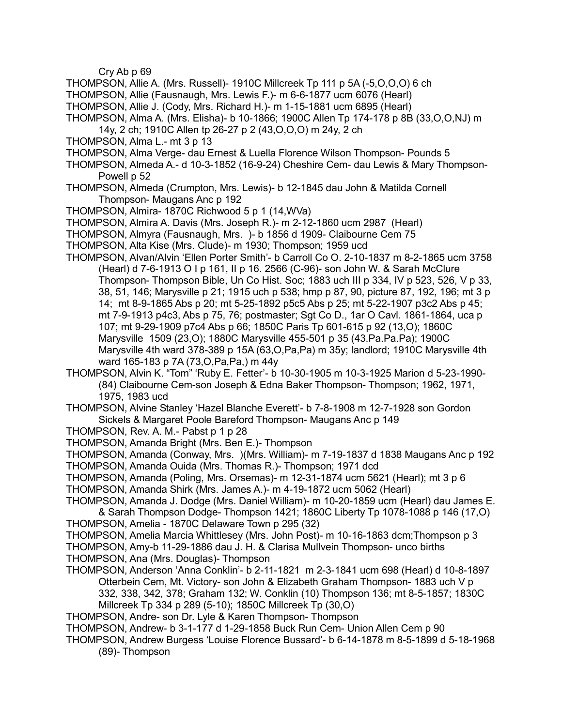Cry Ab p 69

- THOMPSON, Allie A. (Mrs. Russell)- 1910C Millcreek Tp 111 p 5A (-5,O,O,O) 6 ch
- THOMPSON, Allie (Fausnaugh, Mrs. Lewis F.)- m 6-6-1877 ucm 6076 (Hearl)
- THOMPSON, Allie J. (Cody, Mrs. Richard H.)- m 1-15-1881 ucm 6895 (Hearl)
- THOMPSON, Alma A. (Mrs. Elisha)- b 10-1866; 1900C Allen Tp 174-178 p 8B (33,O,O,NJ) m
- 14y, 2 ch; 1910C Allen tp 26-27 p 2 (43,O,O,O) m 24y, 2 ch
- THOMPSON, Alma L.- mt 3 p 13
- THOMPSON, Alma Verge- dau Ernest & Luella Florence Wilson Thompson- Pounds 5
- THOMPSON, Almeda A.- d 10-3-1852 (16-9-24) Cheshire Cem- dau Lewis & Mary Thompson-Powell p 52
- THOMPSON, Almeda (Crumpton, Mrs. Lewis)- b 12-1845 dau John & Matilda Cornell Thompson- Maugans Anc p 192
- THOMPSON, Almira- 1870C Richwood 5 p 1 (14,WVa)
- THOMPSON, Almira A. Davis (Mrs. Joseph R.)- m 2-12-1860 ucm 2987 (Hearl)
- THOMPSON, Almyra (Fausnaugh, Mrs. )- b 1856 d 1909- Claibourne Cem 75
- THOMPSON, Alta Kise (Mrs. Clude)- m 1930; Thompson; 1959 ucd
- THOMPSON, Alvan/Alvin 'Ellen Porter Smith'- b Carroll Co O. 2-10-1837 m 8-2-1865 ucm 3758 (Hearl) d 7-6-1913 O I p 161, II p 16. 2566 (C-96)- son John W. & Sarah McClure Thompson- Thompson Bible, Un Co Hist. Soc; 1883 uch III p 334, IV p 523, 526, V p 33, 38, 51, 146; Marysville p 21; 1915 uch p 538; hmp p 87, 90, picture 87, 192, 196; mt 3 p 14; mt 8-9-1865 Abs p 20; mt 5-25-1892 p5c5 Abs p 25; mt 5-22-1907 p3c2 Abs p 45; mt 7-9-1913 p4c3, Abs p 75, 76; postmaster; Sgt Co D., 1ar O Cavl. 1861-1864, uca p 107; mt 9-29-1909 p7c4 Abs p 66; 1850C Paris Tp 601-615 p 92 (13,O); 1860C Marysville 1509 (23,O); 1880C Marysville 455-501 p 35 (43.Pa.Pa.Pa); 1900C Marysville 4th ward 378-389 p 15A (63,O,Pa,Pa) m 35y; landlord; 1910C Marysville 4th ward 165-183 p 7A (73,O,Pa,Pa,) m 44y
- THOMPSON, Alvin K. "Tom" 'Ruby E. Fetter'- b 10-30-1905 m 10-3-1925 Marion d 5-23-1990- (84) Claibourne Cem-son Joseph & Edna Baker Thompson- Thompson; 1962, 1971, 1975, 1983 ucd

THOMPSON, Alvine Stanley 'Hazel Blanche Everett'- b 7-8-1908 m 12-7-1928 son Gordon Sickels & Margaret Poole Bareford Thompson- Maugans Anc p 149

- THOMPSON, Rev. A. M.- Pabst p 1 p 28
- THOMPSON, Amanda Bright (Mrs. Ben E.)- Thompson

THOMPSON, Amanda (Conway, Mrs. )(Mrs. William)- m 7-19-1837 d 1838 Maugans Anc p 192

THOMPSON, Amanda Ouida (Mrs. Thomas R.)- Thompson; 1971 dcd

- THOMPSON, Amanda (Poling, Mrs. Orsemas)- m 12-31-1874 ucm 5621 (Hearl); mt 3 p 6 THOMPSON, Amanda Shirk (Mrs. James A.)- m 4-19-1872 ucm 5062 (Hearl)
- THOMPSON, Amanda J. Dodge (Mrs. Daniel William)- m 10-20-1859 ucm (Hearl) dau James E. & Sarah Thompson Dodge- Thompson 1421; 1860C Liberty Tp 1078-1088 p 146 (17,O)
- THOMPSON, Amelia 1870C Delaware Town p 295 (32)
- THOMPSON, Amelia Marcia Whittlesey (Mrs. John Post)- m 10-16-1863 dcm;Thompson p 3
- THOMPSON, Amy-b 11-29-1886 dau J. H. & Clarisa Mullvein Thompson- unco births
- THOMPSON, Ana (Mrs. Douglas)- Thompson
- THOMPSON, Anderson 'Anna Conklin'- b 2-11-1821 m 2-3-1841 ucm 698 (Hearl) d 10-8-1897 Otterbein Cem, Mt. Victory- son John & Elizabeth Graham Thompson- 1883 uch V p 332, 338, 342, 378; Graham 132; W. Conklin (10) Thompson 136; mt 8-5-1857; 1830C Millcreek Tp 334 p 289 (5-10); 1850C Millcreek Tp (30,O)
- THOMPSON, Andre- son Dr. Lyle & Karen Thompson- Thompson
- THOMPSON, Andrew- b 3-1-177 d 1-29-1858 Buck Run Cem- Union Allen Cem p 90
- THOMPSON, Andrew Burgess 'Louise Florence Bussard'- b 6-14-1878 m 8-5-1899 d 5-18-1968 (89)- Thompson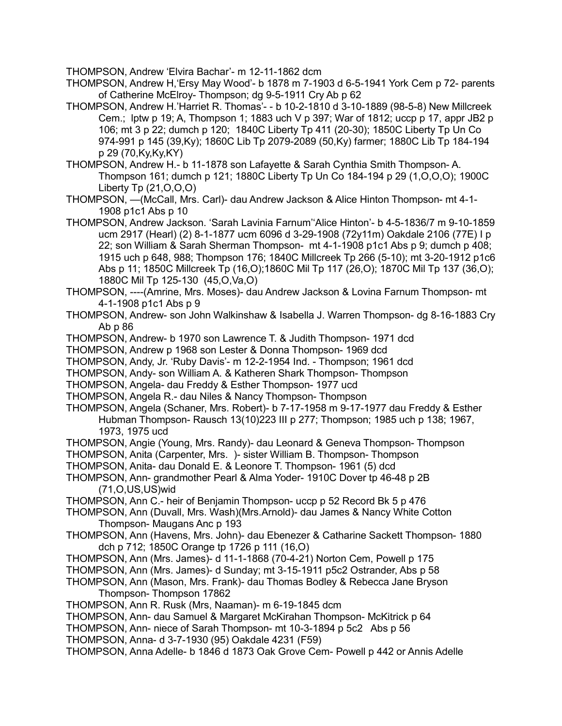THOMPSON, Andrew 'Elvira Bachar'- m 12-11-1862 dcm

THOMPSON, Andrew H,'Ersy May Wood'- b 1878 m 7-1903 d 6-5-1941 York Cem p 72- parents of Catherine McElroy- Thompson; dg 9-5-1911 Cry Ab p 62

- THOMPSON, Andrew H.'Harriet R. Thomas'- b 10-2-1810 d 3-10-1889 (98-5-8) New Millcreek Cem.; lptw p 19; A, Thompson 1; 1883 uch V p 397; War of 1812; uccp p 17, appr JB2 p 106; mt 3 p 22; dumch p 120; 1840C Liberty Tp 411 (20-30); 1850C Liberty Tp Un Co 974-991 p 145 (39,Ky); 1860C Lib Tp 2079-2089 (50,Ky) farmer; 1880C Lib Tp 184-194 p 29 (70,Ky,Ky,KY)
- THOMPSON, Andrew H.- b 11-1878 son Lafayette & Sarah Cynthia Smith Thompson- A. Thompson 161; dumch p 121; 1880C Liberty Tp Un Co 184-194 p 29 (1,O,O,O); 1900C Liberty Tp (21,O,O,O)
- THOMPSON, —(McCall, Mrs. Carl)- dau Andrew Jackson & Alice Hinton Thompson- mt 4-1- 1908 p1c1 Abs p 10
- THOMPSON, Andrew Jackson. 'Sarah Lavinia Farnum''Alice Hinton'- b 4-5-1836/7 m 9-10-1859 ucm 2917 (Hearl) (2) 8-1-1877 ucm 6096 d 3-29-1908 (72y11m) Oakdale 2106 (77E) I p 22; son William & Sarah Sherman Thompson- mt 4-1-1908 p1c1 Abs p 9; dumch p 408; 1915 uch p 648, 988; Thompson 176; 1840C Millcreek Tp 266 (5-10); mt 3-20-1912 p1c6 Abs p 11; 1850C Millcreek Tp (16,O);1860C Mil Tp 117 (26,O); 1870C Mil Tp 137 (36,O); 1880C Mil Tp 125-130 (45,O,Va,O)

THOMPSON, ----(Amrine, Mrs. Moses)- dau Andrew Jackson & Lovina Farnum Thompson- mt 4-1-1908 p1c1 Abs p 9

- THOMPSON, Andrew- son John Walkinshaw & Isabella J. Warren Thompson- dg 8-16-1883 Cry Ab p 86
- THOMPSON, Andrew- b 1970 son Lawrence T. & Judith Thompson- 1971 dcd

THOMPSON, Andrew p 1968 son Lester & Donna Thompson- 1969 dcd

- THOMPSON, Andy, Jr. 'Ruby Davis'- m 12-2-1954 Ind. Thompson; 1961 dcd
- THOMPSON, Andy- son William A. & Katheren Shark Thompson- Thompson
- THOMPSON, Angela- dau Freddy & Esther Thompson- 1977 ucd
- THOMPSON, Angela R.- dau Niles & Nancy Thompson- Thompson
- THOMPSON, Angela (Schaner, Mrs. Robert)- b 7-17-1958 m 9-17-1977 dau Freddy & Esther Hubman Thompson- Rausch 13(10)223 III p 277; Thompson; 1985 uch p 138; 1967, 1973, 1975 ucd
- THOMPSON, Angie (Young, Mrs. Randy)- dau Leonard & Geneva Thompson- Thompson
- THOMPSON, Anita (Carpenter, Mrs. )- sister William B. Thompson- Thompson
- THOMPSON, Anita- dau Donald E. & Leonore T. Thompson- 1961 (5) dcd
- THOMPSON, Ann- grandmother Pearl & Alma Yoder- 1910C Dover tp 46-48 p 2B (71,O,US,US)wid
- THOMPSON, Ann C.- heir of Benjamin Thompson- uccp p 52 Record Bk 5 p 476
- THOMPSON, Ann (Duvall, Mrs. Wash)(Mrs.Arnold)- dau James & Nancy White Cotton Thompson- Maugans Anc p 193
- THOMPSON, Ann (Havens, Mrs. John)- dau Ebenezer & Catharine Sackett Thompson- 1880 dch p 712; 1850C Orange tp 1726 p 111 (16,O)
- THOMPSON, Ann (Mrs. James)- d 11-1-1868 (70-4-21) Norton Cem, Powell p 175
- THOMPSON, Ann (Mrs. James)- d Sunday; mt 3-15-1911 p5c2 Ostrander, Abs p 58
- THOMPSON, Ann (Mason, Mrs. Frank)- dau Thomas Bodley & Rebecca Jane Bryson Thompson- Thompson 17862
- THOMPSON, Ann R. Rusk (Mrs, Naaman)- m 6-19-1845 dcm
- THOMPSON, Ann- dau Samuel & Margaret McKirahan Thompson- McKitrick p 64
- THOMPSON, Ann- niece of Sarah Thompson- mt 10-3-1894 p 5c2 Abs p 56
- THOMPSON, Anna- d 3-7-1930 (95) Oakdale 4231 (F59)
- THOMPSON, Anna Adelle- b 1846 d 1873 Oak Grove Cem- Powell p 442 or Annis Adelle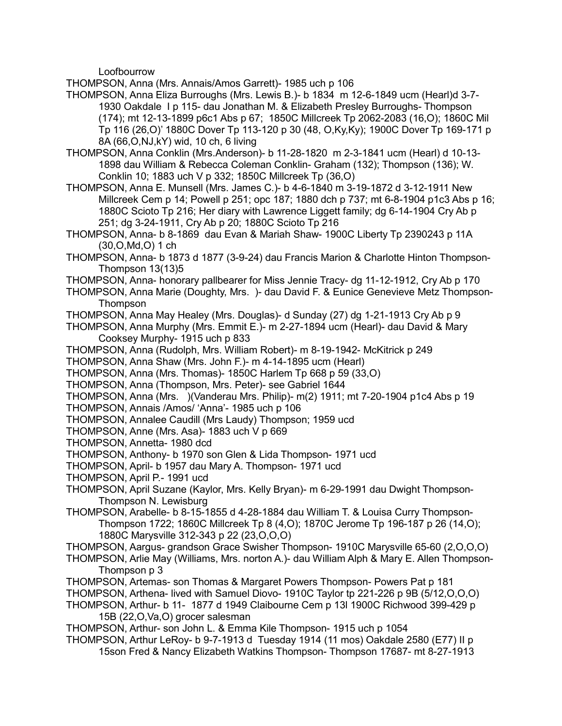Loofbourrow

THOMPSON, Anna (Mrs. Annais/Amos Garrett)- 1985 uch p 106

- THOMPSON, Anna Eliza Burroughs (Mrs. Lewis B.)- b 1834 m 12-6-1849 ucm (Hearl)d 3-7- 1930 Oakdale I p 115- dau Jonathan M. & Elizabeth Presley Burroughs- Thompson (174); mt 12-13-1899 p6c1 Abs p 67; 1850C Millcreek Tp 2062-2083 (16,O); 1860C Mil Tp 116 (26,O)' 1880C Dover Tp 113-120 p 30 (48, O,Ky,Ky); 1900C Dover Tp 169-171 p 8A (66,O,NJ,kY) wid, 10 ch, 6 living
- THOMPSON, Anna Conklin (Mrs.Anderson)- b 11-28-1820 m 2-3-1841 ucm (Hearl) d 10-13- 1898 dau William & Rebecca Coleman Conklin- Graham (132); Thompson (136); W. Conklin 10; 1883 uch V p 332; 1850C Millcreek Tp (36,O)
- THOMPSON, Anna E. Munsell (Mrs. James C.)- b 4-6-1840 m 3-19-1872 d 3-12-1911 New Millcreek Cem p 14; Powell p 251; opc 187; 1880 dch p 737; mt 6-8-1904 p1c3 Abs p 16; 1880C Scioto Tp 216; Her diary with Lawrence Liggett family; dg 6-14-1904 Cry Ab p 251; dg 3-24-1911, Cry Ab p 20; 1880C Scioto Tp 216
- THOMPSON, Anna- b 8-1869 dau Evan & Mariah Shaw- 1900C Liberty Tp 2390243 p 11A (30,O,Md,O) 1 ch
- THOMPSON, Anna- b 1873 d 1877 (3-9-24) dau Francis Marion & Charlotte Hinton Thompson-Thompson 13(13)5
- THOMPSON, Anna- honorary pallbearer for Miss Jennie Tracy- dg 11-12-1912, Cry Ab p 170
- THOMPSON, Anna Marie (Doughty, Mrs. )- dau David F. & Eunice Genevieve Metz Thompson-**Thompson**
- THOMPSON, Anna May Healey (Mrs. Douglas)- d Sunday (27) dg 1-21-1913 Cry Ab p 9
- THOMPSON, Anna Murphy (Mrs. Emmit E.)- m 2-27-1894 ucm (Hearl)- dau David & Mary Cooksey Murphy- 1915 uch p 833
- THOMPSON, Anna (Rudolph, Mrs. William Robert)- m 8-19-1942- McKitrick p 249
- THOMPSON, Anna Shaw (Mrs. John F.)- m 4-14-1895 ucm (Hearl)
- THOMPSON, Anna (Mrs. Thomas)- 1850C Harlem Tp 668 p 59 (33,O)
- THOMPSON, Anna (Thompson, Mrs. Peter)- see Gabriel 1644
- THOMPSON, Anna (Mrs. )(Vanderau Mrs. Philip)- m(2) 1911; mt 7-20-1904 p1c4 Abs p 19
- THOMPSON, Annais /Amos/ 'Anna'- 1985 uch p 106
- THOMPSON, Annalee Caudill (Mrs Laudy) Thompson; 1959 ucd
- THOMPSON, Anne (Mrs. Asa)- 1883 uch V p 669
- THOMPSON, Annetta- 1980 dcd
- THOMPSON, Anthony- b 1970 son Glen & Lida Thompson- 1971 ucd
- THOMPSON, April- b 1957 dau Mary A. Thompson- 1971 ucd
- THOMPSON, April P.- 1991 ucd
- THOMPSON, April Suzane (Kaylor, Mrs. Kelly Bryan)- m 6-29-1991 dau Dwight Thompson-Thompson N. Lewisburg
- THOMPSON, Arabelle- b 8-15-1855 d 4-28-1884 dau William T. & Louisa Curry Thompson-Thompson 1722; 1860C Millcreek Tp 8 (4,O); 1870C Jerome Tp 196-187 p 26 (14,O); 1880C Marysville 312-343 p 22 (23,O,O,O)
- THOMPSON, Aargus- grandson Grace Swisher Thompson- 1910C Marysville 65-60 (2,O,O,O)
- THOMPSON, Arlie May (Williams, Mrs. norton A.)- dau William Alph & Mary E. Allen Thompson-Thompson p 3
- THOMPSON, Artemas- son Thomas & Margaret Powers Thompson- Powers Pat p 181
- THOMPSON, Arthena- lived with Samuel Diovo- 1910C Taylor tp 221-226 p 9B (5/12,O,O,O)
- THOMPSON, Arthur- b 11- 1877 d 1949 Claibourne Cem p 13l 1900C Richwood 399-429 p 15B (22,O,Va,O) grocer salesman
- THOMPSON, Arthur- son John L. & Emma Kile Thompson- 1915 uch p 1054
- THOMPSON, Arthur LeRoy- b 9-7-1913 d Tuesday 1914 (11 mos) Oakdale 2580 (E77) II p 15son Fred & Nancy Elizabeth Watkins Thompson- Thompson 17687- mt 8-27-1913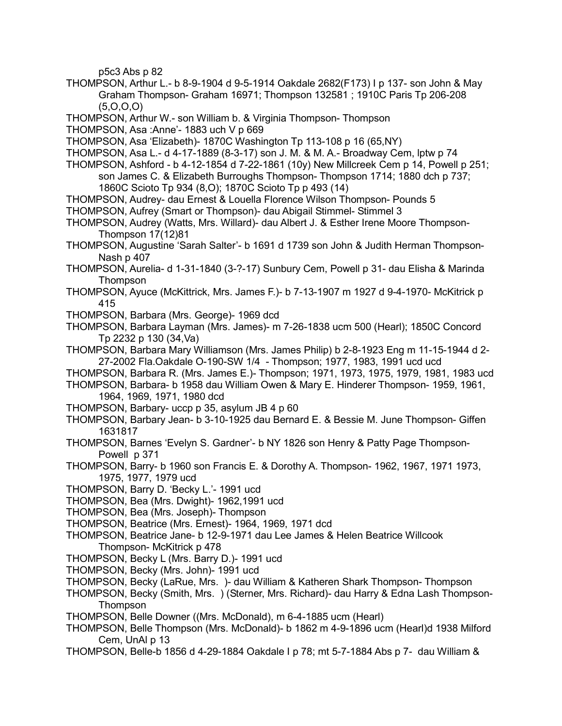p5c3 Abs p 82

- THOMPSON, Arthur L.- b 8-9-1904 d 9-5-1914 Oakdale 2682(F173) I p 137- son John & May Graham Thompson- Graham 16971; Thompson 132581 ; 1910C Paris Tp 206-208 (5,O,O,O)
- THOMPSON, Arthur W.- son William b. & Virginia Thompson- Thompson
- THOMPSON, Asa :Anne'- 1883 uch V p 669
- THOMPSON, Asa 'Elizabeth)- 1870C Washington Tp 113-108 p 16 (65,NY)
- THOMPSON, Asa L.- d 4-17-1889 (8-3-17) son J. M. & M. A.- Broadway Cem, lptw p 74
- THOMPSON, Ashford b 4-12-1854 d 7-22-1861 (10y) New Millcreek Cem p 14, Powell p 251; son James C. & Elizabeth Burroughs Thompson- Thompson 1714; 1880 dch p 737; 1860C Scioto Tp 934 (8,O); 1870C Scioto Tp p 493 (14)
- THOMPSON, Audrey- dau Ernest & Louella Florence Wilson Thompson- Pounds 5
- THOMPSON, Aufrey (Smart or Thompson)- dau Abigail Stimmel- Stimmel 3
- THOMPSON, Audrey (Watts, Mrs. Willard)- dau Albert J. & Esther Irene Moore Thompson-Thompson 17(12)81
- THOMPSON, Augustine 'Sarah Salter'- b 1691 d 1739 son John & Judith Herman Thompson-Nash p 407
- THOMPSON, Aurelia- d 1-31-1840 (3-?-17) Sunbury Cem, Powell p 31- dau Elisha & Marinda Thompson
- THOMPSON, Ayuce (McKittrick, Mrs. James F.)- b 7-13-1907 m 1927 d 9-4-1970- McKitrick p 415
- THOMPSON, Barbara (Mrs. George)- 1969 dcd
- THOMPSON, Barbara Layman (Mrs. James)- m 7-26-1838 ucm 500 (Hearl); 1850C Concord Tp 2232 p 130 (34,Va)
- THOMPSON, Barbara Mary Williamson (Mrs. James Philip) b 2-8-1923 Eng m 11-15-1944 d 2- 27-2002 Fla.Oakdale O-190-SW 1/4 - Thompson; 1977, 1983, 1991 ucd ucd
- THOMPSON, Barbara R. (Mrs. James E.)- Thompson; 1971, 1973, 1975, 1979, 1981, 1983 ucd
- THOMPSON, Barbara- b 1958 dau William Owen & Mary E. Hinderer Thompson- 1959, 1961, 1964, 1969, 1971, 1980 dcd
- THOMPSON, Barbary- uccp p 35, asylum JB 4 p 60
- THOMPSON, Barbary Jean- b 3-10-1925 dau Bernard E. & Bessie M. June Thompson- Giffen 1631817
- THOMPSON, Barnes 'Evelyn S. Gardner'- b NY 1826 son Henry & Patty Page Thompson-Powell p 371
- THOMPSON, Barry- b 1960 son Francis E. & Dorothy A. Thompson- 1962, 1967, 1971 1973, 1975, 1977, 1979 ucd
- THOMPSON, Barry D. 'Becky L.'- 1991 ucd
- THOMPSON, Bea (Mrs. Dwight)- 1962,1991 ucd
- THOMPSON, Bea (Mrs. Joseph)- Thompson
- THOMPSON, Beatrice (Mrs. Ernest)- 1964, 1969, 1971 dcd
- THOMPSON, Beatrice Jane- b 12-9-1971 dau Lee James & Helen Beatrice Willcook Thompson- McKitrick p 478
- THOMPSON, Becky L (Mrs. Barry D.)- 1991 ucd
- THOMPSON, Becky (Mrs. John)- 1991 ucd
- THOMPSON, Becky (LaRue, Mrs. )- dau William & Katheren Shark Thompson- Thompson
- THOMPSON, Becky (Smith, Mrs. ) (Sterner, Mrs. Richard)- dau Harry & Edna Lash Thompson-**Thompson**
- THOMPSON, Belle Downer ((Mrs. McDonald), m 6-4-1885 ucm (Hearl)
- THOMPSON, Belle Thompson (Mrs. McDonald)- b 1862 m 4-9-1896 ucm (Hearl)d 1938 Milford Cem, UnAl p 13
- THOMPSON, Belle-b 1856 d 4-29-1884 Oakdale I p 78; mt 5-7-1884 Abs p 7- dau William &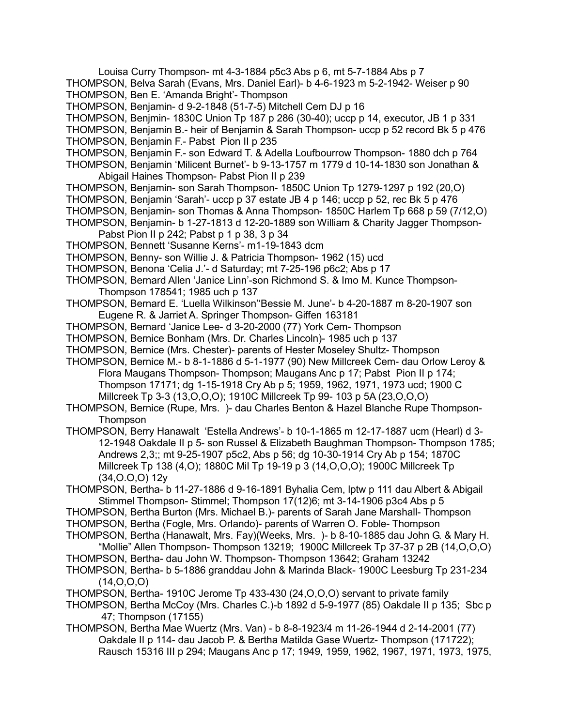- Louisa Curry Thompson- mt 4-3-1884 p5c3 Abs p 6, mt 5-7-1884 Abs p 7 THOMPSON, Belva Sarah (Evans, Mrs. Daniel Earl)- b 4-6-1923 m 5-2-1942- Weiser p 90
- THOMPSON, Ben E. 'Amanda Bright'- Thompson
- THOMPSON, Benjamin- d 9-2-1848 (51-7-5) Mitchell Cem DJ p 16
- THOMPSON, Benjmin- 1830C Union Tp 187 p 286 (30-40); uccp p 14, executor, JB 1 p 331
- THOMPSON, Benjamin B.- heir of Benjamin & Sarah Thompson- uccp p 52 record Bk 5 p 476
- THOMPSON, Benjamin F.- Pabst Pion II p 235
- THOMPSON, Benjamin F.- son Edward T. & Adella Loufbourrow Thompson- 1880 dch p 764
- THOMPSON, Benjamin 'Milicent Burnet'- b 9-13-1757 m 1779 d 10-14-1830 son Jonathan & Abigail Haines Thompson- Pabst Pion II p 239
- THOMPSON, Benjamin- son Sarah Thompson- 1850C Union Tp 1279-1297 p 192 (20,O)
- THOMPSON, Benjamin 'Sarah'- uccp p 37 estate JB 4 p 146; uccp p 52, rec Bk 5 p 476
- THOMPSON, Benjamin- son Thomas & Anna Thompson- 1850C Harlem Tp 668 p 59 (7/12,O)
- THOMPSON, Benjamin- b 1-27-1813 d 12-20-1889 son William & Charity Jagger Thompson-Pabst Pion II p 242: Pabst p 1 p 38, 3 p 34
- THOMPSON, Bennett 'Susanne Kerns'- m1-19-1843 dcm
- THOMPSON, Benny- son Willie J. & Patricia Thompson- 1962 (15) ucd
- THOMPSON, Benona 'Celia J.'- d Saturday; mt 7-25-196 p6c2; Abs p 17
- THOMPSON, Bernard Allen 'Janice Linn'-son Richmond S. & Imo M. Kunce Thompson-Thompson 178541; 1985 uch p 137
- THOMPSON, Bernard E. 'Luella Wilkinson''Bessie M. June'- b 4-20-1887 m 8-20-1907 son Eugene R. & Jarriet A. Springer Thompson- Giffen 163181
- THOMPSON, Bernard 'Janice Lee- d 3-20-2000 (77) York Cem- Thompson
- THOMPSON, Bernice Bonham (Mrs. Dr. Charles Lincoln)- 1985 uch p 137
- THOMPSON, Bernice (Mrs. Chester)- parents of Hester Moseley Shultz- Thompson
- THOMPSON, Bernice M.- b 8-1-1886 d 5-1-1977 (90) New Millcreek Cem- dau Orlow Leroy & Flora Maugans Thompson- Thompson; Maugans Anc p 17; Pabst Pion II p 174; Thompson 17171; dg 1-15-1918 Cry Ab p 5; 1959, 1962, 1971, 1973 ucd; 1900 C Millcreek Tp 3-3 (13,O,O,O); 1910C Millcreek Tp 99- 103 p 5A (23,O,O,O)
- THOMPSON, Bernice (Rupe, Mrs. )- dau Charles Benton & Hazel Blanche Rupe Thompson-**Thompson**
- THOMPSON, Berry Hanawalt 'Estella Andrews'- b 10-1-1865 m 12-17-1887 ucm (Hearl) d 3- 12-1948 Oakdale II p 5- son Russel & Elizabeth Baughman Thompson- Thompson 1785; Andrews 2,3;; mt 9-25-1907 p5c2, Abs p 56; dg 10-30-1914 Cry Ab p 154; 1870C Millcreek Tp 138 (4,O); 1880C Mil Tp 19-19 p 3 (14,O,O,O); 1900C Millcreek Tp (34,O.O,O) 12y
- THOMPSON, Bertha- b 11-27-1886 d 9-16-1891 Byhalia Cem, lptw p 111 dau Albert & Abigail Stimmel Thompson- Stimmel; Thompson 17(12)6; mt 3-14-1906 p3c4 Abs p 5
- THOMPSON, Bertha Burton (Mrs. Michael B.)- parents of Sarah Jane Marshall- Thompson
- THOMPSON, Bertha (Fogle, Mrs. Orlando)- parents of Warren O. Foble- Thompson
- THOMPSON, Bertha (Hanawalt, Mrs. Fay)(Weeks, Mrs. )- b 8-10-1885 dau John G. & Mary H. "Mollie" Allen Thompson- Thompson 13219; 1900C Millcreek Tp 37-37 p 2B (14,O,O,O)
- THOMPSON, Bertha- dau John W. Thompson- Thompson 13642; Graham 13242
- THOMPSON, Bertha- b 5-1886 granddau John & Marinda Black- 1900C Leesburg Tp 231-234 (14,O,O,O)
- THOMPSON, Bertha- 1910C Jerome Tp 433-430 (24,O,O,O) servant to private family
- THOMPSON, Bertha McCoy (Mrs. Charles C.)-b 1892 d 5-9-1977 (85) Oakdale II p 135; Sbc p 47; Thompson (17155)
- THOMPSON, Bertha Mae Wuertz (Mrs. Van) b 8-8-1923/4 m 11-26-1944 d 2-14-2001 (77) Oakdale II p 114- dau Jacob P. & Bertha Matilda Gase Wuertz- Thompson (171722); Rausch 15316 III p 294; Maugans Anc p 17; 1949, 1959, 1962, 1967, 1971, 1973, 1975,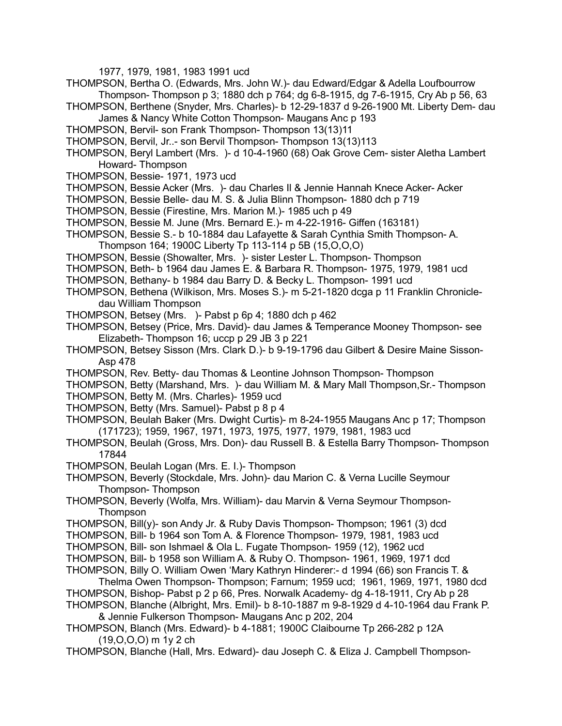1977, 1979, 1981, 1983 1991 ucd

- THOMPSON, Bertha O. (Edwards, Mrs. John W.)- dau Edward/Edgar & Adella Loufbourrow Thompson- Thompson p 3; 1880 dch p 764; dg 6-8-1915, dg 7-6-1915, Cry Ab p 56, 63
- THOMPSON, Berthene (Snyder, Mrs. Charles)- b 12-29-1837 d 9-26-1900 Mt. Liberty Dem- dau James & Nancy White Cotton Thompson- Maugans Anc p 193
- THOMPSON, Bervil- son Frank Thompson- Thompson 13(13)11
- THOMPSON, Bervil, Jr..- son Bervil Thompson- Thompson 13(13)113
- THOMPSON, Beryl Lambert (Mrs. )- d 10-4-1960 (68) Oak Grove Cem- sister Aletha Lambert Howard- Thompson
- THOMPSON, Bessie- 1971, 1973 ucd
- THOMPSON, Bessie Acker (Mrs. )- dau Charles Il & Jennie Hannah Knece Acker- Acker
- THOMPSON, Bessie Belle- dau M. S. & Julia Blinn Thompson- 1880 dch p 719
- THOMPSON, Bessie (Firestine, Mrs. Marion M.)- 1985 uch p 49
- THOMPSON, Bessie M. June (Mrs. Bernard E.)- m 4-22-1916- Giffen (163181)
- THOMPSON, Bessie S.- b 10-1884 dau Lafayette & Sarah Cynthia Smith Thompson- A. Thompson 164; 1900C Liberty Tp 113-114 p 5B (15,O,O,O)
- THOMPSON, Bessie (Showalter, Mrs. )- sister Lester L. Thompson- Thompson
- THOMPSON, Beth- b 1964 dau James E. & Barbara R. Thompson- 1975, 1979, 1981 ucd
- THOMPSON, Bethany- b 1984 dau Barry D. & Becky L. Thompson- 1991 ucd
- THOMPSON, Bethena (Wilkison, Mrs. Moses S.)- m 5-21-1820 dcga p 11 Franklin Chronicledau William Thompson
- THOMPSON, Betsey (Mrs. )- Pabst p 6p 4; 1880 dch p 462
- THOMPSON, Betsey (Price, Mrs. David)- dau James & Temperance Mooney Thompson- see Elizabeth- Thompson 16; uccp p 29 JB 3 p 221
- THOMPSON, Betsey Sisson (Mrs. Clark D.)- b 9-19-1796 dau Gilbert & Desire Maine Sisson-Asp 478
- THOMPSON, Rev. Betty- dau Thomas & Leontine Johnson Thompson- Thompson
- THOMPSON, Betty (Marshand, Mrs. )- dau William M. & Mary Mall Thompson,Sr.- Thompson THOMPSON, Betty M. (Mrs. Charles)- 1959 ucd
- THOMPSON, Betty (Mrs. Samuel)- Pabst p 8 p 4
- THOMPSON, Beulah Baker (Mrs. Dwight Curtis)- m 8-24-1955 Maugans Anc p 17; Thompson (171723); 1959, 1967, 1971, 1973, 1975, 1977, 1979, 1981, 1983 ucd
- THOMPSON, Beulah (Gross, Mrs. Don)- dau Russell B. & Estella Barry Thompson- Thompson 17844
- THOMPSON, Beulah Logan (Mrs. E. I.)- Thompson
- THOMPSON, Beverly (Stockdale, Mrs. John)- dau Marion C. & Verna Lucille Seymour Thompson- Thompson
- THOMPSON, Beverly (Wolfa, Mrs. William)- dau Marvin & Verna Seymour Thompson-**Thompson**
- THOMPSON, Bill(y)- son Andy Jr. & Ruby Davis Thompson- Thompson; 1961 (3) dcd
- THOMPSON, Bill- b 1964 son Tom A. & Florence Thompson- 1979, 1981, 1983 ucd
- THOMPSON, Bill- son Ishmael & Ola L. Fugate Thompson- 1959 (12), 1962 ucd
- THOMPSON, Bill- b 1958 son William A. & Ruby O. Thompson- 1961, 1969, 1971 dcd
- THOMPSON, Billy O. William Owen 'Mary Kathryn Hinderer:- d 1994 (66) son Francis T. &
- Thelma Owen Thompson- Thompson; Farnum; 1959 ucd; 1961, 1969, 1971, 1980 dcd THOMPSON, Bishop- Pabst p 2 p 66, Pres. Norwalk Academy- dg 4-18-1911, Cry Ab p 28
- THOMPSON, Blanche (Albright, Mrs. Emil)- b 8-10-1887 m 9-8-1929 d 4-10-1964 dau Frank P. & Jennie Fulkerson Thompson- Maugans Anc p 202, 204
- THOMPSON, Blanch (Mrs. Edward)- b 4-1881; 1900C Claibourne Tp 266-282 p 12A (19,O,O,O) m 1y 2 ch
- THOMPSON, Blanche (Hall, Mrs. Edward)- dau Joseph C. & Eliza J. Campbell Thompson-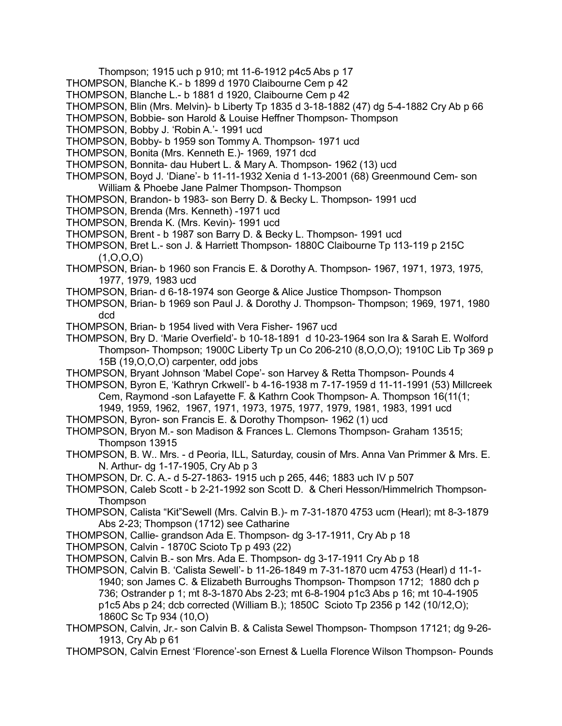Thompson; 1915 uch p 910; mt 11-6-1912 p4c5 Abs p 17

- THOMPSON, Blanche K.- b 1899 d 1970 Claibourne Cem p 42
- THOMPSON, Blanche L.- b 1881 d 1920, Claibourne Cem p 42
- THOMPSON, Blin (Mrs. Melvin)- b Liberty Tp 1835 d 3-18-1882 (47) dg 5-4-1882 Cry Ab p 66
- THOMPSON, Bobbie- son Harold & Louise Heffner Thompson- Thompson
- THOMPSON, Bobby J. 'Robin A.'- 1991 ucd
- THOMPSON, Bobby- b 1959 son Tommy A. Thompson- 1971 ucd
- THOMPSON, Bonita (Mrs. Kenneth E.)- 1969, 1971 dcd
- THOMPSON, Bonnita- dau Hubert L. & Mary A. Thompson- 1962 (13) ucd
- THOMPSON, Boyd J. 'Diane'- b 11-11-1932 Xenia d 1-13-2001 (68) Greenmound Cem- son William & Phoebe Jane Palmer Thompson- Thompson
- THOMPSON, Brandon- b 1983- son Berry D. & Becky L. Thompson- 1991 ucd
- THOMPSON, Brenda (Mrs. Kenneth) -1971 ucd
- THOMPSON, Brenda K. (Mrs. Kevin)- 1991 ucd
- THOMPSON, Brent b 1987 son Barry D. & Becky L. Thompson- 1991 ucd
- THOMPSON, Bret L.- son J. & Harriett Thompson- 1880C Claibourne Tp 113-119 p 215C  $(1, 0, 0, 0)$
- THOMPSON, Brian- b 1960 son Francis E. & Dorothy A. Thompson- 1967, 1971, 1973, 1975, 1977, 1979, 1983 ucd
- THOMPSON, Brian- d 6-18-1974 son George & Alice Justice Thompson- Thompson
- THOMPSON, Brian- b 1969 son Paul J. & Dorothy J. Thompson- Thompson; 1969, 1971, 1980 dcd
- THOMPSON, Brian- b 1954 lived with Vera Fisher- 1967 ucd
- THOMPSON, Bry D. 'Marie Overfield'- b 10-18-1891 d 10-23-1964 son Ira & Sarah E. Wolford Thompson- Thompson; 1900C Liberty Tp un Co 206-210 (8,O,O,O); 1910C Lib Tp 369 p 15B (19,O,O,O) carpenter, odd jobs
- THOMPSON, Bryant Johnson 'Mabel Cope'- son Harvey & Retta Thompson- Pounds 4
- THOMPSON, Byron E, 'Kathryn Crkwell'- b 4-16-1938 m 7-17-1959 d 11-11-1991 (53) Millcreek Cem, Raymond -son Lafayette F. & Kathrn Cook Thompson- A. Thompson 16(11(1; 1949, 1959, 1962, 1967, 1971, 1973, 1975, 1977, 1979, 1981, 1983, 1991 ucd
- THOMPSON, Byron- son Francis E. & Dorothy Thompson- 1962 (1) ucd
- THOMPSON, Bryon M.- son Madison & Frances L. Clemons Thompson- Graham 13515; Thompson 13915
- THOMPSON, B. W.. Mrs. d Peoria, ILL, Saturday, cousin of Mrs. Anna Van Primmer & Mrs. E. N. Arthur- dg 1-17-1905, Cry Ab p 3
- THOMPSON, Dr. C. A.- d 5-27-1863- 1915 uch p 265, 446; 1883 uch IV p 507
- THOMPSON, Caleb Scott b 2-21-1992 son Scott D. & Cheri Hesson/Himmelrich Thompson-**Thompson**
- THOMPSON, Calista "Kit"Sewell (Mrs. Calvin B.)- m 7-31-1870 4753 ucm (Hearl); mt 8-3-1879 Abs 2-23; Thompson (1712) see Catharine
- THOMPSON, Callie- grandson Ada E. Thompson- dg 3-17-1911, Cry Ab p 18
- THOMPSON, Calvin 1870C Scioto Tp p 493 (22)
- THOMPSON, Calvin B.- son Mrs. Ada E. Thompson- dg 3-17-1911 Cry Ab p 18
- THOMPSON, Calvin B. 'Calista Sewell'- b 11-26-1849 m 7-31-1870 ucm 4753 (Hearl) d 11-1- 1940; son James C. & Elizabeth Burroughs Thompson- Thompson 1712; 1880 dch p 736; Ostrander p 1; mt 8-3-1870 Abs 2-23; mt 6-8-1904 p1c3 Abs p 16; mt 10-4-1905 p1c5 Abs p 24; dcb corrected (William B.); 1850C Scioto Tp 2356 p 142 (10/12,O); 1860C Sc Tp 934 (10,O)
- THOMPSON, Calvin, Jr.- son Calvin B. & Calista Sewel Thompson- Thompson 17121; dg 9-26- 1913, Cry Ab p 61
- THOMPSON, Calvin Ernest 'Florence'-son Ernest & Luella Florence Wilson Thompson- Pounds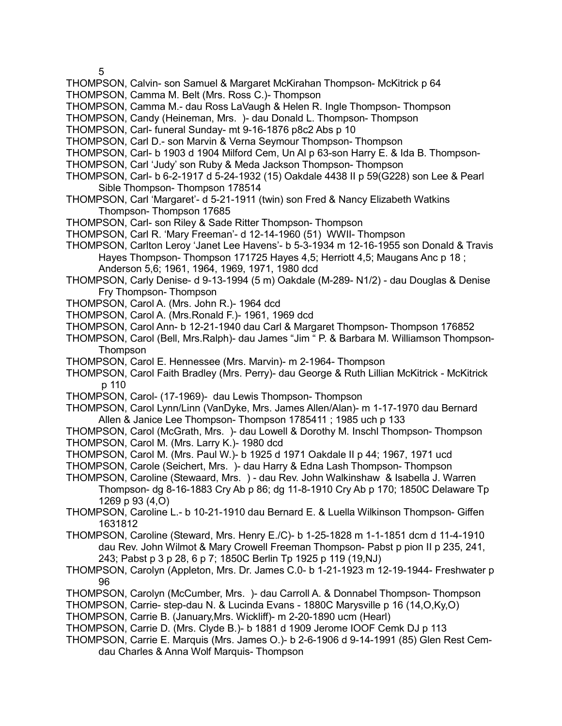5

- THOMPSON, Calvin- son Samuel & Margaret McKirahan Thompson- McKitrick p 64
- THOMPSON, Camma M. Belt (Mrs. Ross C.)- Thompson
- THOMPSON, Camma M.- dau Ross LaVaugh & Helen R. Ingle Thompson- Thompson
- THOMPSON, Candy (Heineman, Mrs. )- dau Donald L. Thompson- Thompson
- THOMPSON, Carl- funeral Sunday- mt 9-16-1876 p8c2 Abs p 10
- THOMPSON, Carl D.- son Marvin & Verna Seymour Thompson- Thompson
- THOMPSON, Carl- b 1903 d 1904 Milford Cem, Un Al p 63-son Harry E. & Ida B. Thompson-
- THOMPSON, Carl 'Judy' son Ruby & Meda Jackson Thompson- Thompson
- THOMPSON, Carl- b 6-2-1917 d 5-24-1932 (15) Oakdale 4438 II p 59(G228) son Lee & Pearl Sible Thompson- Thompson 178514
- THOMPSON, Carl 'Margaret'- d 5-21-1911 (twin) son Fred & Nancy Elizabeth Watkins Thompson- Thompson 17685
- THOMPSON, Carl- son Riley & Sade Ritter Thompson- Thompson
- THOMPSON, Carl R. 'Mary Freeman'- d 12-14-1960 (51) WWII- Thompson
- THOMPSON, Carlton Leroy 'Janet Lee Havens'- b 5-3-1934 m 12-16-1955 son Donald & Travis Hayes Thompson- Thompson 171725 Hayes 4,5; Herriott 4,5; Maugans Anc p 18 ; Anderson 5,6; 1961, 1964, 1969, 1971, 1980 dcd
- THOMPSON, Carly Denise- d 9-13-1994 (5 m) Oakdale (M-289- N1/2) dau Douglas & Denise Fry Thompson- Thompson
- THOMPSON, Carol A. (Mrs. John R.)- 1964 dcd
- THOMPSON, Carol A. (Mrs.Ronald F.)- 1961, 1969 dcd
- THOMPSON, Carol Ann- b 12-21-1940 dau Carl & Margaret Thompson- Thompson 176852
- THOMPSON, Carol (Bell, Mrs.Ralph)- dau James "Jim " P. & Barbara M. Williamson Thompson-**Thompson**
- THOMPSON, Carol E. Hennessee (Mrs. Marvin)- m 2-1964- Thompson
- THOMPSON, Carol Faith Bradley (Mrs. Perry)- dau George & Ruth Lillian McKitrick McKitrick p 110
- THOMPSON, Carol- (17-1969)- dau Lewis Thompson- Thompson
- THOMPSON, Carol Lynn/Linn (VanDyke, Mrs. James Allen/Alan)- m 1-17-1970 dau Bernard Allen & Janice Lee Thompson- Thompson 1785411 ; 1985 uch p 133
- THOMPSON, Carol (McGrath, Mrs. )- dau Lowell & Dorothy M. Inschl Thompson- Thompson THOMPSON, Carol M. (Mrs. Larry K.)- 1980 dcd
- THOMPSON, Carol M. (Mrs. Paul W.)- b 1925 d 1971 Oakdale II p 44; 1967, 1971 ucd
- THOMPSON, Carole (Seichert, Mrs. )- dau Harry & Edna Lash Thompson- Thompson
- THOMPSON, Caroline (Stewaard, Mrs. ) dau Rev. John Walkinshaw & Isabella J. Warren Thompson- dg 8-16-1883 Cry Ab p 86; dg 11-8-1910 Cry Ab p 170; 1850C Delaware Tp 1269 p 93 (4,O)
- THOMPSON, Caroline L.- b 10-21-1910 dau Bernard E. & Luella Wilkinson Thompson- Giffen 1631812
- THOMPSON, Caroline (Steward, Mrs. Henry E./C)- b 1-25-1828 m 1-1-1851 dcm d 11-4-1910 dau Rev. John Wilmot & Mary Crowell Freeman Thompson- Pabst p pion II p 235, 241, 243; Pabst p 3 p 28, 6 p 7; 1850C Berlin Tp 1925 p 119 (19,NJ)
- THOMPSON, Carolyn (Appleton, Mrs. Dr. James C.0- b 1-21-1923 m 12-19-1944- Freshwater p 96
- THOMPSON, Carolyn (McCumber, Mrs. )- dau Carroll A. & Donnabel Thompson- Thompson
- THOMPSON, Carrie- step-dau N. & Lucinda Evans 1880C Marysville p 16 (14,O,Ky,O)
- THOMPSON, Carrie B. (January,Mrs. Wickliff)- m 2-20-1890 ucm (Hearl)
- THOMPSON, Carrie D. (Mrs. Clyde B.)- b 1881 d 1909 Jerome IOOF Cemk DJ p 113
- THOMPSON, Carrie E. Marquis (Mrs. James O.)- b 2-6-1906 d 9-14-1991 (85) Glen Rest Cemdau Charles & Anna Wolf Marquis- Thompson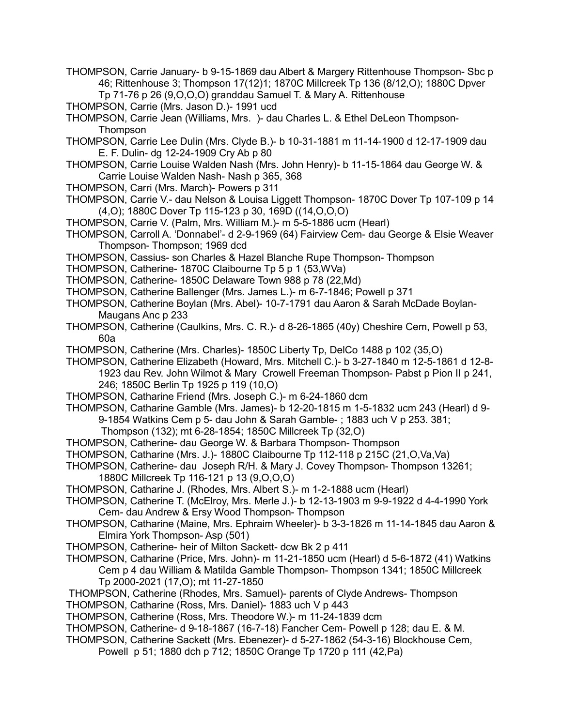- THOMPSON, Carrie January- b 9-15-1869 dau Albert & Margery Rittenhouse Thompson- Sbc p 46; Rittenhouse 3; Thompson 17(12)1; 1870C Millcreek Tp 136 (8/12,O); 1880C Dpver Tp 71-76 p 26 (9,O,O,O) granddau Samuel T. & Mary A. Rittenhouse
- THOMPSON, Carrie (Mrs. Jason D.)- 1991 ucd
- THOMPSON, Carrie Jean (Williams, Mrs. )- dau Charles L. & Ethel DeLeon Thompson-**Thompson**
- THOMPSON, Carrie Lee Dulin (Mrs. Clyde B.)- b 10-31-1881 m 11-14-1900 d 12-17-1909 dau E. F. Dulin- dg 12-24-1909 Cry Ab p 80
- THOMPSON, Carrie Louise Walden Nash (Mrs. John Henry)- b 11-15-1864 dau George W. & Carrie Louise Walden Nash- Nash p 365, 368
- THOMPSON, Carri (Mrs. March)- Powers p 311
- THOMPSON, Carrie V.- dau Nelson & Louisa Liggett Thompson- 1870C Dover Tp 107-109 p 14 (4,O); 1880C Dover Tp 115-123 p 30, 169D ((14,O,O,O)
- THOMPSON, Carrie V. (Palm, Mrs. William M.)- m 5-5-1886 ucm (Hearl)
- THOMPSON, Carroll A. 'Donnabel'- d 2-9-1969 (64) Fairview Cem- dau George & Elsie Weaver Thompson- Thompson; 1969 dcd
- THOMPSON, Cassius- son Charles & Hazel Blanche Rupe Thompson- Thompson
- THOMPSON, Catherine- 1870C Claibourne Tp 5 p 1 (53,WVa)
- THOMPSON, Catherine- 1850C Delaware Town 988 p 78 (22,Md)
- THOMPSON, Catherine Ballenger (Mrs. James L.)- m 6-7-1846; Powell p 371
- THOMPSON, Catherine Boylan (Mrs. Abel)- 10-7-1791 dau Aaron & Sarah McDade Boylan-Maugans Anc p 233
- THOMPSON, Catherine (Caulkins, Mrs. C. R.)- d 8-26-1865 (40y) Cheshire Cem, Powell p 53, 60a
- THOMPSON, Catherine (Mrs. Charles)- 1850C Liberty Tp, DelCo 1488 p 102 (35,O)
- THOMPSON, Catherine Elizabeth (Howard, Mrs. Mitchell C.)- b 3-27-1840 m 12-5-1861 d 12-8- 1923 dau Rev. John Wilmot & Mary Crowell Freeman Thompson- Pabst p Pion II p 241, 246; 1850C Berlin Tp 1925 p 119 (10,O)
- THOMPSON, Catharine Friend (Mrs. Joseph C.)- m 6-24-1860 dcm
- THOMPSON, Catharine Gamble (Mrs. James)- b 12-20-1815 m 1-5-1832 ucm 243 (Hearl) d 9- 9-1854 Watkins Cem p 5- dau John & Sarah Gamble- ; 1883 uch V p 253. 381;
	- Thompson (132); mt 6-28-1854; 1850C Millcreek Tp (32,O)
- THOMPSON, Catherine- dau George W. & Barbara Thompson- Thompson
- THOMPSON, Catharine (Mrs. J.)- 1880C Claibourne Tp 112-118 p 215C (21,O,Va,Va)
- THOMPSON, Catherine- dau Joseph R/H. & Mary J. Covey Thompson- Thompson 13261; 1880C Millcreek Tp 116-121 p 13 (9,O,O,O)
- THOMPSON, Catharine J. (Rhodes, Mrs. Albert S.)- m 1-2-1888 ucm (Hearl)
- THOMPSON, Catherine T. (McElroy, Mrs. Merle J.)- b 12-13-1903 m 9-9-1922 d 4-4-1990 York Cem- dau Andrew & Ersy Wood Thompson- Thompson
- THOMPSON, Catharine (Maine, Mrs. Ephraim Wheeler)- b 3-3-1826 m 11-14-1845 dau Aaron & Elmira York Thompson- Asp (501)
- THOMPSON, Catherine- heir of Milton Sackett- dcw Bk 2 p 411
- THOMPSON, Catharine (Price, Mrs. John)- m 11-21-1850 ucm (Hearl) d 5-6-1872 (41) Watkins Cem p 4 dau William & Matilda Gamble Thompson- Thompson 1341; 1850C Millcreek Tp 2000-2021 (17,O); mt 11-27-1850
- THOMPSON, Catherine (Rhodes, Mrs. Samuel)- parents of Clyde Andrews- Thompson
- THOMPSON, Catharine (Ross, Mrs. Daniel)- 1883 uch V p 443
- THOMPSON, Catherine (Ross, Mrs. Theodore W.)- m 11-24-1839 dcm
- THOMPSON, Catherine- d 9-18-1867 (16-7-18) Fancher Cem- Powell p 128; dau E. & M.
- THOMPSON, Catherine Sackett (Mrs. Ebenezer)- d 5-27-1862 (54-3-16) Blockhouse Cem, Powell p 51; 1880 dch p 712; 1850C Orange Tp 1720 p 111 (42,Pa)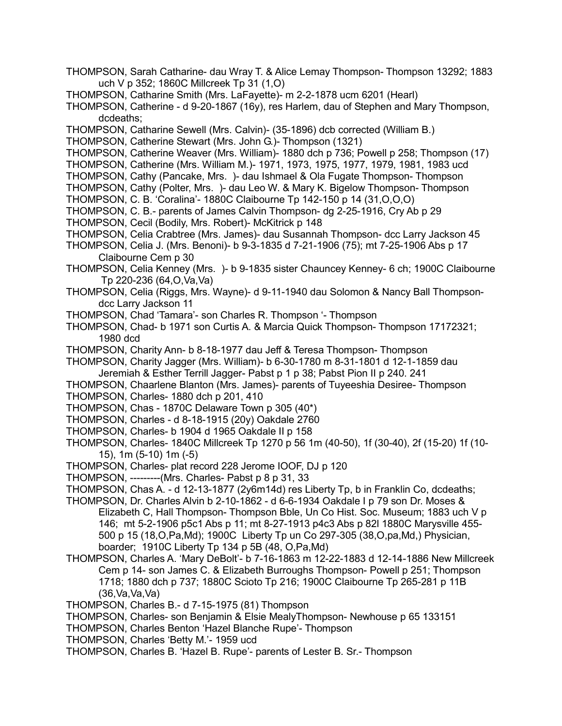- THOMPSON, Sarah Catharine- dau Wray T. & Alice Lemay Thompson- Thompson 13292; 1883 uch V p 352; 1860C Millcreek Tp 31 (1,O)
- THOMPSON, Catharine Smith (Mrs. LaFayette)- m 2-2-1878 ucm 6201 (Hearl)
- THOMPSON, Catherine d 9-20-1867 (16y), res Harlem, dau of Stephen and Mary Thompson, dcdeaths;
- THOMPSON, Catharine Sewell (Mrs. Calvin)- (35-1896) dcb corrected (William B.)

THOMPSON, Catherine Stewart (Mrs. John G.)- Thompson (1321)

- THOMPSON, Catherine Weaver (Mrs. William)- 1880 dch p 736; Powell p 258; Thompson (17)
- THOMPSON, Catherine (Mrs. William M.)- 1971, 1973, 1975, 1977, 1979, 1981, 1983 ucd
- THOMPSON, Cathy (Pancake, Mrs. )- dau Ishmael & Ola Fugate Thompson- Thompson
- THOMPSON, Cathy (Polter, Mrs. )- dau Leo W. & Mary K. Bigelow Thompson- Thompson
- THOMPSON, C. B. 'Coralina'- 1880C Claibourne Tp 142-150 p 14 (31,O,O,O)
- THOMPSON, C. B.- parents of James Calvin Thompson- dg 2-25-1916, Cry Ab p 29
- THOMPSON, Cecil (Bodily, Mrs. Robert)- McKitrick p 148
- THOMPSON, Celia Crabtree (Mrs. James)- dau Susannah Thompson- dcc Larry Jackson 45
- THOMPSON, Celia J. (Mrs. Benoni)- b 9-3-1835 d 7-21-1906 (75); mt 7-25-1906 Abs p 17 Claibourne Cem p 30
- THOMPSON, Celia Kenney (Mrs. )- b 9-1835 sister Chauncey Kenney- 6 ch; 1900C Claibourne Tp 220-236 (64,O,Va,Va)
- THOMPSON, Celia (Riggs, Mrs. Wayne)- d 9-11-1940 dau Solomon & Nancy Ball Thompsondcc Larry Jackson 11
- THOMPSON, Chad 'Tamara'- son Charles R. Thompson '- Thompson
- THOMPSON, Chad- b 1971 son Curtis A. & Marcia Quick Thompson- Thompson 17172321; 1980 dcd
- THOMPSON, Charity Ann- b 8-18-1977 dau Jeff & Teresa Thompson- Thompson
- THOMPSON, Charity Jagger (Mrs. William)- b 6-30-1780 m 8-31-1801 d 12-1-1859 dau Jeremiah & Esther Terrill Jagger- Pabst p 1 p 38; Pabst Pion II p 240. 241
- THOMPSON, Chaarlene Blanton (Mrs. James)- parents of Tuyeeshia Desiree- Thompson
- THOMPSON, Charles- 1880 dch p 201, 410
- THOMPSON, Chas 1870C Delaware Town p 305 (40\*)
- THOMPSON, Charles d 8-18-1915 (20y) Oakdale 2760
- THOMPSON, Charles- b 1904 d 1965 Oakdale II p 158
- THOMPSON, Charles- 1840C Millcreek Tp 1270 p 56 1m (40-50), 1f (30-40), 2f (15-20) 1f (10- 15), 1m (5-10) 1m (-5)
- THOMPSON, Charles- plat record 228 Jerome IOOF, DJ p 120
- THOMPSON, ---------(Mrs. Charles- Pabst p 8 p 31, 33
- THOMPSON, Chas A. d 12-13-1877 (2y6m14d) res Liberty Tp, b in Franklin Co, dcdeaths;
- THOMPSON, Dr. Charles Alvin b 2-10-1862 d 6-6-1934 Oakdale I p 79 son Dr. Moses & Elizabeth C, Hall Thompson- Thompson Bble, Un Co Hist. Soc. Museum; 1883 uch V p 146; mt 5-2-1906 p5c1 Abs p 11; mt 8-27-1913 p4c3 Abs p 82l 1880C Marysville 455- 500 p 15 (18,O,Pa,Md); 1900C Liberty Tp un Co 297-305 (38,O,pa,Md,) Physician, boarder; 1910C Liberty Tp 134 p 5B (48, O,Pa,Md)
- THOMPSON, Charles A. 'Mary DeBolt'- b 7-16-1863 m 12-22-1883 d 12-14-1886 New Millcreek Cem p 14- son James C. & Elizabeth Burroughs Thompson- Powell p 251; Thompson 1718; 1880 dch p 737; 1880C Scioto Tp 216; 1900C Claibourne Tp 265-281 p 11B  $(36$ , Va, Va, Va $)$
- THOMPSON, Charles B.- d 7-15-1975 (81) Thompson
- THOMPSON, Charles- son Benjamin & Elsie MealyThompson- Newhouse p 65 133151
- THOMPSON, Charles Benton 'Hazel Blanche Rupe'- Thompson
- THOMPSON, Charles 'Betty M.'- 1959 ucd
- THOMPSON, Charles B. 'Hazel B. Rupe'- parents of Lester B. Sr.- Thompson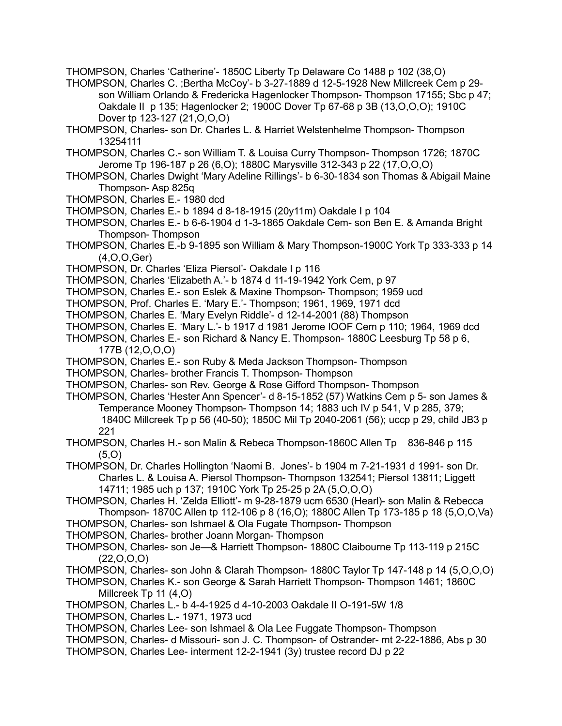THOMPSON, Charles 'Catherine'- 1850C Liberty Tp Delaware Co 1488 p 102 (38,O)

- THOMPSON, Charles C. ;Bertha McCoy'- b 3-27-1889 d 12-5-1928 New Millcreek Cem p 29 son William Orlando & Fredericka Hagenlocker Thompson- Thompson 17155; Sbc p 47; Oakdale II p 135; Hagenlocker 2; 1900C Dover Tp 67-68 p 3B (13,O,O,O); 1910C Dover tp 123-127 (21, O, O, O)
- THOMPSON, Charles- son Dr. Charles L. & Harriet Welstenhelme Thompson- Thompson 13254111
- THOMPSON, Charles C.- son William T. & Louisa Curry Thompson- Thompson 1726; 1870C Jerome Tp 196-187 p 26 (6,O); 1880C Marysville 312-343 p 22 (17,O,O,O)
- THOMPSON, Charles Dwight 'Mary Adeline Rillings'- b 6-30-1834 son Thomas & Abigail Maine Thompson- Asp 825q
- THOMPSON, Charles E.- 1980 dcd
- THOMPSON, Charles E.- b 1894 d 8-18-1915 (20y11m) Oakdale I p 104
- THOMPSON, Charles E.- b 6-6-1904 d 1-3-1865 Oakdale Cem- son Ben E. & Amanda Bright Thompson- Thompson
- THOMPSON, Charles E.-b 9-1895 son William & Mary Thompson-1900C York Tp 333-333 p 14 (4,O,O,Ger)
- THOMPSON, Dr. Charles 'Eliza Piersol'- Oakdale I p 116
- THOMPSON, Charles 'Elizabeth A.'- b 1874 d 11-19-1942 York Cem, p 97
- THOMPSON, Charles E.- son Eslek & Maxine Thompson- Thompson; 1959 ucd
- THOMPSON, Prof. Charles E. 'Mary E.'- Thompson; 1961, 1969, 1971 dcd
- THOMPSON, Charles E. 'Mary Evelyn Riddle'- d 12-14-2001 (88) Thompson
- THOMPSON, Charles E. 'Mary L.'- b 1917 d 1981 Jerome IOOF Cem p 110; 1964, 1969 dcd
- THOMPSON, Charles E.- son Richard & Nancy E. Thompson- 1880C Leesburg Tp 58 p 6, 177B (12,O,O,O)
- THOMPSON, Charles E.- son Ruby & Meda Jackson Thompson- Thompson
- THOMPSON, Charles- brother Francis T. Thompson- Thompson
- THOMPSON, Charles- son Rev. George & Rose Gifford Thompson- Thompson
- THOMPSON, Charles 'Hester Ann Spencer'- d 8-15-1852 (57) Watkins Cem p 5- son James & Temperance Mooney Thompson- Thompson 14; 1883 uch IV p 541, V p 285, 379; 1840C Millcreek Tp p 56 (40-50); 1850C Mil Tp 2040-2061 (56); uccp p 29, child JB3 p 221
- THOMPSON, Charles H.- son Malin & Rebeca Thompson-1860C Allen Tp 836-846 p 115 (5,O)

THOMPSON, Dr. Charles Hollington 'Naomi B. Jones'- b 1904 m 7-21-1931 d 1991- son Dr. Charles L. & Louisa A. Piersol Thompson- Thompson 132541; Piersol 13811; Liggett 14711; 1985 uch p 137; 1910C York Tp 25-25 p 2A (5,O,O,O)

- THOMPSON, Charles H. 'Zelda Elliott'- m 9-28-1879 ucm 6530 (Hearl)- son Malin & Rebecca Thompson- 1870C Allen tp 112-106 p 8 (16,O); 1880C Allen Tp 173-185 p 18 (5,O,O,Va)
- THOMPSON, Charles- son Ishmael & Ola Fugate Thompson- Thompson
- THOMPSON, Charles- brother Joann Morgan- Thompson
- THOMPSON, Charles- son Je—& Harriett Thompson- 1880C Claibourne Tp 113-119 p 215C  $(22,0,0,0)$
- THOMPSON, Charles- son John & Clarah Thompson- 1880C Taylor Tp 147-148 p 14 (5,O,O,O)
- THOMPSON, Charles K.- son George & Sarah Harriett Thompson- Thompson 1461; 1860C Millcreek Tp 11 (4,O)
- THOMPSON, Charles L.- b 4-4-1925 d 4-10-2003 Oakdale II O-191-5W 1/8
- THOMPSON, Charles L.- 1971, 1973 ucd
- THOMPSON, Charles Lee- son Ishmael & Ola Lee Fuggate Thompson- Thompson
- THOMPSON, Charles- d Missouri- son J. C. Thompson- of Ostrander- mt 2-22-1886, Abs p 30
- THOMPSON, Charles Lee- interment 12-2-1941 (3y) trustee record DJ p 22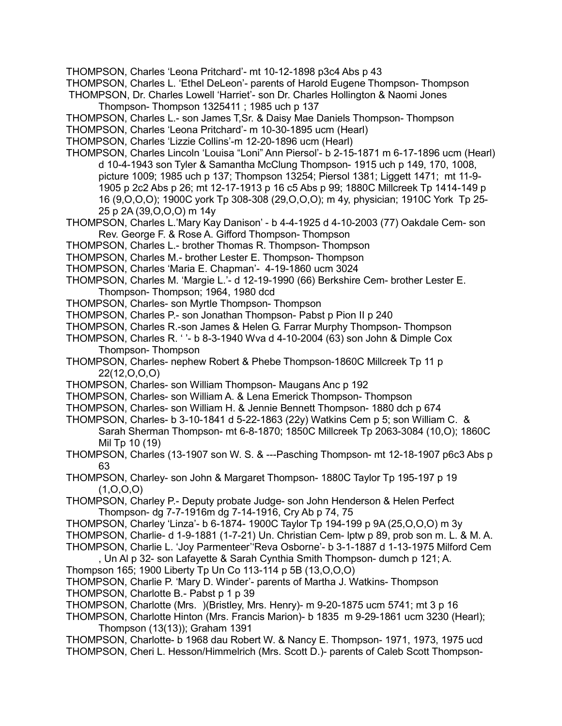THOMPSON, Charles 'Leona Pritchard'- mt 10-12-1898 p3c4 Abs p 43

- THOMPSON, Charles L. 'Ethel DeLeon'- parents of Harold Eugene Thompson- Thompson
- THOMPSON, Dr. Charles Lowell 'Harriet'- son Dr. Charles Hollington & Naomi Jones Thompson- Thompson 1325411 ; 1985 uch p 137
- THOMPSON, Charles L.- son James T,Sr. & Daisy Mae Daniels Thompson- Thompson
- THOMPSON, Charles 'Leona Pritchard'- m 10-30-1895 ucm (Hearl)
- THOMPSON, Charles 'Lizzie Collins'-m 12-20-1896 ucm (Hearl)
- THOMPSON, Charles Lincoln 'Louisa "Loni" Ann Piersol'- b 2-15-1871 m 6-17-1896 ucm (Hearl) d 10-4-1943 son Tyler & Samantha McClung Thompson- 1915 uch p 149, 170, 1008, picture 1009; 1985 uch p 137; Thompson 13254; Piersol 1381; Liggett 1471; mt 11-9- 1905 p 2c2 Abs p 26; mt 12-17-1913 p 16 c5 Abs p 99; 1880C Millcreek Tp 1414-149 p 16 (9,O,O,O); 1900C york Tp 308-308 (29,O,O,O); m 4y, physician; 1910C York Tp 25- 25 p 2A (39,O,O,O) m 14y
- THOMPSON, Charles L.'Mary Kay Danison' b 4-4-1925 d 4-10-2003 (77) Oakdale Cem- son Rev. George F. & Rose A. Gifford Thompson- Thompson
- THOMPSON, Charles L.- brother Thomas R. Thompson- Thompson
- THOMPSON, Charles M.- brother Lester E. Thompson- Thompson
- THOMPSON, Charles 'Maria E. Chapman'- 4-19-1860 ucm 3024
- THOMPSON, Charles M. 'Margie L.'- d 12-19-1990 (66) Berkshire Cem- brother Lester E. Thompson- Thompson; 1964, 1980 dcd
- THOMPSON, Charles- son Myrtle Thompson- Thompson
- THOMPSON, Charles P.- son Jonathan Thompson- Pabst p Pion II p 240
- THOMPSON, Charles R.-son James & Helen G. Farrar Murphy Thompson- Thompson
- THOMPSON, Charles R. ' '- b 8-3-1940 Wva d 4-10-2004 (63) son John & Dimple Cox Thompson- Thompson
- THOMPSON, Charles- nephew Robert & Phebe Thompson-1860C Millcreek Tp 11 p 22(12,O,O,O)
- THOMPSON, Charles- son William Thompson- Maugans Anc p 192
- THOMPSON, Charles- son William A. & Lena Emerick Thompson- Thompson
- THOMPSON, Charles- son William H. & Jennie Bennett Thompson- 1880 dch p 674
- THOMPSON, Charles- b 3-10-1841 d 5-22-1863 (22y) Watkins Cem p 5; son William C. & Sarah Sherman Thompson- mt 6-8-1870; 1850C Millcreek Tp 2063-3084 (10,O); 1860C Mil Tp 10 (19)
- THOMPSON, Charles (13-1907 son W. S. & ---Pasching Thompson- mt 12-18-1907 p6c3 Abs p 63
- THOMPSON, Charley- son John & Margaret Thompson- 1880C Taylor Tp 195-197 p 19  $(1, 0, 0, 0)$
- THOMPSON, Charley P.- Deputy probate Judge- son John Henderson & Helen Perfect Thompson- dg 7-7-1916m dg 7-14-1916, Cry Ab p 74, 75
- THOMPSON, Charley 'Linza'- b 6-1874- 1900C Taylor Tp 194-199 p 9A (25,O,O,O) m 3y
- THOMPSON, Charlie- d 1-9-1881 (1-7-21) Un. Christian Cem- lptw p 89, prob son m. L. & M. A.
- THOMPSON, Charlie L. 'Joy Parmenteer''Reva Osborne'- b 3-1-1887 d 1-13-1975 Milford Cem , Un Al p 32- son Lafayette & Sarah Cynthia Smith Thompson- dumch p 121; A.
- Thompson 165; 1900 Liberty Tp Un Co 113-114 p 5B (13,O,O,O)
- THOMPSON, Charlie P. 'Mary D. Winder'- parents of Martha J. Watkins- Thompson
- THOMPSON, Charlotte B.- Pabst p 1 p 39
- THOMPSON, Charlotte (Mrs. )(Bristley, Mrs. Henry)- m 9-20-1875 ucm 5741; mt 3 p 16
- THOMPSON, Charlotte Hinton (Mrs. Francis Marion)- b 1835 m 9-29-1861 ucm 3230 (Hearl); Thompson (13(13)); Graham 1391
- THOMPSON, Charlotte- b 1968 dau Robert W. & Nancy E. Thompson- 1971, 1973, 1975 ucd THOMPSON, Cheri L. Hesson/Himmelrich (Mrs. Scott D.)- parents of Caleb Scott Thompson-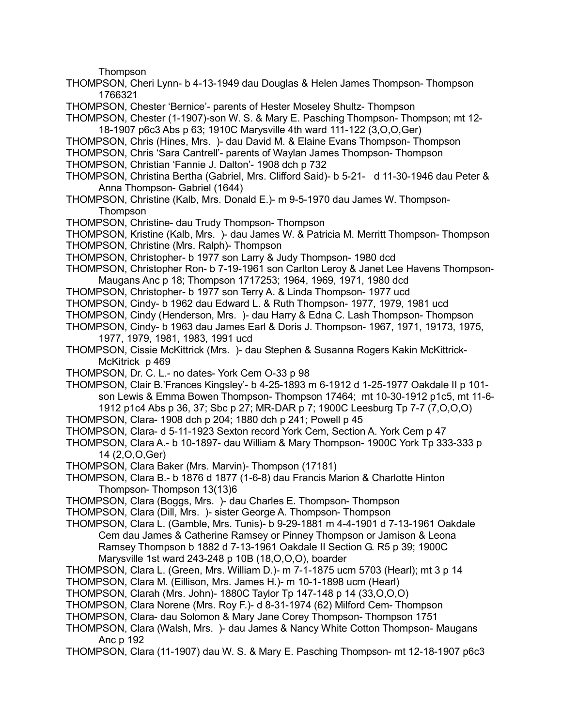Thompson

- THOMPSON, Cheri Lynn- b 4-13-1949 dau Douglas & Helen James Thompson- Thompson 1766321
- THOMPSON, Chester 'Bernice'- parents of Hester Moseley Shultz- Thompson
- THOMPSON, Chester (1-1907)-son W. S. & Mary E. Pasching Thompson- Thompson; mt 12- 18-1907 p6c3 Abs p 63; 1910C Marysville 4th ward 111-122 (3,O,O,Ger)
- THOMPSON, Chris (Hines, Mrs. )- dau David M. & Elaine Evans Thompson- Thompson
- THOMPSON, Chris 'Sara Cantrell'- parents of Waylan James Thompson- Thompson THOMPSON, Christian 'Fannie J. Dalton'- 1908 dch p 732
- THOMPSON, Christina Bertha (Gabriel, Mrs. Clifford Said)- b 5-21- d 11-30-1946 dau Peter & Anna Thompson- Gabriel (1644)
- THOMPSON, Christine (Kalb, Mrs. Donald E.)- m 9-5-1970 dau James W. Thompson-**Thompson**
- THOMPSON, Christine- dau Trudy Thompson- Thompson
- THOMPSON, Kristine (Kalb, Mrs. )- dau James W. & Patricia M. Merritt Thompson- Thompson THOMPSON, Christine (Mrs. Ralph)- Thompson
- 
- THOMPSON, Christopher- b 1977 son Larry & Judy Thompson- 1980 dcd THOMPSON, Christopher Ron- b 7-19-1961 son Carlton Leroy & Janet Lee Havens Thompson-
- Maugans Anc p 18; Thompson 1717253; 1964, 1969, 1971, 1980 dcd
- THOMPSON, Christopher- b 1977 son Terry A. & Linda Thompson- 1977 ucd
- THOMPSON, Cindy- b 1962 dau Edward L. & Ruth Thompson- 1977, 1979, 1981 ucd
- THOMPSON, Cindy (Henderson, Mrs. )- dau Harry & Edna C. Lash Thompson- Thompson
- THOMPSON, Cindy- b 1963 dau James Earl & Doris J. Thompson- 1967, 1971, 19173, 1975, 1977, 1979, 1981, 1983, 1991 ucd
- THOMPSON, Cissie McKittrick (Mrs. )- dau Stephen & Susanna Rogers Kakin McKittrick-McKitrick p 469
- THOMPSON, Dr. C. L.- no dates- York Cem O-33 p 98
- THOMPSON, Clair B.'Frances Kingsley'- b 4-25-1893 m 6-1912 d 1-25-1977 Oakdale II p 101 son Lewis & Emma Bowen Thompson- Thompson 17464; mt 10-30-1912 p1c5, mt 11-6- 1912 p1c4 Abs p 36, 37; Sbc p 27; MR-DAR p 7; 1900C Leesburg Tp 7-7 (7,O,O,O)
- THOMPSON, Clara- 1908 dch p 204; 1880 dch p 241; Powell p 45
- THOMPSON, Clara- d 5-11-1923 Sexton record York Cem, Section A. York Cem p 47
- THOMPSON, Clara A.- b 10-1897- dau William & Mary Thompson- 1900C York Tp 333-333 p 14 (2,O,O,Ger)
- THOMPSON, Clara Baker (Mrs. Marvin)- Thompson (17181)
- THOMPSON, Clara B.- b 1876 d 1877 (1-6-8) dau Francis Marion & Charlotte Hinton Thompson- Thompson 13(13)6
- THOMPSON, Clara (Boggs, Mrs. )- dau Charles E. Thompson- Thompson
- THOMPSON, Clara (Dill, Mrs. )- sister George A. Thompson- Thompson
- THOMPSON, Clara L. (Gamble, Mrs. Tunis)- b 9-29-1881 m 4-4-1901 d 7-13-1961 Oakdale Cem dau James & Catherine Ramsey or Pinney Thompson or Jamison & Leona Ramsey Thompson b 1882 d 7-13-1961 Oakdale II Section G. R5 p 39; 1900C Marysville 1st ward 243-248 p 10B (18,O,O,O), boarder
- THOMPSON, Clara L. (Green, Mrs. William D.)- m 7-1-1875 ucm 5703 (Hearl); mt 3 p 14
- THOMPSON, Clara M. (Eillison, Mrs. James H.)- m 10-1-1898 ucm (Hearl)
- THOMPSON, Clarah (Mrs. John)- 1880C Taylor Tp 147-148 p 14 (33,O,O,O)
- THOMPSON, Clara Norene (Mrs. Roy F.)- d 8-31-1974 (62) Milford Cem- Thompson
- THOMPSON, Clara- dau Solomon & Mary Jane Corey Thompson- Thompson 1751
- THOMPSON, Clara (Walsh, Mrs. )- dau James & Nancy White Cotton Thompson- Maugans Anc p 192
- THOMPSON, Clara (11-1907) dau W. S. & Mary E. Pasching Thompson- mt 12-18-1907 p6c3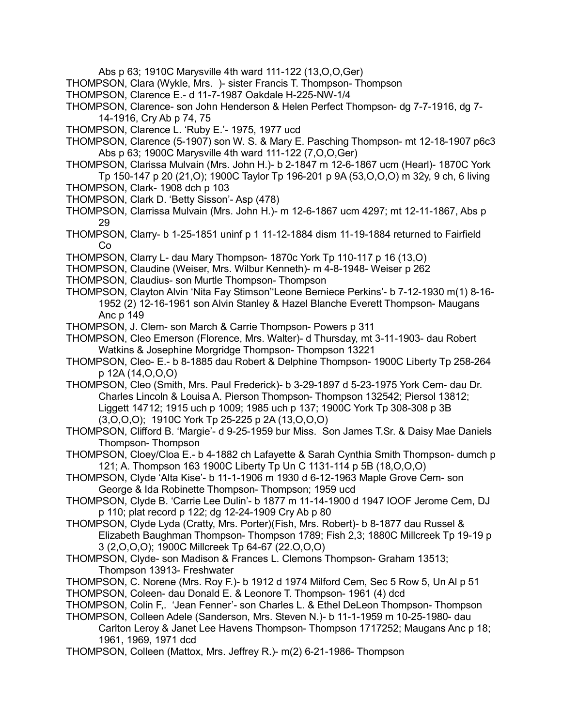Abs p 63; 1910C Marysville 4th ward 111-122 (13,O,O,Ger)

- THOMPSON, Clara (Wykle, Mrs. )- sister Francis T. Thompson- Thompson
- THOMPSON, Clarence E.- d 11-7-1987 Oakdale H-225-NW-1/4
- THOMPSON, Clarence- son John Henderson & Helen Perfect Thompson- dg 7-7-1916, dg 7- 14-1916, Cry Ab p 74, 75
- THOMPSON, Clarence L. 'Ruby E.'- 1975, 1977 ucd
- THOMPSON, Clarence (5-1907) son W. S. & Mary E. Pasching Thompson- mt 12-18-1907 p6c3 Abs p 63; 1900C Marysville 4th ward 111-122 (7,O,O,Ger)
- THOMPSON, Clarissa Mulvain (Mrs. John H.)- b 2-1847 m 12-6-1867 ucm (Hearl)- 1870C York Tp 150-147 p 20 (21,O); 1900C Taylor Tp 196-201 p 9A (53,O,O,O) m 32y, 9 ch, 6 living
- THOMPSON, Clark- 1908 dch p 103
- THOMPSON, Clark D. 'Betty Sisson'- Asp (478)
- THOMPSON, Clarrissa Mulvain (Mrs. John H.)- m 12-6-1867 ucm 4297; mt 12-11-1867, Abs p 29
- THOMPSON, Clarry- b 1-25-1851 uninf p 1 11-12-1884 dism 11-19-1884 returned to Fairfield Co
- THOMPSON, Clarry L- dau Mary Thompson- 1870c York Tp 110-117 p 16 (13,O)
- THOMPSON, Claudine (Weiser, Mrs. Wilbur Kenneth)- m 4-8-1948- Weiser p 262
- THOMPSON, Claudius- son Murtle Thompson- Thompson
- THOMPSON, Clayton Alvin 'Nita Fay Stimson''Leone Berniece Perkins'- b 7-12-1930 m(1) 8-16- 1952 (2) 12-16-1961 son Alvin Stanley & Hazel Blanche Everett Thompson- Maugans Anc p 149
- THOMPSON, J. Clem- son March & Carrie Thompson- Powers p 311
- THOMPSON, Cleo Emerson (Florence, Mrs. Walter)- d Thursday, mt 3-11-1903- dau Robert Watkins & Josephine Morgridge Thompson- Thompson 13221
- THOMPSON, Cleo- E.- b 8-1885 dau Robert & Delphine Thompson- 1900C Liberty Tp 258-264 p 12A (14,O,O,O)
- THOMPSON, Cleo (Smith, Mrs. Paul Frederick)- b 3-29-1897 d 5-23-1975 York Cem- dau Dr. Charles Lincoln & Louisa A. Pierson Thompson- Thompson 132542; Piersol 13812; Liggett 14712; 1915 uch p 1009; 1985 uch p 137; 1900C York Tp 308-308 p 3B (3,O,O,O); 1910C York Tp 25-225 p 2A (13,O,O,O)
- THOMPSON, Clifford B. 'Margie'- d 9-25-1959 bur Miss. Son James T.Sr. & Daisy Mae Daniels Thompson- Thompson
- THOMPSON, Cloey/Cloa E.- b 4-1882 ch Lafayette & Sarah Cynthia Smith Thompson- dumch p 121; A. Thompson 163 1900C Liberty Tp Un C 1131-114 p 5B (18,O,O,O)
- THOMPSON, Clyde 'Alta Kise'- b 11-1-1906 m 1930 d 6-12-1963 Maple Grove Cem- son George & Ida Robinette Thompson- Thompson; 1959 ucd
- THOMPSON, Clyde B. 'Carrie Lee Dulin'- b 1877 m 11-14-1900 d 1947 IOOF Jerome Cem, DJ p 110; plat record p 122; dg 12-24-1909 Cry Ab p 80
- THOMPSON, Clyde Lyda (Cratty, Mrs. Porter)(Fish, Mrs. Robert)- b 8-1877 dau Russel & Elizabeth Baughman Thompson- Thompson 1789; Fish 2,3; 1880C Millcreek Tp 19-19 p 3 (2,O,O,O); 1900C Millcreek Tp 64-67 (22.O,O,O)
- THOMPSON, Clyde- son Madison & Frances L. Clemons Thompson- Graham 13513; Thompson 13913- Freshwater
- THOMPSON, C. Norene (Mrs. Roy F.)- b 1912 d 1974 Milford Cem, Sec 5 Row 5, Un Al p 51 THOMPSON, Coleen- dau Donald E. & Leonore T. Thompson- 1961 (4) dcd
- THOMPSON, Colin F,. 'Jean Fenner'- son Charles L. & Ethel DeLeon Thompson- Thompson
- THOMPSON, Colleen Adele (Sanderson, Mrs. Steven N.)- b 11-1-1959 m 10-25-1980- dau Carlton Leroy & Janet Lee Havens Thompson- Thompson 1717252; Maugans Anc p 18; 1961, 1969, 1971 dcd
- THOMPSON, Colleen (Mattox, Mrs. Jeffrey R.)- m(2) 6-21-1986- Thompson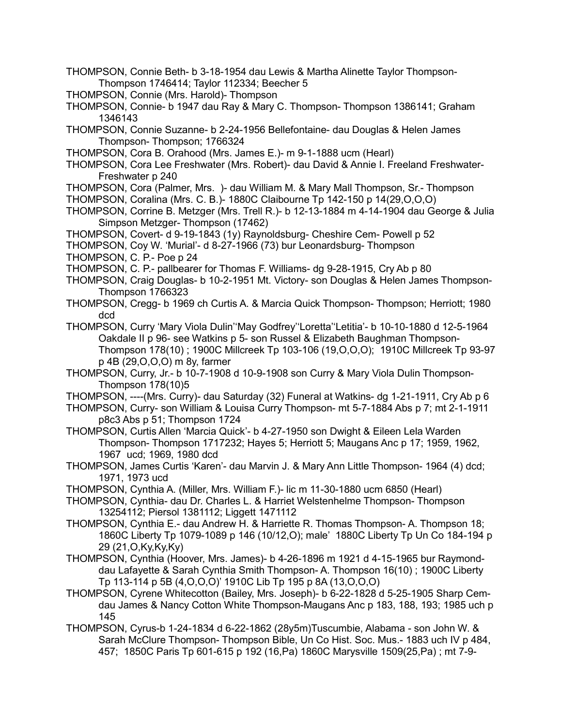- THOMPSON, Connie Beth- b 3-18-1954 dau Lewis & Martha Alinette Taylor Thompson-Thompson 1746414; Taylor 112334; Beecher 5
- THOMPSON, Connie (Mrs. Harold)- Thompson
- THOMPSON, Connie- b 1947 dau Ray & Mary C. Thompson- Thompson 1386141; Graham 1346143
- THOMPSON, Connie Suzanne- b 2-24-1956 Bellefontaine- dau Douglas & Helen James Thompson- Thompson; 1766324
- THOMPSON, Cora B. Orahood (Mrs. James E.)- m 9-1-1888 ucm (Hearl)
- THOMPSON, Cora Lee Freshwater (Mrs. Robert)- dau David & Annie I. Freeland Freshwater-Freshwater p 240
- THOMPSON, Cora (Palmer, Mrs. )- dau William M. & Mary Mall Thompson, Sr.- Thompson
- THOMPSON, Coralina (Mrs. C. B.)- 1880C Claibourne Tp 142-150 p 14(29,O,O,O)
- THOMPSON, Corrine B. Metzger (Mrs. Trell R.)- b 12-13-1884 m 4-14-1904 dau George & Julia Simpson Metzger- Thompson (17462)
- THOMPSON, Covert- d 9-19-1843 (1y) Raynoldsburg- Cheshire Cem- Powell p 52
- THOMPSON, Coy W. 'Murial'- d 8-27-1966 (73) bur Leonardsburg- Thompson
- THOMPSON, C. P.- Poe p 24
- THOMPSON, C. P.- pallbearer for Thomas F. Williams- dg 9-28-1915, Cry Ab p 80
- THOMPSON, Craig Douglas- b 10-2-1951 Mt. Victory- son Douglas & Helen James Thompson-Thompson 1766323
- THOMPSON, Cregg- b 1969 ch Curtis A. & Marcia Quick Thompson- Thompson; Herriott; 1980 dcd
- THOMPSON, Curry 'Mary Viola Dulin''May Godfrey''Loretta''Letitia'- b 10-10-1880 d 12-5-1964 Oakdale II p 96- see Watkins p 5- son Russel & Elizabeth Baughman Thompson-Thompson 178(10) ; 1900C Millcreek Tp 103-106 (19,O,O,O); 1910C Millcreek Tp 93-97 p 4B (29,O,O,O) m 8y, farmer
- THOMPSON, Curry, Jr.- b 10-7-1908 d 10-9-1908 son Curry & Mary Viola Dulin Thompson-Thompson 178(10)5
- THOMPSON, ----(Mrs. Curry)- dau Saturday (32) Funeral at Watkins- dg 1-21-1911, Cry Ab p 6
- THOMPSON, Curry- son William & Louisa Curry Thompson- mt 5-7-1884 Abs p 7; mt 2-1-1911 p8c3 Abs p 51; Thompson 1724
- THOMPSON, Curtis Allen 'Marcia Quick'- b 4-27-1950 son Dwight & Eileen Lela Warden Thompson- Thompson 1717232; Hayes 5; Herriott 5; Maugans Anc p 17; 1959, 1962, 1967 ucd; 1969, 1980 dcd
- THOMPSON, James Curtis 'Karen'- dau Marvin J. & Mary Ann Little Thompson- 1964 (4) dcd; 1971, 1973 ucd
- THOMPSON, Cynthia A. (Miller, Mrs. William F.)- lic m 11-30-1880 ucm 6850 (Hearl)
- THOMPSON, Cynthia- dau Dr. Charles L. & Harriet Welstenhelme Thompson- Thompson 13254112; Piersol 1381112; Liggett 1471112
- THOMPSON, Cynthia E.- dau Andrew H. & Harriette R. Thomas Thompson- A. Thompson 18; 1860C Liberty Tp 1079-1089 p 146 (10/12,O); male' 1880C Liberty Tp Un Co 184-194 p 29 (21,O,Ky,Ky,Ky)
- THOMPSON, Cynthia (Hoover, Mrs. James)- b 4-26-1896 m 1921 d 4-15-1965 bur Raymonddau Lafayette & Sarah Cynthia Smith Thompson- A. Thompson 16(10) ; 1900C Liberty Tp 113-114 p 5B (4,O,O,O)' 1910C Lib Tp 195 p 8A (13,O,O,O)
- THOMPSON, Cyrene Whitecotton (Bailey, Mrs. Joseph)- b 6-22-1828 d 5-25-1905 Sharp Cemdau James & Nancy Cotton White Thompson-Maugans Anc p 183, 188, 193; 1985 uch p 145
- THOMPSON, Cyrus-b 1-24-1834 d 6-22-1862 (28y5m)Tuscumbie, Alabama son John W. & Sarah McClure Thompson- Thompson Bible, Un Co Hist. Soc. Mus.- 1883 uch IV p 484, 457; 1850C Paris Tp 601-615 p 192 (16,Pa) 1860C Marysville 1509(25,Pa) ; mt 7-9-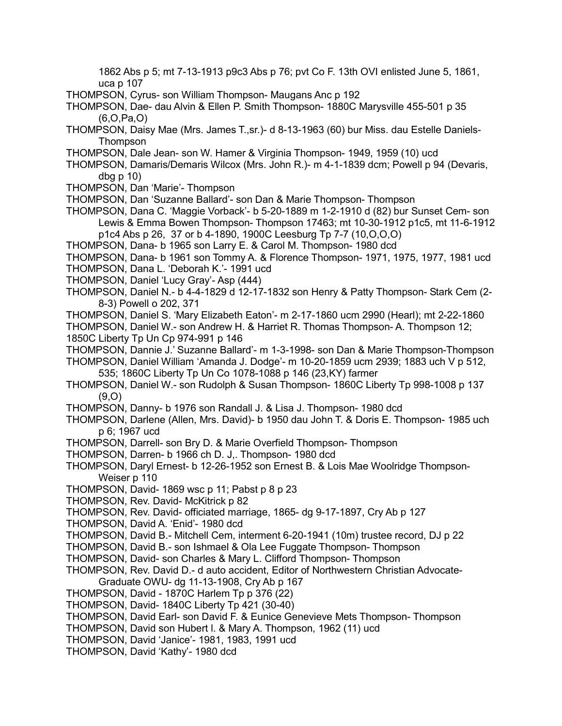1862 Abs p 5; mt 7-13-1913 p9c3 Abs p 76; pvt Co F. 13th OVI enlisted June 5, 1861, uca p 107

- THOMPSON, Cyrus- son William Thompson- Maugans Anc p 192
- THOMPSON, Dae- dau Alvin & Ellen P. Smith Thompson- 1880C Marysville 455-501 p 35 (6,O,Pa,O)
- THOMPSON, Daisy Mae (Mrs. James T.,sr.)- d 8-13-1963 (60) bur Miss. dau Estelle Daniels-**Thompson**
- THOMPSON, Dale Jean- son W. Hamer & Virginia Thompson- 1949, 1959 (10) ucd
- THOMPSON, Damaris/Demaris Wilcox (Mrs. John R.)- m 4-1-1839 dcm; Powell p 94 (Devaris, dbg p 10)
- THOMPSON, Dan 'Marie'- Thompson
- THOMPSON, Dan 'Suzanne Ballard'- son Dan & Marie Thompson- Thompson
- THOMPSON, Dana C. 'Maggie Vorback'- b 5-20-1889 m 1-2-1910 d (82) bur Sunset Cem- son Lewis & Emma Bowen Thompson- Thompson 17463; mt 10-30-1912 p1c5, mt 11-6-1912 p1c4 Abs p 26, 37 or b 4-1890, 1900C Leesburg Tp 7-7 (10,O,O,O)
- THOMPSON, Dana- b 1965 son Larry E. & Carol M. Thompson- 1980 dcd
- THOMPSON, Dana- b 1961 son Tommy A. & Florence Thompson- 1971, 1975, 1977, 1981 ucd
- THOMPSON, Dana L. 'Deborah K.'- 1991 ucd
- THOMPSON, Daniel 'Lucy Gray'- Asp (444)
- THOMPSON, Daniel N.- b 4-4-1829 d 12-17-1832 son Henry & Patty Thompson- Stark Cem (2- 8-3) Powell o 202, 371
- THOMPSON, Daniel S. 'Mary Elizabeth Eaton'- m 2-17-1860 ucm 2990 (Hearl); mt 2-22-1860

THOMPSON, Daniel W.- son Andrew H. & Harriet R. Thomas Thompson- A. Thompson 12; 1850C Liberty Tp Un Cp 974-991 p 146

- THOMPSON, Dannie J.' Suzanne Ballard'- m 1-3-1998- son Dan & Marie Thompson-Thompson
- THOMPSON, Daniel William 'Amanda J. Dodge'- m 10-20-1859 ucm 2939; 1883 uch V p 512, 535; 1860C Liberty Tp Un Co 1078-1088 p 146 (23,KY) farmer
- THOMPSON, Daniel W.- son Rudolph & Susan Thompson- 1860C Liberty Tp 998-1008 p 137  $(9,0)$
- THOMPSON, Danny- b 1976 son Randall J. & Lisa J. Thompson- 1980 dcd
- THOMPSON, Darlene (Allen, Mrs. David)- b 1950 dau John T. & Doris E. Thompson- 1985 uch p 6; 1967 ucd
- THOMPSON, Darrell- son Bry D. & Marie Overfield Thompson- Thompson
- THOMPSON, Darren- b 1966 ch D. J,. Thompson- 1980 dcd
- THOMPSON, Daryl Ernest- b 12-26-1952 son Ernest B. & Lois Mae Woolridge Thompson-Weiser p 110
- THOMPSON, David- 1869 wsc p 11; Pabst p 8 p 23
- THOMPSON, Rev. David- McKitrick p 82
- THOMPSON, Rev. David- officiated marriage, 1865- dg 9-17-1897, Cry Ab p 127
- THOMPSON, David A. 'Enid'- 1980 dcd
- THOMPSON, David B.- Mitchell Cem, interment 6-20-1941 (10m) trustee record, DJ p 22
- THOMPSON, David B.- son Ishmael & Ola Lee Fuggate Thompson- Thompson
- THOMPSON, David- son Charles & Mary L. Clifford Thompson- Thompson
- THOMPSON, Rev. David D.- d auto accident, Editor of Northwestern Christian Advocate-Graduate OWU- dg 11-13-1908, Cry Ab p 167
- THOMPSON, David 1870C Harlem Tp p 376 (22)
- THOMPSON, David- 1840C Liberty Tp 421 (30-40)
- THOMPSON, David Earl- son David F. & Eunice Genevieve Mets Thompson- Thompson
- THOMPSON, David son Hubert l. & Mary A. Thompson, 1962 (11) ucd
- THOMPSON, David 'Janice'- 1981, 1983, 1991 ucd
- THOMPSON, David 'Kathy'- 1980 dcd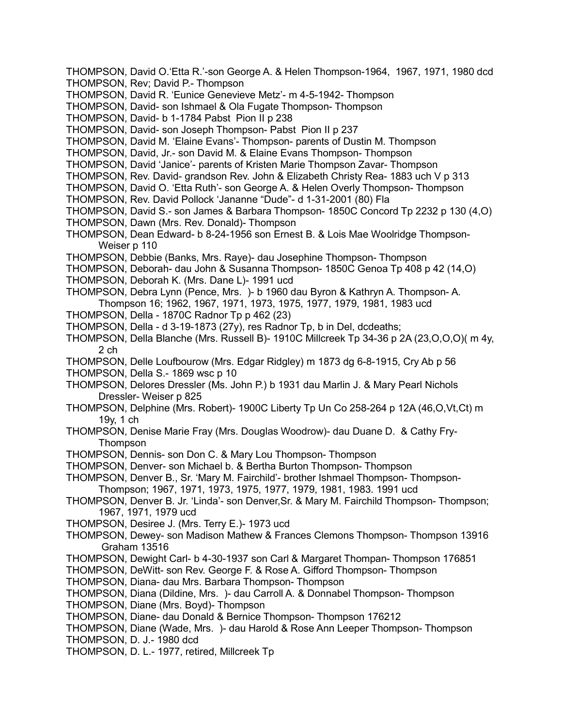- THOMPSON, David O.'Etta R.'-son George A. & Helen Thompson-1964, 1967, 1971, 1980 dcd THOMPSON, Rev; David P.- Thompson
- THOMPSON, David R. 'Eunice Genevieve Metz'- m 4-5-1942- Thompson
- THOMPSON, David- son Ishmael & Ola Fugate Thompson- Thompson
- THOMPSON, David- b 1-1784 Pabst Pion II p 238
- THOMPSON, David- son Joseph Thompson- Pabst Pion II p 237
- THOMPSON, David M. 'Elaine Evans'- Thompson- parents of Dustin M. Thompson
- THOMPSON, David, Jr.- son David M. & Elaine Evans Thompson- Thompson
- THOMPSON, David 'Janice'- parents of Kristen Marie Thompson Zavar- Thompson
- THOMPSON, Rev. David- grandson Rev. John & Elizabeth Christy Rea- 1883 uch V p 313
- THOMPSON, David O. 'Etta Ruth'- son George A. & Helen Overly Thompson- Thompson
- THOMPSON, Rev. David Pollock 'Jananne "Dude"- d 1-31-2001 (80) Fla
- THOMPSON, David S.- son James & Barbara Thompson- 1850C Concord Tp 2232 p 130 (4,O)
- THOMPSON, Dawn (Mrs. Rev. Donald)- Thompson
- THOMPSON, Dean Edward- b 8-24-1956 son Ernest B. & Lois Mae Woolridge Thompson-Weiser p 110
- THOMPSON, Debbie (Banks, Mrs. Raye)- dau Josephine Thompson- Thompson
- THOMPSON, Deborah- dau John & Susanna Thompson- 1850C Genoa Tp 408 p 42 (14,O)
- THOMPSON, Deborah K. (Mrs. Dane L)- 1991 ucd
- THOMPSON, Debra Lynn (Pence, Mrs. )- b 1960 dau Byron & Kathryn A. Thompson- A. Thompson 16; 1962, 1967, 1971, 1973, 1975, 1977, 1979, 1981, 1983 ucd
- THOMPSON, Della 1870C Radnor Tp p 462 (23)
- THOMPSON, Della d 3-19-1873 (27y), res Radnor Tp, b in Del, dcdeaths;
- THOMPSON, Della Blanche (Mrs. Russell B)- 1910C Millcreek Tp 34-36 p 2A (23,O,O,O)( m 4y, 2 ch
- THOMPSON, Delle Loufbourow (Mrs. Edgar Ridgley) m 1873 dg 6-8-1915, Cry Ab p 56
- THOMPSON, Della S.- 1869 wsc p 10
- THOMPSON, Delores Dressler (Ms. John P.) b 1931 dau Marlin J. & Mary Pearl Nichols Dressler- Weiser p 825
- THOMPSON, Delphine (Mrs. Robert)- 1900C Liberty Tp Un Co 258-264 p 12A (46,O,Vt,Ct) m 19y, 1 ch
- THOMPSON, Denise Marie Fray (Mrs. Douglas Woodrow)- dau Duane D. & Cathy Fry-**Thompson**
- THOMPSON, Dennis- son Don C. & Mary Lou Thompson- Thompson
- THOMPSON, Denver- son Michael b. & Bertha Burton Thompson- Thompson
- THOMPSON, Denver B., Sr. 'Mary M. Fairchild'- brother Ishmael Thompson- Thompson-Thompson; 1967, 1971, 1973, 1975, 1977, 1979, 1981, 1983. 1991 ucd
- THOMPSON, Denver B. Jr. 'Linda'- son Denver,Sr. & Mary M. Fairchild Thompson- Thompson; 1967, 1971, 1979 ucd
- THOMPSON, Desiree J. (Mrs. Terry E.)- 1973 ucd
- THOMPSON, Dewey- son Madison Mathew & Frances Clemons Thompson- Thompson 13916 Graham 13516
- THOMPSON, Dewight Carl- b 4-30-1937 son Carl & Margaret Thompan- Thompson 176851
- THOMPSON, DeWitt- son Rev. George F. & Rose A. Gifford Thompson- Thompson
- THOMPSON, Diana- dau Mrs. Barbara Thompson- Thompson
- THOMPSON, Diana (Dildine, Mrs. )- dau Carroll A. & Donnabel Thompson- Thompson
- THOMPSON, Diane (Mrs. Boyd)- Thompson
- THOMPSON, Diane- dau Donald & Bernice Thompson- Thompson 176212
- THOMPSON, Diane (Wade, Mrs. )- dau Harold & Rose Ann Leeper Thompson- Thompson THOMPSON, D. J.- 1980 dcd
- 
- THOMPSON, D. L.- 1977, retired, Millcreek Tp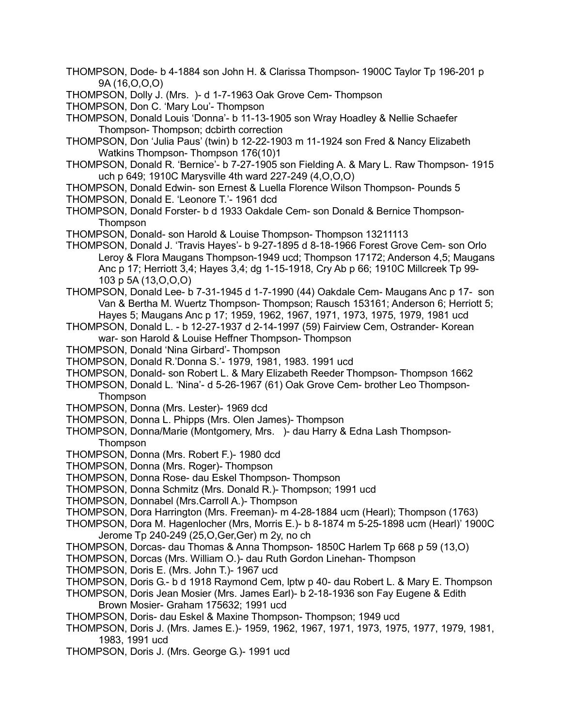- THOMPSON, Dode- b 4-1884 son John H. & Clarissa Thompson- 1900C Taylor Tp 196-201 p 9A (16,O,O,O)
- THOMPSON, Dolly J. (Mrs. )- d 1-7-1963 Oak Grove Cem- Thompson
- THOMPSON, Don C. 'Mary Lou'- Thompson
- THOMPSON, Donald Louis 'Donna'- b 11-13-1905 son Wray Hoadley & Nellie Schaefer Thompson- Thompson; dcbirth correction
- THOMPSON, Don 'Julia Paus' (twin) b 12-22-1903 m 11-1924 son Fred & Nancy Elizabeth Watkins Thompson- Thompson 176(10)1
- THOMPSON, Donald R. 'Bernice'- b 7-27-1905 son Fielding A. & Mary L. Raw Thompson- 1915 uch p 649; 1910C Marysville 4th ward 227-249 (4,O,O,O)
- THOMPSON, Donald Edwin- son Ernest & Luella Florence Wilson Thompson- Pounds 5
- THOMPSON, Donald E. 'Leonore T.'- 1961 dcd
- THOMPSON, Donald Forster- b d 1933 Oakdale Cem- son Donald & Bernice Thompson-**Thompson**
- THOMPSON, Donald- son Harold & Louise Thompson- Thompson 13211113
- THOMPSON, Donald J. 'Travis Hayes'- b 9-27-1895 d 8-18-1966 Forest Grove Cem- son Orlo Leroy & Flora Maugans Thompson-1949 ucd; Thompson 17172; Anderson 4,5; Maugans Anc p 17; Herriott 3,4; Hayes 3,4; dg 1-15-1918, Cry Ab p 66; 1910C Millcreek Tp 99- 103 p 5A (13,O,O,O)
- THOMPSON, Donald Lee- b 7-31-1945 d 1-7-1990 (44) Oakdale Cem- Maugans Anc p 17- son Van & Bertha M. Wuertz Thompson- Thompson; Rausch 153161; Anderson 6; Herriott 5; Hayes 5; Maugans Anc p 17; 1959, 1962, 1967, 1971, 1973, 1975, 1979, 1981 ucd
- THOMPSON, Donald L. b 12-27-1937 d 2-14-1997 (59) Fairview Cem, Ostrander- Korean war- son Harold & Louise Heffner Thompson- Thompson
- THOMPSON, Donald 'Nina Girbard'- Thompson
- THOMPSON, Donald R.'Donna S.'- 1979, 1981, 1983. 1991 ucd
- THOMPSON, Donald- son Robert L. & Mary Elizabeth Reeder Thompson- Thompson 1662
- THOMPSON, Donald L. 'Nina'- d 5-26-1967 (61) Oak Grove Cem- brother Leo Thompson-**Thompson**
- THOMPSON, Donna (Mrs. Lester)- 1969 dcd
- THOMPSON, Donna L. Phipps (Mrs. Olen James)- Thompson
- THOMPSON, Donna/Marie (Montgomery, Mrs. )- dau Harry & Edna Lash Thompson-Thompson
- THOMPSON, Donna (Mrs. Robert F.)- 1980 dcd
- THOMPSON, Donna (Mrs. Roger)- Thompson
- THOMPSON, Donna Rose- dau Eskel Thompson- Thompson
- THOMPSON, Donna Schmitz (Mrs. Donald R.)- Thompson; 1991 ucd
- THOMPSON, Donnabel (Mrs.Carroll A.)- Thompson
- THOMPSON, Dora Harrington (Mrs. Freeman)- m 4-28-1884 ucm (Hearl); Thompson (1763)
- THOMPSON, Dora M. Hagenlocher (Mrs, Morris E.)- b 8-1874 m 5-25-1898 ucm (Hearl)' 1900C Jerome Tp 240-249 (25,O,Ger,Ger) m 2y, no ch
- THOMPSON, Dorcas- dau Thomas & Anna Thompson- 1850C Harlem Tp 668 p 59 (13,O)
- THOMPSON, Dorcas (Mrs. William O.)- dau Ruth Gordon Linehan- Thompson
- THOMPSON, Doris E. (Mrs. John T.)- 1967 ucd
- THOMPSON, Doris G.- b d 1918 Raymond Cem, lptw p 40- dau Robert L. & Mary E. Thompson
- THOMPSON, Doris Jean Mosier (Mrs. James Earl)- b 2-18-1936 son Fay Eugene & Edith Brown Mosier- Graham 175632; 1991 ucd
- THOMPSON, Doris- dau Eskel & Maxine Thompson- Thompson; 1949 ucd
- THOMPSON, Doris J. (Mrs. James E.)- 1959, 1962, 1967, 1971, 1973, 1975, 1977, 1979, 1981, 1983, 1991 ucd
- THOMPSON, Doris J. (Mrs. George G.)- 1991 ucd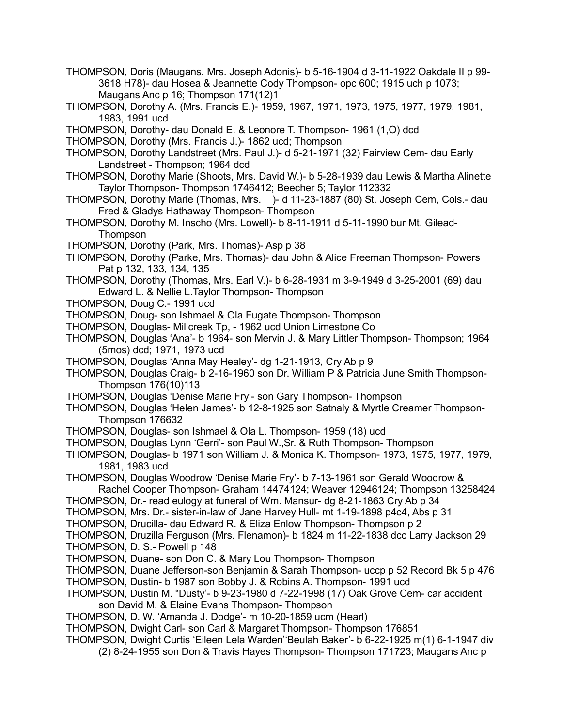- THOMPSON, Doris (Maugans, Mrs. Joseph Adonis)- b 5-16-1904 d 3-11-1922 Oakdale II p 99- 3618 H78)- dau Hosea & Jeannette Cody Thompson- opc 600; 1915 uch p 1073; Maugans Anc p 16; Thompson 171(12)1
- THOMPSON, Dorothy A. (Mrs. Francis E.)- 1959, 1967, 1971, 1973, 1975, 1977, 1979, 1981, 1983, 1991 ucd
- THOMPSON, Dorothy- dau Donald E. & Leonore T. Thompson- 1961 (1,O) dcd
- THOMPSON, Dorothy (Mrs. Francis J.)- 1862 ucd; Thompson
- THOMPSON, Dorothy Landstreet (Mrs. Paul J.)- d 5-21-1971 (32) Fairview Cem- dau Early Landstreet - Thompson; 1964 dcd
- THOMPSON, Dorothy Marie (Shoots, Mrs. David W.)- b 5-28-1939 dau Lewis & Martha Alinette Taylor Thompson- Thompson 1746412; Beecher 5; Taylor 112332
- THOMPSON, Dorothy Marie (Thomas, Mrs. )- d 11-23-1887 (80) St. Joseph Cem, Cols.- dau Fred & Gladys Hathaway Thompson- Thompson
- THOMPSON, Dorothy M. Inscho (Mrs. Lowell)- b 8-11-1911 d 5-11-1990 bur Mt. Gilead-**Thompson**
- THOMPSON, Dorothy (Park, Mrs. Thomas)- Asp p 38
- THOMPSON, Dorothy (Parke, Mrs. Thomas)- dau John & Alice Freeman Thompson- Powers Pat p 132, 133, 134, 135
- THOMPSON, Dorothy (Thomas, Mrs. Earl V.)- b 6-28-1931 m 3-9-1949 d 3-25-2001 (69) dau Edward L. & Nellie L.Taylor Thompson- Thompson
- THOMPSON, Doug C.- 1991 ucd
- THOMPSON, Doug- son Ishmael & Ola Fugate Thompson- Thompson
- THOMPSON, Douglas- Millcreek Tp, 1962 ucd Union Limestone Co
- THOMPSON, Douglas 'Ana'- b 1964- son Mervin J. & Mary Littler Thompson- Thompson; 1964 (5mos) dcd; 1971, 1973 ucd
- THOMPSON, Douglas 'Anna May Healey'- dg 1-21-1913, Cry Ab p 9
- THOMPSON, Douglas Craig- b 2-16-1960 son Dr. William P & Patricia June Smith Thompson-Thompson 176(10)113
- THOMPSON, Douglas 'Denise Marie Fry'- son Gary Thompson- Thompson
- THOMPSON, Douglas 'Helen James'- b 12-8-1925 son Satnaly & Myrtle Creamer Thompson-Thompson 176632
- THOMPSON, Douglas- son Ishmael & Ola L. Thompson- 1959 (18) ucd
- THOMPSON, Douglas Lynn 'Gerri'- son Paul W.,Sr. & Ruth Thompson- Thompson
- THOMPSON, Douglas- b 1971 son William J. & Monica K. Thompson- 1973, 1975, 1977, 1979, 1981, 1983 ucd
- THOMPSON, Douglas Woodrow 'Denise Marie Fry'- b 7-13-1961 son Gerald Woodrow & Rachel Cooper Thompson- Graham 14474124; Weaver 12946124; Thompson 13258424
- THOMPSON, Dr.- read eulogy at funeral of Wm. Mansur- dg 8-21-1863 Cry Ab p 34
- THOMPSON, Mrs. Dr.- sister-in-law of Jane Harvey Hull- mt 1-19-1898 p4c4, Abs p 31
- THOMPSON, Drucilla- dau Edward R. & Eliza Enlow Thompson- Thompson p 2
- THOMPSON, Druzilla Ferguson (Mrs. Flenamon)- b 1824 m 11-22-1838 dcc Larry Jackson 29
- THOMPSON, D. S.- Powell p 148
- THOMPSON, Duane- son Don C. & Mary Lou Thompson- Thompson
- THOMPSON, Duane Jefferson-son Benjamin & Sarah Thompson- uccp p 52 Record Bk 5 p 476
- THOMPSON, Dustin- b 1987 son Bobby J. & Robins A. Thompson- 1991 ucd THOMPSON, Dustin M. "Dusty'- b 9-23-1980 d 7-22-1998 (17) Oak Grove Cem- car accident
	- son David M. & Elaine Evans Thompson- Thompson
- THOMPSON, D. W. 'Amanda J. Dodge'- m 10-20-1859 ucm (Hearl)
- THOMPSON, Dwight Carl- son Carl & Margaret Thompson- Thompson 176851
- THOMPSON, Dwight Curtis 'Eileen Lela Warden''Beulah Baker'- b 6-22-1925 m(1) 6-1-1947 div
	- (2) 8-24-1955 son Don & Travis Hayes Thompson- Thompson 171723; Maugans Anc p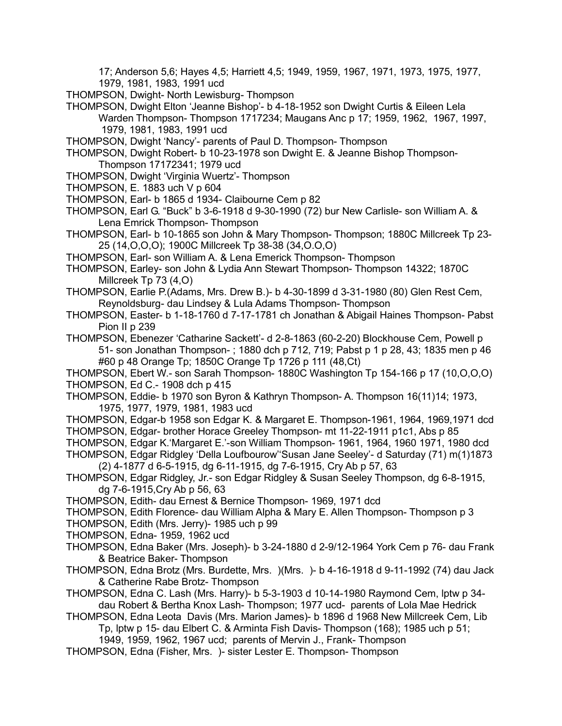17; Anderson 5,6; Hayes 4,5; Harriett 4,5; 1949, 1959, 1967, 1971, 1973, 1975, 1977, 1979, 1981, 1983, 1991 ucd

THOMPSON, Dwight- North Lewisburg- Thompson

THOMPSON, Dwight Elton 'Jeanne Bishop'- b 4-18-1952 son Dwight Curtis & Eileen Lela Warden Thompson- Thompson 1717234; Maugans Anc p 17; 1959, 1962, 1967, 1997, 1979, 1981, 1983, 1991 ucd

THOMPSON, Dwight 'Nancy'- parents of Paul D. Thompson- Thompson

THOMPSON, Dwight Robert- b 10-23-1978 son Dwight E. & Jeanne Bishop Thompson-Thompson 17172341; 1979 ucd

- THOMPSON, Dwight 'Virginia Wuertz'- Thompson
- THOMPSON, E. 1883 uch V p 604
- THOMPSON, Earl- b 1865 d 1934- Claibourne Cem p 82

THOMPSON, Earl G. "Buck" b 3-6-1918 d 9-30-1990 (72) bur New Carlisle- son William A. & Lena Emrick Thompson- Thompson

THOMPSON, Earl- b 10-1865 son John & Mary Thompson- Thompson; 1880C Millcreek Tp 23- 25 (14,O,O,O); 1900C Millcreek Tp 38-38 (34,O.O,O)

THOMPSON, Earl- son William A. & Lena Emerick Thompson- Thompson

THOMPSON, Earley- son John & Lydia Ann Stewart Thompson- Thompson 14322; 1870C Millcreek Tp 73 (4,O)

THOMPSON, Earlie P.(Adams, Mrs. Drew B.)- b 4-30-1899 d 3-31-1980 (80) Glen Rest Cem, Reynoldsburg- dau Lindsey & Lula Adams Thompson- Thompson

THOMPSON, Easter- b 1-18-1760 d 7-17-1781 ch Jonathan & Abigail Haines Thompson- Pabst Pion II p 239

THOMPSON, Ebenezer 'Catharine Sackett'- d 2-8-1863 (60-2-20) Blockhouse Cem, Powell p 51- son Jonathan Thompson- ; 1880 dch p 712, 719; Pabst p 1 p 28, 43; 1835 men p 46 #60 p 48 Orange Tp; 1850C Orange Tp 1726 p 111 (48,Ct)

THOMPSON, Ebert W.- son Sarah Thompson- 1880C Washington Tp 154-166 p 17 (10,O,O,O) THOMPSON, Ed C.- 1908 dch p 415

- THOMPSON, Eddie- b 1970 son Byron & Kathryn Thompson- A. Thompson 16(11)14; 1973, 1975, 1977, 1979, 1981, 1983 ucd
- THOMPSON, Edgar-b 1958 son Edgar K. & Margaret E. Thompson-1961, 1964, 1969,1971 dcd

THOMPSON, Edgar- brother Horace Greeley Thompson- mt 11-22-1911 p1c1, Abs p 85

THOMPSON, Edgar K.'Margaret E.'-son William Thompson- 1961, 1964, 1960 1971, 1980 dcd

THOMPSON, Edgar Ridgley 'Della Loufbourow''Susan Jane Seeley'- d Saturday (71) m(1)1873 (2) 4-1877 d 6-5-1915, dg 6-11-1915, dg 7-6-1915, Cry Ab p 57, 63

- THOMPSON, Edgar Ridgley, Jr.- son Edgar Ridgley & Susan Seeley Thompson, dg 6-8-1915, dg 7-6-1915,Cry Ab p 56, 63
- THOMPSON, Edith- dau Ernest & Bernice Thompson- 1969, 1971 dcd
- THOMPSON, Edith Florence- dau William Alpha & Mary E. Allen Thompson- Thompson p 3

THOMPSON, Edith (Mrs. Jerry)- 1985 uch p 99

- THOMPSON, Edna- 1959, 1962 ucd
- THOMPSON, Edna Baker (Mrs. Joseph)- b 3-24-1880 d 2-9/12-1964 York Cem p 76- dau Frank & Beatrice Baker- Thompson
- THOMPSON, Edna Brotz (Mrs. Burdette, Mrs. )(Mrs. )- b 4-16-1918 d 9-11-1992 (74) dau Jack & Catherine Rabe Brotz- Thompson
- THOMPSON, Edna C. Lash (Mrs. Harry)- b 5-3-1903 d 10-14-1980 Raymond Cem, lptw p 34 dau Robert & Bertha Knox Lash- Thompson; 1977 ucd- parents of Lola Mae Hedrick
- THOMPSON, Edna Leota Davis (Mrs. Marion James)- b 1896 d 1968 New Millcreek Cem, Lib Tp, lptw p 15- dau Elbert C. & Arminta Fish Davis- Thompson (168); 1985 uch p 51;

1949, 1959, 1962, 1967 ucd; parents of Mervin J., Frank- Thompson

THOMPSON, Edna (Fisher, Mrs. )- sister Lester E. Thompson- Thompson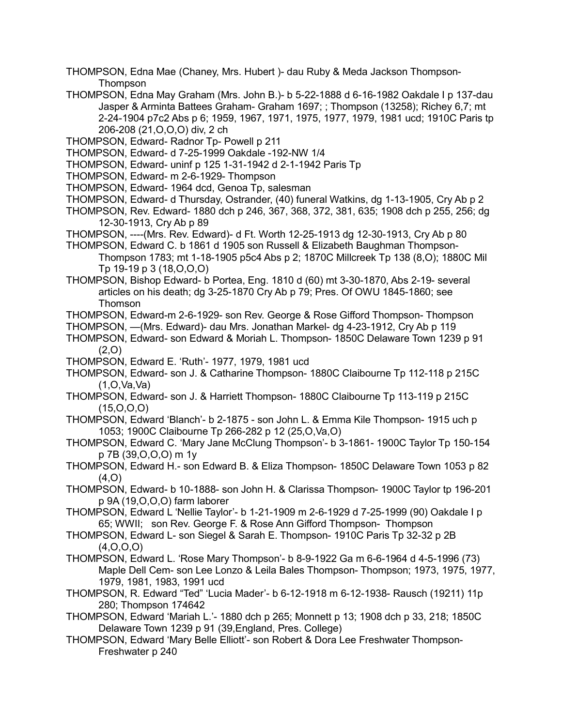THOMPSON, Edna Mae (Chaney, Mrs. Hubert )- dau Ruby & Meda Jackson Thompson-**Thompson** 

- THOMPSON, Edna May Graham (Mrs. John B.)- b 5-22-1888 d 6-16-1982 Oakdale I p 137-dau Jasper & Arminta Battees Graham- Graham 1697; ; Thompson (13258); Richey 6,7; mt 2-24-1904 p7c2 Abs p 6; 1959, 1967, 1971, 1975, 1977, 1979, 1981 ucd; 1910C Paris tp 206-208 (21,O,O,O) div, 2 ch
- THOMPSON, Edward- Radnor Tp- Powell p 211
- THOMPSON, Edward- d 7-25-1999 Oakdale -192-NW 1/4
- THOMPSON, Edward- uninf p 125 1-31-1942 d 2-1-1942 Paris Tp
- THOMPSON, Edward- m 2-6-1929- Thompson
- THOMPSON, Edward- 1964 dcd, Genoa Tp, salesman
- THOMPSON, Edward- d Thursday, Ostrander, (40) funeral Watkins, dg 1-13-1905, Cry Ab p 2
- THOMPSON, Rev. Edward- 1880 dch p 246, 367, 368, 372, 381, 635; 1908 dch p 255, 256; dg 12-30-1913, Cry Ab p 89
- THOMPSON, ----(Mrs. Rev. Edward)- d Ft. Worth 12-25-1913 dg 12-30-1913, Cry Ab p 80
- THOMPSON, Edward C. b 1861 d 1905 son Russell & Elizabeth Baughman Thompson-Thompson 1783; mt 1-18-1905 p5c4 Abs p 2; 1870C Millcreek Tp 138 (8,O); 1880C Mil Tp 19-19 p 3 (18,O,O,O)
- THOMPSON, Bishop Edward- b Portea, Eng. 1810 d (60) mt 3-30-1870, Abs 2-19- several articles on his death; dg 3-25-1870 Cry Ab p 79; Pres. Of OWU 1845-1860; see Thomson
- THOMPSON, Edward-m 2-6-1929- son Rev. George & Rose Gifford Thompson- Thompson
- THOMPSON, —(Mrs. Edward)- dau Mrs. Jonathan Markel- dg 4-23-1912, Cry Ab p 119
- THOMPSON, Edward- son Edward & Moriah L. Thompson- 1850C Delaware Town 1239 p 91  $(2.0)$
- THOMPSON, Edward E. 'Ruth'- 1977, 1979, 1981 ucd
- THOMPSON, Edward- son J. & Catharine Thompson- 1880C Claibourne Tp 112-118 p 215C  $(1,0,Va,Va)$
- THOMPSON, Edward- son J. & Harriett Thompson- 1880C Claibourne Tp 113-119 p 215C  $(15, 0, 0, 0)$
- THOMPSON, Edward 'Blanch'- b 2-1875 son John L. & Emma Kile Thompson- 1915 uch p 1053; 1900C Claibourne Tp 266-282 p 12 (25,O,Va,O)
- THOMPSON, Edward C. 'Mary Jane McClung Thompson'- b 3-1861- 1900C Taylor Tp 150-154 p 7B (39,O,O,O) m 1y
- THOMPSON, Edward H.- son Edward B. & Eliza Thompson- 1850C Delaware Town 1053 p 82  $(4.0)$
- THOMPSON, Edward- b 10-1888- son John H. & Clarissa Thompson- 1900C Taylor tp 196-201 p 9A (19,O,O,O) farm laborer
- THOMPSON, Edward L 'Nellie Taylor'- b 1-21-1909 m 2-6-1929 d 7-25-1999 (90) Oakdale I p 65; WWII; son Rev. George F. & Rose Ann Gifford Thompson- Thompson
- THOMPSON, Edward L- son Siegel & Sarah E. Thompson- 1910C Paris Tp 32-32 p 2B  $(4, 0, 0, 0)$
- THOMPSON, Edward L. 'Rose Mary Thompson'- b 8-9-1922 Ga m 6-6-1964 d 4-5-1996 (73) Maple Dell Cem- son Lee Lonzo & Leila Bales Thompson- Thompson; 1973, 1975, 1977, 1979, 1981, 1983, 1991 ucd
- THOMPSON, R. Edward "Ted" 'Lucia Mader'- b 6-12-1918 m 6-12-1938- Rausch (19211) 11p 280; Thompson 174642
- THOMPSON, Edward 'Mariah L.'- 1880 dch p 265; Monnett p 13; 1908 dch p 33, 218; 1850C Delaware Town 1239 p 91 (39,England, Pres. College)
- THOMPSON, Edward 'Mary Belle Elliott'- son Robert & Dora Lee Freshwater Thompson-Freshwater p 240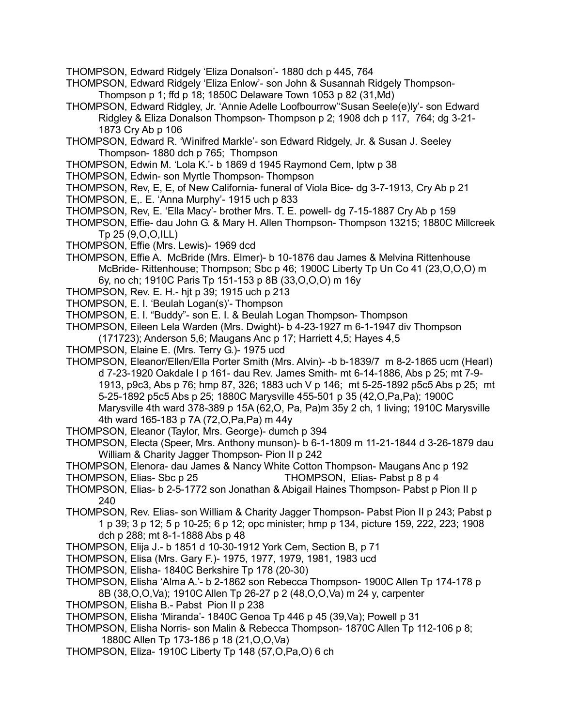- THOMPSON, Edward Ridgely 'Eliza Donalson'- 1880 dch p 445, 764
- THOMPSON, Edward Ridgely 'Eliza Enlow'- son John & Susannah Ridgely Thompson-Thompson p 1; ffd p 18; 1850C Delaware Town 1053 p 82 (31,Md)
- THOMPSON, Edward Ridgley, Jr. 'Annie Adelle Loofbourrow''Susan Seele(e)ly'- son Edward Ridgley & Eliza Donalson Thompson- Thompson p 2; 1908 dch p 117, 764; dg 3-21- 1873 Cry Ab p 106
- THOMPSON, Edward R. 'Winifred Markle'- son Edward Ridgely, Jr. & Susan J. Seeley Thompson- 1880 dch p 765; Thompson
- THOMPSON, Edwin M. 'Lola K.'- b 1869 d 1945 Raymond Cem, lptw p 38
- THOMPSON, Edwin- son Myrtle Thompson- Thompson
- THOMPSON, Rev, E, E, of New California- funeral of Viola Bice- dg 3-7-1913, Cry Ab p 21
- THOMPSON, E,. E. 'Anna Murphy'- 1915 uch p 833
- THOMPSON, Rev, E. 'Ella Macy'- brother Mrs. T. E. powell- dg 7-15-1887 Cry Ab p 159
- THOMPSON, Effie- dau John G. & Mary H. Allen Thompson- Thompson 13215; 1880C Millcreek Tp 25 (9,O,O,ILL)
- THOMPSON, Effie (Mrs. Lewis)- 1969 dcd
- THOMPSON, Effie A. McBride (Mrs. Elmer)- b 10-1876 dau James & Melvina Rittenhouse McBride- Rittenhouse; Thompson; Sbc p 46; 1900C Liberty Tp Un Co 41 (23,O,O,O) m 6y, no ch; 1910C Paris Tp 151-153 p 8B (33,O,O,O) m 16y
- THOMPSON, Rev. E. H.- hjt p 39; 1915 uch p 213
- THOMPSON, E. I. 'Beulah Logan(s)'- Thompson
- THOMPSON, E. I. "Buddy"- son E. I. & Beulah Logan Thompson- Thompson
- THOMPSON, Eileen Lela Warden (Mrs. Dwight)- b 4-23-1927 m 6-1-1947 div Thompson
	- (171723); Anderson 5,6; Maugans Anc p 17; Harriett 4,5; Hayes 4,5
- THOMPSON, Elaine E. (Mrs. Terry G.)- 1975 ucd
- THOMPSON, Eleanor/Ellen/Ella Porter Smith (Mrs. Alvin)- -b b-1839/7 m 8-2-1865 ucm (Hearl) d 7-23-1920 Oakdale I p 161- dau Rev. James Smith- mt 6-14-1886, Abs p 25; mt 7-9- 1913, p9c3, Abs p 76; hmp 87, 326; 1883 uch V p 146; mt 5-25-1892 p5c5 Abs p 25; mt 5-25-1892 p5c5 Abs p 25; 1880C Marysville 455-501 p 35 (42,O,Pa,Pa); 1900C Marysville 4th ward 378-389 p 15A (62,O, Pa, Pa)m 35y 2 ch, 1 living; 1910C Marysville 4th ward 165-183 p 7A (72,O,Pa,Pa) m 44y
- THOMPSON, Eleanor (Taylor, Mrs. George)- dumch p 394
- THOMPSON, Electa (Speer, Mrs. Anthony munson)- b 6-1-1809 m 11-21-1844 d 3-26-1879 dau William & Charity Jagger Thompson- Pion II p 242
- THOMPSON, Elenora- dau James & Nancy White Cotton Thompson- Maugans Anc p 192
- THOMPSON, Elias- Sbc p 25 THOMPSON, Elias- Pabst p 8 p 4
- THOMPSON, Elias- b 2-5-1772 son Jonathan & Abigail Haines Thompson- Pabst p Pion II p 240
- THOMPSON, Rev. Elias- son William & Charity Jagger Thompson- Pabst Pion II p 243; Pabst p 1 p 39; 3 p 12; 5 p 10-25; 6 p 12; opc minister; hmp p 134, picture 159, 222, 223; 1908 dch p 288; mt 8-1-1888 Abs p 48
- THOMPSON, Elija J.- b 1851 d 10-30-1912 York Cem, Section B, p 71
- THOMPSON, Elisa (Mrs. Gary F.)- 1975, 1977, 1979, 1981, 1983 ucd
- THOMPSON, Elisha- 1840C Berkshire Tp 178 (20-30)
- THOMPSON, Elisha 'Alma A.'- b 2-1862 son Rebecca Thompson- 1900C Allen Tp 174-178 p 8B (38,O,O,Va); 1910C Allen Tp 26-27 p 2 (48,O,O,Va) m 24 y, carpenter
- THOMPSON, Elisha B.- Pabst Pion II p 238
- THOMPSON, Elisha 'Miranda'- 1840C Genoa Tp 446 p 45 (39,Va); Powell p 31
- THOMPSON, Elisha Norris- son Malin & Rebecca Thompson- 1870C Allen Tp 112-106 p 8; 1880C Allen Tp 173-186 p 18 (21,O,O,Va)
- THOMPSON, Eliza- 1910C Liberty Tp 148 (57,O,Pa,O) 6 ch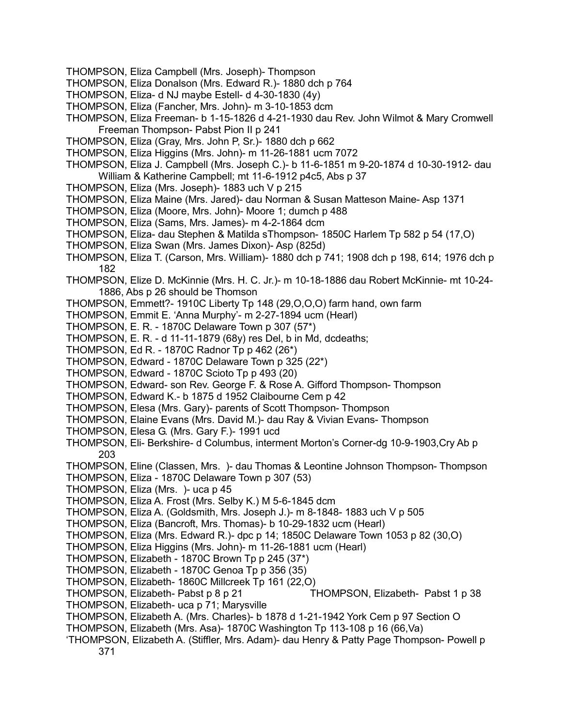- THOMPSON, Eliza Campbell (Mrs. Joseph)- Thompson
- THOMPSON, Eliza Donalson (Mrs. Edward R.)- 1880 dch p 764
- THOMPSON, Eliza- d NJ maybe Estell- d 4-30-1830 (4y)
- THOMPSON, Eliza (Fancher, Mrs. John)- m 3-10-1853 dcm
- THOMPSON, Eliza Freeman- b 1-15-1826 d 4-21-1930 dau Rev. John Wilmot & Mary Cromwell Freeman Thompson- Pabst Pion II p 241
- THOMPSON, Eliza (Gray, Mrs. John P, Sr.)- 1880 dch p 662
- THOMPSON, Eliza Higgins (Mrs. John)- m 11-26-1881 ucm 7072
- THOMPSON, Eliza J. Campbell (Mrs. Joseph C.)- b 11-6-1851 m 9-20-1874 d 10-30-1912- dau William & Katherine Campbell; mt 11-6-1912 p4c5, Abs p 37
- THOMPSON, Eliza (Mrs. Joseph)- 1883 uch V p 215
- THOMPSON, Eliza Maine (Mrs. Jared)- dau Norman & Susan Matteson Maine- Asp 1371
- THOMPSON, Eliza (Moore, Mrs. John)- Moore 1; dumch p 488
- THOMPSON, Eliza (Sams, Mrs. James)- m 4-2-1864 dcm
- THOMPSON, Eliza- dau Stephen & Matilda sThompson- 1850C Harlem Tp 582 p 54 (17,O)
- THOMPSON, Eliza Swan (Mrs. James Dixon)- Asp (825d)
- THOMPSON, Eliza T. (Carson, Mrs. William)- 1880 dch p 741; 1908 dch p 198, 614; 1976 dch p 182
- THOMPSON, Elize D. McKinnie (Mrs. H. C. Jr.)- m 10-18-1886 dau Robert McKinnie- mt 10-24- 1886, Abs p 26 should be Thomson
- THOMPSON, Emmett?- 1910C Liberty Tp 148 (29,O,O,O) farm hand, own farm
- THOMPSON, Emmit E. 'Anna Murphy'- m 2-27-1894 ucm (Hearl)
- THOMPSON, E. R. 1870C Delaware Town p 307 (57\*)
- THOMPSON, E. R. d 11-11-1879 (68y) res Del, b in Md, dcdeaths;
- THOMPSON, Ed R. 1870C Radnor Tp p 462 (26\*)
- THOMPSON, Edward 1870C Delaware Town p 325 (22\*)
- THOMPSON, Edward 1870C Scioto Tp p 493 (20)
- THOMPSON, Edward- son Rev. George F. & Rose A. Gifford Thompson- Thompson
- THOMPSON, Edward K.- b 1875 d 1952 Claibourne Cem p 42
- THOMPSON, Elesa (Mrs. Gary)- parents of Scott Thompson- Thompson
- THOMPSON, Elaine Evans (Mrs. David M.)- dau Ray & Vivian Evans- Thompson
- THOMPSON, Elesa G. (Mrs. Gary F.)- 1991 ucd
- THOMPSON, Eli- Berkshire- d Columbus, interment Morton's Corner-dg 10-9-1903,Cry Ab p 203
- THOMPSON, Eline (Classen, Mrs. )- dau Thomas & Leontine Johnson Thompson- Thompson
- THOMPSON, Eliza 1870C Delaware Town p 307 (53)
- THOMPSON, Eliza (Mrs. )- uca p 45
- THOMPSON, Eliza A. Frost (Mrs. Selby K.) M 5-6-1845 dcm
- THOMPSON, Eliza A. (Goldsmith, Mrs. Joseph J.)- m 8-1848- 1883 uch V p 505
- THOMPSON, Eliza (Bancroft, Mrs. Thomas)- b 10-29-1832 ucm (Hearl)
- THOMPSON, Eliza (Mrs. Edward R.)- dpc p 14; 1850C Delaware Town 1053 p 82 (30,O)
- THOMPSON, Eliza Higgins (Mrs. John)- m 11-26-1881 ucm (Hearl)
- THOMPSON, Elizabeth 1870C Brown Tp p 245 (37\*)
- THOMPSON, Elizabeth 1870C Genoa Tp p 356 (35)
- THOMPSON, Elizabeth- 1860C Millcreek Tp 161 (22,O)
- THOMPSON, Elizabeth- Pabst p 8 p 21 THOMPSON, Elizabeth- Pabst 1 p 38
- THOMPSON, Elizabeth- uca p 71; Marysville
- THOMPSON, Elizabeth A. (Mrs. Charles)- b 1878 d 1-21-1942 York Cem p 97 Section O
- THOMPSON, Elizabeth (Mrs. Asa)- 1870C Washington Tp 113-108 p 16 (66,Va)
- 'THOMPSON, Elizabeth A. (Stiffler, Mrs. Adam)- dau Henry & Patty Page Thompson- Powell p 371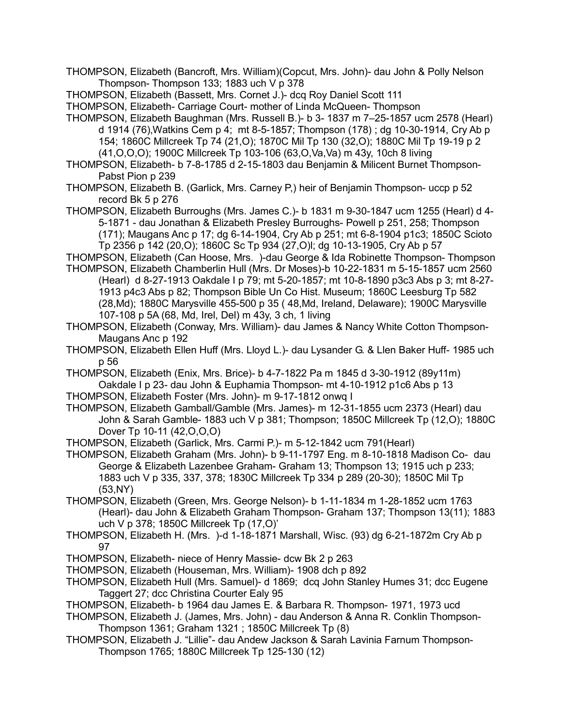THOMPSON, Elizabeth (Bancroft, Mrs. William)(Copcut, Mrs. John)- dau John & Polly Nelson Thompson- Thompson 133; 1883 uch V p 378

THOMPSON, Elizabeth (Bassett, Mrs. Cornet J.)- dcq Roy Daniel Scott 111

THOMPSON, Elizabeth- Carriage Court- mother of Linda McQueen- Thompson

THOMPSON, Elizabeth Baughman (Mrs. Russell B.)- b 3- 1837 m 7–25-1857 ucm 2578 (Hearl) d 1914 (76),Watkins Cem p 4; mt 8-5-1857; Thompson (178) ; dg 10-30-1914, Cry Ab p 154; 1860C Millcreek Tp 74 (21,O); 1870C Mil Tp 130 (32,O); 1880C Mil Tp 19-19 p 2 (41,O,O,O); 1900C Millcreek Tp 103-106 (63,O,Va,Va) m 43y, 10ch 8 living

THOMPSON, Elizabeth- b 7-8-1785 d 2-15-1803 dau Benjamin & Milicent Burnet Thompson-Pabst Pion p 239

THOMPSON, Elizabeth B. (Garlick, Mrs. Carney P,) heir of Benjamin Thompson- uccp p 52 record Bk 5 p 276

THOMPSON, Elizabeth Burroughs (Mrs. James C.)- b 1831 m 9-30-1847 ucm 1255 (Hearl) d 4- 5-1871 - dau Jonathan & Elizabeth Presley Burroughs- Powell p 251, 258; Thompson (171); Maugans Anc p 17; dg 6-14-1904, Cry Ab p 251; mt 6-8-1904 p1c3; 1850C Scioto

Tp 2356 p 142 (20,O); 1860C Sc Tp 934 (27,O)l; dg 10-13-1905, Cry Ab p 57

- THOMPSON, Elizabeth (Can Hoose, Mrs. )-dau George & Ida Robinette Thompson- Thompson
- THOMPSON, Elizabeth Chamberlin Hull (Mrs. Dr Moses)-b 10-22-1831 m 5-15-1857 ucm 2560 (Hearl) d 8-27-1913 Oakdale I p 79; mt 5-20-1857; mt 10-8-1890 p3c3 Abs p 3; mt 8-27- 1913 p4c3 Abs p 82; Thompson Bible Un Co Hist. Museum; 1860C Leesburg Tp 582 (28,Md); 1880C Marysville 455-500 p 35 ( 48,Md, Ireland, Delaware); 1900C Marysville 107-108 p 5A (68, Md, Irel, Del) m 43y, 3 ch, 1 living

THOMPSON, Elizabeth (Conway, Mrs. William)- dau James & Nancy White Cotton Thompson-Maugans Anc p 192

THOMPSON, Elizabeth Ellen Huff (Mrs. Lloyd L.)- dau Lysander G. & Llen Baker Huff- 1985 uch p 56

THOMPSON, Elizabeth (Enix, Mrs. Brice)- b 4-7-1822 Pa m 1845 d 3-30-1912 (89y11m) Oakdale I p 23- dau John & Euphamia Thompson- mt 4-10-1912 p1c6 Abs p 13

THOMPSON, Elizabeth Foster (Mrs. John)- m 9-17-1812 onwq I

THOMPSON, Elizabeth Gamball/Gamble (Mrs. James)- m 12-31-1855 ucm 2373 (Hearl) dau John & Sarah Gamble- 1883 uch V p 381; Thompson; 1850C Millcreek Tp (12,O); 1880C Dover Tp 10-11 (42,O,O,O)

THOMPSON, Elizabeth (Garlick, Mrs. Carmi P.)- m 5-12-1842 ucm 791(Hearl)

THOMPSON, Elizabeth Graham (Mrs. John)- b 9-11-1797 Eng. m 8-10-1818 Madison Co- dau George & Elizabeth Lazenbee Graham- Graham 13; Thompson 13; 1915 uch p 233; 1883 uch V p 335, 337, 378; 1830C Millcreek Tp 334 p 289 (20-30); 1850C Mil Tp (53,NY)

THOMPSON, Elizabeth (Green, Mrs. George Nelson)- b 1-11-1834 m 1-28-1852 ucm 1763 (Hearl)- dau John & Elizabeth Graham Thompson- Graham 137; Thompson 13(11); 1883 uch V p 378; 1850C Millcreek Tp (17,O)'

- THOMPSON, Elizabeth H. (Mrs. )-d 1-18-1871 Marshall, Wisc. (93) dg 6-21-1872m Cry Ab p 97
- THOMPSON, Elizabeth- niece of Henry Massie- dcw Bk 2 p 263
- THOMPSON, Elizabeth (Houseman, Mrs. William)- 1908 dch p 892
- THOMPSON, Elizabeth Hull (Mrs. Samuel)- d 1869; dcq John Stanley Humes 31; dcc Eugene Taggert 27; dcc Christina Courter Ealy 95
- THOMPSON, Elizabeth- b 1964 dau James E. & Barbara R. Thompson- 1971, 1973 ucd

THOMPSON, Elizabeth J. (James, Mrs. John) - dau Anderson & Anna R. Conklin Thompson-Thompson 1361; Graham 1321 ; 1850C Millcreek Tp (8)

THOMPSON, Elizabeth J. "Lillie"- dau Andew Jackson & Sarah Lavinia Farnum Thompson-Thompson 1765; 1880C Millcreek Tp 125-130 (12)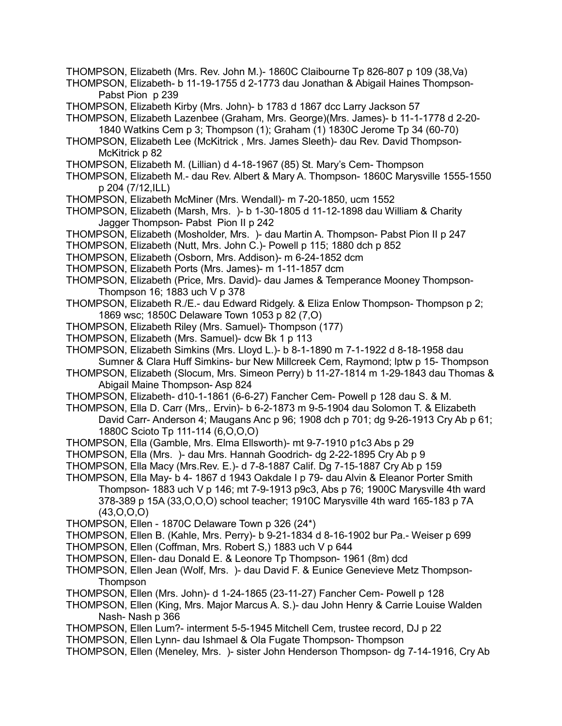- THOMPSON, Elizabeth (Mrs. Rev. John M.)- 1860C Claibourne Tp 826-807 p 109 (38,Va)
- THOMPSON, Elizabeth- b 11-19-1755 d 2-1773 dau Jonathan & Abigail Haines Thompson-Pabst Pion p 239
- THOMPSON, Elizabeth Kirby (Mrs. John)- b 1783 d 1867 dcc Larry Jackson 57
- THOMPSON, Elizabeth Lazenbee (Graham, Mrs. George)(Mrs. James)- b 11-1-1778 d 2-20- 1840 Watkins Cem p 3; Thompson (1); Graham (1) 1830C Jerome Tp 34 (60-70)
- THOMPSON, Elizabeth Lee (McKitrick , Mrs. James Sleeth)- dau Rev. David Thompson-McKitrick p 82
- THOMPSON, Elizabeth M. (Lillian) d 4-18-1967 (85) St. Mary's Cem- Thompson
- THOMPSON, Elizabeth M.- dau Rev. Albert & Mary A. Thompson- 1860C Marysville 1555-1550 p 204 (7/12,ILL)
- THOMPSON, Elizabeth McMiner (Mrs. Wendall)- m 7-20-1850, ucm 1552
- THOMPSON, Elizabeth (Marsh, Mrs. )- b 1-30-1805 d 11-12-1898 dau William & Charity Jagger Thompson- Pabst Pion II p 242
- THOMPSON, Elizabeth (Mosholder, Mrs. )- dau Martin A. Thompson- Pabst Pion II p 247
- THOMPSON, Elizabeth (Nutt, Mrs. John C.)- Powell p 115; 1880 dch p 852
- THOMPSON, Elizabeth (Osborn, Mrs. Addison)- m 6-24-1852 dcm
- THOMPSON, Elizabeth Ports (Mrs. James)- m 1-11-1857 dcm
- THOMPSON, Elizabeth (Price, Mrs. David)- dau James & Temperance Mooney Thompson-Thompson 16; 1883 uch V p 378
- THOMPSON, Elizabeth R./E.- dau Edward Ridgely. & Eliza Enlow Thompson- Thompson p 2; 1869 wsc; 1850C Delaware Town 1053 p 82 (7,O)
- THOMPSON, Elizabeth Riley (Mrs. Samuel)- Thompson (177)
- THOMPSON, Elizabeth (Mrs. Samuel)- dcw Bk 1 p 113
- THOMPSON, Elizabeth Simkins (Mrs. Lloyd L.)- b 8-1-1890 m 7-1-1922 d 8-18-1958 dau Sumner & Clara Huff Simkins- bur New Millcreek Cem, Raymond; lptw p 15- Thompson
- THOMPSON, Elizabeth (Slocum, Mrs. Simeon Perry) b 11-27-1814 m 1-29-1843 dau Thomas & Abigail Maine Thompson- Asp 824
- THOMPSON, Elizabeth- d10-1-1861 (6-6-27) Fancher Cem- Powell p 128 dau S. & M.
- THOMPSON, Ella D. Carr (Mrs,. Ervin)- b 6-2-1873 m 9-5-1904 dau Solomon T. & Elizabeth David Carr- Anderson 4; Maugans Anc p 96; 1908 dch p 701; dg 9-26-1913 Cry Ab p 61; 1880C Scioto Tp 111-114 (6,O,O,O)
- THOMPSON, Ella (Gamble, Mrs. Elma Ellsworth)- mt 9-7-1910 p1c3 Abs p 29
- THOMPSON, Ella (Mrs. )- dau Mrs. Hannah Goodrich- dg 2-22-1895 Cry Ab p 9
- THOMPSON, Ella Macy (Mrs.Rev. E.)- d 7-8-1887 Calif. Dg 7-15-1887 Cry Ab p 159
- THOMPSON, Ella May- b 4- 1867 d 1943 Oakdale I p 79- dau Alvin & Eleanor Porter Smith Thompson- 1883 uch V p 146; mt 7-9-1913 p9c3, Abs p 76; 1900C Marysville 4th ward 378-389 p 15A (33,O,O,O) school teacher; 1910C Marysville 4th ward 165-183 p 7A (43,O,O,O)
- THOMPSON, Ellen 1870C Delaware Town p 326 (24\*)
- THOMPSON, Ellen B. (Kahle, Mrs. Perry)- b 9-21-1834 d 8-16-1902 bur Pa.- Weiser p 699
- THOMPSON, Ellen (Coffman, Mrs. Robert S,) 1883 uch V p 644
- THOMPSON, Ellen- dau Donald E. & Leonore Tp Thompson- 1961 (8m) dcd
- THOMPSON, Ellen Jean (Wolf, Mrs. )- dau David F. & Eunice Genevieve Metz Thompson-**Thompson**
- THOMPSON, Ellen (Mrs. John)- d 1-24-1865 (23-11-27) Fancher Cem- Powell p 128
- THOMPSON, Ellen (King, Mrs. Major Marcus A. S.)- dau John Henry & Carrie Louise Walden Nash- Nash p 366
- THOMPSON, Ellen Lum?- interment 5-5-1945 Mitchell Cem, trustee record, DJ p 22
- THOMPSON, Ellen Lynn- dau Ishmael & Ola Fugate Thompson- Thompson
- THOMPSON, Ellen (Meneley, Mrs. )- sister John Henderson Thompson- dg 7-14-1916, Cry Ab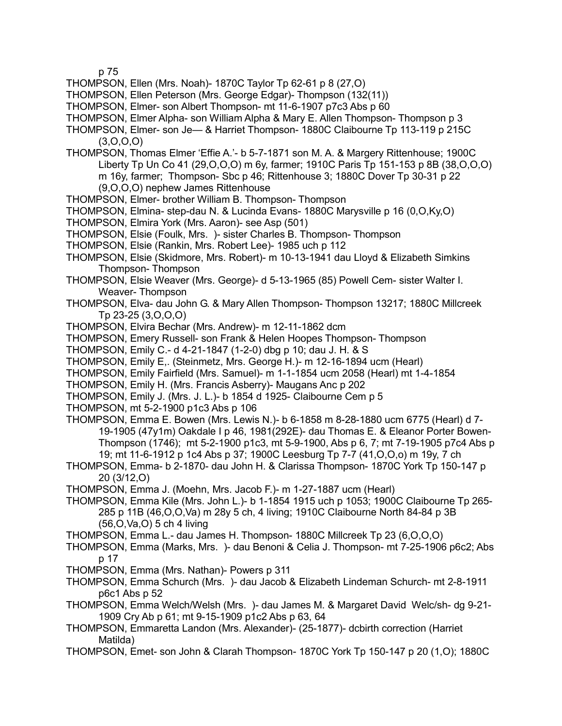p 75

- THOMPSON, Ellen (Mrs. Noah)- 1870C Taylor Tp 62-61 p 8 (27,O)
- THOMPSON, Ellen Peterson (Mrs. George Edgar)- Thompson (132(11))
- THOMPSON, Elmer- son Albert Thompson- mt 11-6-1907 p7c3 Abs p 60
- THOMPSON, Elmer Alpha- son William Alpha & Mary E. Allen Thompson- Thompson p 3
- THOMPSON, Elmer- son Je— & Harriet Thompson- 1880C Claibourne Tp 113-119 p 215C  $(3,0,0,0)$
- THOMPSON, Thomas Elmer 'Effie A.'- b 5-7-1871 son M. A. & Margery Rittenhouse; 1900C Liberty Tp Un Co 41 (29,O,O,O) m 6y, farmer; 1910C Paris Tp 151-153 p 8B (38,O,O,O) m 16y, farmer; Thompson- Sbc p 46; Rittenhouse 3; 1880C Dover Tp 30-31 p 22 (9,O,O,O) nephew James Rittenhouse
- THOMPSON, Elmer- brother William B. Thompson- Thompson
- THOMPSON, Elmina- step-dau N. & Lucinda Evans- 1880C Marysville p 16 (0,O,Ky,O)
- THOMPSON, Elmira York (Mrs. Aaron)- see Asp (501)
- THOMPSON, Elsie (Foulk, Mrs. )- sister Charles B. Thompson- Thompson
- THOMPSON, Elsie (Rankin, Mrs. Robert Lee)- 1985 uch p 112
- THOMPSON, Elsie (Skidmore, Mrs. Robert)- m 10-13-1941 dau Lloyd & Elizabeth Simkins Thompson- Thompson
- THOMPSON, Elsie Weaver (Mrs. George)- d 5-13-1965 (85) Powell Cem- sister Walter I. Weaver- Thompson
- THOMPSON, Elva- dau John G. & Mary Allen Thompson- Thompson 13217; 1880C Millcreek Tp 23-25 (3,O,O,O)
- THOMPSON, Elvira Bechar (Mrs. Andrew)- m 12-11-1862 dcm
- THOMPSON, Emery Russell- son Frank & Helen Hoopes Thompson- Thompson
- THOMPSON, Emily C.- d 4-21-1847 (1-2-0) dbg p 10; dau J. H. & S
- THOMPSON, Emily E,. (Steinmetz, Mrs. George H.)- m 12-16-1894 ucm (Hearl)
- THOMPSON, Emily Fairfield (Mrs. Samuel)- m 1-1-1854 ucm 2058 (Hearl) mt 1-4-1854
- THOMPSON, Emily H. (Mrs. Francis Asberry)- Maugans Anc p 202
- THOMPSON, Emily J. (Mrs. J. L.)- b 1854 d 1925- Claibourne Cem p 5
- THOMPSON, mt 5-2-1900 p1c3 Abs p 106
- THOMPSON, Emma E. Bowen (Mrs. Lewis N.)- b 6-1858 m 8-28-1880 ucm 6775 (Hearl) d 7- 19-1905 (47y1m) Oakdale I p 46, 1981(292E)- dau Thomas E. & Eleanor Porter Bowen-Thompson (1746); mt 5-2-1900 p1c3, mt 5-9-1900, Abs p 6, 7; mt 7-19-1905 p7c4 Abs p 19; mt 11-6-1912 p 1c4 Abs p 37; 1900C Leesburg Tp 7-7 (41,O,O,o) m 19y, 7 ch
- THOMPSON, Emma- b 2-1870- dau John H. & Clarissa Thompson- 1870C York Tp 150-147 p 20 (3/12,O)
- THOMPSON, Emma J. (Moehn, Mrs. Jacob F.)- m 1-27-1887 ucm (Hearl)
- THOMPSON, Emma Kile (Mrs. John L.)- b 1-1854 1915 uch p 1053; 1900C Claibourne Tp 265- 285 p 11B (46,O,O,Va) m 28y 5 ch, 4 living; 1910C Claibourne North 84-84 p 3B (56,O,Va,O) 5 ch 4 living
- THOMPSON, Emma L.- dau James H. Thompson- 1880C Millcreek Tp 23 (6,O,O,O)
- THOMPSON, Emma (Marks, Mrs. )- dau Benoni & Celia J. Thompson- mt 7-25-1906 p6c2; Abs p 17
- THOMPSON, Emma (Mrs. Nathan)- Powers p 311
- THOMPSON, Emma Schurch (Mrs. )- dau Jacob & Elizabeth Lindeman Schurch- mt 2-8-1911 p6c1 Abs p 52
- THOMPSON, Emma Welch/Welsh (Mrs. )- dau James M. & Margaret David Welc/sh- dg 9-21- 1909 Cry Ab p 61; mt 9-15-1909 p1c2 Abs p 63, 64
- THOMPSON, Emmaretta Landon (Mrs. Alexander)- (25-1877)- dcbirth correction (Harriet Matilda)
- THOMPSON, Emet- son John & Clarah Thompson- 1870C York Tp 150-147 p 20 (1,O); 1880C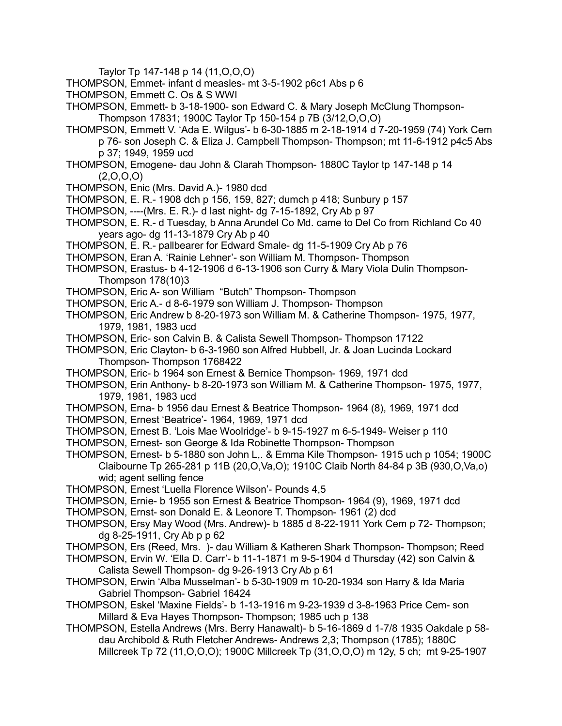Taylor Tp 147-148 p 14 (11,O,O,O)

- THOMPSON, Emmet- infant d measles- mt 3-5-1902 p6c1 Abs p 6
- THOMPSON, Emmett C. Os & S WWI
- THOMPSON, Emmett- b 3-18-1900- son Edward C. & Mary Joseph McClung Thompson-Thompson 17831; 1900C Taylor Tp 150-154 p 7B (3/12,O,O,O)
- THOMPSON, Emmett V. 'Ada E. Wilgus'- b 6-30-1885 m 2-18-1914 d 7-20-1959 (74) York Cem p 76- son Joseph C. & Eliza J. Campbell Thompson- Thompson; mt 11-6-1912 p4c5 Abs p 37; 1949, 1959 ucd
- THOMPSON, Emogene- dau John & Clarah Thompson- 1880C Taylor tp 147-148 p 14  $(2,0,0,0)$
- THOMPSON, Enic (Mrs. David A.)- 1980 dcd
- THOMPSON, E. R.- 1908 dch p 156, 159, 827; dumch p 418; Sunbury p 157
- THOMPSON, ----(Mrs. E. R.)- d last night- dg 7-15-1892, Cry Ab p 97
- THOMPSON, E. R.- d Tuesday, b Anna Arundel Co Md. came to Del Co from Richland Co 40 years ago- dg 11-13-1879 Cry Ab p 40
- THOMPSON, E. R.- pallbearer for Edward Smale- dg 11-5-1909 Cry Ab p 76
- THOMPSON, Eran A. 'Rainie Lehner'- son William M. Thompson- Thompson
- THOMPSON, Erastus- b 4-12-1906 d 6-13-1906 son Curry & Mary Viola Dulin Thompson-Thompson 178(10)3
- THOMPSON, Eric A- son William "Butch" Thompson- Thompson
- THOMPSON, Eric A.- d 8-6-1979 son William J. Thompson- Thompson
- THOMPSON, Eric Andrew b 8-20-1973 son William M. & Catherine Thompson- 1975, 1977, 1979, 1981, 1983 ucd
- THOMPSON, Eric- son Calvin B. & Calista Sewell Thompson- Thompson 17122
- THOMPSON, Eric Clayton- b 6-3-1960 son Alfred Hubbell, Jr. & Joan Lucinda Lockard Thompson- Thompson 1768422
- THOMPSON, Eric- b 1964 son Ernest & Bernice Thompson- 1969, 1971 dcd
- THOMPSON, Erin Anthony- b 8-20-1973 son William M. & Catherine Thompson- 1975, 1977, 1979, 1981, 1983 ucd
- THOMPSON, Erna- b 1956 dau Ernest & Beatrice Thompson- 1964 (8), 1969, 1971 dcd
- THOMPSON, Ernest 'Beatrice'- 1964, 1969, 1971 dcd
- THOMPSON, Ernest B. 'Lois Mae Woolridge'- b 9-15-1927 m 6-5-1949- Weiser p 110
- THOMPSON, Ernest- son George & Ida Robinette Thompson- Thompson
- THOMPSON, Ernest- b 5-1880 son John L,. & Emma Kile Thompson- 1915 uch p 1054; 1900C Claibourne Tp 265-281 p 11B (20,O,Va,O); 1910C Claib North 84-84 p 3B (930,O,Va,o) wid; agent selling fence
- THOMPSON, Ernest 'Luella Florence Wilson'- Pounds 4,5
- THOMPSON, Ernie- b 1955 son Ernest & Beatrice Thompson- 1964 (9), 1969, 1971 dcd
- THOMPSON, Ernst- son Donald E. & Leonore T. Thompson- 1961 (2) dcd
- THOMPSON, Ersy May Wood (Mrs. Andrew)- b 1885 d 8-22-1911 York Cem p 72- Thompson; dg 8-25-1911, Cry Ab p p 62
- THOMPSON, Ers (Reed, Mrs. )- dau William & Katheren Shark Thompson- Thompson; Reed
- THOMPSON, Ervin W. 'Ella D. Carr'- b 11-1-1871 m 9-5-1904 d Thursday (42) son Calvin & Calista Sewell Thompson- dg 9-26-1913 Cry Ab p 61
- THOMPSON, Erwin 'Alba Musselman'- b 5-30-1909 m 10-20-1934 son Harry & Ida Maria Gabriel Thompson- Gabriel 16424
- THOMPSON, Eskel 'Maxine Fields'- b 1-13-1916 m 9-23-1939 d 3-8-1963 Price Cem- son Millard & Eva Hayes Thompson- Thompson; 1985 uch p 138
- THOMPSON, Estella Andrews (Mrs. Berry Hanawalt)- b 5-16-1869 d 1-7/8 1935 Oakdale p 58 dau Archibold & Ruth Fletcher Andrews- Andrews 2,3; Thompson (1785); 1880C Millcreek Tp 72 (11,O,O,O); 1900C Millcreek Tp (31,O,O,O) m 12y, 5 ch; mt 9-25-1907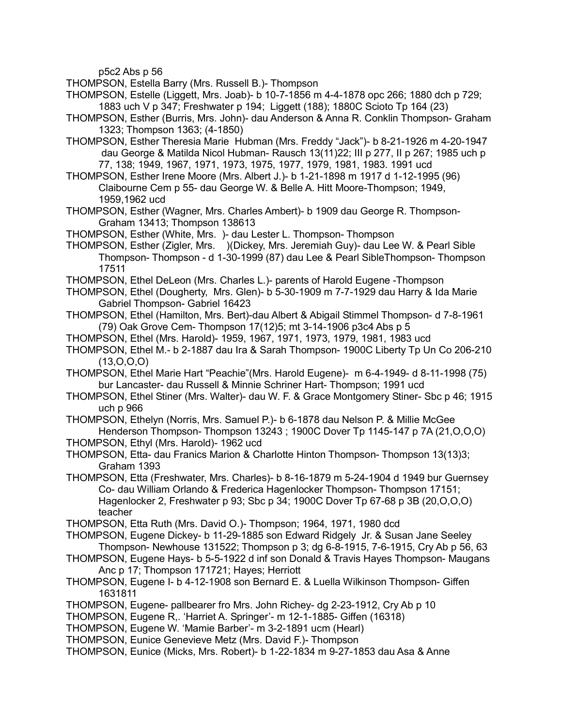p5c2 Abs p 56

THOMPSON, Estella Barry (Mrs. Russell B.)- Thompson

THOMPSON, Estelle (Liggett, Mrs. Joab)- b 10-7-1856 m 4-4-1878 opc 266; 1880 dch p 729; 1883 uch V p 347; Freshwater p 194; Liggett (188); 1880C Scioto Tp 164 (23)

THOMPSON, Esther (Burris, Mrs. John)- dau Anderson & Anna R. Conklin Thompson- Graham 1323; Thompson 1363; (4-1850)

THOMPSON, Esther Theresia Marie Hubman (Mrs. Freddy "Jack")- b 8-21-1926 m 4-20-1947 dau George & Matilda Nicol Hubman- Rausch 13(11)22; III p 277, II p 267; 1985 uch p 77, 138; 1949, 1967, 1971, 1973, 1975, 1977, 1979, 1981, 1983. 1991 ucd

THOMPSON, Esther Irene Moore (Mrs. Albert J.)- b 1-21-1898 m 1917 d 1-12-1995 (96) Claibourne Cem p 55- dau George W. & Belle A. Hitt Moore-Thompson; 1949, 1959,1962 ucd

THOMPSON, Esther (Wagner, Mrs. Charles Ambert)- b 1909 dau George R. Thompson-Graham 13413; Thompson 138613

THOMPSON, Esther (White, Mrs. )- dau Lester L. Thompson- Thompson

THOMPSON, Esther (Zigler, Mrs. )(Dickey, Mrs. Jeremiah Guy)- dau Lee W. & Pearl Sible Thompson- Thompson - d 1-30-1999 (87) dau Lee & Pearl SibleThompson- Thompson 17511

THOMPSON, Ethel DeLeon (Mrs. Charles L.)- parents of Harold Eugene -Thompson

THOMPSON, Ethel (Dougherty, Mrs. Glen)- b 5-30-1909 m 7-7-1929 dau Harry & Ida Marie Gabriel Thompson- Gabriel 16423

THOMPSON, Ethel (Hamilton, Mrs. Bert)-dau Albert & Abigail Stimmel Thompson- d 7-8-1961 (79) Oak Grove Cem- Thompson 17(12)5; mt 3-14-1906 p3c4 Abs p 5

THOMPSON, Ethel (Mrs. Harold)- 1959, 1967, 1971, 1973, 1979, 1981, 1983 ucd

THOMPSON, Ethel M.- b 2-1887 dau Ira & Sarah Thompson- 1900C Liberty Tp Un Co 206-210  $(13,0,0,0)$ 

THOMPSON, Ethel Marie Hart "Peachie"(Mrs. Harold Eugene)- m 6-4-1949- d 8-11-1998 (75) bur Lancaster- dau Russell & Minnie Schriner Hart- Thompson; 1991 ucd

THOMPSON, Ethel Stiner (Mrs. Walter)- dau W. F. & Grace Montgomery Stiner- Sbc p 46; 1915 uch p 966

THOMPSON, Ethelyn (Norris, Mrs. Samuel P.)- b 6-1878 dau Nelson P. & Millie McGee Henderson Thompson- Thompson 13243 ; 1900C Dover Tp 1145-147 p 7A (21,O,O,O)

THOMPSON, Ethyl (Mrs. Harold)- 1962 ucd

THOMPSON, Etta- dau Franics Marion & Charlotte Hinton Thompson- Thompson 13(13)3; Graham 1393

THOMPSON, Etta (Freshwater, Mrs. Charles)- b 8-16-1879 m 5-24-1904 d 1949 bur Guernsey Co- dau William Orlando & Frederica Hagenlocker Thompson- Thompson 17151; Hagenlocker 2, Freshwater p 93; Sbc p 34; 1900C Dover Tp 67-68 p 3B (20,O,O,O) teacher

THOMPSON, Etta Ruth (Mrs. David O.)- Thompson; 1964, 1971, 1980 dcd

THOMPSON, Eugene Dickey- b 11-29-1885 son Edward Ridgely Jr. & Susan Jane Seeley Thompson- Newhouse 131522; Thompson p 3; dg 6-8-1915, 7-6-1915, Cry Ab p 56, 63

THOMPSON, Eugene Hays- b 5-5-1922 d inf son Donald & Travis Hayes Thompson- Maugans Anc p 17; Thompson 171721; Hayes; Herriott

THOMPSON, Eugene I- b 4-12-1908 son Bernard E. & Luella Wilkinson Thompson- Giffen 1631811

THOMPSON, Eugene- pallbearer fro Mrs. John Richey- dg 2-23-1912, Cry Ab p 10

THOMPSON, Eugene R,. 'Harriet A. Springer'- m 12-1-1885- Giffen (16318)

THOMPSON, Eugene W. 'Mamie Barber'- m 3-2-1891 ucm (Hearl)

THOMPSON, Eunice Genevieve Metz (Mrs. David F.)- Thompson

THOMPSON, Eunice (Micks, Mrs. Robert)- b 1-22-1834 m 9-27-1853 dau Asa & Anne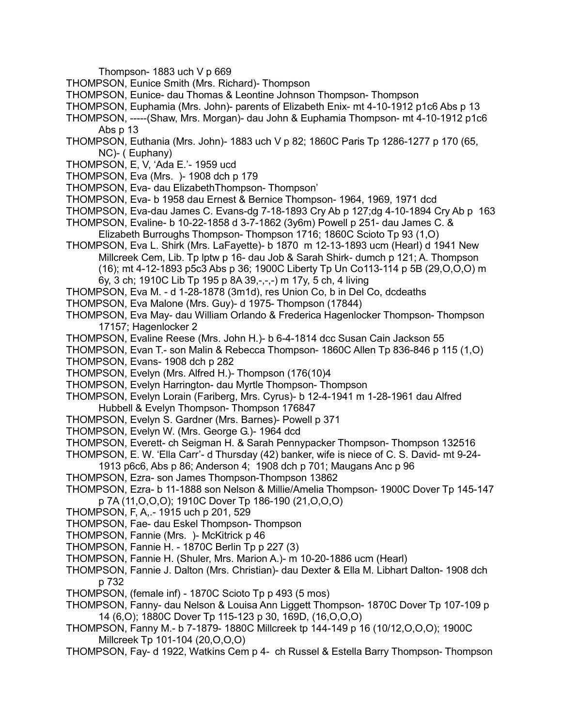Thompson- 1883 uch V p 669

- THOMPSON, Eunice Smith (Mrs. Richard)- Thompson
- THOMPSON, Eunice- dau Thomas & Leontine Johnson Thompson- Thompson
- THOMPSON, Euphamia (Mrs. John)- parents of Elizabeth Enix- mt 4-10-1912 p1c6 Abs p 13
- THOMPSON, -----(Shaw, Mrs. Morgan)- dau John & Euphamia Thompson- mt 4-10-1912 p1c6 Abs p 13
- THOMPSON, Euthania (Mrs. John)- 1883 uch V p 82; 1860C Paris Tp 1286-1277 p 170 (65, NC)- ( Euphany)
- THOMPSON, E, V, 'Ada E.'- 1959 ucd
- THOMPSON, Eva (Mrs. )- 1908 dch p 179
- THOMPSON, Eva- dau ElizabethThompson- Thompson'
- THOMPSON, Eva- b 1958 dau Ernest & Bernice Thompson- 1964, 1969, 1971 dcd
- THOMPSON, Eva-dau James C. Evans-dg 7-18-1893 Cry Ab p 127;dg 4-10-1894 Cry Ab p 163 THOMPSON, Evaline- b 10-22-1858 d 3-7-1862 (3y6m) Powell p 251- dau James C. &
	- Elizabeth Burroughs Thompson- Thompson 1716; 1860C Scioto Tp 93 (1,O)
- THOMPSON, Eva L. Shirk (Mrs. LaFayette)- b 1870 m 12-13-1893 ucm (Hearl) d 1941 New Millcreek Cem, Lib. Tp lptw p 16- dau Job & Sarah Shirk- dumch p 121; A. Thompson (16); mt 4-12-1893 p5c3 Abs p 36; 1900C Liberty Tp Un Co113-114 p 5B (29,O,O,O) m 6y, 3 ch; 1910C Lib Tp 195 p 8A 39,-,-,-) m 17y, 5 ch, 4 living
- THOMPSON, Eva M. d 1-28-1878 (3m1d), res Union Co, b in Del Co, dcdeaths
- THOMPSON, Eva Malone (Mrs. Guy)- d 1975- Thompson (17844)
- THOMPSON, Eva May- dau William Orlando & Frederica Hagenlocker Thompson- Thompson 17157; Hagenlocker 2
- THOMPSON, Evaline Reese (Mrs. John H.)- b 6-4-1814 dcc Susan Cain Jackson 55
- THOMPSON, Evan T.- son Malin & Rebecca Thompson- 1860C Allen Tp 836-846 p 115 (1,O)
- THOMPSON, Evans- 1908 dch p 282
- THOMPSON, Evelyn (Mrs. Alfred H.)- Thompson (176(10)4
- THOMPSON, Evelyn Harrington- dau Myrtle Thompson- Thompson
- THOMPSON, Evelyn Lorain (Fariberg, Mrs. Cyrus)- b 12-4-1941 m 1-28-1961 dau Alfred Hubbell & Evelyn Thompson- Thompson 176847
- THOMPSON, Evelyn S. Gardner (Mrs. Barnes)- Powell p 371
- THOMPSON, Evelyn W. (Mrs. George G.)- 1964 dcd
- THOMPSON, Everett- ch Seigman H. & Sarah Pennypacker Thompson- Thompson 132516
- THOMPSON, E. W. 'Ella Carr'- d Thursday (42) banker, wife is niece of C. S. David- mt 9-24-
- 1913 p6c6, Abs p 86; Anderson 4; 1908 dch p 701; Maugans Anc p 96
- THOMPSON, Ezra- son James Thompson-Thompson 13862
- THOMPSON, Ezra- b 11-1888 son Nelson & Millie/Amelia Thompson- 1900C Dover Tp 145-147 p 7A (11,O,O,O); 1910C Dover Tp 186-190 (21,O,O,O)
- THOMPSON, F, A,.- 1915 uch p 201, 529
- THOMPSON, Fae- dau Eskel Thompson- Thompson
- THOMPSON, Fannie (Mrs. )- McKitrick p 46
- THOMPSON, Fannie H. 1870C Berlin Tp p 227 (3)
- THOMPSON, Fannie H. (Shuler, Mrs. Marion A.)- m 10-20-1886 ucm (Hearl)
- THOMPSON, Fannie J. Dalton (Mrs. Christian)- dau Dexter & Ella M. Libhart Dalton- 1908 dch p 732
- THOMPSON, (female inf) 1870C Scioto Tp p 493 (5 mos)
- THOMPSON, Fanny- dau Nelson & Louisa Ann Liggett Thompson- 1870C Dover Tp 107-109 p 14 (6,O); 1880C Dover Tp 115-123 p 30, 169D, (16,O,O,O)
- THOMPSON, Fanny M.- b 7-1879- 1880C Millcreek tp 144-149 p 16 (10/12,O,O,O); 1900C Millcreek Tp 101-104 (20,O,O,O)
- THOMPSON, Fay- d 1922, Watkins Cem p 4- ch Russel & Estella Barry Thompson- Thompson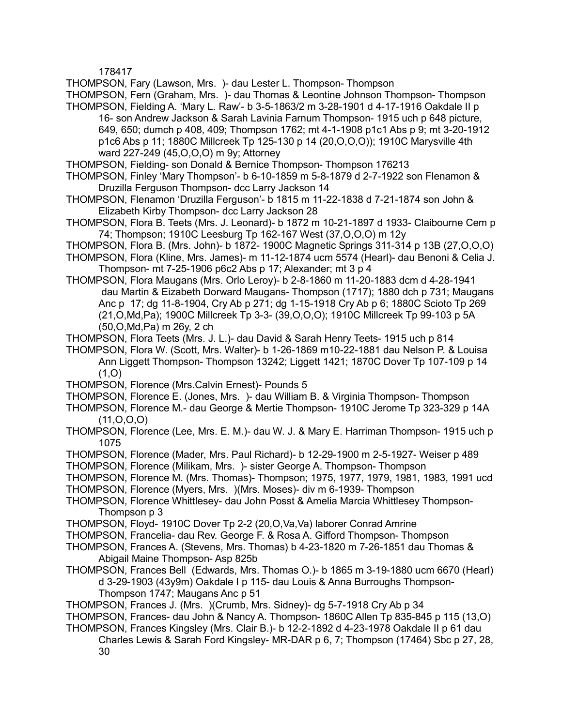178417

THOMPSON, Fary (Lawson, Mrs. )- dau Lester L. Thompson- Thompson

THOMPSON, Fern (Graham, Mrs. )- dau Thomas & Leontine Johnson Thompson- Thompson THOMPSON, Fielding A. 'Mary L. Raw'- b 3-5-1863/2 m 3-28-1901 d 4-17-1916 Oakdale II p

- 16- son Andrew Jackson & Sarah Lavinia Farnum Thompson- 1915 uch p 648 picture, 649, 650; dumch p 408, 409; Thompson 1762; mt 4-1-1908 p1c1 Abs p 9; mt 3-20-1912 p1c6 Abs p 11; 1880C Millcreek Tp 125-130 p 14 (20,O,O,O)); 1910C Marysville 4th ward 227-249 (45,O,O,O) m 9y; Attorney
- THOMPSON, Fielding- son Donald & Bernice Thompson- Thompson 176213
- THOMPSON, Finley 'Mary Thompson'- b 6-10-1859 m 5-8-1879 d 2-7-1922 son Flenamon & Druzilla Ferguson Thompson- dcc Larry Jackson 14
- THOMPSON, Flenamon 'Druzilla Ferguson'- b 1815 m 11-22-1838 d 7-21-1874 son John & Elizabeth Kirby Thompson- dcc Larry Jackson 28
- THOMPSON, Flora B. Teets (Mrs. J. Leonard)- b 1872 m 10-21-1897 d 1933- Claibourne Cem p 74; Thompson; 1910C Leesburg Tp 162-167 West (37,O,O,O) m 12y
- THOMPSON, Flora B. (Mrs. John)- b 1872- 1900C Magnetic Springs 311-314 p 13B (27,O,O,O)
- THOMPSON, Flora (Kline, Mrs. James)- m 11-12-1874 ucm 5574 (Hearl)- dau Benoni & Celia J. Thompson- mt 7-25-1906 p6c2 Abs p 17; Alexander; mt 3 p 4
- THOMPSON, Flora Maugans (Mrs. Orlo Leroy)- b 2-8-1860 m 11-20-1883 dcm d 4-28-1941 dau Martin & Eizabeth Dorward Maugans- Thompson (1717); 1880 dch p 731; Maugans Anc p 17; dg 11-8-1904, Cry Ab p 271; dg 1-15-1918 Cry Ab p 6; 1880C Scioto Tp 269 (21,O,Md,Pa); 1900C Millcreek Tp 3-3- (39,O,O,O); 1910C Millcreek Tp 99-103 p 5A (50,O,Md,Pa) m 26y, 2 ch
- THOMPSON, Flora Teets (Mrs. J. L.)- dau David & Sarah Henry Teets- 1915 uch p 814
- THOMPSON, Flora W. (Scott, Mrs. Walter)- b 1-26-1869 m10-22-1881 dau Nelson P. & Louisa Ann Liggett Thompson- Thompson 13242; Liggett 1421; 1870C Dover Tp 107-109 p 14  $(1,0)$
- THOMPSON, Florence (Mrs.Calvin Ernest)- Pounds 5
- THOMPSON, Florence E. (Jones, Mrs. )- dau William B. & Virginia Thompson- Thompson
- THOMPSON, Florence M.- dau George & Mertie Thompson- 1910C Jerome Tp 323-329 p 14A (11,O,O,O)
- THOMPSON, Florence (Lee, Mrs. E. M.)- dau W. J. & Mary E. Harriman Thompson- 1915 uch p 1075
- THOMPSON, Florence (Mader, Mrs. Paul Richard)- b 12-29-1900 m 2-5-1927- Weiser p 489
- THOMPSON, Florence (Milikam, Mrs. )- sister George A. Thompson- Thompson
- THOMPSON, Florence M. (Mrs. Thomas)- Thompson; 1975, 1977, 1979, 1981, 1983, 1991 ucd
- THOMPSON, Florence (Myers, Mrs. )(Mrs. Moses)- div m 6-1939- Thompson
- THOMPSON, Florence Whittlesey- dau John Posst & Amelia Marcia Whittlesey Thompson-Thompson p 3
- THOMPSON, Floyd- 1910C Dover Tp 2-2 (20,O,Va,Va) laborer Conrad Amrine
- THOMPSON, Francelia- dau Rev. George F. & Rosa A. Gifford Thompson- Thompson
- THOMPSON, Frances A. (Stevens, Mrs. Thomas) b 4-23-1820 m 7-26-1851 dau Thomas & Abigail Maine Thompson- Asp 825b
- THOMPSON, Frances Bell (Edwards, Mrs. Thomas O.)- b 1865 m 3-19-1880 ucm 6670 (Hearl) d 3-29-1903 (43y9m) Oakdale I p 115- dau Louis & Anna Burroughs Thompson-Thompson 1747; Maugans Anc p 51
- THOMPSON, Frances J. (Mrs. )(Crumb, Mrs. Sidney)- dg 5-7-1918 Cry Ab p 34
- THOMPSON, Frances- dau John & Nancy A. Thompson- 1860C Allen Tp 835-845 p 115 (13,O)
- THOMPSON, Frances Kingsley (Mrs. Clair B.)- b 12-2-1892 d 4-23-1978 Oakdale II p 61 dau Charles Lewis & Sarah Ford Kingsley- MR-DAR p 6, 7; Thompson (17464) Sbc p 27, 28, 30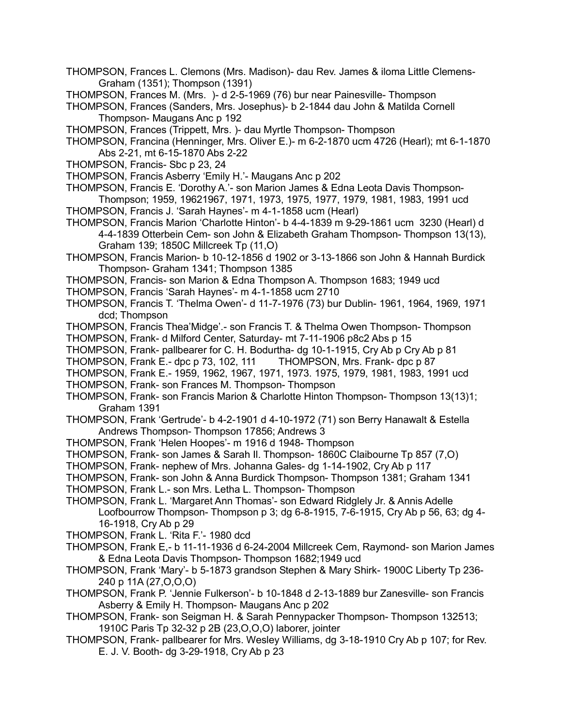- THOMPSON, Frances L. Clemons (Mrs. Madison)- dau Rev. James & iloma Little Clemens-Graham (1351); Thompson (1391)
- THOMPSON, Frances M. (Mrs. )- d 2-5-1969 (76) bur near Painesville- Thompson

THOMPSON, Frances (Sanders, Mrs. Josephus)- b 2-1844 dau John & Matilda Cornell Thompson- Maugans Anc p 192

- THOMPSON, Frances (Trippett, Mrs. )- dau Myrtle Thompson- Thompson
- THOMPSON, Francina (Henninger, Mrs. Oliver E.)- m 6-2-1870 ucm 4726 (Hearl); mt 6-1-1870 Abs 2-21, mt 6-15-1870 Abs 2-22
- THOMPSON, Francis- Sbc p 23, 24
- THOMPSON, Francis Asberry 'Emily H.'- Maugans Anc p 202
- THOMPSON, Francis E. 'Dorothy A.'- son Marion James & Edna Leota Davis Thompson-Thompson; 1959, 19621967, 1971, 1973, 1975, 1977, 1979, 1981, 1983, 1991 ucd
- THOMPSON, Francis J. 'Sarah Haynes'- m 4-1-1858 ucm (Hearl)
- THOMPSON, Francis Marion 'Charlotte Hinton'- b 4-4-1839 m 9-29-1861 ucm 3230 (Hearl) d 4-4-1839 Otterbein Cem- son John & Elizabeth Graham Thompson- Thompson 13(13), Graham 139; 1850C Millcreek Tp (11,O)
- THOMPSON, Francis Marion- b 10-12-1856 d 1902 or 3-13-1866 son John & Hannah Burdick Thompson- Graham 1341; Thompson 1385
- THOMPSON, Francis- son Marion & Edna Thompson A. Thompson 1683; 1949 ucd
- THOMPSON, Francis 'Sarah Haynes'- m 4-1-1858 ucm 2710
- THOMPSON, Francis T. 'Thelma Owen'- d 11-7-1976 (73) bur Dublin- 1961, 1964, 1969, 1971 dcd; Thompson
- THOMPSON, Francis Thea'Midge'.- son Francis T. & Thelma Owen Thompson- Thompson
- THOMPSON, Frank- d Milford Center, Saturday- mt 7-11-1906 p8c2 Abs p 15
- THOMPSON, Frank- pallbearer for C. H. Bodurtha- dg 10-1-1915, Cry Ab p Cry Ab p 81
- THOMPSON, Frank E.- dpc p 73, 102, 111 THOMPSON, Mrs. Frank- dpc p 87
- THOMPSON, Frank E.- 1959, 1962, 1967, 1971, 1973. 1975, 1979, 1981, 1983, 1991 ucd
- THOMPSON, Frank- son Frances M. Thompson- Thompson
- THOMPSON, Frank- son Francis Marion & Charlotte Hinton Thompson- Thompson 13(13)1; Graham 1391
- THOMPSON, Frank 'Gertrude'- b 4-2-1901 d 4-10-1972 (71) son Berry Hanawalt & Estella Andrews Thompson- Thompson 17856; Andrews 3
- THOMPSON, Frank 'Helen Hoopes'- m 1916 d 1948- Thompson
- THOMPSON, Frank- son James & Sarah Il. Thompson- 1860C Claibourne Tp 857 (7,O)
- THOMPSON, Frank- nephew of Mrs. Johanna Gales- dg 1-14-1902, Cry Ab p 117
- THOMPSON, Frank- son John & Anna Burdick Thompson- Thompson 1381; Graham 1341
- THOMPSON, Frank L.- son Mrs. Letha L. Thompson- Thompson
- THOMPSON, Frank L. 'Margaret Ann Thomas'- son Edward Ridglely Jr. & Annis Adelle Loofbourrow Thompson- Thompson p 3; dg 6-8-1915, 7-6-1915, Cry Ab p 56, 63; dg 4- 16-1918, Cry Ab p 29

THOMPSON, Frank L. 'Rita F.'- 1980 dcd

- THOMPSON, Frank E,- b 11-11-1936 d 6-24-2004 Millcreek Cem, Raymond- son Marion James & Edna Leota Davis Thompson- Thompson 1682;1949 ucd
- THOMPSON, Frank 'Mary'- b 5-1873 grandson Stephen & Mary Shirk- 1900C Liberty Tp 236- 240 p 11A (27,O,O,O)
- THOMPSON, Frank P. 'Jennie Fulkerson'- b 10-1848 d 2-13-1889 bur Zanesville- son Francis Asberry & Emily H. Thompson- Maugans Anc p 202
- THOMPSON, Frank- son Seigman H. & Sarah Pennypacker Thompson- Thompson 132513; 1910C Paris Tp 32-32 p 2B (23,O,O,O) laborer, jointer
- THOMPSON, Frank- pallbearer for Mrs. Wesley Williams, dg 3-18-1910 Cry Ab p 107; for Rev. E. J. V. Booth- dg 3-29-1918, Cry Ab p 23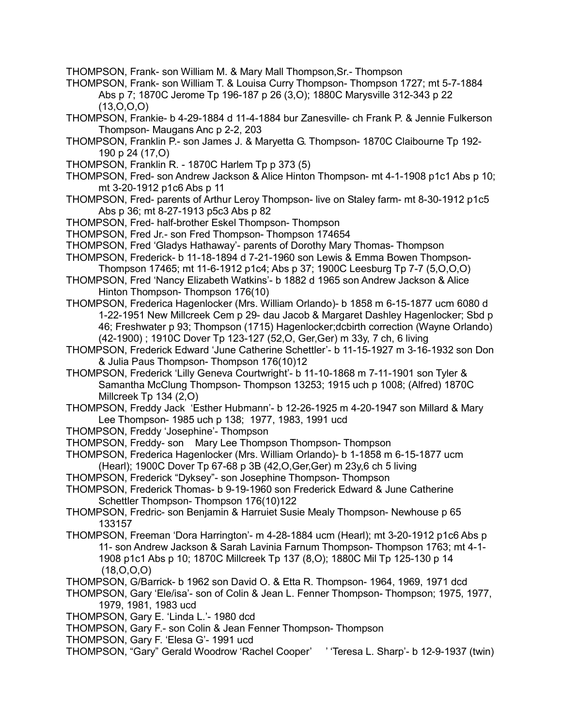THOMPSON, Frank- son William M. & Mary Mall Thompson,Sr.- Thompson

THOMPSON, Frank- son William T. & Louisa Curry Thompson- Thompson 1727; mt 5-7-1884 Abs p 7; 1870C Jerome Tp 196-187 p 26 (3,O); 1880C Marysville 312-343 p 22 (13,O,O,O)

- THOMPSON, Frankie- b 4-29-1884 d 11-4-1884 bur Zanesville- ch Frank P. & Jennie Fulkerson Thompson- Maugans Anc p 2-2, 203
- THOMPSON, Franklin P.- son James J. & Maryetta G. Thompson- 1870C Claibourne Tp 192- 190 p 24 (17,O)
- THOMPSON, Franklin R. 1870C Harlem Tp p 373 (5)
- THOMPSON, Fred- son Andrew Jackson & Alice Hinton Thompson- mt 4-1-1908 p1c1 Abs p 10; mt 3-20-1912 p1c6 Abs p 11
- THOMPSON, Fred- parents of Arthur Leroy Thompson- live on Staley farm- mt 8-30-1912 p1c5 Abs p 36; mt 8-27-1913 p5c3 Abs p 82
- THOMPSON, Fred- half-brother Eskel Thompson- Thompson
- THOMPSON, Fred Jr.- son Fred Thompson- Thompson 174654
- THOMPSON, Fred 'Gladys Hathaway'- parents of Dorothy Mary Thomas- Thompson
- THOMPSON, Frederick- b 11-18-1894 d 7-21-1960 son Lewis & Emma Bowen Thompson-Thompson 17465; mt 11-6-1912 p1c4; Abs p 37; 1900C Leesburg Tp 7-7 (5,O,O,O)
- THOMPSON, Fred 'Nancy Elizabeth Watkins'- b 1882 d 1965 son Andrew Jackson & Alice Hinton Thompson- Thompson 176(10)
- THOMPSON, Frederica Hagenlocker (Mrs. William Orlando)- b 1858 m 6-15-1877 ucm 6080 d 1-22-1951 New Millcreek Cem p 29- dau Jacob & Margaret Dashley Hagenlocker; Sbd p 46; Freshwater p 93; Thompson (1715) Hagenlocker;dcbirth correction (Wayne Orlando) (42-1900) ; 1910C Dover Tp 123-127 (52,O, Ger,Ger) m 33y, 7 ch, 6 living
- THOMPSON, Frederick Edward 'June Catherine Schettler'- b 11-15-1927 m 3-16-1932 son Don & Julia Paus Thompson- Thompson 176(10)12
- THOMPSON, Frederick 'Lilly Geneva Courtwright'- b 11-10-1868 m 7-11-1901 son Tyler & Samantha McClung Thompson- Thompson 13253; 1915 uch p 1008; (Alfred) 1870C Millcreek Tp 134 (2,O)

THOMPSON, Freddy Jack 'Esther Hubmann'- b 12-26-1925 m 4-20-1947 son Millard & Mary Lee Thompson- 1985 uch p 138; 1977, 1983, 1991 ucd

- THOMPSON, Freddy 'Josephine'- Thompson
- THOMPSON, Freddy- son Mary Lee Thompson Thompson- Thompson
- THOMPSON, Frederica Hagenlocker (Mrs. William Orlando)- b 1-1858 m 6-15-1877 ucm (Hearl); 1900C Dover Tp 67-68 p 3B (42,O,Ger,Ger) m 23y,6 ch 5 living
- THOMPSON, Frederick "Dyksey"- son Josephine Thompson- Thompson
- THOMPSON, Frederick Thomas- b 9-19-1960 son Frederick Edward & June Catherine Schettler Thompson- Thompson 176(10)122
- THOMPSON, Fredric- son Benjamin & Harruiet Susie Mealy Thompson- Newhouse p 65 133157
- THOMPSON, Freeman 'Dora Harrington'- m 4-28-1884 ucm (Hearl); mt 3-20-1912 p1c6 Abs p 11- son Andrew Jackson & Sarah Lavinia Farnum Thompson- Thompson 1763; mt 4-1- 1908 p1c1 Abs p 10; 1870C Millcreek Tp 137 (8,O); 1880C Mil Tp 125-130 p 14 (18,O,O,O)
- THOMPSON, G/Barrick- b 1962 son David O. & Etta R. Thompson- 1964, 1969, 1971 dcd
- THOMPSON, Gary 'Ele/isa'- son of Colin & Jean L. Fenner Thompson- Thompson; 1975, 1977, 1979, 1981, 1983 ucd
- THOMPSON, Gary E. 'Linda L.'- 1980 dcd
- THOMPSON, Gary F.- son Colin & Jean Fenner Thompson- Thompson
- THOMPSON, Gary F. 'Elesa G'- 1991 ucd
- THOMPSON, "Gary" Gerald Woodrow 'Rachel Cooper' ' 'Teresa L. Sharp'- b 12-9-1937 (twin)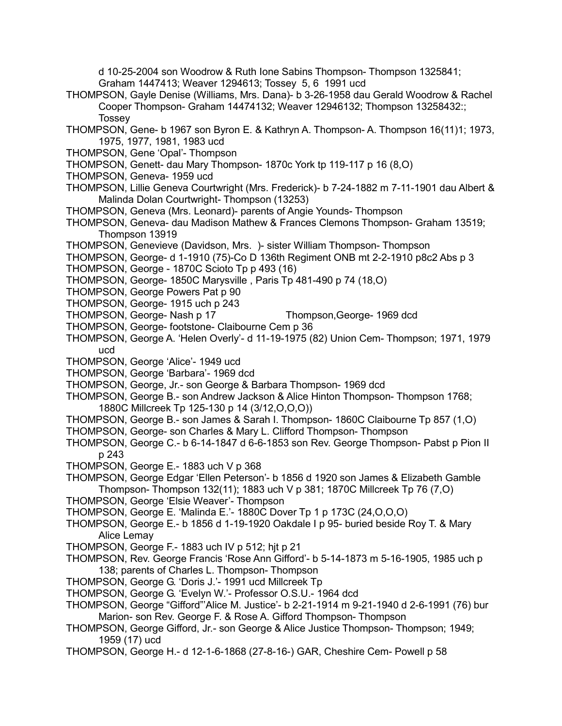d 10-25-2004 son Woodrow & Ruth Ione Sabins Thompson- Thompson 1325841; Graham 1447413; Weaver 1294613; Tossey 5, 6 1991 ucd

- THOMPSON, Gayle Denise (Williams, Mrs. Dana)- b 3-26-1958 dau Gerald Woodrow & Rachel Cooper Thompson- Graham 14474132; Weaver 12946132; Thompson 13258432:; **Tossey**
- THOMPSON, Gene- b 1967 son Byron E. & Kathryn A. Thompson- A. Thompson 16(11)1; 1973, 1975, 1977, 1981, 1983 ucd
- THOMPSON, Gene 'Opal'- Thompson
- THOMPSON, Genett- dau Mary Thompson- 1870c York tp 119-117 p 16 (8,O)
- THOMPSON, Geneva- 1959 ucd
- THOMPSON, Lillie Geneva Courtwright (Mrs. Frederick)- b 7-24-1882 m 7-11-1901 dau Albert & Malinda Dolan Courtwright- Thompson (13253)
- THOMPSON, Geneva (Mrs. Leonard)- parents of Angie Younds- Thompson
- THOMPSON, Geneva- dau Madison Mathew & Frances Clemons Thompson- Graham 13519; Thompson 13919
- THOMPSON, Genevieve (Davidson, Mrs. )- sister William Thompson- Thompson
- THOMPSON, George- d 1-1910 (75)-Co D 136th Regiment ONB mt 2-2-1910 p8c2 Abs p 3
- THOMPSON, George 1870C Scioto Tp p 493 (16)
- THOMPSON, George- 1850C Marysville , Paris Tp 481-490 p 74 (18,O)
- THOMPSON, George Powers Pat p 90
- THOMPSON, George- 1915 uch p 243
- THOMPSON, George- Nash p 17 Thompson,George- 1969 dcd
- THOMPSON, George- footstone- Claibourne Cem p 36
- THOMPSON, George A. 'Helen Overly'- d 11-19-1975 (82) Union Cem- Thompson; 1971, 1979 ucd
- THOMPSON, George 'Alice'- 1949 ucd
- THOMPSON, George 'Barbara'- 1969 dcd
- THOMPSON, George, Jr.- son George & Barbara Thompson- 1969 dcd
- THOMPSON, George B.- son Andrew Jackson & Alice Hinton Thompson- Thompson 1768; 1880C Millcreek Tp 125-130 p 14 (3/12,O,O,O))
- THOMPSON, George B.- son James & Sarah I. Thompson- 1860C Claibourne Tp 857 (1,O)
- THOMPSON, George- son Charles & Mary L. Clifford Thompson- Thompson
- THOMPSON, George C.- b 6-14-1847 d 6-6-1853 son Rev. George Thompson- Pabst p Pion II p 243
- THOMPSON, George E.- 1883 uch V p 368
- THOMPSON, George Edgar 'Ellen Peterson'- b 1856 d 1920 son James & Elizabeth Gamble Thompson- Thompson 132(11); 1883 uch V p 381; 1870C Millcreek Tp 76 (7,O)
- THOMPSON, George 'Elsie Weaver'- Thompson
- THOMPSON, George E. 'Malinda E.'- 1880C Dover Tp 1 p 173C (24,O,O,O)
- THOMPSON, George E.- b 1856 d 1-19-1920 Oakdale I p 95- buried beside Roy T. & Mary Alice Lemay
- THOMPSON, George F.- 1883 uch IV p 512; hjt p 21
- THOMPSON, Rev. George Francis 'Rose Ann Gifford'- b 5-14-1873 m 5-16-1905, 1985 uch p 138; parents of Charles L. Thompson- Thompson
- THOMPSON, George G. 'Doris J.'- 1991 ucd Millcreek Tp
- THOMPSON, George G. 'Evelyn W.'- Professor O.S.U.- 1964 dcd
- THOMPSON, George "Gifford"'Alice M. Justice'- b 2-21-1914 m 9-21-1940 d 2-6-1991 (76) bur Marion- son Rev. George F. & Rose A. Gifford Thompson- Thompson
- THOMPSON, George Gifford, Jr.- son George & Alice Justice Thompson- Thompson; 1949; 1959 (17) ucd
- THOMPSON, George H.- d 12-1-6-1868 (27-8-16-) GAR, Cheshire Cem- Powell p 58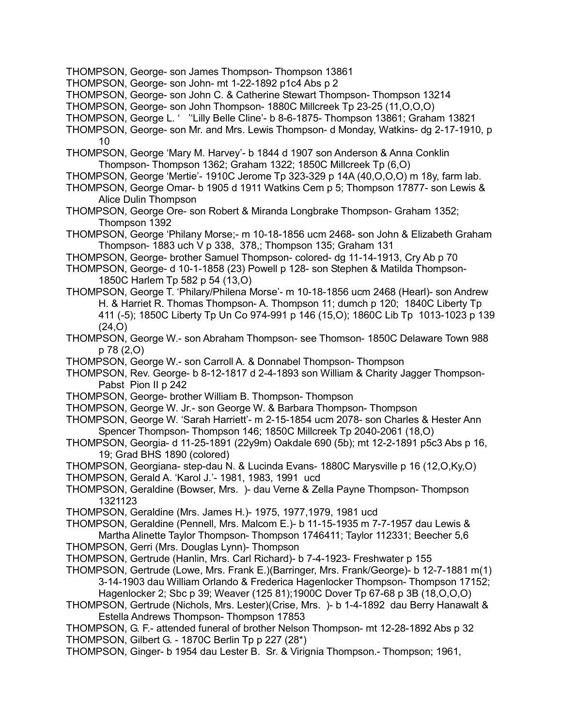- THOMPSON, George- son James Thompson- Thompson 13861
- THOMPSON, George- son John- mt 1-22-1892 p1c4 Abs p 2
- THOMPSON, George- son John C. & Catherine Stewart Thompson- Thompson 13214
- THOMPSON, George- son John Thompson- 1880C Millcreek Tp 23-25 (11,O,O,O)
- THOMPSON, George L. ' ''Lilly Belle Cline'- b 8-6-1875- Thompson 13861; Graham 13821
- THOMPSON, George- son Mr. and Mrs. Lewis Thompson- d Monday, Watkins- dg 2-17-1910, p 10
- THOMPSON, George 'Mary M. Harvey'- b 1844 d 1907 son Anderson & Anna Conklin Thompson- Thompson 1362; Graham 1322; 1850C Millcreek Tp (6,O)
- THOMPSON, George 'Mertie'- 1910C Jerome Tp 323-329 p 14A (40,O,O,O) m 18y, farm lab.
- THOMPSON, George Omar- b 1905 d 1911 Watkins Cem p 5; Thompson 17877- son Lewis & Alice Dulin Thompson
- THOMPSON, George Ore- son Robert & Miranda Longbrake Thompson- Graham 1352; Thompson 1392
- THOMPSON, George 'Philany Morse;- m 10-18-1856 ucm 2468- son John & Elizabeth Graham Thompson- 1883 uch V p 338, 378,; Thompson 135; Graham 131
- THOMPSON, George- brother Samuel Thompson- colored- dg 11-14-1913, Cry Ab p 70
- THOMPSON, George- d 10-1-1858 (23) Powell p 128- son Stephen & Matilda Thompson-1850C Harlem Tp 582 p 54 (13,O)
- THOMPSON, George T. 'Philary/Philena Morse'- m 10-18-1856 ucm 2468 (Hearl)- son Andrew H. & Harriet R. Thomas Thompson- A. Thompson 11; dumch p 120; 1840C Liberty Tp 411 (-5); 1850C Liberty Tp Un Co 974-991 p 146 (15,O); 1860C Lib Tp 1013-1023 p 139 (24,O)
- THOMPSON, George W.- son Abraham Thompson- see Thomson- 1850C Delaware Town 988 p 78 (2,O)
- THOMPSON, George W.- son Carroll A. & Donnabel Thompson- Thompson
- THOMPSON, Rev. George- b 8-12-1817 d 2-4-1893 son William & Charity Jagger Thompson-Pabst Pion II p 242
- THOMPSON, George- brother William B. Thompson- Thompson
- THOMPSON, George W. Jr.- son George W. & Barbara Thompson- Thompson
- THOMPSON, George W. 'Sarah Harriett'- m 2-15-1854 ucm 2078- son Charles & Hester Ann Spencer Thompson- Thompson 146; 1850C Millcreek Tp 2040-2061 (18,O)
- THOMPSON, Georgia- d 11-25-1891 (22y9m) Oakdale 690 (5b); mt 12-2-1891 p5c3 Abs p 16, 19; Grad BHS 1890 (colored)
- THOMPSON, Georgiana- step-dau N. & Lucinda Evans- 1880C Marysville p 16 (12,O,Ky,O)
- THOMPSON, Gerald A. 'Karol J.'- 1981, 1983, 1991 ucd
- THOMPSON, Geraldine (Bowser, Mrs. )- dau Verne & Zella Payne Thompson- Thompson 1321123
- THOMPSON, Geraldine (Mrs. James H.)- 1975, 1977,1979, 1981 ucd
- THOMPSON, Geraldine (Pennell, Mrs. Malcom E.)- b 11-15-1935 m 7-7-1957 dau Lewis & Martha Alinette Taylor Thompson- Thompson 1746411; Taylor 112331; Beecher 5,6
- THOMPSON, Gerri (Mrs. Douglas Lynn)- Thompson
- THOMPSON, Gertrude (Hanlin, Mrs. Carl Richard)- b 7-4-1923- Freshwater p 155
- THOMPSON, Gertrude (Lowe, Mrs. Frank E.)(Barringer, Mrs. Frank/George)- b 12-7-1881 m(1) 3-14-1903 dau William Orlando & Frederica Hagenlocker Thompson- Thompson 17152; Hagenlocker 2; Sbc p 39; Weaver (125 81);1900C Dover Tp 67-68 p 3B (18,O,O,O)
- THOMPSON, Gertrude (Nichols, Mrs. Lester)(Crise, Mrs. )- b 1-4-1892 dau Berry Hanawalt & Estella Andrews Thompson- Thompson 17853

THOMPSON, G. F.- attended funeral of brother Nelson Thompson- mt 12-28-1892 Abs p 32 THOMPSON, Gilbert G. - 1870C Berlin Tp p 227 (28\*)

THOMPSON, Ginger- b 1954 dau Lester B. Sr. & Virignia Thompson.- Thompson; 1961,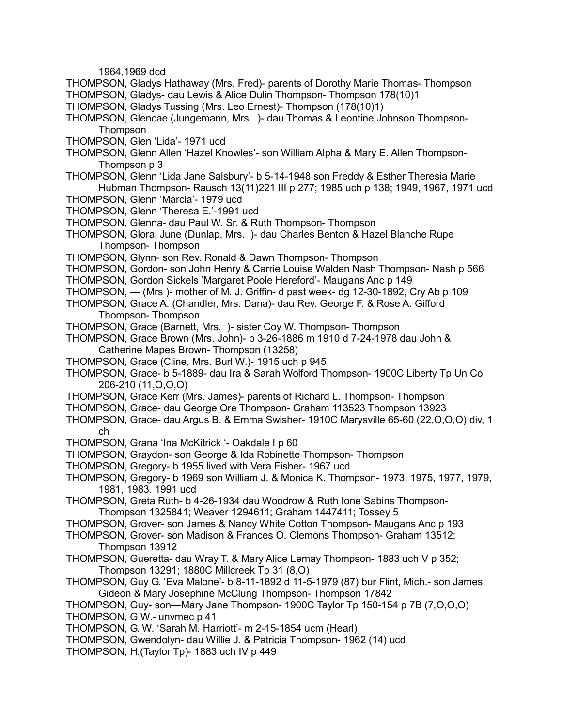1964,1969 dcd

- THOMPSON, Gladys Hathaway (Mrs. Fred)- parents of Dorothy Marie Thomas- Thompson
- THOMPSON, Gladys- dau Lewis & Alice Dulin Thompson- Thompson 178(10)1
- THOMPSON, Gladys Tussing (Mrs. Leo Ernest)- Thompson (178(10)1)
- THOMPSON, Glencae (Jungemann, Mrs. )- dau Thomas & Leontine Johnson Thompson-**Thompson**
- THOMPSON, Glen 'Lida'- 1971 ucd
- THOMPSON, Glenn Allen 'Hazel Knowles'- son William Alpha & Mary E. Allen Thompson-Thompson p 3
- THOMPSON, Glenn 'Lida Jane Salsbury'- b 5-14-1948 son Freddy & Esther Theresia Marie Hubman Thompson- Rausch 13(11)221 III p 277; 1985 uch p 138; 1949, 1967, 1971 ucd
- THOMPSON, Glenn 'Marcia'- 1979 ucd
- THOMPSON, Glenn 'Theresa E.'-1991 ucd
- THOMPSON, Glenna- dau Paul W. Sr. & Ruth Thompson- Thompson
- THOMPSON, Glorai June (Dunlap, Mrs. )- dau Charles Benton & Hazel Blanche Rupe Thompson- Thompson
- THOMPSON, Glynn- son Rev. Ronald & Dawn Thompson- Thompson
- THOMPSON, Gordon- son John Henry & Carrie Louise Walden Nash Thompson- Nash p 566
- THOMPSON, Gordon Sickels 'Margaret Poole Hereford'- Maugans Anc p 149
- THOMPSON, (Mrs )- mother of M. J. Griffin- d past week- dg 12-30-1892, Cry Ab p 109
- THOMPSON, Grace A. (Chandler, Mrs. Dana)- dau Rev. George F. & Rose A. Gifford Thompson- Thompson
- THOMPSON, Grace (Barnett, Mrs. )- sister Coy W. Thompson- Thompson
- THOMPSON, Grace Brown (Mrs. John)- b 3-26-1886 m 1910 d 7-24-1978 dau John & Catherine Mapes Brown- Thompson (13258)
- THOMPSON, Grace (Cline, Mrs. Burl W.)- 1915 uch p 945
- THOMPSON, Grace- b 5-1889- dau Ira & Sarah Wolford Thompson- 1900C Liberty Tp Un Co 206-210 (11,O,O,O)
- THOMPSON, Grace Kerr (Mrs. James)- parents of Richard L. Thompson- Thompson
- THOMPSON, Grace- dau George Ore Thompson- Graham 113523 Thompson 13923
- THOMPSON, Grace- dau Argus B. & Emma Swisher- 1910C Marysville 65-60 (22,O,O,O) div, 1 ch
- THOMPSON, Grana 'Ina McKitrick '- Oakdale I p 60
- THOMPSON, Graydon- son George & Ida Robinette Thompson- Thompson
- THOMPSON, Gregory- b 1955 lived with Vera Fisher- 1967 ucd
- THOMPSON, Gregory- b 1969 son William J. & Monica K. Thompson- 1973, 1975, 1977, 1979, 1981, 1983. 1991 ucd
- THOMPSON, Greta Ruth- b 4-26-1934 dau Woodrow & Ruth Ione Sabins Thompson-Thompson 1325841; Weaver 1294611; Graham 1447411; Tossey 5
- THOMPSON, Grover- son James & Nancy White Cotton Thompson- Maugans Anc p 193
- THOMPSON, Grover- son Madison & Frances O. Clemons Thompson- Graham 13512; Thompson 13912
- THOMPSON, Gueretta- dau Wray T. & Mary Alice Lemay Thompson- 1883 uch V p 352; Thompson 13291; 1880C Millcreek Tp 31 (8,O)
- THOMPSON, Guy G. 'Eva Malone'- b 8-11-1892 d 11-5-1979 (87) bur Flint, Mich.- son James Gideon & Mary Josephine McClung Thompson- Thompson 17842

THOMPSON, Guy- son—Mary Jane Thompson- 1900C Taylor Tp 150-154 p 7B (7,O,O,O) THOMPSON, G W.- unvmec p 41

- THOMPSON, G. W. 'Sarah M. Harriott'- m 2-15-1854 ucm (Hearl)
- THOMPSON, Gwendolyn- dau Willie J. & Patricia Thompson- 1962 (14) ucd
- THOMPSON, H.(Taylor Tp)- 1883 uch IV p 449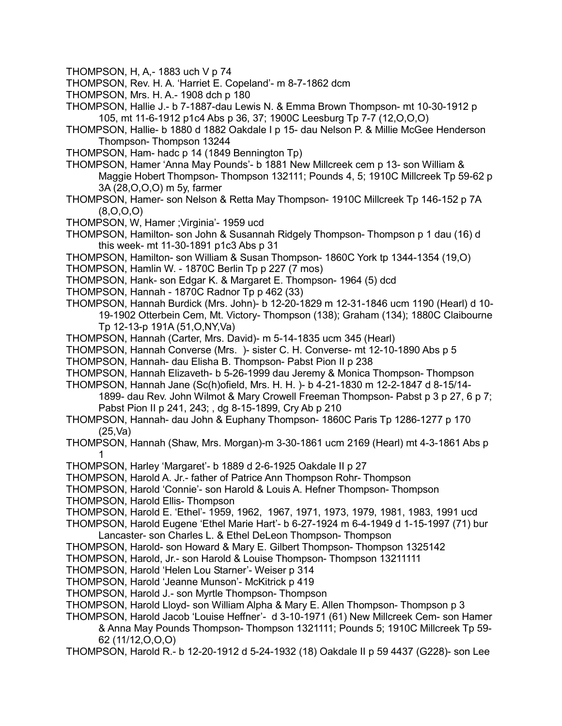THOMPSON, H, A,- 1883 uch V p 74

- THOMPSON, Rev. H. A. 'Harriet E. Copeland'- m 8-7-1862 dcm
- THOMPSON, Mrs. H. A.- 1908 dch p 180
- THOMPSON, Hallie J.- b 7-1887-dau Lewis N. & Emma Brown Thompson- mt 10-30-1912 p 105, mt 11-6-1912 p1c4 Abs p 36, 37; 1900C Leesburg Tp 7-7 (12,O,O,O)
- THOMPSON, Hallie- b 1880 d 1882 Oakdale I p 15- dau Nelson P. & Millie McGee Henderson Thompson- Thompson 13244
- THOMPSON, Ham- hadc p 14 (1849 Bennington Tp)
- THOMPSON, Hamer 'Anna May Pounds'- b 1881 New Millcreek cem p 13- son William & Maggie Hobert Thompson- Thompson 132111; Pounds 4, 5; 1910C Millcreek Tp 59-62 p 3A (28,O,O,O) m 5y, farmer
- THOMPSON, Hamer- son Nelson & Retta May Thompson- 1910C Millcreek Tp 146-152 p 7A (8,O,O,O)
- THOMPSON, W, Hamer ;Virginia'- 1959 ucd
- THOMPSON, Hamilton- son John & Susannah Ridgely Thompson- Thompson p 1 dau (16) d this week- mt 11-30-1891 p1c3 Abs p 31
- THOMPSON, Hamilton- son William & Susan Thompson- 1860C York tp 1344-1354 (19,O)
- THOMPSON, Hamlin W. 1870C Berlin Tp p 227 (7 mos)
- THOMPSON, Hank- son Edgar K. & Margaret E. Thompson- 1964 (5) dcd
- THOMPSON, Hannah 1870C Radnor Tp p 462 (33)
- THOMPSON, Hannah Burdick (Mrs. John)- b 12-20-1829 m 12-31-1846 ucm 1190 (Hearl) d 10- 19-1902 Otterbein Cem, Mt. Victory- Thompson (138); Graham (134); 1880C Claibourne Tp 12-13-p 191A (51,O,NY,Va)
- THOMPSON, Hannah (Carter, Mrs. David)- m 5-14-1835 ucm 345 (Hearl)
- THOMPSON, Hannah Converse (Mrs. )- sister C. H. Converse- mt 12-10-1890 Abs p 5
- THOMPSON, Hannah- dau Elisha B. Thompson- Pabst Pion II p 238
- THOMPSON, Hannah Elizaveth- b 5-26-1999 dau Jeremy & Monica Thompson- Thompson
- THOMPSON, Hannah Jane (Sc(h)ofield, Mrs. H. H. )- b 4-21-1830 m 12-2-1847 d 8-15/14- 1899- dau Rev. John Wilmot & Mary Crowell Freeman Thompson- Pabst p 3 p 27, 6 p 7; Pabst Pion II p 241, 243; , dg 8-15-1899, Cry Ab p 210
- THOMPSON, Hannah- dau John & Euphany Thompson- 1860C Paris Tp 1286-1277 p 170 (25,Va)
- THOMPSON, Hannah (Shaw, Mrs. Morgan)-m 3-30-1861 ucm 2169 (Hearl) mt 4-3-1861 Abs p 1
- THOMPSON, Harley 'Margaret'- b 1889 d 2-6-1925 Oakdale II p 27
- THOMPSON, Harold A. Jr.- father of Patrice Ann Thompson Rohr- Thompson
- THOMPSON, Harold 'Connie'- son Harold & Louis A. Hefner Thompson- Thompson
- THOMPSON, Harold Ellis- Thompson
- THOMPSON, Harold E. 'Ethel'- 1959, 1962, 1967, 1971, 1973, 1979, 1981, 1983, 1991 ucd
- THOMPSON, Harold Eugene 'Ethel Marie Hart'- b 6-27-1924 m 6-4-1949 d 1-15-1997 (71) bur Lancaster- son Charles L. & Ethel DeLeon Thompson- Thompson
- THOMPSON, Harold- son Howard & Mary E. Gilbert Thompson- Thompson 1325142
- THOMPSON, Harold, Jr.- son Harold & Louise Thompson- Thompson 13211111
- THOMPSON, Harold 'Helen Lou Starner'- Weiser p 314
- THOMPSON, Harold 'Jeanne Munson'- McKitrick p 419
- THOMPSON, Harold J.- son Myrtle Thompson- Thompson
- THOMPSON, Harold Lloyd- son William Alpha & Mary E. Allen Thompson- Thompson p 3
- THOMPSON, Harold Jacob 'Louise Heffner'- d 3-10-1971 (61) New Millcreek Cem- son Hamer & Anna May Pounds Thompson- Thompson 1321111; Pounds 5; 1910C Millcreek Tp 59- 62 (11/12,O,O,O)
- THOMPSON, Harold R.- b 12-20-1912 d 5-24-1932 (18) Oakdale II p 59 4437 (G228)- son Lee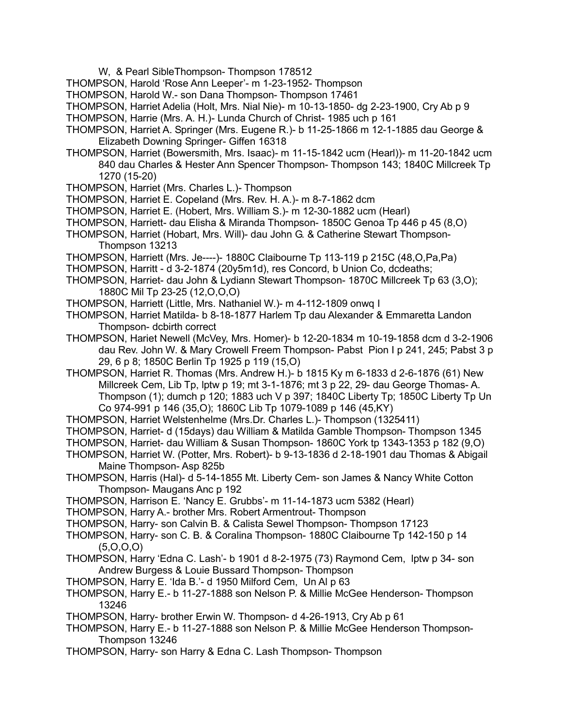- W, & Pearl SibleThompson- Thompson 178512
- THOMPSON, Harold 'Rose Ann Leeper'- m 1-23-1952- Thompson
- THOMPSON, Harold W.- son Dana Thompson- Thompson 17461
- THOMPSON, Harriet Adelia (Holt, Mrs. Nial Nie)- m 10-13-1850- dg 2-23-1900, Cry Ab p 9
- THOMPSON, Harrie (Mrs. A. H.)- Lunda Church of Christ- 1985 uch p 161
- THOMPSON, Harriet A. Springer (Mrs. Eugene R.)- b 11-25-1866 m 12-1-1885 dau George & Elizabeth Downing Springer- Giffen 16318
- THOMPSON, Harriet (Bowersmith, Mrs. Isaac)- m 11-15-1842 ucm (Hearl))- m 11-20-1842 ucm 840 dau Charles & Hester Ann Spencer Thompson- Thompson 143; 1840C Millcreek Tp 1270 (15-20)
- THOMPSON, Harriet (Mrs. Charles L.)- Thompson
- THOMPSON, Harriet E. Copeland (Mrs. Rev. H. A.)- m 8-7-1862 dcm
- THOMPSON, Harriet E. (Hobert, Mrs. William S.)- m 12-30-1882 ucm (Hearl)
- THOMPSON, Harriett- dau Elisha & Miranda Thompson- 1850C Genoa Tp 446 p 45 (8,O)
- THOMPSON, Harriet (Hobart, Mrs. Will)- dau John G. & Catherine Stewart Thompson-Thompson 13213
- THOMPSON, Harriett (Mrs. Je----)- 1880C Claibourne Tp 113-119 p 215C (48,O,Pa,Pa)
- THOMPSON, Harritt d 3-2-1874 (20y5m1d), res Concord, b Union Co, dcdeaths;
- THOMPSON, Harriet- dau John & Lydiann Stewart Thompson- 1870C Millcreek Tp 63 (3,O); 1880C Mil Tp 23-25 (12,O,O,O)
- THOMPSON, Harriett (Little, Mrs. Nathaniel W.)- m 4-112-1809 onwq I
- THOMPSON, Harriet Matilda- b 8-18-1877 Harlem Tp dau Alexander & Emmaretta Landon Thompson- dcbirth correct
- THOMPSON, Hariet Newell (McVey, Mrs. Homer)- b 12-20-1834 m 10-19-1858 dcm d 3-2-1906 dau Rev. John W. & Mary Crowell Freem Thompson- Pabst Pion I p 241, 245; Pabst 3 p 29, 6 p 8; 1850C Berlin Tp 1925 p 119 (15,O)
- THOMPSON, Harriet R. Thomas (Mrs. Andrew H.)- b 1815 Ky m 6-1833 d 2-6-1876 (61) New Millcreek Cem, Lib Tp, lptw p 19; mt 3-1-1876; mt 3 p 22, 29- dau George Thomas- A. Thompson (1); dumch p 120; 1883 uch V p 397; 1840C Liberty Tp; 1850C Liberty Tp Un Co 974-991 p 146 (35,O); 1860C Lib Tp 1079-1089 p 146 (45,KY)
- THOMPSON, Harriet Welstenhelme (Mrs.Dr. Charles L.)- Thompson (1325411)
- THOMPSON, Harriet- d (15days) dau William & Matilda Gamble Thompson- Thompson 1345
- THOMPSON, Harriet- dau William & Susan Thompson- 1860C York tp 1343-1353 p 182 (9,O)
- THOMPSON, Harriet W. (Potter, Mrs. Robert)- b 9-13-1836 d 2-18-1901 dau Thomas & Abigail Maine Thompson- Asp 825b
- THOMPSON, Harris (Hal)- d 5-14-1855 Mt. Liberty Cem- son James & Nancy White Cotton Thompson- Maugans Anc p 192
- THOMPSON, Harrison E. 'Nancy E. Grubbs'- m 11-14-1873 ucm 5382 (Hearl)
- THOMPSON, Harry A.- brother Mrs. Robert Armentrout- Thompson
- THOMPSON, Harry- son Calvin B. & Calista Sewel Thompson- Thompson 17123
- THOMPSON, Harry- son C. B. & Coralina Thompson- 1880C Claibourne Tp 142-150 p 14 (5,O,O,O)
- THOMPSON, Harry 'Edna C. Lash'- b 1901 d 8-2-1975 (73) Raymond Cem, lptw p 34- son Andrew Burgess & Louie Bussard Thompson- Thompson
- THOMPSON, Harry E. 'Ida B.'- d 1950 Milford Cem, Un Al p 63
- THOMPSON, Harry E.- b 11-27-1888 son Nelson P. & Millie McGee Henderson- Thompson 13246
- THOMPSON, Harry- brother Erwin W. Thompson- d 4-26-1913, Cry Ab p 61
- THOMPSON, Harry E.- b 11-27-1888 son Nelson P. & Millie McGee Henderson Thompson-Thompson 13246
- THOMPSON, Harry- son Harry & Edna C. Lash Thompson- Thompson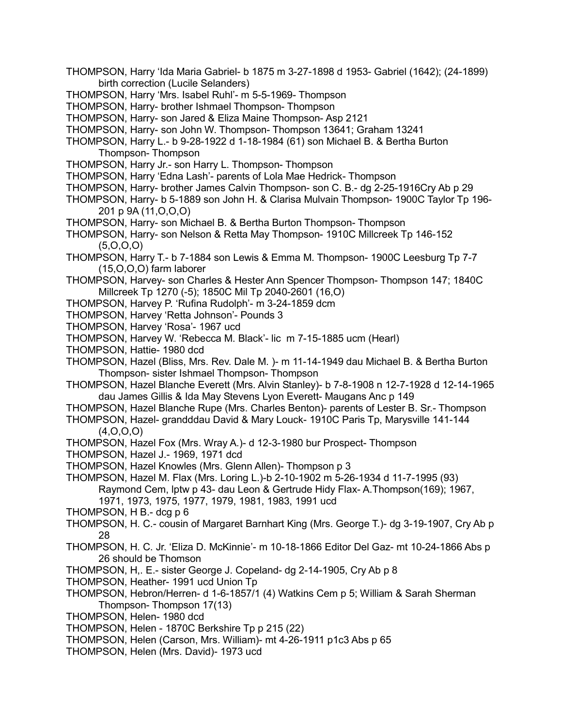- THOMPSON, Harry 'Ida Maria Gabriel- b 1875 m 3-27-1898 d 1953- Gabriel (1642); (24-1899) birth correction (Lucile Selanders)
- THOMPSON, Harry 'Mrs. Isabel Ruhl'- m 5-5-1969- Thompson
- THOMPSON, Harry- brother Ishmael Thompson- Thompson
- THOMPSON, Harry- son Jared & Eliza Maine Thompson- Asp 2121
- THOMPSON, Harry- son John W. Thompson- Thompson 13641; Graham 13241
- THOMPSON, Harry L.- b 9-28-1922 d 1-18-1984 (61) son Michael B. & Bertha Burton Thompson- Thompson
- THOMPSON, Harry Jr.- son Harry L. Thompson- Thompson
- THOMPSON, Harry 'Edna Lash'- parents of Lola Mae Hedrick- Thompson
- THOMPSON, Harry- brother James Calvin Thompson- son C. B.- dg 2-25-1916Cry Ab p 29
- THOMPSON, Harry- b 5-1889 son John H. & Clarisa Mulvain Thompson- 1900C Taylor Tp 196- 201 p 9A (11,O,O,O)
- THOMPSON, Harry- son Michael B. & Bertha Burton Thompson- Thompson
- THOMPSON, Harry- son Nelson & Retta May Thompson- 1910C Millcreek Tp 146-152 (5,O,O,O)
- THOMPSON, Harry T.- b 7-1884 son Lewis & Emma M. Thompson- 1900C Leesburg Tp 7-7 (15,O,O,O) farm laborer
- THOMPSON, Harvey- son Charles & Hester Ann Spencer Thompson- Thompson 147; 1840C Millcreek Tp 1270 (-5); 1850C Mil Tp 2040-2601 (16,O)
- THOMPSON, Harvey P. 'Rufina Rudolph'- m 3-24-1859 dcm
- THOMPSON, Harvey 'Retta Johnson'- Pounds 3
- THOMPSON, Harvey 'Rosa'- 1967 ucd
- THOMPSON, Harvey W. 'Rebecca M. Black'- lic m 7-15-1885 ucm (Hearl)
- THOMPSON, Hattie- 1980 dcd
- THOMPSON, Hazel (Bliss, Mrs. Rev. Dale M. )- m 11-14-1949 dau Michael B. & Bertha Burton Thompson- sister Ishmael Thompson- Thompson
- THOMPSON, Hazel Blanche Everett (Mrs. Alvin Stanley)- b 7-8-1908 n 12-7-1928 d 12-14-1965 dau James Gillis & Ida May Stevens Lyon Everett- Maugans Anc p 149
- THOMPSON, Hazel Blanche Rupe (Mrs. Charles Benton)- parents of Lester B. Sr.- Thompson
- THOMPSON, Hazel- grandddau David & Mary Louck- 1910C Paris Tp, Marysville 141-144 (4,O,O,O)
- THOMPSON, Hazel Fox (Mrs. Wray A.)- d 12-3-1980 bur Prospect- Thompson
- THOMPSON, Hazel J.- 1969, 1971 dcd
- THOMPSON, Hazel Knowles (Mrs. Glenn Allen)- Thompson p 3
- THOMPSON, Hazel M. Flax (Mrs. Loring L.)-b 2-10-1902 m 5-26-1934 d 11-7-1995 (93) Raymond Cem, lptw p 43- dau Leon & Gertrude Hidy Flax- A.Thompson(169); 1967, 1971, 1973, 1975, 1977, 1979, 1981, 1983, 1991 ucd
- THOMPSON, H B.- dcg p 6
- THOMPSON, H. C.- cousin of Margaret Barnhart King (Mrs. George T.)- dg 3-19-1907, Cry Ab p 28
- THOMPSON, H. C. Jr. 'Eliza D. McKinnie'- m 10-18-1866 Editor Del Gaz- mt 10-24-1866 Abs p 26 should be Thomson
- THOMPSON, H,. E.- sister George J. Copeland- dg 2-14-1905, Cry Ab p 8
- THOMPSON, Heather- 1991 ucd Union Tp
- THOMPSON, Hebron/Herren- d 1-6-1857/1 (4) Watkins Cem p 5; William & Sarah Sherman Thompson- Thompson 17(13)
- THOMPSON, Helen- 1980 dcd
- THOMPSON, Helen 1870C Berkshire Tp p 215 (22)
- THOMPSON, Helen (Carson, Mrs. William)- mt 4-26-1911 p1c3 Abs p 65
- THOMPSON, Helen (Mrs. David)- 1973 ucd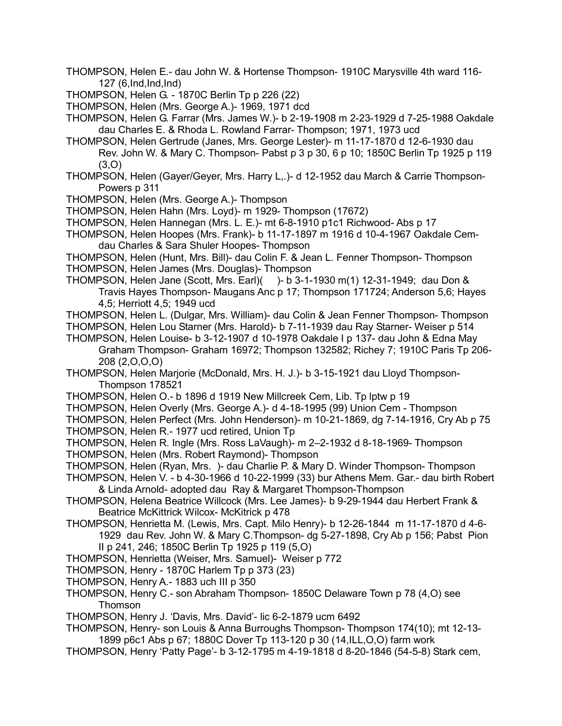- THOMPSON, Helen E.- dau John W. & Hortense Thompson- 1910C Marysville 4th ward 116- 127 (6,Ind,Ind,Ind)
- THOMPSON, Helen G. 1870C Berlin Tp p 226 (22)
- THOMPSON, Helen (Mrs. George A.)- 1969, 1971 dcd
- THOMPSON, Helen G. Farrar (Mrs. James W.)- b 2-19-1908 m 2-23-1929 d 7-25-1988 Oakdale dau Charles E. & Rhoda L. Rowland Farrar- Thompson; 1971, 1973 ucd
- THOMPSON, Helen Gertrude (Janes, Mrs. George Lester)- m 11-17-1870 d 12-6-1930 dau Rev. John W. & Mary C. Thompson- Pabst p 3 p 30, 6 p 10; 1850C Berlin Tp 1925 p 119 (3,O)
- THOMPSON, Helen (Gayer/Geyer, Mrs. Harry L,.)- d 12-1952 dau March & Carrie Thompson-Powers p 311
- THOMPSON, Helen (Mrs. George A.)- Thompson
- THOMPSON, Helen Hahn (Mrs. Loyd)- m 1929- Thompson (17672)
- THOMPSON, Helen Hannegan (Mrs. L. E.)- mt 6-8-1910 p1c1 Richwood- Abs p 17
- THOMPSON, Helen Hoopes (Mrs. Frank)- b 11-17-1897 m 1916 d 10-4-1967 Oakdale Cemdau Charles & Sara Shuler Hoopes- Thompson
- THOMPSON, Helen (Hunt, Mrs. Bill)- dau Colin F. & Jean L. Fenner Thompson- Thompson THOMPSON, Helen James (Mrs. Douglas)- Thompson
- THOMPSON, Helen Jane (Scott, Mrs. Earl)( )- b 3-1-1930 m(1) 12-31-1949; dau Don & Travis Hayes Thompson- Maugans Anc p 17; Thompson 171724; Anderson 5,6; Hayes 4,5; Herriott 4,5; 1949 ucd
- THOMPSON, Helen L. (Dulgar, Mrs. William)- dau Colin & Jean Fenner Thompson- Thompson

THOMPSON, Helen Lou Starner (Mrs. Harold)- b 7-11-1939 dau Ray Starner- Weiser p 514 THOMPSON, Helen Louise- b 3-12-1907 d 10-1978 Oakdale I p 137- dau John & Edna May Graham Thompson- Graham 16972; Thompson 132582; Richey 7; 1910C Paris Tp 206-

- 208 (2,O,O,O)
- THOMPSON, Helen Marjorie (McDonald, Mrs. H. J.)- b 3-15-1921 dau Lloyd Thompson-Thompson 178521
- THOMPSON, Helen O.- b 1896 d 1919 New Millcreek Cem, Lib. Tp lptw p 19
- THOMPSON, Helen Overly (Mrs. George A.)- d 4-18-1995 (99) Union Cem Thompson
- THOMPSON, Helen Perfect (Mrs. John Henderson)- m 10-21-1869, dg 7-14-1916, Cry Ab p 75
- THOMPSON, Helen R.- 1977 ucd retired, Union Tp
- THOMPSON, Helen R. Ingle (Mrs. Ross LaVaugh)- m 2–2-1932 d 8-18-1969- Thompson
- THOMPSON, Helen (Mrs. Robert Raymond)- Thompson
- THOMPSON, Helen (Ryan, Mrs. )- dau Charlie P. & Mary D. Winder Thompson- Thompson
- THOMPSON, Helen V. b 4-30-1966 d 10-22-1999 (33) bur Athens Mem. Gar.- dau birth Robert & Linda Arnold- adopted dau Ray & Margaret Thompson-Thompson
- THOMPSON, Helena Beatrice Willcock (Mrs. Lee James)- b 9-29-1944 dau Herbert Frank & Beatrice McKittrick Wilcox- McKitrick p 478
- THOMPSON, Henrietta M. (Lewis, Mrs. Capt. Milo Henry)- b 12-26-1844 m 11-17-1870 d 4-6- 1929 dau Rev. John W. & Mary C.Thompson- dg 5-27-1898, Cry Ab p 156; Pabst Pion II p 241, 246; 1850C Berlin Tp 1925 p 119 (5,O)
- THOMPSON, Henrietta (Weiser, Mrs. Samuel)- Weiser p 772
- THOMPSON, Henry 1870C Harlem Tp p 373 (23)
- THOMPSON, Henry A.- 1883 uch III p 350
- THOMPSON, Henry C.- son Abraham Thompson- 1850C Delaware Town p 78 (4,O) see **Thomson**
- THOMPSON, Henry J. 'Davis, Mrs. David'- lic 6-2-1879 ucm 6492
- THOMPSON, Henry- son Louis & Anna Burroughs Thompson- Thompson 174(10); mt 12-13- 1899 p6c1 Abs p 67; 1880C Dover Tp 113-120 p 30 (14,ILL,O,O) farm work
- THOMPSON, Henry 'Patty Page'- b 3-12-1795 m 4-19-1818 d 8-20-1846 (54-5-8) Stark cem,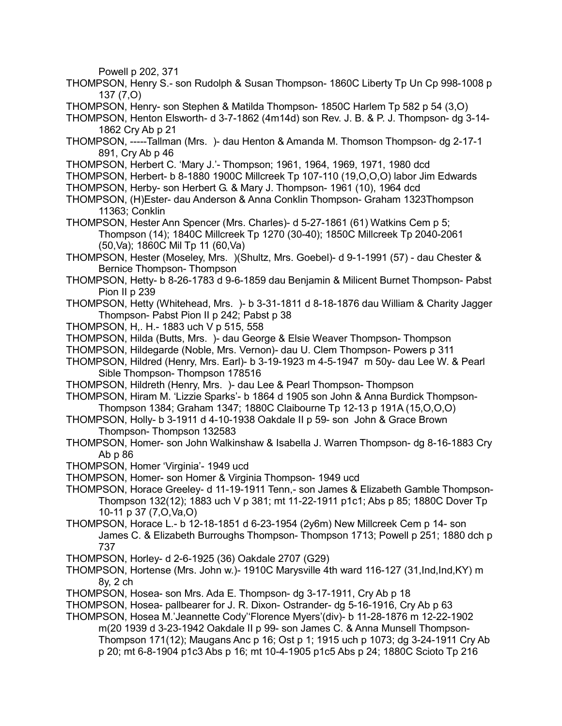Powell p 202, 371

- THOMPSON, Henry S.- son Rudolph & Susan Thompson- 1860C Liberty Tp Un Cp 998-1008 p 137 (7,O)
- THOMPSON, Henry- son Stephen & Matilda Thompson- 1850C Harlem Tp 582 p 54 (3,O)
- THOMPSON, Henton Elsworth- d 3-7-1862 (4m14d) son Rev. J. B. & P. J. Thompson- dg 3-14- 1862 Cry Ab p 21
- THOMPSON, -----Tallman (Mrs. )- dau Henton & Amanda M. Thomson Thompson- dg 2-17-1 891, Cry Ab p 46
- THOMPSON, Herbert C. 'Mary J.'- Thompson; 1961, 1964, 1969, 1971, 1980 dcd
- THOMPSON, Herbert- b 8-1880 1900C Millcreek Tp 107-110 (19,O,O,O) labor Jim Edwards
- THOMPSON, Herby- son Herbert G. & Mary J. Thompson- 1961 (10), 1964 dcd
- THOMPSON, (H)Ester- dau Anderson & Anna Conklin Thompson- Graham 1323Thompson 11363; Conklin
- THOMPSON, Hester Ann Spencer (Mrs. Charles)- d 5-27-1861 (61) Watkins Cem p 5; Thompson (14); 1840C Millcreek Tp 1270 (30-40); 1850C Millcreek Tp 2040-2061 (50,Va); 1860C Mil Tp 11 (60,Va)
- THOMPSON, Hester (Moseley, Mrs. )(Shultz, Mrs. Goebel)- d 9-1-1991 (57) dau Chester & Bernice Thompson- Thompson
- THOMPSON, Hetty- b 8-26-1783 d 9-6-1859 dau Benjamin & Milicent Burnet Thompson- Pabst Pion II p 239
- THOMPSON, Hetty (Whitehead, Mrs. )- b 3-31-1811 d 8-18-1876 dau William & Charity Jagger Thompson- Pabst Pion II p 242; Pabst p 38
- THOMPSON, H,. H.- 1883 uch V p 515, 558
- THOMPSON, Hilda (Butts, Mrs. )- dau George & Elsie Weaver Thompson- Thompson
- THOMPSON, Hildegarde (Noble, Mrs. Vernon)- dau U. Clem Thompson- Powers p 311
- THOMPSON, Hildred (Henry, Mrs. Earl)- b 3-19-1923 m 4-5-1947 m 50y- dau Lee W. & Pearl Sible Thompson- Thompson 178516
- THOMPSON, Hildreth (Henry, Mrs. )- dau Lee & Pearl Thompson- Thompson
- THOMPSON, Hiram M. 'Lizzie Sparks'- b 1864 d 1905 son John & Anna Burdick Thompson-Thompson 1384; Graham 1347; 1880C Claibourne Tp 12-13 p 191A (15,O,O,O)
- THOMPSON, Holly- b 3-1911 d 4-10-1938 Oakdale II p 59- son John & Grace Brown Thompson- Thompson 132583
- THOMPSON, Homer- son John Walkinshaw & Isabella J. Warren Thompson- dg 8-16-1883 Cry Ab p 86
- THOMPSON, Homer 'Virginia'- 1949 ucd
- THOMPSON, Homer- son Homer & Virginia Thompson- 1949 ucd
- THOMPSON, Horace Greeley- d 11-19-1911 Tenn,- son James & Elizabeth Gamble Thompson-Thompson 132(12); 1883 uch V p 381; mt 11-22-1911 p1c1; Abs p 85; 1880C Dover Tp 10-11 p 37 (7,O,Va,O)
- THOMPSON, Horace L.- b 12-18-1851 d 6-23-1954 (2y6m) New Millcreek Cem p 14- son James C. & Elizabeth Burroughs Thompson- Thompson 1713; Powell p 251; 1880 dch p 737
- THOMPSON, Horley- d 2-6-1925 (36) Oakdale 2707 (G29)
- THOMPSON, Hortense (Mrs. John w.)- 1910C Marysville 4th ward 116-127 (31,Ind,Ind,KY) m 8y, 2 ch
- THOMPSON, Hosea- son Mrs. Ada E. Thompson- dg 3-17-1911, Cry Ab p 18
- THOMPSON, Hosea- pallbearer for J. R. Dixon- Ostrander- dg 5-16-1916, Cry Ab p 63
- THOMPSON, Hosea M.'Jeannette Cody''Florence Myers'(div)- b 11-28-1876 m 12-22-1902 m(20 1939 d 3-23-1942 Oakdale II p 99- son James C. & Anna Munsell Thompson-Thompson 171(12); Maugans Anc p 16; Ost p 1; 1915 uch p 1073; dg 3-24-1911 Cry Ab p 20; mt 6-8-1904 p1c3 Abs p 16; mt 10-4-1905 p1c5 Abs p 24; 1880C Scioto Tp 216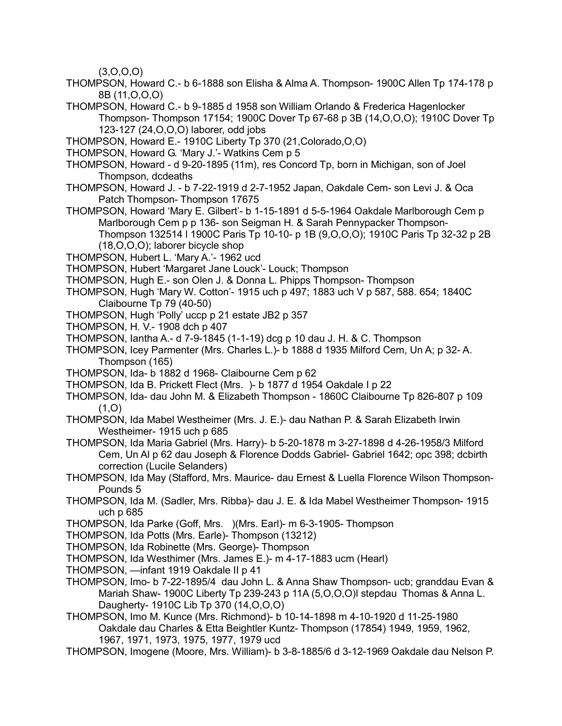$(3,0,0,0)$ 

- THOMPSON, Howard C.- b 6-1888 son Elisha & Alma A. Thompson- 1900C Allen Tp 174-178 p 8B (11,O,O,O)
- THOMPSON, Howard C.- b 9-1885 d 1958 son William Orlando & Frederica Hagenlocker Thompson- Thompson 17154; 1900C Dover Tp 67-68 p 3B (14,O,O,O); 1910C Dover Tp 123-127 (24,O,O,O) laborer, odd jobs
- THOMPSON, Howard E.- 1910C Liberty Tp 370 (21,Colorado,O,O)
- THOMPSON, Howard G. 'Mary J.'- Watkins Cem p 5
- THOMPSON, Howard d 9-20-1895 (11m), res Concord Tp, born in Michigan, son of Joel Thompson, dcdeaths
- THOMPSON, Howard J. b 7-22-1919 d 2-7-1952 Japan, Oakdale Cem- son Levi J. & Oca Patch Thompson- Thompson 17675
- THOMPSON, Howard 'Mary E. Gilbert'- b 1-15-1891 d 5-5-1964 Oakdale Marlborough Cem p Marlborough Cem p p 136- son Seigman H. & Sarah Pennypacker Thompson-Thompson 132514 l 1900C Paris Tp 10-10- p 1B (9,O,O,O); 1910C Paris Tp 32-32 p 2B (18,O,O,O); laborer bicycle shop
- THOMPSON, Hubert L. 'Mary A.'- 1962 ucd
- THOMPSON, Hubert 'Margaret Jane Louck'- Louck; Thompson
- THOMPSON, Hugh E.- son Olen J. & Donna L. Phipps Thompson- Thompson
- THOMPSON, Hugh 'Mary W. Cotton'- 1915 uch p 497; 1883 uch V p 587, 588. 654; 1840C Claibourne Tp 79 (40-50)
- THOMPSON, Hugh 'Polly' uccp p 21 estate JB2 p 357
- THOMPSON, H. V.- 1908 dch p 407
- THOMPSON, Iantha A.- d 7-9-1845 (1-1-19) dcg p 10 dau J. H. & C. Thompson
- THOMPSON, Icey Parmenter (Mrs. Charles L.)- b 1888 d 1935 Milford Cem, Un A; p 32- A. Thompson (165)
- THOMPSON, Ida- b 1882 d 1968- Claibourne Cem p 62
- THOMPSON, Ida B. Prickett Flect (Mrs. )- b 1877 d 1954 Oakdale I p 22
- THOMPSON, Ida- dau John M. & Elizabeth Thompson 1860C Claibourne Tp 826-807 p 109  $(1,0)$
- THOMPSON, Ida Mabel Westheimer (Mrs. J. E.)- dau Nathan P. & Sarah Elizabeth Irwin Westheimer- 1915 uch p 685
- THOMPSON, Ida Maria Gabriel (Mrs. Harry)- b 5-20-1878 m 3-27-1898 d 4-26-1958/3 Milford Cem, Un Al p 62 dau Joseph & Florence Dodds Gabriel- Gabriel 1642; opc 398; dcbirth correction (Lucile Selanders)
- THOMPSON, Ida May (Stafford, Mrs. Maurice- dau Ernest & Luella Florence Wilson Thompson-Pounds 5
- THOMPSON, Ida M. (Sadler, Mrs. Ribba)- dau J. E. & Ida Mabel Westheimer Thompson- 1915 uch p 685
- THOMPSON, Ida Parke (Goff, Mrs. )(Mrs. Earl)- m 6-3-1905- Thompson
- THOMPSON, Ida Potts (Mrs. Earle)- Thompson (13212)
- THOMPSON, Ida Robinette (Mrs. George)- Thompson
- THOMPSON, Ida Westhimer (Mrs. James E.)- m 4-17-1883 ucm (Hearl)
- THOMPSON, —infant 1919 Oakdale II p 41
- THOMPSON, Imo- b 7-22-1895/4 dau John L. & Anna Shaw Thompson- ucb; granddau Evan & Mariah Shaw- 1900C Liberty Tp 239-243 p 11A (5,O,O,O)l stepdau Thomas & Anna L. Daugherty- 1910C Lib Tp 370 (14,O,O,O)
- THOMPSON, Imo M. Kunce (Mrs. Richmond)- b 10-14-1898 m 4-10-1920 d 11-25-1980 Oakdale dau Charles & Etta Beightler Kuntz- Thompson (17854) 1949, 1959, 1962, 1967, 1971, 1973, 1975, 1977, 1979 ucd
- THOMPSON, Imogene (Moore, Mrs. William)- b 3-8-1885/6 d 3-12-1969 Oakdale dau Nelson P.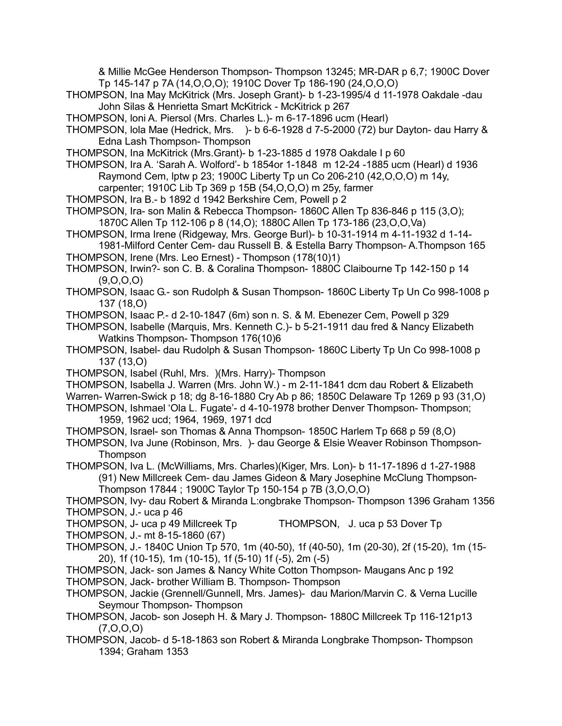& Millie McGee Henderson Thompson- Thompson 13245; MR-DAR p 6,7; 1900C Dover Tp 145-147 p 7A (14,O,O,O); 1910C Dover Tp 186-190 (24,O,O,O)

- THOMPSON, Ina May McKitrick (Mrs. Joseph Grant)- b 1-23-1995/4 d 11-1978 Oakdale -dau John Silas & Henrietta Smart McKitrick - McKitrick p 267
- THOMPSON, loni A. Piersol (Mrs. Charles L.)- m 6-17-1896 ucm (Hearl)
- THOMPSON, lola Mae (Hedrick, Mrs. )- b 6-6-1928 d 7-5-2000 (72) bur Dayton- dau Harry & Edna Lash Thompson- Thompson
- THOMPSON, Ina McKitrick (Mrs.Grant)- b 1-23-1885 d 1978 Oakdale I p 60

THOMPSON, Ira A. 'Sarah A. Wolford'- b 1854or 1-1848 m 12-24 -1885 ucm (Hearl) d 1936 Raymond Cem, lptw p 23; 1900C Liberty Tp un Co 206-210 (42,O,O,O) m 14y,

carpenter; 1910C Lib Tp 369 p 15B (54,O,O,O) m 25y, farmer

- THOMPSON, Ira B.- b 1892 d 1942 Berkshire Cem, Powell p 2
- THOMPSON, Ira- son Malin & Rebecca Thompson- 1860C Allen Tp 836-846 p 115 (3,O); 1870C Allen Tp 112-106 p 8 (14,O); 1880C Allen Tp 173-186 (23,O,O,Va)
- THOMPSON, Irma Irene (Ridgeway, Mrs. George Burl)- b 10-31-1914 m 4-11-1932 d 1-14- 1981-Milford Center Cem- dau Russell B. & Estella Barry Thompson- A.Thompson 165

THOMPSON, Irene (Mrs. Leo Ernest) - Thompson (178(10)1)

THOMPSON, Irwin?- son C. B. & Coralina Thompson- 1880C Claibourne Tp 142-150 p 14 (9,O,O,O)

THOMPSON, Isaac G.- son Rudolph & Susan Thompson- 1860C Liberty Tp Un Co 998-1008 p 137 (18,O)

THOMPSON, Isaac P.- d 2-10-1847 (6m) son n. S. & M. Ebenezer Cem, Powell p 329

THOMPSON, Isabelle (Marquis, Mrs. Kenneth C.)- b 5-21-1911 dau fred & Nancy Elizabeth Watkins Thompson- Thompson 176(10)6

- THOMPSON, Isabel- dau Rudolph & Susan Thompson- 1860C Liberty Tp Un Co 998-1008 p 137 (13,O)
- THOMPSON, Isabel (Ruhl, Mrs. )(Mrs. Harry)- Thompson

THOMPSON, Isabella J. Warren (Mrs. John W.) - m 2-11-1841 dcm dau Robert & Elizabeth

Warren- Warren-Swick p 18; dg 8-16-1880 Cry Ab p 86; 1850C Delaware Tp 1269 p 93 (31,O)

THOMPSON, Ishmael 'Ola L. Fugate'- d 4-10-1978 brother Denver Thompson- Thompson; 1959, 1962 ucd; 1964, 1969, 1971 dcd

THOMPSON, Israel- son Thomas & Anna Thompson- 1850C Harlem Tp 668 p 59 (8,O)

THOMPSON, Iva June (Robinson, Mrs. )- dau George & Elsie Weaver Robinson Thompson-Thompson

THOMPSON, Iva L. (McWilliams, Mrs. Charles)(Kiger, Mrs. Lon)- b 11-17-1896 d 1-27-1988 (91) New Millcreek Cem- dau James Gideon & Mary Josephine McClung Thompson-Thompson 17844 ; 1900C Taylor Tp 150-154 p 7B (3,O,O,O)

THOMPSON, Ivy- dau Robert & Miranda L:ongbrake Thompson- Thompson 1396 Graham 1356 THOMPSON, J.- uca p 46

THOMPSON, J- uca p 49 Millcreek Tp THOMPSON, J. uca p 53 Dover Tp

THOMPSON, J.- mt 8-15-1860 (67)

THOMPSON, J.- 1840C Union Tp 570, 1m (40-50), 1f (40-50), 1m (20-30), 2f (15-20), 1m (15- 20), 1f (10-15), 1m (10-15), 1f (5-10) 1f (-5), 2m (-5)

THOMPSON, Jack- son James & Nancy White Cotton Thompson- Maugans Anc p 192 THOMPSON, Jack- brother William B. Thompson- Thompson

THOMPSON, Jackie (Grennell/Gunnell, Mrs. James)- dau Marion/Marvin C. & Verna Lucille Seymour Thompson- Thompson

THOMPSON, Jacob- son Joseph H. & Mary J. Thompson- 1880C Millcreek Tp 116-121p13 (7,O,O,O)

THOMPSON, Jacob- d 5-18-1863 son Robert & Miranda Longbrake Thompson- Thompson 1394; Graham 1353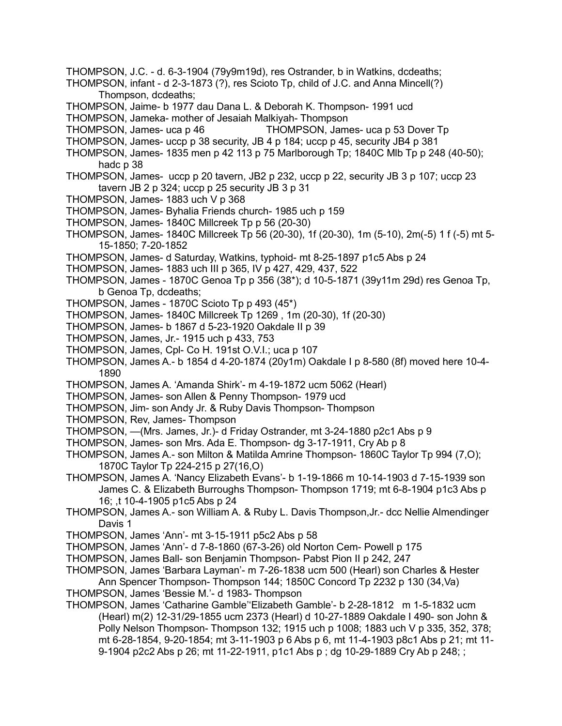- THOMPSON, J.C. d. 6-3-1904 (79y9m19d), res Ostrander, b in Watkins, dcdeaths;
- THOMPSON, infant d 2-3-1873 (?), res Scioto Tp, child of J.C. and Anna Mincell(?) Thompson, dcdeaths;
- THOMPSON, Jaime- b 1977 dau Dana L. & Deborah K. Thompson- 1991 ucd
- THOMPSON, Jameka- mother of Jesaiah Malkiyah- Thompson
- THOMPSON, James- uca p 46 THOMPSON, James- uca p 53 Dover Tp
- THOMPSON, James- uccp p 38 security, JB 4 p 184; uccp p 45, security JB4 p 381
- THOMPSON, James- 1835 men p 42 113 p 75 Marlborough Tp; 1840C Mlb Tp p 248 (40-50); hadc p 38
- THOMPSON, James- uccp p 20 tavern, JB2 p 232, uccp p 22, security JB 3 p 107; uccp 23 tavern JB 2 p 324; uccp p 25 security JB 3 p 31
- THOMPSON, James- 1883 uch V p 368
- THOMPSON, James- Byhalia Friends church- 1985 uch p 159
- THOMPSON, James- 1840C Millcreek Tp p 56 (20-30)
- THOMPSON, James- 1840C Millcreek Tp 56 (20-30), 1f (20-30), 1m (5-10), 2m(-5) 1 f (-5) mt 5- 15-1850; 7-20-1852
- THOMPSON, James- d Saturday, Watkins, typhoid- mt 8-25-1897 p1c5 Abs p 24
- THOMPSON, James- 1883 uch III p 365, IV p 427, 429, 437, 522
- THOMPSON, James 1870C Genoa Tp p 356 (38\*); d 10-5-1871 (39y11m 29d) res Genoa Tp, b Genoa Tp, dcdeaths;
- THOMPSON, James 1870C Scioto Tp p 493 (45\*)
- THOMPSON, James- 1840C Millcreek Tp 1269 , 1m (20-30), 1f (20-30)
- THOMPSON, James- b 1867 d 5-23-1920 Oakdale II p 39
- THOMPSON, James, Jr.- 1915 uch p 433, 753
- THOMPSON, James, Cpl- Co H. 191st O.V.I.; uca p 107
- THOMPSON, James A.- b 1854 d 4-20-1874 (20y1m) Oakdale I p 8-580 (8f) moved here 10-4- 1890
- THOMPSON, James A. 'Amanda Shirk'- m 4-19-1872 ucm 5062 (Hearl)
- THOMPSON, James- son Allen & Penny Thompson- 1979 ucd
- THOMPSON, Jim- son Andy Jr. & Ruby Davis Thompson- Thompson
- THOMPSON, Rev, James- Thompson
- THOMPSON, —(Mrs. James, Jr.)- d Friday Ostrander, mt 3-24-1880 p2c1 Abs p 9
- THOMPSON, James- son Mrs. Ada E. Thompson- dg 3-17-1911, Cry Ab p 8
- THOMPSON, James A.- son Milton & Matilda Amrine Thompson- 1860C Taylor Tp 994 (7,O); 1870C Taylor Tp 224-215 p 27(16,O)
- THOMPSON, James A. 'Nancy Elizabeth Evans'- b 1-19-1866 m 10-14-1903 d 7-15-1939 son James C. & Elizabeth Burroughs Thompson- Thompson 1719; mt 6-8-1904 p1c3 Abs p 16; ,t 10-4-1905 p1c5 Abs p 24
- THOMPSON, James A.- son William A. & Ruby L. Davis Thompson,Jr.- dcc Nellie Almendinger Davis 1
- THOMPSON, James 'Ann'- mt 3-15-1911 p5c2 Abs p 58
- THOMPSON, James 'Ann'- d 7-8-1860 (67-3-26) old Norton Cem- Powell p 175
- THOMPSON, James Ball- son Benjamin Thompson- Pabst Pion II p 242, 247
- THOMPSON, James 'Barbara Layman'- m 7-26-1838 ucm 500 (Hearl) son Charles & Hester
- Ann Spencer Thompson- Thompson 144; 1850C Concord Tp 2232 p 130 (34,Va)
- THOMPSON, James 'Bessie M.'- d 1983- Thompson
- THOMPSON, James 'Catharine Gamble''Elizabeth Gamble'- b 2-28-1812 m 1-5-1832 ucm (Hearl) m(2) 12-31/29-1855 ucm 2373 (Hearl) d 10-27-1889 Oakdale I 490- son John & Polly Nelson Thompson- Thompson 132; 1915 uch p 1008; 1883 uch V p 335, 352, 378; mt 6-28-1854, 9-20-1854; mt 3-11-1903 p 6 Abs p 6, mt 11-4-1903 p8c1 Abs p 21; mt 11- 9-1904 p2c2 Abs p 26; mt 11-22-1911, p1c1 Abs p ; dg 10-29-1889 Cry Ab p 248; ;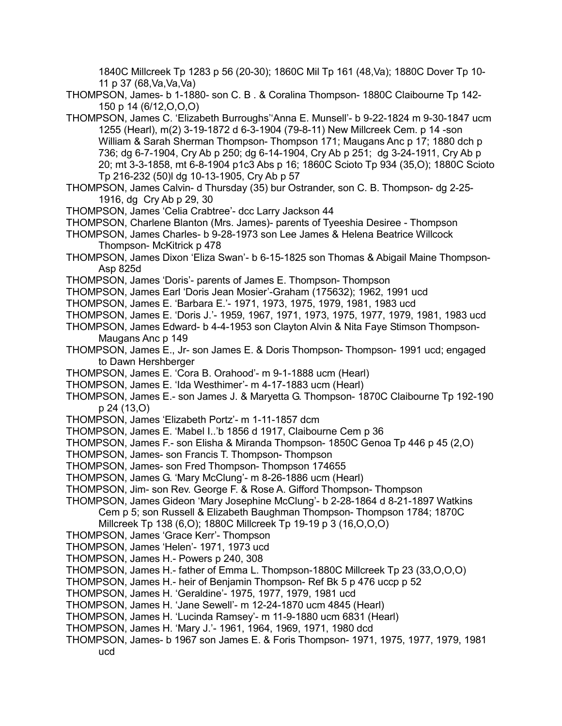1840C Millcreek Tp 1283 p 56 (20-30); 1860C Mil Tp 161 (48,Va); 1880C Dover Tp 10- 11 p 37 (68,Va,Va,Va)

THOMPSON, James- b 1-1880- son C. B . & Coralina Thompson- 1880C Claibourne Tp 142- 150 p 14 (6/12,O,O,O)

- THOMPSON, James C. 'Elizabeth Burroughs''Anna E. Munsell'- b 9-22-1824 m 9-30-1847 ucm 1255 (Hearl), m(2) 3-19-1872 d 6-3-1904 (79-8-11) New Millcreek Cem. p 14 -son William & Sarah Sherman Thompson- Thompson 171; Maugans Anc p 17; 1880 dch p 736; dg 6-7-1904, Cry Ab p 250; dg 6-14-1904, Cry Ab p 251; dg 3-24-1911, Cry Ab p 20; mt 3-3-1858, mt 6-8-1904 p1c3 Abs p 16; 1860C Scioto Tp 934 (35,O); 1880C Scioto Tp 216-232 (50)l dg 10-13-1905, Cry Ab p 57
- THOMPSON, James Calvin- d Thursday (35) bur Ostrander, son C. B. Thompson- dg 2-25- 1916, dg Cry Ab p 29, 30
- THOMPSON, James 'Celia Crabtree'- dcc Larry Jackson 44
- THOMPSON, Charlene Blanton (Mrs. James)- parents of Tyeeshia Desiree Thompson
- THOMPSON, James Charles- b 9-28-1973 son Lee James & Helena Beatrice Willcock Thompson- McKitrick p 478
- THOMPSON, James Dixon 'Eliza Swan'- b 6-15-1825 son Thomas & Abigail Maine Thompson-Asp 825d
- THOMPSON, James 'Doris'- parents of James E. Thompson- Thompson
- THOMPSON, James Earl 'Doris Jean Mosier'-Graham (175632); 1962, 1991 ucd
- THOMPSON, James E. 'Barbara E.'- 1971, 1973, 1975, 1979, 1981, 1983 ucd
- THOMPSON, James E. 'Doris J.'- 1959, 1967, 1971, 1973, 1975, 1977, 1979, 1981, 1983 ucd
- THOMPSON, James Edward- b 4-4-1953 son Clayton Alvin & Nita Faye Stimson Thompson-Maugans Anc p 149
- THOMPSON, James E., Jr- son James E. & Doris Thompson- Thompson- 1991 ucd; engaged to Dawn Hershberger
- THOMPSON, James E. 'Cora B. Orahood'- m 9-1-1888 ucm (Hearl)
- THOMPSON, James E. 'Ida Westhimer'- m 4-17-1883 ucm (Hearl)
- THOMPSON, James E.- son James J. & Maryetta G. Thompson- 1870C Claibourne Tp 192-190 p 24 (13,O)
- THOMPSON, James 'Elizabeth Portz'- m 1-11-1857 dcm
- THOMPSON, James E. 'Mabel I..'b 1856 d 1917, Claibourne Cem p 36
- THOMPSON, James F.- son Elisha & Miranda Thompson- 1850C Genoa Tp 446 p 45 (2,O)
- THOMPSON, James- son Francis T. Thompson- Thompson
- THOMPSON, James- son Fred Thompson- Thompson 174655
- THOMPSON, James G. 'Mary McClung'- m 8-26-1886 ucm (Hearl)
- THOMPSON, Jim- son Rev. George F. & Rose A. Gifford Thompson- Thompson
- THOMPSON, James Gideon 'Mary Josephine McClung'- b 2-28-1864 d 8-21-1897 Watkins Cem p 5; son Russell & Elizabeth Baughman Thompson- Thompson 1784; 1870C
	- Millcreek Tp 138 (6,O); 1880C Millcreek Tp 19-19 p 3 (16,O,O,O)
- THOMPSON, James 'Grace Kerr'- Thompson
- THOMPSON, James 'Helen'- 1971, 1973 ucd
- THOMPSON, James H.- Powers p 240, 308
- THOMPSON, James H.- father of Emma L. Thompson-1880C Millcreek Tp 23 (33,O,O,O)
- THOMPSON, James H.- heir of Benjamin Thompson- Ref Bk 5 p 476 uccp p 52
- THOMPSON, James H. 'Geraldine'- 1975, 1977, 1979, 1981 ucd
- THOMPSON, James H. 'Jane Sewell'- m 12-24-1870 ucm 4845 (Hearl)
- THOMPSON, James H. 'Lucinda Ramsey'- m 11-9-1880 ucm 6831 (Hearl)
- THOMPSON, James H. 'Mary J.'- 1961, 1964, 1969, 1971, 1980 dcd
- THOMPSON, James- b 1967 son James E. & Foris Thompson- 1971, 1975, 1977, 1979, 1981 ucd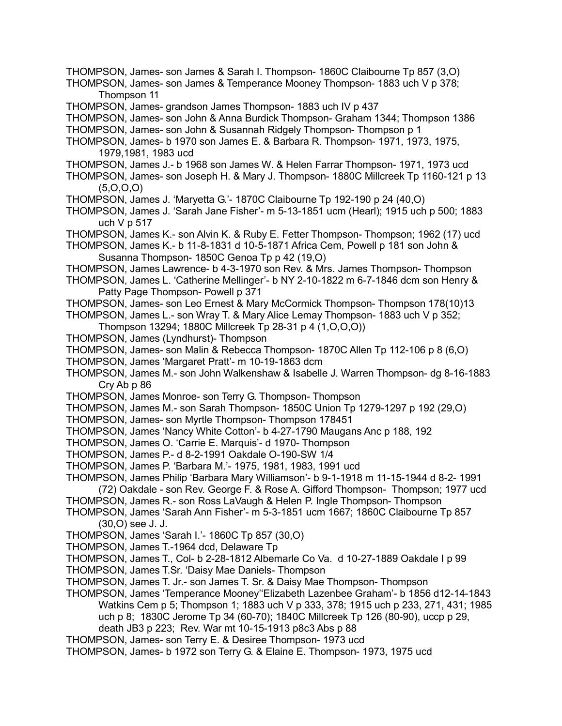THOMPSON, James- son James & Temperance Mooney Thompson- 1883 uch V p 378; Thompson 11 THOMPSON, James- grandson James Thompson- 1883 uch IV p 437 THOMPSON, James- son John & Anna Burdick Thompson- Graham 1344; Thompson 1386 THOMPSON, James- son John & Susannah Ridgely Thompson- Thompson p 1 THOMPSON, James- b 1970 son James E. & Barbara R. Thompson- 1971, 1973, 1975, 1979,1981, 1983 ucd THOMPSON, James J.- b 1968 son James W. & Helen Farrar Thompson- 1971, 1973 ucd THOMPSON, James- son Joseph H. & Mary J. Thompson- 1880C Millcreek Tp 1160-121 p 13  $(5,0,0,0)$ THOMPSON, James J. 'Maryetta G.'- 1870C Claibourne Tp 192-190 p 24 (40,O) THOMPSON, James J. 'Sarah Jane Fisher'- m 5-13-1851 ucm (Hearl); 1915 uch p 500; 1883 uch V p 517 THOMPSON, James K.- son Alvin K. & Ruby E. Fetter Thompson- Thompson; 1962 (17) ucd THOMPSON, James K.- b 11-8-1831 d 10-5-1871 Africa Cem, Powell p 181 son John & Susanna Thompson- 1850C Genoa Tp p 42 (19,O) THOMPSON, James Lawrence- b 4-3-1970 son Rev. & Mrs. James Thompson- Thompson THOMPSON, James L. 'Catherine Mellinger'- b NY 2-10-1822 m 6-7-1846 dcm son Henry & Patty Page Thompson- Powell p 371 THOMPSON, James- son Leo Ernest & Mary McCormick Thompson- Thompson 178(10)13 THOMPSON, James L.- son Wray T. & Mary Alice Lemay Thompson- 1883 uch V p 352; Thompson 13294; 1880C Millcreek Tp 28-31 p 4 (1,O,O,O)) THOMPSON, James (Lyndhurst)- Thompson THOMPSON, James- son Malin & Rebecca Thompson- 1870C Allen Tp 112-106 p 8 (6,O) THOMPSON, James 'Margaret Pratt'- m 10-19-1863 dcm THOMPSON, James M.- son John Walkenshaw & Isabelle J. Warren Thompson- dg 8-16-1883 Cry Ab p 86 THOMPSON, James Monroe- son Terry G. Thompson- Thompson THOMPSON, James M.- son Sarah Thompson- 1850C Union Tp 1279-1297 p 192 (29,O) THOMPSON, James- son Myrtle Thompson- Thompson 178451 THOMPSON, James 'Nancy White Cotton'- b 4-27-1790 Maugans Anc p 188, 192 THOMPSON, James O. 'Carrie E. Marquis'- d 1970- Thompson THOMPSON, James P.- d 8-2-1991 Oakdale O-190-SW 1/4 THOMPSON, James P. 'Barbara M.'- 1975, 1981, 1983, 1991 ucd THOMPSON, James Philip 'Barbara Mary Williamson'- b 9-1-1918 m 11-15-1944 d 8-2- 1991 (72) Oakdale - son Rev. George F. & Rose A. Gifford Thompson- Thompson; 1977 ucd THOMPSON, James R.- son Ross LaVaugh & Helen P. Ingle Thompson- Thompson THOMPSON, James 'Sarah Ann Fisher'- m 5-3-1851 ucm 1667; 1860C Claibourne Tp 857 (30,O) see J. J. THOMPSON, James 'Sarah I.'- 1860C Tp 857 (30,O) THOMPSON, James T.-1964 dcd, Delaware Tp THOMPSON, James T., Col- b 2-28-1812 Albemarle Co Va. d 10-27-1889 Oakdale I p 99 THOMPSON, James T.Sr. 'Daisy Mae Daniels- Thompson THOMPSON, James T. Jr.- son James T. Sr. & Daisy Mae Thompson- Thompson THOMPSON, James 'Temperance Mooney''Elizabeth Lazenbee Graham'- b 1856 d12-14-1843 Watkins Cem p 5; Thompson 1; 1883 uch V p 333, 378; 1915 uch p 233, 271, 431; 1985 uch p 8; 1830C Jerome Tp 34 (60-70); 1840C Millcreek Tp 126 (80-90), uccp p 29, death JB3 p 223; Rev. War mt 10-15-1913 p8c3 Abs p 88 THOMPSON, James- son Terry E. & Desiree Thompson- 1973 ucd THOMPSON, James- b 1972 son Terry G. & Elaine E. Thompson- 1973, 1975 ucd

THOMPSON, James- son James & Sarah I. Thompson- 1860C Claibourne Tp 857 (3,O)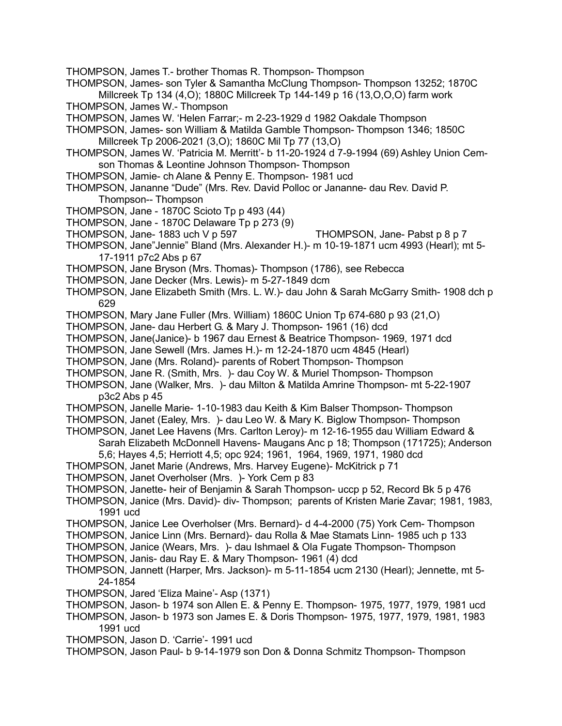THOMPSON, James T.- brother Thomas R. Thompson- Thompson

- THOMPSON, James- son Tyler & Samantha McClung Thompson- Thompson 13252; 1870C Millcreek Tp 134 (4,O); 1880C Millcreek Tp 144-149 p 16 (13,O,O,O) farm work
- THOMPSON, James W.- Thompson
- THOMPSON, James W. 'Helen Farrar;- m 2-23-1929 d 1982 Oakdale Thompson
- THOMPSON, James- son William & Matilda Gamble Thompson- Thompson 1346; 1850C Millcreek Tp 2006-2021 (3,O); 1860C Mil Tp 77 (13,O)
- THOMPSON, James W. 'Patricia M. Merritt'- b 11-20-1924 d 7-9-1994 (69) Ashley Union Cemson Thomas & Leontine Johnson Thompson- Thompson
- THOMPSON, Jamie- ch Alane & Penny E. Thompson- 1981 ucd
- THOMPSON, Jananne "Dude" (Mrs. Rev. David Polloc or Jananne- dau Rev. David P. Thompson-- Thompson
- THOMPSON, Jane 1870C Scioto Tp p 493 (44)
- THOMPSON, Jane 1870C Delaware Tp p 273 (9)
- THOMPSON, Jane- 1883 uch V p 597 THOMPSON, Jane- Pabst p 8 p 7
- THOMPSON, Jane"Jennie" Bland (Mrs. Alexander H.)- m 10-19-1871 ucm 4993 (Hearl); mt 5- 17-1911 p7c2 Abs p 67
- THOMPSON, Jane Bryson (Mrs. Thomas)- Thompson (1786), see Rebecca
- THOMPSON, Jane Decker (Mrs. Lewis)- m 5-27-1849 dcm
- THOMPSON, Jane Elizabeth Smith (Mrs. L. W.)- dau John & Sarah McGarry Smith- 1908 dch p 629
- THOMPSON, Mary Jane Fuller (Mrs. William) 1860C Union Tp 674-680 p 93 (21,O)
- THOMPSON, Jane- dau Herbert G. & Mary J. Thompson- 1961 (16) dcd
- THOMPSON, Jane(Janice)- b 1967 dau Ernest & Beatrice Thompson- 1969, 1971 dcd
- THOMPSON, Jane Sewell (Mrs. James H.)- m 12-24-1870 ucm 4845 (Hearl)
- THOMPSON, Jane (Mrs. Roland)- parents of Robert Thompson- Thompson
- THOMPSON, Jane R. (Smith, Mrs. )- dau Coy W. & Muriel Thompson- Thompson
- THOMPSON, Jane (Walker, Mrs. )- dau Milton & Matilda Amrine Thompson- mt 5-22-1907 p3c2 Abs p 45
- THOMPSON, Janelle Marie- 1-10-1983 dau Keith & Kim Balser Thompson- Thompson
- THOMPSON, Janet (Ealey, Mrs. )- dau Leo W. & Mary K. Biglow Thompson- Thompson
- THOMPSON, Janet Lee Havens (Mrs. Carlton Leroy)- m 12-16-1955 dau William Edward & Sarah Elizabeth McDonnell Havens- Maugans Anc p 18; Thompson (171725); Anderson
	- 5,6; Hayes 4,5; Herriott 4,5; opc 924; 1961, 1964, 1969, 1971, 1980 dcd
- THOMPSON, Janet Marie (Andrews, Mrs. Harvey Eugene)- McKitrick p 71
- THOMPSON, Janet Overholser (Mrs. )- York Cem p 83
- THOMPSON, Janette- heir of Benjamin & Sarah Thompson- uccp p 52, Record Bk 5 p 476
- THOMPSON, Janice (Mrs. David)- div- Thompson; parents of Kristen Marie Zavar; 1981, 1983, 1991 ucd
- THOMPSON, Janice Lee Overholser (Mrs. Bernard)- d 4-4-2000 (75) York Cem- Thompson
- THOMPSON, Janice Linn (Mrs. Bernard)- dau Rolla & Mae Stamats Linn- 1985 uch p 133
- THOMPSON, Janice (Wears, Mrs. )- dau Ishmael & Ola Fugate Thompson- Thompson
- THOMPSON, Janis- dau Ray E. & Mary Thompson- 1961 (4) dcd
- THOMPSON, Jannett (Harper, Mrs. Jackson)- m 5-11-1854 ucm 2130 (Hearl); Jennette, mt 5- 24-1854
- THOMPSON, Jared 'Eliza Maine'- Asp (1371)
- THOMPSON, Jason- b 1974 son Allen E. & Penny E. Thompson- 1975, 1977, 1979, 1981 ucd
- THOMPSON, Jason- b 1973 son James E. & Doris Thompson- 1975, 1977, 1979, 1981, 1983 1991 ucd
- THOMPSON, Jason D. 'Carrie'- 1991 ucd
- THOMPSON, Jason Paul- b 9-14-1979 son Don & Donna Schmitz Thompson- Thompson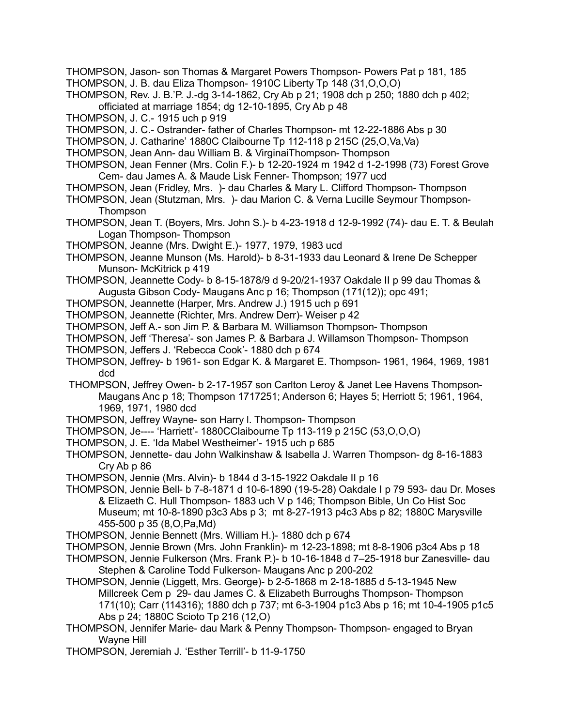- THOMPSON, Jason- son Thomas & Margaret Powers Thompson- Powers Pat p 181, 185 THOMPSON, J. B. dau Eliza Thompson- 1910C Liberty Tp 148 (31,O,O,O)
- THOMPSON, Rev. J. B.'P. J.-dg 3-14-1862, Cry Ab p 21; 1908 dch p 250; 1880 dch p 402; officiated at marriage 1854; dg 12-10-1895, Cry Ab p 48
- THOMPSON, J. C.- 1915 uch p 919
- THOMPSON, J. C.- Ostrander- father of Charles Thompson- mt 12-22-1886 Abs p 30
- THOMPSON, J. Catharine' 1880C Claibourne Tp 112-118 p 215C (25,O,Va,Va)
- THOMPSON, Jean Ann- dau William B. & VirginaiThompson- Thompson
- THOMPSON, Jean Fenner (Mrs. Colin F.)- b 12-20-1924 m 1942 d 1-2-1998 (73) Forest Grove Cem- dau James A. & Maude Lisk Fenner- Thompson; 1977 ucd
- THOMPSON, Jean (Fridley, Mrs. )- dau Charles & Mary L. Clifford Thompson- Thompson
- THOMPSON, Jean (Stutzman, Mrs. )- dau Marion C. & Verna Lucille Seymour Thompson-**Thompson**
- THOMPSON, Jean T. (Boyers, Mrs. John S.)- b 4-23-1918 d 12-9-1992 (74)- dau E. T. & Beulah Logan Thompson- Thompson
- THOMPSON, Jeanne (Mrs. Dwight E.)- 1977, 1979, 1983 ucd
- THOMPSON, Jeanne Munson (Ms. Harold)- b 8-31-1933 dau Leonard & Irene De Schepper Munson- McKitrick p 419
- THOMPSON, Jeannette Cody- b 8-15-1878/9 d 9-20/21-1937 Oakdale II p 99 dau Thomas & Augusta Gibson Cody- Maugans Anc p 16; Thompson (171(12)); opc 491;
- THOMPSON, Jeannette (Harper, Mrs. Andrew J.) 1915 uch p 691
- THOMPSON, Jeannette (Richter, Mrs. Andrew Derr)- Weiser p 42
- THOMPSON, Jeff A.- son Jim P. & Barbara M. Williamson Thompson- Thompson
- THOMPSON, Jeff 'Theresa'- son James P. & Barbara J. Willamson Thompson- Thompson
- THOMPSON, Jeffers J. 'Rebecca Cook'- 1880 dch p 674
- THOMPSON, Jeffrey- b 1961- son Edgar K. & Margaret E. Thompson- 1961, 1964, 1969, 1981 dcd
- THOMPSON, Jeffrey Owen- b 2-17-1957 son Carlton Leroy & Janet Lee Havens Thompson-Maugans Anc p 18; Thompson 1717251; Anderson 6; Hayes 5; Herriott 5; 1961, 1964, 1969, 1971, 1980 dcd
- THOMPSON, Jeffrey Wayne- son Harry l. Thompson- Thompson
- THOMPSON, Je---- 'Harriett'- 1880CClaibourne Tp 113-119 p 215C (53,O,O,O)
- THOMPSON, J. E. 'Ida Mabel Westheimer'- 1915 uch p 685
- THOMPSON, Jennette- dau John Walkinshaw & Isabella J. Warren Thompson- dg 8-16-1883 Cry Ab p 86
- THOMPSON, Jennie (Mrs. Alvin)- b 1844 d 3-15-1922 Oakdale II p 16
- THOMPSON, Jennie Bell- b 7-8-1871 d 10-6-1890 (19-5-28) Oakdale I p 79 593- dau Dr. Moses & Elizaeth C. Hull Thompson- 1883 uch V p 146; Thompson Bible, Un Co Hist Soc Museum; mt 10-8-1890 p3c3 Abs p 3; mt 8-27-1913 p4c3 Abs p 82; 1880C Marysville 455-500 p 35 (8,O,Pa,Md)
- THOMPSON, Jennie Bennett (Mrs. William H.)- 1880 dch p 674
- THOMPSON, Jennie Brown (Mrs. John Franklin)- m 12-23-1898; mt 8-8-1906 p3c4 Abs p 18
- THOMPSON, Jennie Fulkerson (Mrs. Frank P.)- b 10-16-1848 d 7–25-1918 bur Zanesville- dau Stephen & Caroline Todd Fulkerson- Maugans Anc p 200-202
- THOMPSON, Jennie (Liggett, Mrs. George)- b 2-5-1868 m 2-18-1885 d 5-13-1945 New Millcreek Cem p 29- dau James C. & Elizabeth Burroughs Thompson- Thompson 171(10); Carr (114316); 1880 dch p 737; mt 6-3-1904 p1c3 Abs p 16; mt 10-4-1905 p1c5 Abs p 24; 1880C Scioto Tp 216 (12,O)
- THOMPSON, Jennifer Marie- dau Mark & Penny Thompson- Thompson- engaged to Bryan Wayne Hill
- THOMPSON, Jeremiah J. 'Esther Terrill'- b 11-9-1750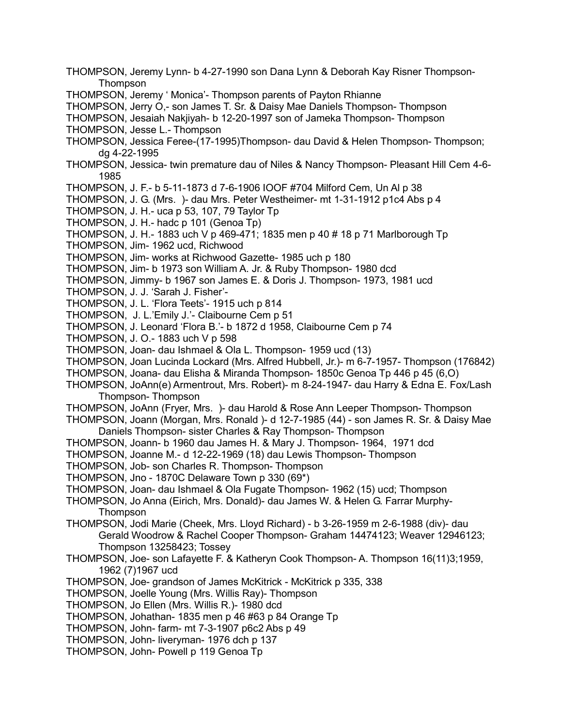- THOMPSON, Jeremy Lynn- b 4-27-1990 son Dana Lynn & Deborah Kay Risner Thompson-**Thompson**
- THOMPSON, Jeremy ' Monica'- Thompson parents of Payton Rhianne
- THOMPSON, Jerry O,- son James T. Sr. & Daisy Mae Daniels Thompson- Thompson
- THOMPSON, Jesaiah Nakjiyah- b 12-20-1997 son of Jameka Thompson- Thompson
- THOMPSON, Jesse L.- Thompson
- THOMPSON, Jessica Feree-(17-1995)Thompson- dau David & Helen Thompson- Thompson; dg 4-22-1995
- THOMPSON, Jessica- twin premature dau of Niles & Nancy Thompson- Pleasant Hill Cem 4-6- 1985
- THOMPSON, J. F.- b 5-11-1873 d 7-6-1906 IOOF #704 Milford Cem, Un Al p 38
- THOMPSON, J. G. (Mrs. )- dau Mrs. Peter Westheimer- mt 1-31-1912 p1c4 Abs p 4
- THOMPSON, J. H.- uca p 53, 107, 79 Taylor Tp
- THOMPSON, J. H.- hadc p 101 (Genoa Tp)
- THOMPSON, J. H.- 1883 uch V p 469-471; 1835 men p 40 # 18 p 71 Marlborough Tp
- THOMPSON, Jim- 1962 ucd, Richwood
- THOMPSON, Jim- works at Richwood Gazette- 1985 uch p 180
- THOMPSON, Jim- b 1973 son William A. Jr. & Ruby Thompson- 1980 dcd
- THOMPSON, Jimmy- b 1967 son James E. & Doris J. Thompson- 1973, 1981 ucd
- THOMPSON, J. J. 'Sarah J. Fisher'-
- THOMPSON, J. L. 'Flora Teets'- 1915 uch p 814
- THOMPSON, J. L.'Emily J.'- Claibourne Cem p 51
- THOMPSON, J. Leonard 'Flora B.'- b 1872 d 1958, Claibourne Cem p 74
- THOMPSON, J. O.- 1883 uch V p 598
- THOMPSON, Joan- dau Ishmael & Ola L. Thompson- 1959 ucd (13)
- THOMPSON, Joan Lucinda Lockard (Mrs. Alfred Hubbell, Jr.)- m 6-7-1957- Thompson (176842)
- THOMPSON, Joana- dau Elisha & Miranda Thompson- 1850c Genoa Tp 446 p 45 (6,O)
- THOMPSON, JoAnn(e) Armentrout, Mrs. Robert)- m 8-24-1947- dau Harry & Edna E. Fox/Lash Thompson- Thompson
- THOMPSON, JoAnn (Fryer, Mrs. )- dau Harold & Rose Ann Leeper Thompson- Thompson
- THOMPSON, Joann (Morgan, Mrs. Ronald )- d 12-7-1985 (44) son James R. Sr. & Daisy Mae Daniels Thompson- sister Charles & Ray Thompson- Thompson
- THOMPSON, Joann- b 1960 dau James H. & Mary J. Thompson- 1964, 1971 dcd
- THOMPSON, Joanne M.- d 12-22-1969 (18) dau Lewis Thompson- Thompson
- THOMPSON, Job- son Charles R. Thompson- Thompson
- THOMPSON, Jno 1870C Delaware Town p 330 (69\*)
- THOMPSON, Joan- dau Ishmael & Ola Fugate Thompson- 1962 (15) ucd; Thompson
- THOMPSON, Jo Anna (Eirich, Mrs. Donald)- dau James W. & Helen G. Farrar Murphy-**Thompson**
- THOMPSON, Jodi Marie (Cheek, Mrs. Lloyd Richard) b 3-26-1959 m 2-6-1988 (div)- dau Gerald Woodrow & Rachel Cooper Thompson- Graham 14474123; Weaver 12946123; Thompson 13258423; Tossey
- THOMPSON, Joe- son Lafayette F. & Katheryn Cook Thompson- A. Thompson 16(11)3;1959, 1962 (7)1967 ucd
- THOMPSON, Joe- grandson of James McKitrick McKitrick p 335, 338
- THOMPSON, Joelle Young (Mrs. Willis Ray)- Thompson
- THOMPSON, Jo Ellen (Mrs. Willis R.)- 1980 dcd
- THOMPSON, Johathan- 1835 men p 46 #63 p 84 Orange Tp
- THOMPSON, John- farm- mt 7-3-1907 p6c2 Abs p 49
- THOMPSON, John- liveryman- 1976 dch p 137
- THOMPSON, John- Powell p 119 Genoa Tp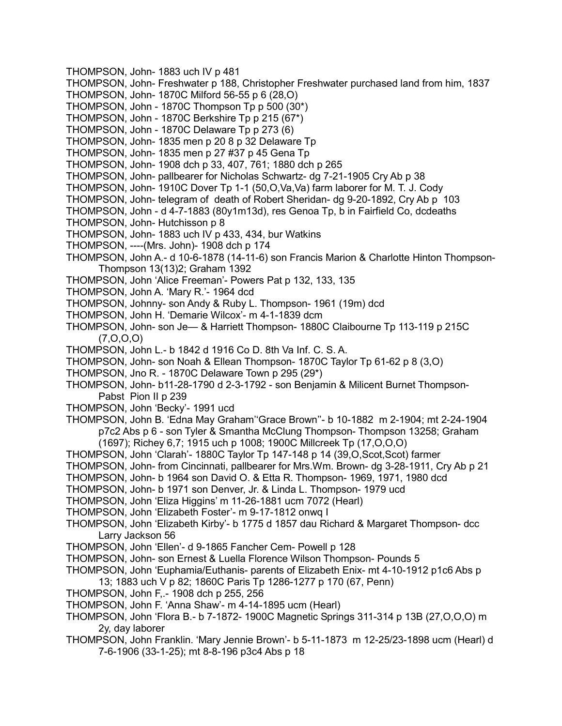- THOMPSON, John- 1883 uch IV p 481
- THOMPSON, John- Freshwater p 188, Christopher Freshwater purchased land from him, 1837
- THOMPSON, John- 1870C Milford 56-55 p 6 (28,O)
- THOMPSON, John 1870C Thompson Tp p 500 (30\*)
- THOMPSON, John 1870C Berkshire To p 215 (67\*)
- THOMPSON, John 1870C Delaware Tp p 273 (6)
- THOMPSON, John- 1835 men p 20 8 p 32 Delaware Tp
- THOMPSON, John- 1835 men p 27 #37 p 45 Gena Tp
- THOMPSON, John- 1908 dch p 33, 407, 761; 1880 dch p 265
- THOMPSON, John- pallbearer for Nicholas Schwartz- dg 7-21-1905 Cry Ab p 38
- THOMPSON, John- 1910C Dover Tp 1-1 (50,O,Va,Va) farm laborer for M. T. J. Cody
- THOMPSON, John- telegram of death of Robert Sheridan- dg 9-20-1892, Cry Ab p 103
- THOMPSON, John d 4-7-1883 (80y1m13d), res Genoa Tp, b in Fairfield Co, dcdeaths
- THOMPSON, John- Hutchisson p 8
- THOMPSON, John- 1883 uch IV p 433, 434, bur Watkins
- THOMPSON, ----(Mrs. John)- 1908 dch p 174
- THOMPSON, John A.- d 10-6-1878 (14-11-6) son Francis Marion & Charlotte Hinton Thompson-Thompson 13(13)2; Graham 1392
- THOMPSON, John 'Alice Freeman'- Powers Pat p 132, 133, 135
- THOMPSON, John A. 'Mary R.'- 1964 dcd
- THOMPSON, Johnny- son Andy & Ruby L. Thompson- 1961 (19m) dcd
- THOMPSON, John H. 'Demarie Wilcox'- m 4-1-1839 dcm
- THOMPSON, John- son Je— & Harriett Thompson- 1880C Claibourne Tp 113-119 p 215C (7,O,O,O)
- THOMPSON, John L.- b 1842 d 1916 Co D. 8th Va Inf. C. S. A.
- THOMPSON, John- son Noah & Ellean Thompson- 1870C Taylor Tp 61-62 p 8 (3,O)
- THOMPSON, Jno R. 1870C Delaware Town p 295 (29\*)
- THOMPSON, John- b11-28-1790 d 2-3-1792 son Benjamin & Milicent Burnet Thompson-Pabst Pion II p 239
- THOMPSON, John 'Becky'- 1991 ucd
- THOMPSON, John B. 'Edna May Graham''Grace Brown''- b 10-1882 m 2-1904; mt 2-24-1904 p7c2 Abs p 6 - son Tyler & Smantha McClung Thompson- Thompson 13258; Graham (1697); Richey 6,7; 1915 uch p 1008; 1900C Millcreek Tp (17,O,O,O)
- THOMPSON, John 'Clarah'- 1880C Taylor Tp 147-148 p 14 (39,O,Scot,Scot) farmer
- THOMPSON, John- from Cincinnati, pallbearer for Mrs.Wm. Brown- dg 3-28-1911, Cry Ab p 21
- THOMPSON, John- b 1964 son David O. & Etta R. Thompson- 1969, 1971, 1980 dcd
- THOMPSON, John- b 1971 son Denver, Jr. & Linda L. Thompson- 1979 ucd
- THOMPSON, John 'Eliza Higgins' m 11-26-1881 ucm 7072 (Hearl)
- THOMPSON, John 'Elizabeth Foster'- m 9-17-1812 onwq I
- THOMPSON, John 'Elizabeth Kirby'- b 1775 d 1857 dau Richard & Margaret Thompson- dcc Larry Jackson 56
- THOMPSON, John 'Ellen'- d 9-1865 Fancher Cem- Powell p 128
- THOMPSON, John- son Ernest & Luella Florence Wilson Thompson- Pounds 5
- THOMPSON, John 'Euphamia/Euthanis- parents of Elizabeth Enix- mt 4-10-1912 p1c6 Abs p
	- 13; 1883 uch V p 82; 1860C Paris Tp 1286-1277 p 170 (67, Penn)
- THOMPSON, John F,.- 1908 dch p 255, 256
- THOMPSON, John F. 'Anna Shaw'- m 4-14-1895 ucm (Hearl)
- THOMPSON, John 'Flora B.- b 7-1872- 1900C Magnetic Springs 311-314 p 13B (27,O,O,O) m 2y, day laborer
- THOMPSON, John Franklin. 'Mary Jennie Brown'- b 5-11-1873 m 12-25/23-1898 ucm (Hearl) d 7-6-1906 (33-1-25); mt 8-8-196 p3c4 Abs p 18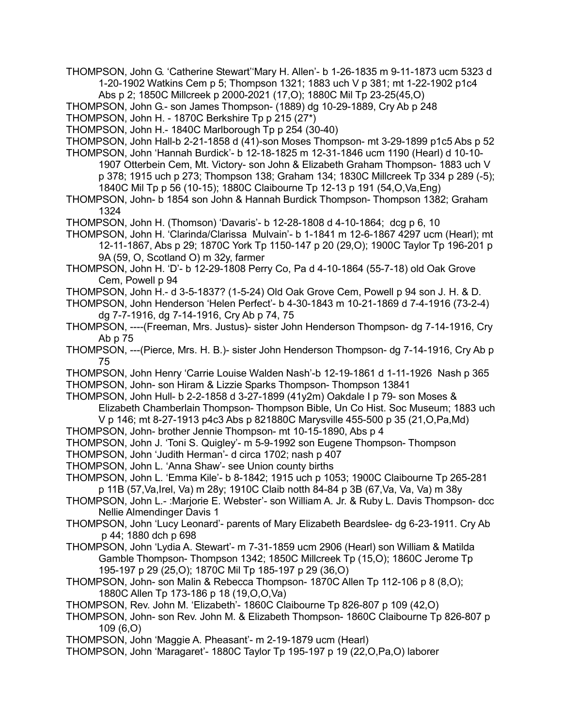THOMPSON, John G. 'Catherine Stewart''Mary H. Allen'- b 1-26-1835 m 9-11-1873 ucm 5323 d 1-20-1902 Watkins Cem p 5; Thompson 1321; 1883 uch V p 381; mt 1-22-1902 p1c4

Abs p 2; 1850C Millcreek p 2000-2021 (17,O); 1880C Mil Tp 23-25(45,O)

THOMPSON, John G.- son James Thompson- (1889) dg 10-29-1889, Cry Ab p 248

THOMPSON, John H. - 1870C Berkshire Tp p 215 (27\*)

THOMPSON, John H.- 1840C Marlborough Tp p 254 (30-40)

THOMPSON, John Hall-b 2-21-1858 d (41)-son Moses Thompson- mt 3-29-1899 p1c5 Abs p 52

THOMPSON, John 'Hannah Burdick'- b 12-18-1825 m 12-31-1846 ucm 1190 (Hearl) d 10-10- 1907 Otterbein Cem, Mt. Victory- son John & Elizabeth Graham Thompson- 1883 uch V p 378; 1915 uch p 273; Thompson 138; Graham 134; 1830C Millcreek Tp 334 p 289 (-5); 1840C Mil Tp p 56 (10-15); 1880C Claibourne Tp 12-13 p 191 (54,O,Va,Eng)

THOMPSON, John- b 1854 son John & Hannah Burdick Thompson- Thompson 1382; Graham 1324

THOMPSON, John H. (Thomson) 'Davaris'- b 12-28-1808 d 4-10-1864; dcg p 6, 10

THOMPSON, John H. 'Clarinda/Clarissa Mulvain'- b 1-1841 m 12-6-1867 4297 ucm (Hearl); mt 12-11-1867, Abs p 29; 1870C York Tp 1150-147 p 20 (29,O); 1900C Taylor Tp 196-201 p 9A (59, O, Scotland O) m 32y, farmer

THOMPSON, John H. 'D'- b 12-29-1808 Perry Co, Pa d 4-10-1864 (55-7-18) old Oak Grove Cem, Powell p 94

THOMPSON, John H.- d 3-5-1837? (1-5-24) Old Oak Grove Cem, Powell p 94 son J. H. & D.

THOMPSON, John Henderson 'Helen Perfect'- b 4-30-1843 m 10-21-1869 d 7-4-1916 (73-2-4) dg 7-7-1916, dg 7-14-1916, Cry Ab p 74, 75

THOMPSON, ----(Freeman, Mrs. Justus)- sister John Henderson Thompson- dg 7-14-1916, Cry Ab p 75

THOMPSON, ---(Pierce, Mrs. H. B.)- sister John Henderson Thompson- dg 7-14-1916, Cry Ab p 75

THOMPSON, John Henry 'Carrie Louise Walden Nash'-b 12-19-1861 d 1-11-1926 Nash p 365 THOMPSON, John- son Hiram & Lizzie Sparks Thompson- Thompson 13841

THOMPSON, John Hull- b 2-2-1858 d 3-27-1899 (41y2m) Oakdale I p 79- son Moses & Elizabeth Chamberlain Thompson- Thompson Bible, Un Co Hist. Soc Museum; 1883 uch V p 146; mt 8-27-1913 p4c3 Abs p 821880C Marysville 455-500 p 35 (21,O,Pa,Md)

THOMPSON, John- brother Jennie Thompson- mt 10-15-1890, Abs p 4

THOMPSON, John J. 'Toni S. Quigley'- m 5-9-1992 son Eugene Thompson- Thompson

THOMPSON, John 'Judith Herman'- d circa 1702; nash p 407

THOMPSON, John L. 'Anna Shaw'- see Union county births

THOMPSON, John L. 'Emma Kile'- b 8-1842; 1915 uch p 1053; 1900C Claibourne Tp 265-281 p 11B (57,Va,Irel, Va) m 28y; 1910C Claib notth 84-84 p 3B (67,Va, Va, Va) m 38y

- THOMPSON, John L.- :Marjorie E. Webster'- son William A. Jr. & Ruby L. Davis Thompson- dcc Nellie Almendinger Davis 1
- THOMPSON, John 'Lucy Leonard'- parents of Mary Elizabeth Beardslee- dg 6-23-1911. Cry Ab p 44; 1880 dch p 698

THOMPSON, John 'Lydia A. Stewart'- m 7-31-1859 ucm 2906 (Hearl) son William & Matilda Gamble Thompson- Thompson 1342; 1850C Millcreek Tp (15,O); 1860C Jerome Tp 195-197 p 29 (25,O); 1870C Mil Tp 185-197 p 29 (36,O)

THOMPSON, John- son Malin & Rebecca Thompson- 1870C Allen Tp 112-106 p 8 (8,O); 1880C Allen Tp 173-186 p 18 (19,O,O,Va)

THOMPSON, Rev. John M. 'Elizabeth'- 1860C Claibourne Tp 826-807 p 109 (42,O)

THOMPSON, John- son Rev. John M. & Elizabeth Thompson- 1860C Claibourne Tp 826-807 p 109 (6,O)

THOMPSON, John 'Maggie A. Pheasant'- m 2-19-1879 ucm (Hearl)

THOMPSON, John 'Maragaret'- 1880C Taylor Tp 195-197 p 19 (22,O,Pa,O) laborer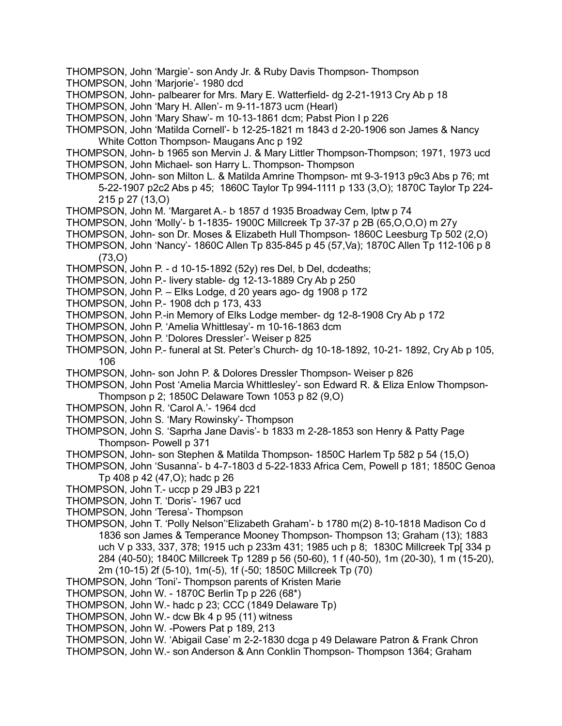- THOMPSON, John 'Margie'- son Andy Jr. & Ruby Davis Thompson- Thompson
- THOMPSON, John 'Marjorie'- 1980 dcd
- THOMPSON, John- palbearer for Mrs. Mary E. Watterfield- dg 2-21-1913 Cry Ab p 18
- THOMPSON, John 'Mary H. Allen'- m 9-11-1873 ucm (Hearl)
- THOMPSON, John 'Mary Shaw'- m 10-13-1861 dcm; Pabst Pion I p 226
- THOMPSON, John 'Matilda Cornell'- b 12-25-1821 m 1843 d 2-20-1906 son James & Nancy White Cotton Thompson- Maugans Anc p 192
- THOMPSON, John- b 1965 son Mervin J. & Mary Littler Thompson-Thompson; 1971, 1973 ucd THOMPSON, John Michael- son Harry L. Thompson- Thompson
- THOMPSON, John- son Milton L. & Matilda Amrine Thompson- mt 9-3-1913 p9c3 Abs p 76; mt 5-22-1907 p2c2 Abs p 45; 1860C Taylor Tp 994-1111 p 133 (3,O); 1870C Taylor Tp 224- 215 p 27 (13,O)
- THOMPSON, John M. 'Margaret A.- b 1857 d 1935 Broadway Cem, lptw p 74
- THOMPSON, John 'Molly'- b 1-1835- 1900C Millcreek Tp 37-37 p 2B (65,O,O,O) m 27y
- THOMPSON, John- son Dr. Moses & Elizabeth Hull Thompson- 1860C Leesburg Tp 502 (2,O)
- THOMPSON, John 'Nancy'- 1860C Allen Tp 835-845 p 45 (57,Va); 1870C Allen Tp 112-106 p 8 (73,O)
- THOMPSON, John P. d 10-15-1892 (52y) res Del, b Del, dcdeaths;
- THOMPSON, John P.- livery stable- dg 12-13-1889 Cry Ab p 250
- THOMPSON, John P. Elks Lodge, d 20 years ago- dg 1908 p 172
- THOMPSON, John P.- 1908 dch p 173, 433
- THOMPSON, John P.-in Memory of Elks Lodge member- dg 12-8-1908 Cry Ab p 172
- THOMPSON, John P. 'Amelia Whittlesay'- m 10-16-1863 dcm
- THOMPSON, John P. 'Dolores Dressler'- Weiser p 825
- THOMPSON, John P.- funeral at St. Peter's Church- dg 10-18-1892, 10-21- 1892, Cry Ab p 105, 106
- THOMPSON, John- son John P. & Dolores Dressler Thompson- Weiser p 826
- THOMPSON, John Post 'Amelia Marcia Whittlesley'- son Edward R. & Eliza Enlow Thompson-Thompson p 2; 1850C Delaware Town 1053 p 82 (9,O)
- THOMPSON, John R. 'Carol A.'- 1964 dcd
- THOMPSON, John S. 'Mary Rowinsky'- Thompson
- THOMPSON, John S. 'Saprha Jane Davis'- b 1833 m 2-28-1853 son Henry & Patty Page Thompson- Powell p 371
- THOMPSON, John- son Stephen & Matilda Thompson- 1850C Harlem Tp 582 p 54 (15,O)
- THOMPSON, John 'Susanna'- b 4-7-1803 d 5-22-1833 Africa Cem, Powell p 181; 1850C Genoa Tp 408 p 42 (47,O); hadc p 26
- THOMPSON, John T.- uccp p 29 JB3 p 221
- THOMPSON, John T. 'Doris'- 1967 ucd
- THOMPSON, John 'Teresa'- Thompson
- THOMPSON, John T. 'Polly Nelson''Elizabeth Graham'- b 1780 m(2) 8-10-1818 Madison Co d 1836 son James & Temperance Mooney Thompson- Thompson 13; Graham (13); 1883 uch V p 333, 337, 378; 1915 uch p 233m 431; 1985 uch p 8; 1830C Millcreek Tp[ 334 p 284 (40-50); 1840C Millcreek Tp 1289 p 56 (50-60), 1 f (40-50), 1m (20-30), 1 m (15-20), 2m (10-15) 2f (5-10), 1m(-5), 1f (-50; 1850C Millcreek Tp (70)
- THOMPSON, John 'Toni'- Thompson parents of Kristen Marie
- THOMPSON, John W. 1870C Berlin Tp p 226 (68\*)
- THOMPSON, John W.- hadc p 23; CCC (1849 Delaware Tp)
- THOMPSON, John W.- dcw Bk 4 p 95 (11) witness
- THOMPSON, John W. -Powers Pat p 189, 213
- THOMPSON, John W. 'Abigail Case' m 2-2-1830 dcga p 49 Delaware Patron & Frank Chron
- THOMPSON, John W.- son Anderson & Ann Conklin Thompson- Thompson 1364; Graham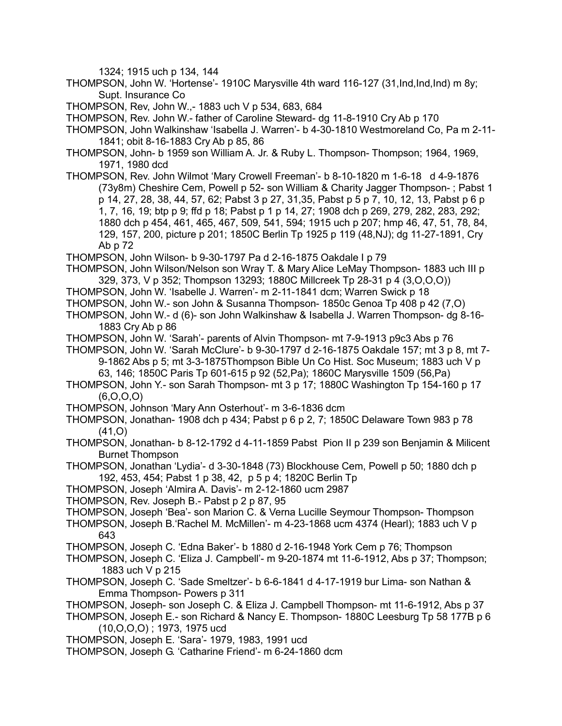1324; 1915 uch p 134, 144

THOMPSON, John W. 'Hortense'- 1910C Marysville 4th ward 116-127 (31,Ind,Ind,Ind) m 8y; Supt. Insurance Co

THOMPSON, Rev, John W.,- 1883 uch V p 534, 683, 684

THOMPSON, Rev. John W.- father of Caroline Steward- dg 11-8-1910 Cry Ab p 170

- THOMPSON, John Walkinshaw 'Isabella J. Warren'- b 4-30-1810 Westmoreland Co, Pa m 2-11- 1841; obit 8-16-1883 Cry Ab p 85, 86
- THOMPSON, John- b 1959 son William A. Jr. & Ruby L. Thompson- Thompson; 1964, 1969, 1971, 1980 dcd
- THOMPSON, Rev. John Wilmot 'Mary Crowell Freeman'- b 8-10-1820 m 1-6-18 d 4-9-1876 (73y8m) Cheshire Cem, Powell p 52- son William & Charity Jagger Thompson- ; Pabst 1 p 14, 27, 28, 38, 44, 57, 62; Pabst 3 p 27, 31,35, Pabst p 5 p 7, 10, 12, 13, Pabst p 6 p 1, 7, 16, 19; btp p 9; ffd p 18; Pabst p 1 p 14, 27; 1908 dch p 269, 279, 282, 283, 292; 1880 dch p 454, 461, 465, 467, 509, 541, 594; 1915 uch p 207; hmp 46, 47, 51, 78, 84, 129, 157, 200, picture p 201; 1850C Berlin Tp 1925 p 119 (48,NJ); dg 11-27-1891, Cry Ab p 72

THOMPSON, John Wilson- b 9-30-1797 Pa d 2-16-1875 Oakdale I p 79

- THOMPSON, John Wilson/Nelson son Wray T. & Mary Alice LeMay Thompson- 1883 uch III p 329, 373, V p 352; Thompson 13293; 1880C Millcreek Tp 28-31 p 4 (3,O,O,O))
- THOMPSON, John W. 'Isabelle J. Warren'- m 2-11-1841 dcm; Warren Swick p 18
- THOMPSON, John W.- son John & Susanna Thompson- 1850c Genoa Tp 408 p 42 (7,O)
- THOMPSON, John W.- d (6)- son John Walkinshaw & Isabella J. Warren Thompson- dg 8-16- 1883 Cry Ab p 86
- THOMPSON, John W. 'Sarah'- parents of Alvin Thompson- mt 7-9-1913 p9c3 Abs p 76
- THOMPSON, John W. 'Sarah McClure'- b 9-30-1797 d 2-16-1875 Oakdale 157; mt 3 p 8, mt 7- 9-1862 Abs p 5; mt 3-3-1875Thompson Bible Un Co Hist. Soc Museum; 1883 uch V p 63, 146; 1850C Paris Tp 601-615 p 92 (52,Pa); 1860C Marysville 1509 (56,Pa)
- THOMPSON, John Y.- son Sarah Thompson- mt 3 p 17; 1880C Washington Tp 154-160 p 17 (6,O,O,O)
- THOMPSON, Johnson 'Mary Ann Osterhout'- m 3-6-1836 dcm
- THOMPSON, Jonathan- 1908 dch p 434; Pabst p 6 p 2, 7; 1850C Delaware Town 983 p 78 (41,O)
- THOMPSON, Jonathan- b 8-12-1792 d 4-11-1859 Pabst Pion II p 239 son Benjamin & Milicent Burnet Thompson
- THOMPSON, Jonathan 'Lydia'- d 3-30-1848 (73) Blockhouse Cem, Powell p 50; 1880 dch p 192, 453, 454; Pabst 1 p 38, 42, p 5 p 4; 1820C Berlin Tp
- THOMPSON, Joseph 'Almira A. Davis'- m 2-12-1860 ucm 2987
- THOMPSON, Rev. Joseph B.- Pabst p 2 p 87, 95
- THOMPSON, Joseph 'Bea'- son Marion C. & Verna Lucille Seymour Thompson- Thompson
- THOMPSON, Joseph B.'Rachel M. McMillen'- m 4-23-1868 ucm 4374 (Hearl); 1883 uch V p 643
- THOMPSON, Joseph C. 'Edna Baker'- b 1880 d 2-16-1948 York Cem p 76; Thompson
- THOMPSON, Joseph C. 'Eliza J. Campbell'- m 9-20-1874 mt 11-6-1912, Abs p 37; Thompson; 1883 uch V p 215
- THOMPSON, Joseph C. 'Sade Smeltzer'- b 6-6-1841 d 4-17-1919 bur Lima- son Nathan & Emma Thompson- Powers p 311
- THOMPSON, Joseph- son Joseph C. & Eliza J. Campbell Thompson- mt 11-6-1912, Abs p 37
- THOMPSON, Joseph E.- son Richard & Nancy E. Thompson- 1880C Leesburg Tp 58 177B p 6 (10,O,O,O) ; 1973, 1975 ucd
- THOMPSON, Joseph E. 'Sara'- 1979, 1983, 1991 ucd
- THOMPSON, Joseph G. 'Catharine Friend'- m 6-24-1860 dcm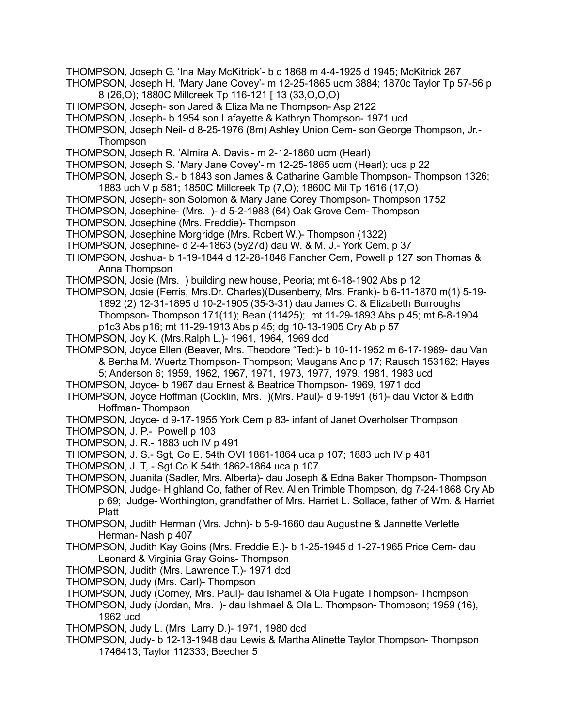- THOMPSON, Joseph G. 'Ina May McKitrick'- b c 1868 m 4-4-1925 d 1945; McKitrick 267
- THOMPSON, Joseph H. 'Mary Jane Covey'- m 12-25-1865 ucm 3884; 1870c Taylor Tp 57-56 p 8 (26,O); 1880C Millcreek Tp 116-121 [ 13 (33,O,O,O)
- THOMPSON, Joseph- son Jared & Eliza Maine Thompson- Asp 2122
- THOMPSON, Joseph- b 1954 son Lafayette & Kathryn Thompson- 1971 ucd
- THOMPSON, Joseph Neil- d 8-25-1976 (8m) Ashley Union Cem- son George Thompson, Jr.- **Thompson**
- THOMPSON, Joseph R. 'Almira A. Davis'- m 2-12-1860 ucm (Hearl)
- THOMPSON, Joseph S. 'Mary Jane Covey'- m 12-25-1865 ucm (Hearl); uca p 22
- THOMPSON, Joseph S.- b 1843 son James & Catharine Gamble Thompson- Thompson 1326; 1883 uch V p 581; 1850C Millcreek Tp (7,O); 1860C Mil Tp 1616 (17,O)
- THOMPSON, Joseph- son Solomon & Mary Jane Corey Thompson- Thompson 1752
- THOMPSON, Josephine- (Mrs. )- d 5-2-1988 (64) Oak Grove Cem- Thompson
- THOMPSON, Josephine (Mrs. Freddie)- Thompson
- THOMPSON, Josephine Morgridge (Mrs. Robert W.)- Thompson (1322)
- THOMPSON, Josephine- d 2-4-1863 (5y27d) dau W. & M. J.- York Cem, p 37
- THOMPSON, Joshua- b 1-19-1844 d 12-28-1846 Fancher Cem, Powell p 127 son Thomas & Anna Thompson
- THOMPSON, Josie (Mrs. ) building new house, Peoria; mt 6-18-1902 Abs p 12
- THOMPSON, Josie (Ferris, Mrs.Dr. Charles)(Dusenberry, Mrs. Frank)- b 6-11-1870 m(1) 5-19- 1892 (2) 12-31-1895 d 10-2-1905 (35-3-31) dau James C. & Elizabeth Burroughs Thompson- Thompson 171(11); Bean (11425); mt 11-29-1893 Abs p 45; mt 6-8-1904 p1c3 Abs p16; mt 11-29-1913 Abs p 45; dg 10-13-1905 Cry Ab p 57
- THOMPSON, Joy K. (Mrs.Ralph L.)- 1961, 1964, 1969 dcd
- THOMPSON, Joyce Ellen (Beaver, Mrs. Theodore "Ted:)- b 10-11-1952 m 6-17-1989- dau Van & Bertha M. Wuertz Thompson- Thompson; Maugans Anc p 17; Rausch 153162; Hayes 5; Anderson 6; 1959, 1962, 1967, 1971, 1973, 1977, 1979, 1981, 1983 ucd
- THOMPSON, Joyce- b 1967 dau Ernest & Beatrice Thompson- 1969, 1971 dcd
- THOMPSON, Joyce Hoffman (Cocklin, Mrs. )(Mrs. Paul)- d 9-1991 (61)- dau Victor & Edith Hoffman- Thompson
- THOMPSON, Joyce- d 9-17-1955 York Cem p 83- infant of Janet Overholser Thompson
- THOMPSON, J. P.- Powell p 103
- THOMPSON, J. R.- 1883 uch IV p 491
- THOMPSON, J. S.- Sgt, Co E. 54th OVI 1861-1864 uca p 107; 1883 uch IV p 481
- THOMPSON, J. T,.- Sgt Co K 54th 1862-1864 uca p 107
- THOMPSON, Juanita (Sadler, Mrs. Alberta)- dau Joseph & Edna Baker Thompson- Thompson
- THOMPSON, Judge- Highland Co, father of Rev. Allen Trimble Thompson, dg 7-24-1868 Cry Ab p 69; Judge- Worthington, grandfather of Mrs. Harriet L. Sollace, father of Wm. & Harriet Platt
- THOMPSON, Judith Herman (Mrs. John)- b 5-9-1660 dau Augustine & Jannette Verlette Herman- Nash p 407
- THOMPSON, Judith Kay Goins (Mrs. Freddie E.)- b 1-25-1945 d 1-27-1965 Price Cem- dau Leonard & Virginia Gray Goins- Thompson
- THOMPSON, Judith (Mrs. Lawrence T.)- 1971 dcd
- THOMPSON, Judy (Mrs. Carl)- Thompson
- THOMPSON, Judy (Corney, Mrs. Paul)- dau Ishamel & Ola Fugate Thompson- Thompson
- THOMPSON, Judy (Jordan, Mrs. )- dau Ishmael & Ola L. Thompson- Thompson; 1959 (16), 1962 ucd
- THOMPSON, Judy L. (Mrs. Larry D.)- 1971, 1980 dcd
- THOMPSON, Judy- b 12-13-1948 dau Lewis & Martha Alinette Taylor Thompson- Thompson 1746413; Taylor 112333; Beecher 5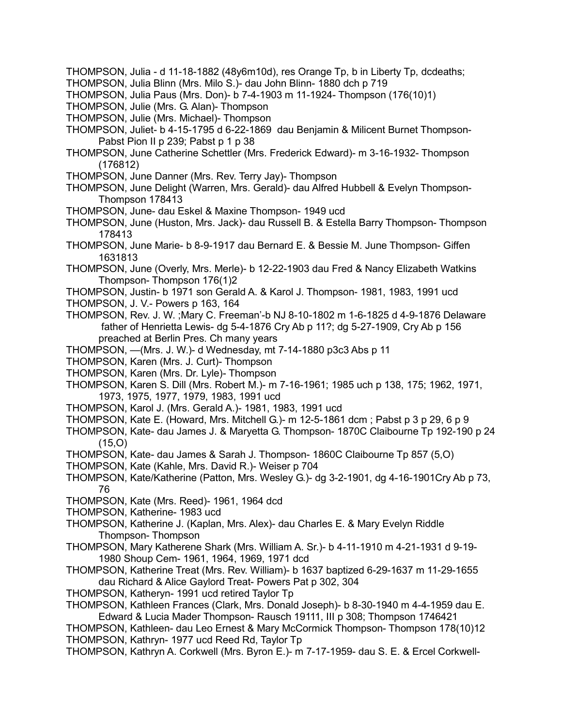- THOMPSON, Julia d 11-18-1882 (48y6m10d), res Orange Tp, b in Liberty Tp, dcdeaths;
- THOMPSON, Julia Blinn (Mrs. Milo S.)- dau John Blinn- 1880 dch p 719
- THOMPSON, Julia Paus (Mrs. Don)- b 7-4-1903 m 11-1924- Thompson (176(10)1)
- THOMPSON, Julie (Mrs. G. Alan)- Thompson
- THOMPSON, Julie (Mrs. Michael)- Thompson
- THOMPSON, Juliet- b 4-15-1795 d 6-22-1869 dau Benjamin & Milicent Burnet Thompson-Pabst Pion II p 239; Pabst p 1 p 38
- THOMPSON, June Catherine Schettler (Mrs. Frederick Edward)- m 3-16-1932- Thompson (176812)
- THOMPSON, June Danner (Mrs. Rev. Terry Jay)- Thompson
- THOMPSON, June Delight (Warren, Mrs. Gerald)- dau Alfred Hubbell & Evelyn Thompson-Thompson 178413
- THOMPSON, June- dau Eskel & Maxine Thompson- 1949 ucd
- THOMPSON, June (Huston, Mrs. Jack)- dau Russell B. & Estella Barry Thompson- Thompson 178413
- THOMPSON, June Marie- b 8-9-1917 dau Bernard E. & Bessie M. June Thompson- Giffen 1631813
- THOMPSON, June (Overly, Mrs. Merle)- b 12-22-1903 dau Fred & Nancy Elizabeth Watkins Thompson- Thompson 176(1)2
- THOMPSON, Justin- b 1971 son Gerald A. & Karol J. Thompson- 1981, 1983, 1991 ucd
- THOMPSON, J. V.- Powers p 163, 164
- THOMPSON, Rev. J. W. ;Mary C. Freeman'-b NJ 8-10-1802 m 1-6-1825 d 4-9-1876 Delaware father of Henrietta Lewis- dg 5-4-1876 Cry Ab p 11?; dg 5-27-1909, Cry Ab p 156 preached at Berlin Pres. Ch many years
- THOMPSON, —(Mrs. J. W.)- d Wednesday, mt 7-14-1880 p3c3 Abs p 11
- THOMPSON, Karen (Mrs. J. Curt)- Thompson
- THOMPSON, Karen (Mrs. Dr. Lyle)- Thompson
- THOMPSON, Karen S. Dill (Mrs. Robert M.)- m 7-16-1961; 1985 uch p 138, 175; 1962, 1971, 1973, 1975, 1977, 1979, 1983, 1991 ucd
- THOMPSON, Karol J. (Mrs. Gerald A.)- 1981, 1983, 1991 ucd
- THOMPSON, Kate E. (Howard, Mrs. Mitchell G.)- m 12-5-1861 dcm ; Pabst p 3 p 29, 6 p 9
- THOMPSON, Kate- dau James J. & Maryetta G. Thompson- 1870C Claibourne Tp 192-190 p 24  $(15,0)$
- THOMPSON, Kate- dau James & Sarah J. Thompson- 1860C Claibourne Tp 857 (5,O)
- THOMPSON, Kate (Kahle, Mrs. David R.)- Weiser p 704
- THOMPSON, Kate/Katherine (Patton, Mrs. Wesley G.)- dg 3-2-1901, dg 4-16-1901Cry Ab p 73, 76
- THOMPSON, Kate (Mrs. Reed)- 1961, 1964 dcd
- THOMPSON, Katherine- 1983 ucd
- THOMPSON, Katherine J. (Kaplan, Mrs. Alex)- dau Charles E. & Mary Evelyn Riddle Thompson- Thompson
- THOMPSON, Mary Katherene Shark (Mrs. William A. Sr.)- b 4-11-1910 m 4-21-1931 d 9-19- 1980 Shoup Cem- 1961, 1964, 1969, 1971 dcd
- THOMPSON, Katherine Treat (Mrs. Rev. William)- b 1637 baptized 6-29-1637 m 11-29-1655 dau Richard & Alice Gaylord Treat- Powers Pat p 302, 304
- THOMPSON, Katheryn- 1991 ucd retired Taylor Tp
- THOMPSON, Kathleen Frances (Clark, Mrs. Donald Joseph)- b 8-30-1940 m 4-4-1959 dau E. Edward & Lucia Mader Thompson- Rausch 19111, III p 308; Thompson 1746421
- THOMPSON, Kathleen- dau Leo Ernest & Mary McCormick Thompson- Thompson 178(10)12 THOMPSON, Kathryn- 1977 ucd Reed Rd, Taylor Tp
- THOMPSON, Kathryn A. Corkwell (Mrs. Byron E.)- m 7-17-1959- dau S. E. & Ercel Corkwell-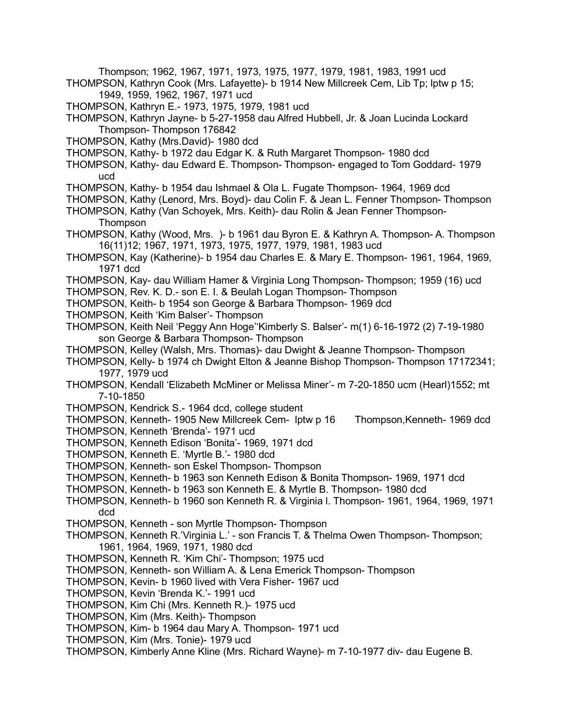- Thompson; 1962, 1967, 1971, 1973, 1975, 1977, 1979, 1981, 1983, 1991 ucd
- THOMPSON, Kathryn Cook (Mrs. Lafayette)- b 1914 New Millcreek Cem, Lib Tp; lptw p 15; 1949, 1959, 1962, 1967, 1971 ucd
- THOMPSON, Kathryn E.- 1973, 1975, 1979, 1981 ucd
- THOMPSON, Kathryn Jayne- b 5-27-1958 dau Alfred Hubbell, Jr. & Joan Lucinda Lockard Thompson- Thompson 176842
- THOMPSON, Kathy (Mrs.David)- 1980 dcd
- THOMPSON, Kathy- b 1972 dau Edgar K. & Ruth Margaret Thompson- 1980 dcd
- THOMPSON, Kathy- dau Edward E. Thompson- Thompson- engaged to Tom Goddard- 1979 ucd
- THOMPSON, Kathy- b 1954 dau Ishmael & Ola L. Fugate Thompson- 1964, 1969 dcd
- THOMPSON, Kathy (Lenord, Mrs. Boyd)- dau Colin F. & Jean L. Fenner Thompson- Thompson
- THOMPSON, Kathy (Van Schoyek, Mrs. Keith)- dau Rolin & Jean Fenner Thompson-**Thompson**
- THOMPSON, Kathy (Wood, Mrs. )- b 1961 dau Byron E. & Kathryn A. Thompson- A. Thompson 16(11)12; 1967, 1971, 1973, 1975, 1977, 1979, 1981, 1983 ucd
- THOMPSON, Kay (Katherine)- b 1954 dau Charles E. & Mary E. Thompson- 1961, 1964, 1969, 1971 dcd
- THOMPSON, Kay- dau William Hamer & Virginia Long Thompson- Thompson; 1959 (16) ucd
- THOMPSON, Rev. K. D.- son E. I. & Beulah Logan Thompson- Thompson
- THOMPSON, Keith- b 1954 son George & Barbara Thompson- 1969 dcd
- THOMPSON, Keith 'Kim Balser'- Thompson
- THOMPSON, Keith Neil 'Peggy Ann Hoge''Kimberly S. Balser'- m(1) 6-16-1972 (2) 7-19-1980 son George & Barbara Thompson- Thompson
- THOMPSON, Kelley (Walsh, Mrs. Thomas)- dau Dwight & Jeanne Thompson- Thompson
- THOMPSON, Kelly- b 1974 ch Dwight Elton & Jeanne Bishop Thompson- Thompson 17172341; 1977, 1979 ucd
- THOMPSON, Kendall 'Elizabeth McMiner or Melissa Miner'- m 7-20-1850 ucm (Hearl)1552; mt 7-10-1850
- THOMPSON, Kendrick S.- 1964 dcd, college student
- THOMPSON, Kenneth- 1905 New Millcreek Cem- lptw p 16 Thompson,Kenneth- 1969 dcd THOMPSON, Kenneth 'Brenda'- 1971 ucd
- THOMPSON, Kenneth Edison 'Bonita'- 1969, 1971 dcd
- THOMPSON, Kenneth E. 'Myrtle B.'- 1980 dcd
- THOMPSON, Kenneth- son Eskel Thompson- Thompson
- THOMPSON, Kenneth- b 1963 son Kenneth Edison & Bonita Thompson- 1969, 1971 dcd
- THOMPSON, Kenneth- b 1963 son Kenneth E. & Myrtle B. Thompson- 1980 dcd
- THOMPSON, Kenneth- b 1960 son Kenneth R. & Virginia l. Thompson- 1961, 1964, 1969, 1971 dcd
- THOMPSON, Kenneth son Myrtle Thompson- Thompson
- THOMPSON, Kenneth R.'Virginia L.' son Francis T. & Thelma Owen Thompson- Thompson; 1961, 1964, 1969, 1971, 1980 dcd
- THOMPSON, Kenneth R. 'Kim Chi'- Thompson; 1975 ucd
- THOMPSON, Kenneth- son William A. & Lena Emerick Thompson- Thompson
- THOMPSON, Kevin- b 1960 lived with Vera Fisher- 1967 ucd
- THOMPSON, Kevin 'Brenda K.'- 1991 ucd
- THOMPSON, Kim Chi (Mrs. Kenneth R.)- 1975 ucd
- THOMPSON, Kim (Mrs. Keith)- Thompson
- THOMPSON, Kim- b 1964 dau Mary A. Thompson- 1971 ucd
- THOMPSON, Kim (Mrs. Tonie)- 1979 ucd
- THOMPSON, Kimberly Anne Kline (Mrs. Richard Wayne)- m 7-10-1977 div- dau Eugene B.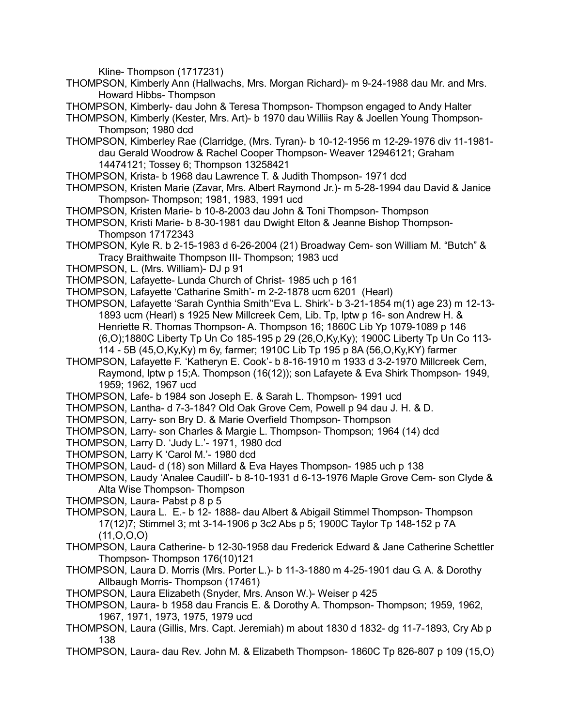Kline- Thompson (1717231)

- THOMPSON, Kimberly Ann (Hallwachs, Mrs. Morgan Richard)- m 9-24-1988 dau Mr. and Mrs. Howard Hibbs- Thompson
- THOMPSON, Kimberly- dau John & Teresa Thompson- Thompson engaged to Andy Halter
- THOMPSON, Kimberly (Kester, Mrs. Art)- b 1970 dau Williis Ray & Joellen Young Thompson-Thompson; 1980 dcd
- THOMPSON, Kimberley Rae (Clarridge, (Mrs. Tyran)- b 10-12-1956 m 12-29-1976 div 11-1981 dau Gerald Woodrow & Rachel Cooper Thompson- Weaver 12946121; Graham 14474121; Tossey 6; Thompson 13258421
- THOMPSON, Krista- b 1968 dau Lawrence T. & Judith Thompson- 1971 dcd
- THOMPSON, Kristen Marie (Zavar, Mrs. Albert Raymond Jr.)- m 5-28-1994 dau David & Janice Thompson- Thompson; 1981, 1983, 1991 ucd
- THOMPSON, Kristen Marie- b 10-8-2003 dau John & Toni Thompson- Thompson
- THOMPSON, Kristi Marie- b 8-30-1981 dau Dwight Elton & Jeanne Bishop Thompson-Thompson 17172343
- THOMPSON, Kyle R. b 2-15-1983 d 6-26-2004 (21) Broadway Cem- son William M. "Butch" & Tracy Braithwaite Thompson III- Thompson; 1983 ucd
- THOMPSON, L. (Mrs. William)- DJ p 91
- THOMPSON, Lafayette- Lunda Church of Christ- 1985 uch p 161
- THOMPSON, Lafayette 'Catharine Smith'- m 2-2-1878 ucm 6201 (Hearl)
- THOMPSON, Lafayette 'Sarah Cynthia Smith''Eva L. Shirk'- b 3-21-1854 m(1) age 23) m 12-13- 1893 ucm (Hearl) s 1925 New Millcreek Cem, Lib. Tp, lptw p 16- son Andrew H. & Henriette R. Thomas Thompson- A. Thompson 16; 1860C Lib Yp 1079-1089 p 146 (6,O);1880C Liberty Tp Un Co 185-195 p 29 (26,O,Ky,Ky); 1900C Liberty Tp Un Co 113- 114 - 5B (45,O,Ky,Ky) m 6y, farmer; 1910C Lib Tp 195 p 8A (56,O,Ky,KY) farmer
- THOMPSON, Lafayette F. 'Katheryn E. Cook'- b 8-16-1910 m 1933 d 3-2-1970 Millcreek Cem, Raymond, lptw p 15;A. Thompson (16(12)); son Lafayete & Eva Shirk Thompson- 1949, 1959; 1962, 1967 ucd
- THOMPSON, Lafe- b 1984 son Joseph E. & Sarah L. Thompson- 1991 ucd
- THOMPSON, Lantha- d 7-3-184? Old Oak Grove Cem, Powell p 94 dau J. H. & D.
- THOMPSON, Larry- son Bry D. & Marie Overfield Thompson- Thompson
- THOMPSON, Larry- son Charles & Margie L. Thompson- Thompson; 1964 (14) dcd
- THOMPSON, Larry D. 'Judy L.'- 1971, 1980 dcd
- THOMPSON, Larry K 'Carol M.'- 1980 dcd
- THOMPSON, Laud- d (18) son Millard & Eva Hayes Thompson- 1985 uch p 138
- THOMPSON, Laudy 'Analee Caudill'- b 8-10-1931 d 6-13-1976 Maple Grove Cem- son Clyde & Alta Wise Thompson- Thompson
- THOMPSON, Laura- Pabst p 8 p 5
- THOMPSON, Laura L. E.- b 12- 1888- dau Albert & Abigail Stimmel Thompson- Thompson 17(12)7; Stimmel 3; mt 3-14-1906 p 3c2 Abs p 5; 1900C Taylor Tp 148-152 p 7A  $(11, 0, 0, 0)$
- THOMPSON, Laura Catherine- b 12-30-1958 dau Frederick Edward & Jane Catherine Schettler Thompson- Thompson 176(10)121
- THOMPSON, Laura D. Morris (Mrs. Porter L.)- b 11-3-1880 m 4-25-1901 dau G. A. & Dorothy Allbaugh Morris- Thompson (17461)
- THOMPSON, Laura Elizabeth (Snyder, Mrs. Anson W.)- Weiser p 425
- THOMPSON, Laura- b 1958 dau Francis E. & Dorothy A. Thompson- Thompson; 1959, 1962, 1967, 1971, 1973, 1975, 1979 ucd
- THOMPSON, Laura (Gillis, Mrs. Capt. Jeremiah) m about 1830 d 1832- dg 11-7-1893, Cry Ab p 138
- THOMPSON, Laura- dau Rev. John M. & Elizabeth Thompson- 1860C Tp 826-807 p 109 (15,O)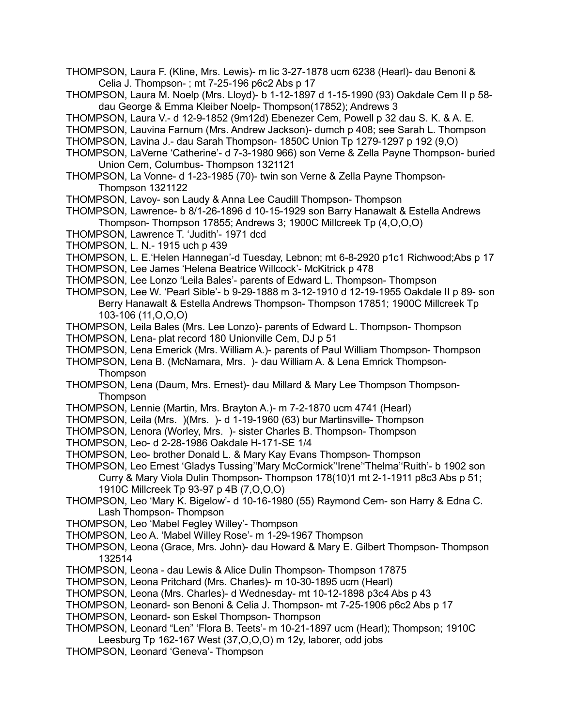- THOMPSON, Laura F. (Kline, Mrs. Lewis)- m lic 3-27-1878 ucm 6238 (Hearl)- dau Benoni & Celia J. Thompson- ; mt 7-25-196 p6c2 Abs p 17
- THOMPSON, Laura M. Noelp (Mrs. Lloyd)- b 1-12-1897 d 1-15-1990 (93) Oakdale Cem II p 58 dau George & Emma Kleiber Noelp- Thompson(17852); Andrews 3
- THOMPSON, Laura V.- d 12-9-1852 (9m12d) Ebenezer Cem, Powell p 32 dau S. K. & A. E.
- THOMPSON, Lauvina Farnum (Mrs. Andrew Jackson)- dumch p 408; see Sarah L. Thompson
- THOMPSON, Lavina J.- dau Sarah Thompson- 1850C Union Tp 1279-1297 p 192 (9,O)
- THOMPSON, LaVerne 'Catherine'- d 7-3-1980 966) son Verne & Zella Payne Thompson- buried Union Cem, Columbus- Thompson 1321121
- THOMPSON, La Vonne- d 1-23-1985 (70)- twin son Verne & Zella Payne Thompson-Thompson 1321122
- THOMPSON, Lavoy- son Laudy & Anna Lee Caudill Thompson- Thompson
- THOMPSON, Lawrence- b 8/1-26-1896 d 10-15-1929 son Barry Hanawalt & Estella Andrews Thompson- Thompson 17855; Andrews 3; 1900C Millcreek Tp (4,O,O,O)
- THOMPSON, Lawrence T. 'Judith'- 1971 dcd
- THOMPSON, L. N.- 1915 uch p 439
- THOMPSON, L. E.'Helen Hannegan'-d Tuesday, Lebnon; mt 6-8-2920 p1c1 Richwood;Abs p 17 THOMPSON, Lee James 'Helena Beatrice Willcock'- McKitrick p 478
- THOMPSON, Lee Lonzo 'Leila Bales'- parents of Edward L. Thompson- Thompson
- THOMPSON, Lee W. 'Pearl Sible'- b 9-29-1888 m 3-12-1910 d 12-19-1955 Oakdale II p 89- son Berry Hanawalt & Estella Andrews Thompson- Thompson 17851; 1900C Millcreek Tp 103-106 (11,O,O,O)
- THOMPSON, Leila Bales (Mrs. Lee Lonzo)- parents of Edward L. Thompson- Thompson THOMPSON, Lena- plat record 180 Unionville Cem, DJ p 51
- THOMPSON, Lena Emerick (Mrs. William A.)- parents of Paul William Thompson- Thompson
- THOMPSON, Lena B. (McNamara, Mrs. )- dau William A. & Lena Emrick Thompson-Thompson
- THOMPSON, Lena (Daum, Mrs. Ernest)- dau Millard & Mary Lee Thompson Thompson-**Thompson**
- THOMPSON, Lennie (Martin, Mrs. Brayton A.)- m 7-2-1870 ucm 4741 (Hearl)
- THOMPSON, Leila (Mrs. )(Mrs. )- d 1-19-1960 (63) bur Martinsville- Thompson
- THOMPSON, Lenora (Worley, Mrs. )- sister Charles B. Thompson- Thompson
- THOMPSON, Leo- d 2-28-1986 Oakdale H-171-SE 1/4
- THOMPSON, Leo- brother Donald L. & Mary Kay Evans Thompson- Thompson
- THOMPSON, Leo Ernest 'Gladys Tussing''Mary McCormick''Irene''Thelma''Ruith'- b 1902 son Curry & Mary Viola Dulin Thompson- Thompson 178(10)1 mt 2-1-1911 p8c3 Abs p 51; 1910C Millcreek Tp 93-97 p 4B (7,O,O,O)
- THOMPSON, Leo 'Mary K. Bigelow'- d 10-16-1980 (55) Raymond Cem- son Harry & Edna C. Lash Thompson- Thompson
- THOMPSON, Leo 'Mabel Fegley Willey'- Thompson
- THOMPSON, Leo A. 'Mabel Willey Rose'- m 1-29-1967 Thompson
- THOMPSON, Leona (Grace, Mrs. John)- dau Howard & Mary E. Gilbert Thompson- Thompson 132514
- THOMPSON, Leona dau Lewis & Alice Dulin Thompson- Thompson 17875
- THOMPSON, Leona Pritchard (Mrs. Charles)- m 10-30-1895 ucm (Hearl)
- THOMPSON, Leona (Mrs. Charles)- d Wednesday- mt 10-12-1898 p3c4 Abs p 43
- THOMPSON, Leonard- son Benoni & Celia J. Thompson- mt 7-25-1906 p6c2 Abs p 17
- THOMPSON, Leonard- son Eskel Thompson- Thompson
- THOMPSON, Leonard "Len" 'Flora B. Teets'- m 10-21-1897 ucm (Hearl); Thompson; 1910C Leesburg Tp 162-167 West (37,O,O,O) m 12y, laborer, odd jobs
- THOMPSON, Leonard 'Geneva'- Thompson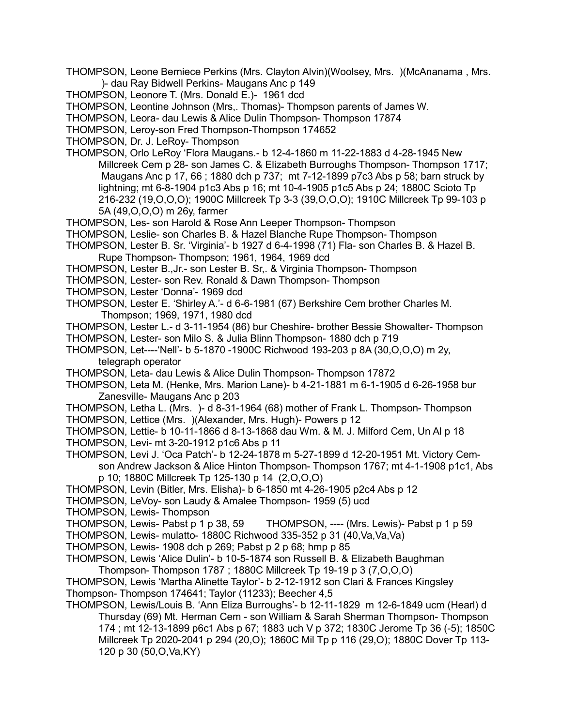- THOMPSON, Leone Berniece Perkins (Mrs. Clayton Alvin)(Woolsey, Mrs. )(McAnanama , Mrs. )- dau Ray Bidwell Perkins- Maugans Anc p 149
- THOMPSON, Leonore T. (Mrs. Donald E.)- 1961 dcd
- THOMPSON, Leontine Johnson (Mrs,. Thomas)- Thompson parents of James W.

THOMPSON, Leora- dau Lewis & Alice Dulin Thompson- Thompson 17874

THOMPSON, Leroy-son Fred Thompson-Thompson 174652

THOMPSON, Dr. J. LeRoy- Thompson

- THOMPSON, Orlo LeRoy 'Flora Maugans.- b 12-4-1860 m 11-22-1883 d 4-28-1945 New Millcreek Cem p 28- son James C. & Elizabeth Burroughs Thompson- Thompson 1717; Maugans Anc p 17, 66 ; 1880 dch p 737; mt 7-12-1899 p7c3 Abs p 58; barn struck by lightning; mt 6-8-1904 p1c3 Abs p 16; mt 10-4-1905 p1c5 Abs p 24; 1880C Scioto Tp 216-232 (19,O,O,O); 1900C Millcreek Tp 3-3 (39,O,O,O); 1910C Millcreek Tp 99-103 p 5A (49,O,O,O) m 26y, farmer
- THOMPSON, Les- son Harold & Rose Ann Leeper Thompson- Thompson
- THOMPSON, Leslie- son Charles B. & Hazel Blanche Rupe Thompson- Thompson
- THOMPSON, Lester B. Sr. 'Virginia'- b 1927 d 6-4-1998 (71) Fla- son Charles B. & Hazel B. Rupe Thompson- Thompson; 1961, 1964, 1969 dcd
- THOMPSON, Lester B.,Jr.- son Lester B. Sr,. & Virginia Thompson- Thompson
- THOMPSON, Lester- son Rev. Ronald & Dawn Thompson- Thompson
- THOMPSON, Lester 'Donna'- 1969 dcd
- THOMPSON, Lester E. 'Shirley A.'- d 6-6-1981 (67) Berkshire Cem brother Charles M. Thompson; 1969, 1971, 1980 dcd
- THOMPSON, Lester L.- d 3-11-1954 (86) bur Cheshire- brother Bessie Showalter- Thompson
- THOMPSON, Lester- son Milo S. & Julia Blinn Thompson- 1880 dch p 719
- THOMPSON, Let----'Nell'- b 5-1870 -1900C Richwood 193-203 p 8A (30,O,O,O) m 2y, telegraph operator
- THOMPSON, Leta- dau Lewis & Alice Dulin Thompson- Thompson 17872
- THOMPSON, Leta M. (Henke, Mrs. Marion Lane)- b 4-21-1881 m 6-1-1905 d 6-26-1958 bur Zanesville- Maugans Anc p 203
- THOMPSON, Letha L. (Mrs. )- d 8-31-1964 (68) mother of Frank L. Thompson- Thompson
- THOMPSON, Lettice (Mrs. )(Alexander, Mrs. Hugh)- Powers p 12
- THOMPSON, Lettie- b 10-11-1866 d 8-13-1868 dau Wm. & M. J. Milford Cem, Un Al p 18
- THOMPSON, Levi- mt 3-20-1912 p1c6 Abs p 11
- THOMPSON, Levi J. 'Oca Patch'- b 12-24-1878 m 5-27-1899 d 12-20-1951 Mt. Victory Cemson Andrew Jackson & Alice Hinton Thompson- Thompson 1767; mt 4-1-1908 p1c1, Abs p 10; 1880C Millcreek Tp 125-130 p 14 (2,O,O,O)
- THOMPSON, Levin (Bitler, Mrs. Elisha)- b 6-1850 mt 4-26-1905 p2c4 Abs p 12
- THOMPSON, LeVoy- son Laudy & Amalee Thompson- 1959 (5) ucd
- THOMPSON, Lewis- Thompson
- THOMPSON, Lewis- Pabst p 1 p 38, 59 THOMPSON, ---- (Mrs. Lewis)- Pabst p 1 p 59
- THOMPSON, Lewis- mulatto- 1880C Richwood 335-352 p 31 (40,Va,Va,Va)
- THOMPSON, Lewis- 1908 dch p 269; Pabst p 2 p 68; hmp p 85
- THOMPSON, Lewis 'Alice Dulin'- b 10-5-1874 son Russell B. & Elizabeth Baughman
- Thompson- Thompson 1787 ; 1880C Millcreek Tp 19-19 p 3 (7,O,O,O)
- THOMPSON, Lewis 'Martha Alinette Taylor'- b 2-12-1912 son Clari & Frances Kingsley Thompson- Thompson 174641; Taylor (11233); Beecher 4,5
- THOMPSON, Lewis/Louis B. 'Ann Eliza Burroughs'- b 12-11-1829 m 12-6-1849 ucm (Hearl) d Thursday (69) Mt. Herman Cem - son William & Sarah Sherman Thompson- Thompson 174 ; mt 12-13-1899 p6c1 Abs p 67; 1883 uch V p 372; 1830C Jerome Tp 36 (-5); 1850C Millcreek Tp 2020-2041 p 294 (20,O); 1860C Mil Tp p 116 (29,O); 1880C Dover Tp 113- 120 p 30 (50,O,Va,KY)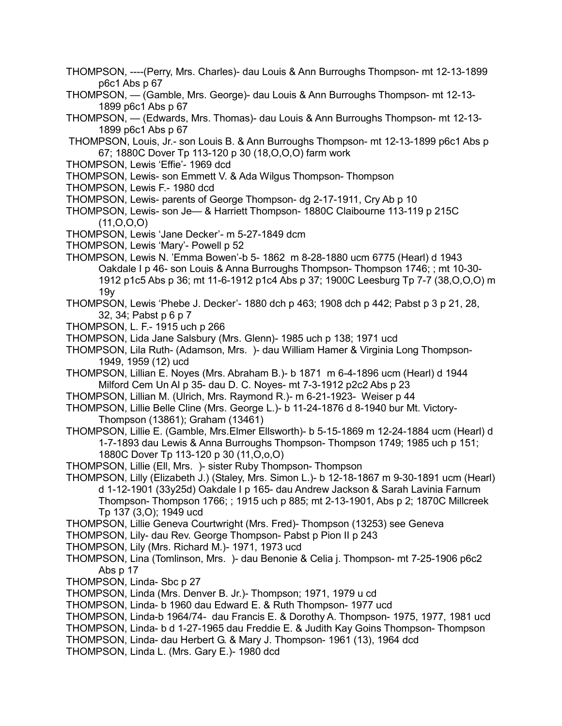- THOMPSON, ----(Perry, Mrs. Charles)- dau Louis & Ann Burroughs Thompson- mt 12-13-1899 p6c1 Abs p 67
- THOMPSON, (Gamble, Mrs. George)- dau Louis & Ann Burroughs Thompson- mt 12-13- 1899 p6c1 Abs p 67
- THOMPSON, (Edwards, Mrs. Thomas)- dau Louis & Ann Burroughs Thompson- mt 12-13- 1899 p6c1 Abs p 67
- THOMPSON, Louis, Jr.- son Louis B. & Ann Burroughs Thompson- mt 12-13-1899 p6c1 Abs p 67; 1880C Dover Tp 113-120 p 30 (18,O,O,O) farm work
- THOMPSON, Lewis 'Effie'- 1969 dcd
- THOMPSON, Lewis- son Emmett V. & Ada Wilgus Thompson- Thompson
- THOMPSON, Lewis F.- 1980 dcd
- THOMPSON, Lewis- parents of George Thompson- dg 2-17-1911, Cry Ab p 10
- THOMPSON, Lewis- son Je— & Harriett Thompson- 1880C Claibourne 113-119 p 215C  $(11, 0, 0, 0)$
- THOMPSON, Lewis 'Jane Decker'- m 5-27-1849 dcm
- THOMPSON, Lewis 'Mary'- Powell p 52
- THOMPSON, Lewis N. 'Emma Bowen'-b 5- 1862 m 8-28-1880 ucm 6775 (Hearl) d 1943 Oakdale I p 46- son Louis & Anna Burroughs Thompson- Thompson 1746; ; mt 10-30- 1912 p1c5 Abs p 36; mt 11-6-1912 p1c4 Abs p 37; 1900C Leesburg Tp 7-7 (38,O,O,O) m 19y
- THOMPSON, Lewis 'Phebe J. Decker'- 1880 dch p 463; 1908 dch p 442; Pabst p 3 p 21, 28, 32, 34; Pabst p 6 p 7
- THOMPSON, L. F.- 1915 uch p 266
- THOMPSON, Lida Jane Salsbury (Mrs. Glenn)- 1985 uch p 138; 1971 ucd
- THOMPSON, Lila Ruth- (Adamson, Mrs. )- dau William Hamer & Virginia Long Thompson-1949, 1959 (12) ucd
- THOMPSON, Lillian E. Noyes (Mrs. Abraham B.)- b 1871 m 6-4-1896 ucm (Hearl) d 1944 Milford Cem Un Al p 35- dau D. C. Noyes- mt 7-3-1912 p2c2 Abs p 23
- THOMPSON, Lillian M. (Ulrich, Mrs. Raymond R.)- m 6-21-1923- Weiser p 44
- THOMPSON, Lillie Belle Cline (Mrs. George L.)- b 11-24-1876 d 8-1940 bur Mt. Victory-Thompson (13861); Graham (13461)
- THOMPSON, Lillie E. (Gamble, Mrs.Elmer Ellsworth)- b 5-15-1869 m 12-24-1884 ucm (Hearl) d 1-7-1893 dau Lewis & Anna Burroughs Thompson- Thompson 1749; 1985 uch p 151; 1880C Dover Tp 113-120 p 30 (11,O,o,O)
- THOMPSON, Lillie (Ell, Mrs. )- sister Ruby Thompson- Thompson
- THOMPSON, Lilly (Elizabeth J.) (Staley, Mrs. Simon L.)- b 12-18-1867 m 9-30-1891 ucm (Hearl) d 1-12-1901 (33y25d) Oakdale I p 165- dau Andrew Jackson & Sarah Lavinia Farnum Thompson- Thompson 1766; ; 1915 uch p 885; mt 2-13-1901, Abs p 2; 1870C Millcreek Tp 137 (3,O); 1949 ucd
- THOMPSON, Lillie Geneva Courtwright (Mrs. Fred)- Thompson (13253) see Geneva
- THOMPSON, Lily- dau Rev. George Thompson- Pabst p Pion II p 243
- THOMPSON, Lily (Mrs. Richard M.)- 1971, 1973 ucd
- THOMPSON, Lina (Tomlinson, Mrs. )- dau Benonie & Celia j. Thompson- mt 7-25-1906 p6c2 Abs p 17
- THOMPSON, Linda- Sbc p 27
- THOMPSON, Linda (Mrs. Denver B. Jr.)- Thompson; 1971, 1979 u cd
- THOMPSON, Linda- b 1960 dau Edward E. & Ruth Thompson- 1977 ucd
- THOMPSON, Linda-b 1964/74- dau Francis E. & Dorothy A. Thompson- 1975, 1977, 1981 ucd
- THOMPSON, Linda- b d 1-27-1965 dau Freddie E. & Judith Kay Goins Thompson- Thompson
- THOMPSON, Linda- dau Herbert G. & Mary J. Thompson- 1961 (13), 1964 dcd
- THOMPSON, Linda L. (Mrs. Gary E.)- 1980 dcd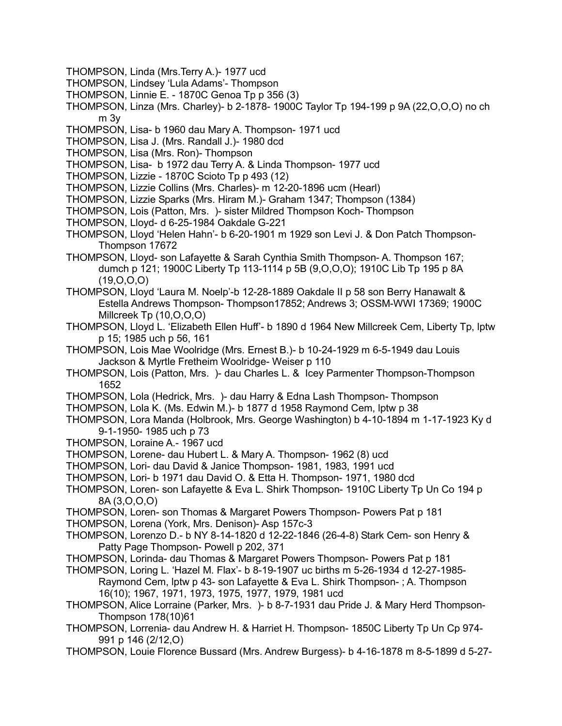- THOMPSON, Linda (Mrs.Terry A.)- 1977 ucd
- THOMPSON, Lindsey 'Lula Adams'- Thompson
- THOMPSON, Linnie E. 1870C Genoa Tp p 356 (3)
- THOMPSON, Linza (Mrs. Charley)- b 2-1878- 1900C Taylor Tp 194-199 p 9A (22,O,O,O) no ch m 3y
- THOMPSON, Lisa- b 1960 dau Mary A. Thompson- 1971 ucd
- THOMPSON, Lisa J. (Mrs. Randall J.)- 1980 dcd
- THOMPSON, Lisa (Mrs. Ron)- Thompson
- THOMPSON, Lisa- b 1972 dau Terry A. & Linda Thompson- 1977 ucd
- THOMPSON, Lizzie 1870C Scioto Tp p 493 (12)
- THOMPSON, Lizzie Collins (Mrs. Charles)- m 12-20-1896 ucm (Hearl)
- THOMPSON, Lizzie Sparks (Mrs. Hiram M.)- Graham 1347; Thompson (1384)
- THOMPSON, Lois (Patton, Mrs. )- sister Mildred Thompson Koch- Thompson
- THOMPSON, Lloyd- d 6-25-1984 Oakdale G-221
- THOMPSON, Lloyd 'Helen Hahn'- b 6-20-1901 m 1929 son Levi J. & Don Patch Thompson-Thompson 17672
- THOMPSON, Lloyd- son Lafayette & Sarah Cynthia Smith Thompson- A. Thompson 167; dumch p 121; 1900C Liberty Tp 113-1114 p 5B (9,O,O,O); 1910C Lib Tp 195 p 8A  $(19,0,0,0)$
- THOMPSON, Lloyd 'Laura M. Noelp'-b 12-28-1889 Oakdale II p 58 son Berry Hanawalt & Estella Andrews Thompson- Thompson17852; Andrews 3; OSSM-WWI 17369; 1900C Millcreek Tp (10,O,O,O)
- THOMPSON, Lloyd L. 'Elizabeth Ellen Huff'- b 1890 d 1964 New Millcreek Cem, Liberty Tp, lptw p 15; 1985 uch p 56, 161
- THOMPSON, Lois Mae Woolridge (Mrs. Ernest B.)- b 10-24-1929 m 6-5-1949 dau Louis Jackson & Myrtle Fretheim Woolridge- Weiser p 110
- THOMPSON, Lois (Patton, Mrs. )- dau Charles L. & Icey Parmenter Thompson-Thompson 1652
- THOMPSON, Lola (Hedrick, Mrs. )- dau Harry & Edna Lash Thompson- Thompson
- THOMPSON, Lola K. (Ms. Edwin M.)- b 1877 d 1958 Raymond Cem, lptw p 38
- THOMPSON, Lora Manda (Holbrook, Mrs. George Washington) b 4-10-1894 m 1-17-1923 Ky d 9-1-1950- 1985 uch p 73
- THOMPSON, Loraine A.- 1967 ucd
- THOMPSON, Lorene- dau Hubert L. & Mary A. Thompson- 1962 (8) ucd
- THOMPSON, Lori- dau David & Janice Thompson- 1981, 1983, 1991 ucd
- THOMPSON, Lori- b 1971 dau David O. & Etta H. Thompson- 1971, 1980 dcd
- THOMPSON, Loren- son Lafayette & Eva L. Shirk Thompson- 1910C Liberty Tp Un Co 194 p 8A (3,O,O,O)
- THOMPSON, Loren- son Thomas & Margaret Powers Thompson- Powers Pat p 181
- THOMPSON, Lorena (York, Mrs. Denison)- Asp 157c-3
- THOMPSON, Lorenzo D.- b NY 8-14-1820 d 12-22-1846 (26-4-8) Stark Cem- son Henry & Patty Page Thompson- Powell p 202, 371
- THOMPSON, Lorinda- dau Thomas & Margaret Powers Thompson- Powers Pat p 181
- THOMPSON, Loring L. 'Hazel M. Flax'- b 8-19-1907 uc births m 5-26-1934 d 12-27-1985- Raymond Cem, lptw p 43- son Lafayette & Eva L. Shirk Thompson- ; A. Thompson 16(10); 1967, 1971, 1973, 1975, 1977, 1979, 1981 ucd
- THOMPSON, Alice Lorraine (Parker, Mrs. )- b 8-7-1931 dau Pride J. & Mary Herd Thompson-Thompson 178(10)61
- THOMPSON, Lorrenia- dau Andrew H. & Harriet H. Thompson- 1850C Liberty Tp Un Cp 974- 991 p 146 (2/12,O)
- THOMPSON, Louie Florence Bussard (Mrs. Andrew Burgess)- b 4-16-1878 m 8-5-1899 d 5-27-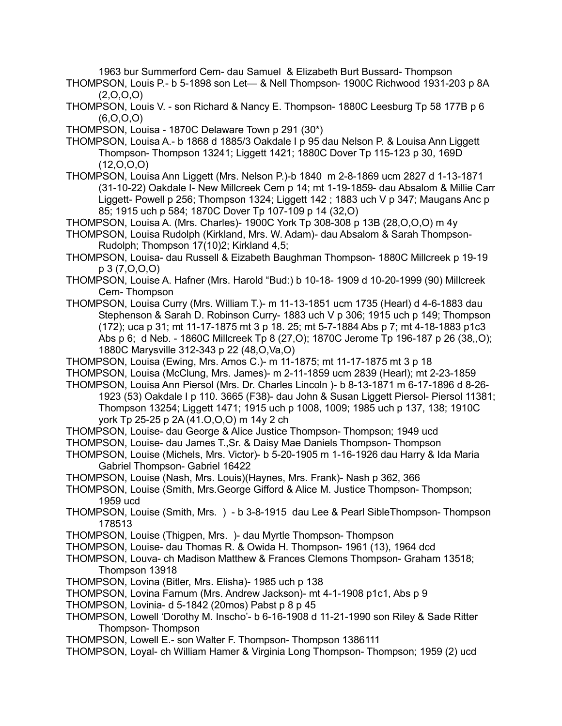1963 bur Summerford Cem- dau Samuel & Elizabeth Burt Bussard- Thompson

THOMPSON, Louis P.- b 5-1898 son Let— & Nell Thompson- 1900C Richwood 1931-203 p 8A  $(2,0,0,0)$ 

THOMPSON, Louis V. - son Richard & Nancy E. Thompson- 1880C Leesburg Tp 58 177B p 6  $(6, 0, 0, 0)$ 

THOMPSON, Louisa - 1870C Delaware Town p 291 (30\*)

THOMPSON, Louisa A.- b 1868 d 1885/3 Oakdale I p 95 dau Nelson P. & Louisa Ann Liggett Thompson- Thompson 13241; Liggett 1421; 1880C Dover Tp 115-123 p 30, 169D (12,O,O,O)

THOMPSON, Louisa Ann Liggett (Mrs. Nelson P.)-b 1840 m 2-8-1869 ucm 2827 d 1-13-1871 (31-10-22) Oakdale I- New Millcreek Cem p 14; mt 1-19-1859- dau Absalom & Millie Carr Liggett- Powell p 256; Thompson 1324; Liggett 142 ; 1883 uch V p 347; Maugans Anc p 85; 1915 uch p 584; 1870C Dover Tp 107-109 p 14 (32,O)

THOMPSON, Louisa A. (Mrs. Charles)- 1900C York Tp 308-308 p 13B (28,O,O,O) m 4y

THOMPSON, Louisa Rudolph (Kirkland, Mrs. W. Adam)- dau Absalom & Sarah Thompson-Rudolph; Thompson 17(10)2; Kirkland 4,5;

THOMPSON, Louisa- dau Russell & Eizabeth Baughman Thompson- 1880C Millcreek p 19-19 p 3 (7,O,O,O)

THOMPSON, Louise A. Hafner (Mrs. Harold "Bud:) b 10-18- 1909 d 10-20-1999 (90) Millcreek Cem- Thompson

THOMPSON, Louisa Curry (Mrs. William T.)- m 11-13-1851 ucm 1735 (Hearl) d 4-6-1883 dau Stephenson & Sarah D. Robinson Curry- 1883 uch V p 306; 1915 uch p 149; Thompson (172); uca p 31; mt 11-17-1875 mt 3 p 18. 25; mt 5-7-1884 Abs p 7; mt 4-18-1883 p1c3 Abs p 6; d Neb. - 1860C Millcreek Tp 8 (27,O); 1870C Jerome Tp 196-187 p 26 (38,,O); 1880C Marysville 312-343 p 22 (48,O,Va,O)

THOMPSON, Louisa (Ewing, Mrs. Amos C.)- m 11-1875; mt 11-17-1875 mt 3 p 18

THOMPSON, Louisa (McClung, Mrs. James)- m 2-11-1859 ucm 2839 (Hearl); mt 2-23-1859

THOMPSON, Louisa Ann Piersol (Mrs. Dr. Charles Lincoln )- b 8-13-1871 m 6-17-1896 d 8-26- 1923 (53) Oakdale I p 110. 3665 (F38)- dau John & Susan Liggett Piersol- Piersol 11381; Thompson 13254; Liggett 1471; 1915 uch p 1008, 1009; 1985 uch p 137, 138; 1910C york Tp 25-25 p 2A (41.O,O,O) m 14y 2 ch

THOMPSON, Louise- dau George & Alice Justice Thompson- Thompson; 1949 ucd

THOMPSON, Louise- dau James T.,Sr. & Daisy Mae Daniels Thompson- Thompson

THOMPSON, Louise (Michels, Mrs. Victor)- b 5-20-1905 m 1-16-1926 dau Harry & Ida Maria Gabriel Thompson- Gabriel 16422

THOMPSON, Louise (Nash, Mrs. Louis)(Haynes, Mrs. Frank)- Nash p 362, 366

THOMPSON, Louise (Smith, Mrs.George Gifford & Alice M. Justice Thompson- Thompson; 1959 ucd

THOMPSON, Louise (Smith, Mrs. ) - b 3-8-1915 dau Lee & Pearl SibleThompson- Thompson 178513

THOMPSON, Louise (Thigpen, Mrs. )- dau Myrtle Thompson- Thompson

THOMPSON, Louise- dau Thomas R. & Owida H. Thompson- 1961 (13), 1964 dcd

THOMPSON, Louva- ch Madison Matthew & Frances Clemons Thompson- Graham 13518; Thompson 13918

THOMPSON, Lovina (Bitler, Mrs. Elisha)- 1985 uch p 138

THOMPSON, Lovina Farnum (Mrs. Andrew Jackson)- mt 4-1-1908 p1c1, Abs p 9

THOMPSON, Lovinia- d 5-1842 (20mos) Pabst p 8 p 45

THOMPSON, Lowell 'Dorothy M. Inscho'- b 6-16-1908 d 11-21-1990 son Riley & Sade Ritter Thompson- Thompson

THOMPSON, Lowell E.- son Walter F. Thompson- Thompson 1386111

THOMPSON, Loyal- ch William Hamer & Virginia Long Thompson- Thompson; 1959 (2) ucd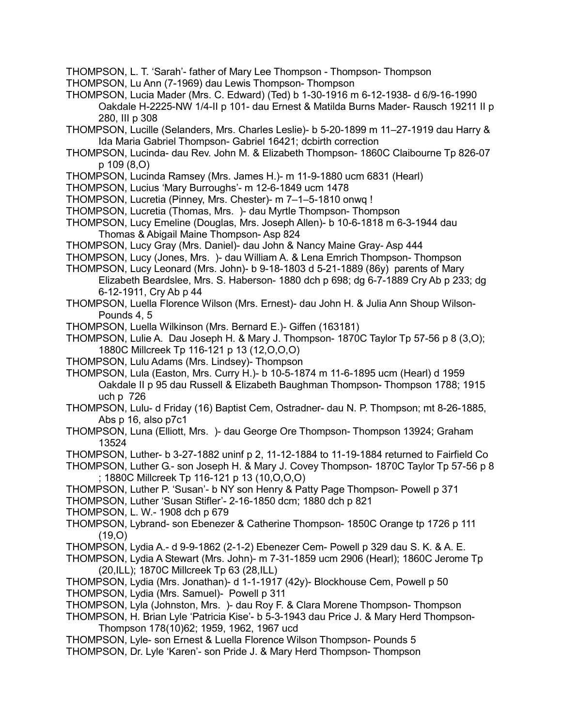THOMPSON, L. T. 'Sarah'- father of Mary Lee Thompson - Thompson- Thompson

- THOMPSON, Lu Ann (7-1969) dau Lewis Thompson- Thompson
- THOMPSON, Lucia Mader (Mrs. C. Edward) (Ted) b 1-30-1916 m 6-12-1938- d 6/9-16-1990 Oakdale H-2225-NW 1/4-II p 101- dau Ernest & Matilda Burns Mader- Rausch 19211 II p 280, III p 308
- THOMPSON, Lucille (Selanders, Mrs. Charles Leslie)- b 5-20-1899 m 11–27-1919 dau Harry & Ida Maria Gabriel Thompson- Gabriel 16421; dcbirth correction
- THOMPSON, Lucinda- dau Rev. John M. & Elizabeth Thompson- 1860C Claibourne Tp 826-07 p 109 (8,O)
- THOMPSON, Lucinda Ramsey (Mrs. James H.)- m 11-9-1880 ucm 6831 (Hearl)
- THOMPSON, Lucius 'Mary Burroughs'- m 12-6-1849 ucm 1478
- THOMPSON, Lucretia (Pinney, Mrs. Chester)- m 7–1–5-1810 onwq !
- THOMPSON, Lucretia (Thomas, Mrs. )- dau Myrtle Thompson- Thompson
- THOMPSON, Lucy Emeline (Douglas, Mrs. Joseph Allen)- b 10-6-1818 m 6-3-1944 dau Thomas & Abigail Maine Thompson- Asp 824
- THOMPSON, Lucy Gray (Mrs. Daniel)- dau John & Nancy Maine Gray- Asp 444
- THOMPSON, Lucy (Jones, Mrs. )- dau William A. & Lena Emrich Thompson- Thompson
- THOMPSON, Lucy Leonard (Mrs. John)- b 9-18-1803 d 5-21-1889 (86y) parents of Mary Elizabeth Beardslee, Mrs. S. Haberson- 1880 dch p 698; dg 6-7-1889 Cry Ab p 233; dg 6-12-1911, Cry Ab p 44
- THOMPSON, Luella Florence Wilson (Mrs. Ernest)- dau John H. & Julia Ann Shoup Wilson-Pounds 4, 5
- THOMPSON, Luella Wilkinson (Mrs. Bernard E.)- Giffen (163181)
- THOMPSON, Lulie A. Dau Joseph H. & Mary J. Thompson- 1870C Taylor Tp 57-56 p 8 (3,O); 1880C Millcreek Tp 116-121 p 13 (12,O,O,O)
- THOMPSON, Lulu Adams (Mrs. Lindsey)- Thompson
- THOMPSON, Lula (Easton, Mrs. Curry H.)- b 10-5-1874 m 11-6-1895 ucm (Hearl) d 1959 Oakdale II p 95 dau Russell & Elizabeth Baughman Thompson- Thompson 1788; 1915 uch p 726
- THOMPSON, Lulu- d Friday (16) Baptist Cem, Ostradner- dau N. P. Thompson; mt 8-26-1885, Abs p 16, also p7c1
- THOMPSON, Luna (Elliott, Mrs. )- dau George Ore Thompson- Thompson 13924; Graham 13524
- THOMPSON, Luther- b 3-27-1882 uninf p 2, 11-12-1884 to 11-19-1884 returned to Fairfield Co
- THOMPSON, Luther G.- son Joseph H. & Mary J. Covey Thompson- 1870C Taylor Tp 57-56 p 8 ; 1880C Millcreek Tp 116-121 p 13 (10,O,O,O)
- THOMPSON, Luther P. 'Susan'- b NY son Henry & Patty Page Thompson- Powell p 371
- THOMPSON, Luther 'Susan Stifler'- 2-16-1850 dcm; 1880 dch p 821
- THOMPSON, L. W.- 1908 dch p 679
- THOMPSON, Lybrand- son Ebenezer & Catherine Thompson- 1850C Orange tp 1726 p 111 (19,O)
- THOMPSON, Lydia A.- d 9-9-1862 (2-1-2) Ebenezer Cem- Powell p 329 dau S. K. & A. E.
- THOMPSON, Lydia A Stewart (Mrs. John)- m 7-31-1859 ucm 2906 (Hearl); 1860C Jerome Tp (20,ILL); 1870C Millcreek Tp 63 (28,ILL)
- THOMPSON, Lydia (Mrs. Jonathan)- d 1-1-1917 (42y)- Blockhouse Cem, Powell p 50 THOMPSON, Lydia (Mrs. Samuel)- Powell p 311
- THOMPSON, Lyla (Johnston, Mrs. )- dau Roy F. & Clara Morene Thompson- Thompson
- THOMPSON, H. Brian Lyle 'Patricia Kise'- b 5-3-1943 dau Price J. & Mary Herd Thompson-Thompson 178(10)62; 1959, 1962, 1967 ucd
- THOMPSON, Lyle- son Ernest & Luella Florence Wilson Thompson- Pounds 5
- THOMPSON, Dr. Lyle 'Karen'- son Pride J. & Mary Herd Thompson- Thompson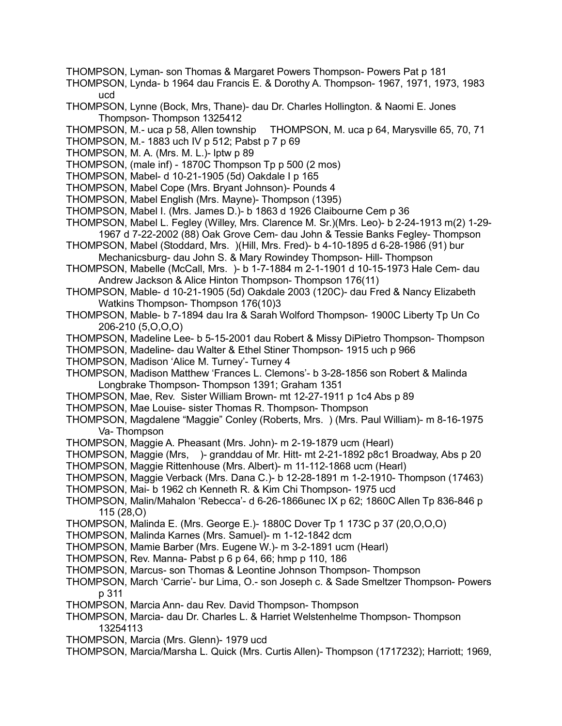- THOMPSON, Lyman- son Thomas & Margaret Powers Thompson- Powers Pat p 181
- THOMPSON, Lynda- b 1964 dau Francis E. & Dorothy A. Thompson- 1967, 1971, 1973, 1983 ucd
- THOMPSON, Lynne (Bock, Mrs, Thane)- dau Dr. Charles Hollington. & Naomi E. Jones Thompson- Thompson 1325412
- THOMPSON, M.- uca p 58, Allen township THOMPSON, M. uca p 64, Marysville 65, 70, 71
- THOMPSON, M.- 1883 uch IV p 512; Pabst p 7 p 69
- THOMPSON, M. A. (Mrs. M. L.)- lptw p 89
- THOMPSON, (male inf) 1870C Thompson Tp p 500 (2 mos)
- THOMPSON, Mabel- d 10-21-1905 (5d) Oakdale I p 165
- THOMPSON, Mabel Cope (Mrs. Bryant Johnson)- Pounds 4
- THOMPSON, Mabel English (Mrs. Mayne)- Thompson (1395)
- THOMPSON, Mabel I. (Mrs. James D.)- b 1863 d 1926 Claibourne Cem p 36
- THOMPSON, Mabel L. Fegley (Willey, Mrs. Clarence M. Sr.)(Mrs. Leo)- b 2-24-1913 m(2) 1-29- 1967 d 7-22-2002 (88) Oak Grove Cem- dau John & Tessie Banks Fegley- Thompson
- THOMPSON, Mabel (Stoddard, Mrs. )(Hill, Mrs. Fred)- b 4-10-1895 d 6-28-1986 (91) bur Mechanicsburg- dau John S. & Mary Rowindey Thompson- Hill- Thompson
- THOMPSON, Mabelle (McCall, Mrs. )- b 1-7-1884 m 2-1-1901 d 10-15-1973 Hale Cem- dau Andrew Jackson & Alice Hinton Thompson- Thompson 176(11)
- THOMPSON, Mable- d 10-21-1905 (5d) Oakdale 2003 (120C)- dau Fred & Nancy Elizabeth Watkins Thompson- Thompson 176(10)3
- THOMPSON, Mable- b 7-1894 dau Ira & Sarah Wolford Thompson- 1900C Liberty Tp Un Co 206-210 (5,O,O,O)
- THOMPSON, Madeline Lee- b 5-15-2001 dau Robert & Missy DiPietro Thompson- Thompson
- THOMPSON, Madeline- dau Walter & Ethel Stiner Thompson- 1915 uch p 966
- THOMPSON, Madison 'Alice M. Turney'- Turney 4
- THOMPSON, Madison Matthew 'Frances L. Clemons'- b 3-28-1856 son Robert & Malinda Longbrake Thompson- Thompson 1391; Graham 1351
- THOMPSON, Mae, Rev. Sister William Brown- mt 12-27-1911 p 1c4 Abs p 89
- THOMPSON, Mae Louise- sister Thomas R. Thompson- Thompson
- THOMPSON, Magdalene "Maggie" Conley (Roberts, Mrs. ) (Mrs. Paul William)- m 8-16-1975 Va- Thompson
- THOMPSON, Maggie A. Pheasant (Mrs. John)- m 2-19-1879 ucm (Hearl)
- THOMPSON, Maggie (Mrs, )- granddau of Mr. Hitt- mt 2-21-1892 p8c1 Broadway, Abs p 20
- THOMPSON, Maggie Rittenhouse (Mrs. Albert)- m 11-112-1868 ucm (Hearl)
- THOMPSON, Maggie Verback (Mrs. Dana C.)- b 12-28-1891 m 1-2-1910- Thompson (17463)
- THOMPSON, Mai- b 1962 ch Kenneth R. & Kim Chi Thompson- 1975 ucd
- THOMPSON, Malin/Mahalon 'Rebecca'- d 6-26-1866unec IX p 62; 1860C Allen Tp 836-846 p 115 (28,O)
- THOMPSON, Malinda E. (Mrs. George E.)- 1880C Dover Tp 1 173C p 37 (20,O,O,O)
- THOMPSON, Malinda Karnes (Mrs. Samuel)- m 1-12-1842 dcm
- THOMPSON, Mamie Barber (Mrs. Eugene W.)- m 3-2-1891 ucm (Hearl)
- THOMPSON, Rev. Manna- Pabst p 6 p 64, 66; hmp p 110, 186
- THOMPSON, Marcus- son Thomas & Leontine Johnson Thompson- Thompson
- THOMPSON, March 'Carrie'- bur Lima, O.- son Joseph c. & Sade Smeltzer Thompson- Powers p 311
- THOMPSON, Marcia Ann- dau Rev. David Thompson- Thompson
- THOMPSON, Marcia- dau Dr. Charles L. & Harriet Welstenhelme Thompson- Thompson 13254113
- THOMPSON, Marcia (Mrs. Glenn)- 1979 ucd
- THOMPSON, Marcia/Marsha L. Quick (Mrs. Curtis Allen)- Thompson (1717232); Harriott; 1969,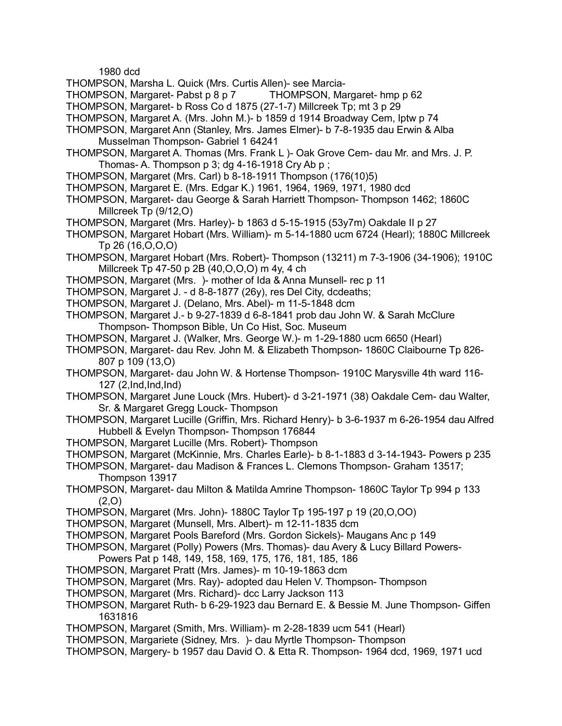1980 dcd

- THOMPSON, Marsha L. Quick (Mrs. Curtis Allen)- see Marcia-
- THOMPSON, Margaret- Pabst p 8 p 7 THOMPSON, Margaret- hmp p 62
- THOMPSON, Margaret- b Ross Co d 1875 (27-1-7) Millcreek Tp; mt 3 p 29
- THOMPSON, Margaret A. (Mrs. John M.)- b 1859 d 1914 Broadway Cem, lptw p 74
- THOMPSON, Margaret Ann (Stanley, Mrs. James Elmer)- b 7-8-1935 dau Erwin & Alba Musselman Thompson- Gabriel 1 64241
- THOMPSON, Margaret A. Thomas (Mrs. Frank L )- Oak Grove Cem- dau Mr. and Mrs. J. P. Thomas- A. Thompson  $p$  3; dg 4-16-1918 Cry Ab  $p$ ;
- THOMPSON, Margaret (Mrs. Carl) b 8-18-1911 Thompson (176(10)5)
- THOMPSON, Margaret E. (Mrs. Edgar K.) 1961, 1964, 1969, 1971, 1980 dcd
- THOMPSON, Margaret- dau George & Sarah Harriett Thompson- Thompson 1462; 1860C Millcreek Tp (9/12,O)
- THOMPSON, Margaret (Mrs. Harley)- b 1863 d 5-15-1915 (53y7m) Oakdale II p 27
- THOMPSON, Margaret Hobart (Mrs. William)- m 5-14-1880 ucm 6724 (Hearl); 1880C Millcreek Tp 26 (16,O,O,O)
- THOMPSON, Margaret Hobart (Mrs. Robert)- Thompson (13211) m 7-3-1906 (34-1906); 1910C Millcreek Tp 47-50 p 2B (40,O,O,O) m 4y, 4 ch
- THOMPSON, Margaret (Mrs. )- mother of Ida & Anna Munsell- rec p 11
- THOMPSON, Margaret J. d 8-8-1877 (26y), res Del City, dcdeaths;
- THOMPSON, Margaret J. (Delano, Mrs. Abel)- m 11-5-1848 dcm
- THOMPSON, Margaret J.- b 9-27-1839 d 6-8-1841 prob dau John W. & Sarah McClure Thompson- Thompson Bible, Un Co Hist, Soc. Museum
- THOMPSON, Margaret J. (Walker, Mrs. George W.)- m 1-29-1880 ucm 6650 (Hearl)
- THOMPSON, Margaret- dau Rev. John M. & Elizabeth Thompson- 1860C Claibourne Tp 826- 807 p 109 (13,O)
- THOMPSON, Margaret- dau John W. & Hortense Thompson- 1910C Marysville 4th ward 116- 127 (2,Ind,Ind,Ind)
- THOMPSON, Margaret June Louck (Mrs. Hubert)- d 3-21-1971 (38) Oakdale Cem- dau Walter, Sr. & Margaret Gregg Louck- Thompson
- THOMPSON, Margaret Lucille (Griffin, Mrs. Richard Henry)- b 3-6-1937 m 6-26-1954 dau Alfred Hubbell & Evelyn Thompson- Thompson 176844
- THOMPSON, Margaret Lucille (Mrs. Robert)- Thompson
- THOMPSON, Margaret (McKinnie, Mrs. Charles Earle)- b 8-1-1883 d 3-14-1943- Powers p 235
- THOMPSON, Margaret- dau Madison & Frances L. Clemons Thompson- Graham 13517; Thompson 13917
- THOMPSON, Margaret- dau Milton & Matilda Amrine Thompson- 1860C Taylor Tp 994 p 133 (2,O)
- THOMPSON, Margaret (Mrs. John)- 1880C Taylor Tp 195-197 p 19 (20,O,OO)
- THOMPSON, Margaret (Munsell, Mrs. Albert)- m 12-11-1835 dcm
- THOMPSON, Margaret Pools Bareford (Mrs. Gordon Sickels)- Maugans Anc p 149
- THOMPSON, Margaret (Polly) Powers (Mrs. Thomas)- dau Avery & Lucy Billard Powers-Powers Pat p 148, 149, 158, 169, 175, 176, 181, 185, 186
- THOMPSON, Margaret Pratt (Mrs. James)- m 10-19-1863 dcm
- THOMPSON, Margaret (Mrs. Ray)- adopted dau Helen V. Thompson- Thompson
- THOMPSON, Margaret (Mrs. Richard)- dcc Larry Jackson 113
- THOMPSON, Margaret Ruth- b 6-29-1923 dau Bernard E. & Bessie M. June Thompson- Giffen 1631816
- THOMPSON, Margaret (Smith, Mrs. William)- m 2-28-1839 ucm 541 (Hearl)
- THOMPSON, Margariete (Sidney, Mrs. )- dau Myrtle Thompson- Thompson
- THOMPSON, Margery- b 1957 dau David O. & Etta R. Thompson- 1964 dcd, 1969, 1971 ucd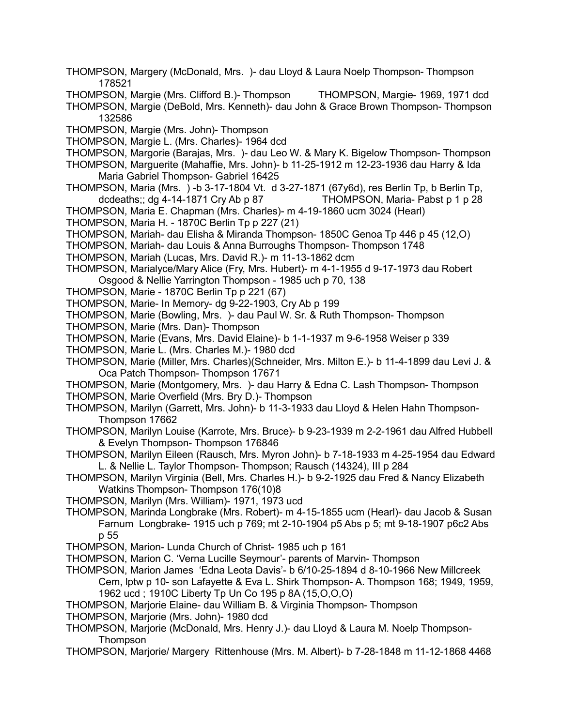- THOMPSON, Margery (McDonald, Mrs. )- dau Lloyd & Laura Noelp Thompson- Thompson 178521
- THOMPSON, Margie (Mrs. Clifford B.)- Thompson THOMPSON, Margie- 1969, 1971 dcd

THOMPSON, Margie (DeBold, Mrs. Kenneth)- dau John & Grace Brown Thompson- Thompson 132586

- THOMPSON, Margie (Mrs. John)- Thompson
- THOMPSON, Margie L. (Mrs. Charles)- 1964 dcd
- THOMPSON, Margorie (Barajas, Mrs. )- dau Leo W. & Mary K. Bigelow Thompson- Thompson
- THOMPSON, Marguerite (Mahaffie, Mrs. John)- b 11-25-1912 m 12-23-1936 dau Harry & Ida Maria Gabriel Thompson- Gabriel 16425
- THOMPSON, Maria (Mrs. ) -b 3-17-1804 Vt. d 3-27-1871 (67y6d), res Berlin Tp, b Berlin Tp, dcdeaths;; dg 4-14-1871 Cry Ab p 87 THOMPSON, Maria- Pabst p 1 p 28
- THOMPSON, Maria E. Chapman (Mrs. Charles)- m 4-19-1860 ucm 3024 (Hearl)
- THOMPSON, Maria H. 1870C Berlin Tp p 227 (21)
- THOMPSON, Mariah- dau Elisha & Miranda Thompson- 1850C Genoa Tp 446 p 45 (12,O)
- THOMPSON, Mariah- dau Louis & Anna Burroughs Thompson- Thompson 1748
- THOMPSON, Mariah (Lucas, Mrs. David R.)- m 11-13-1862 dcm
- THOMPSON, Marialyce/Mary Alice (Fry, Mrs. Hubert)- m 4-1-1955 d 9-17-1973 dau Robert Osgood & Nellie Yarrington Thompson - 1985 uch p 70, 138
- THOMPSON, Marie 1870C Berlin Tp p 221 (67)
- THOMPSON, Marie- In Memory- dg 9-22-1903, Cry Ab p 199
- THOMPSON, Marie (Bowling, Mrs. )- dau Paul W. Sr. & Ruth Thompson- Thompson
- THOMPSON, Marie (Mrs. Dan)- Thompson
- THOMPSON, Marie (Evans, Mrs. David Elaine)- b 1-1-1937 m 9-6-1958 Weiser p 339
- THOMPSON, Marie L. (Mrs. Charles M.)- 1980 dcd
- THOMPSON, Marie (Miller, Mrs. Charles)(Schneider, Mrs. Milton E.)- b 11-4-1899 dau Levi J. & Oca Patch Thompson- Thompson 17671
- THOMPSON, Marie (Montgomery, Mrs. )- dau Harry & Edna C. Lash Thompson- Thompson THOMPSON, Marie Overfield (Mrs. Bry D.)- Thompson
- THOMPSON, Marilyn (Garrett, Mrs. John)- b 11-3-1933 dau Lloyd & Helen Hahn Thompson-Thompson 17662
- THOMPSON, Marilyn Louise (Karrote, Mrs. Bruce)- b 9-23-1939 m 2-2-1961 dau Alfred Hubbell & Evelyn Thompson- Thompson 176846
- THOMPSON, Marilyn Eileen (Rausch, Mrs. Myron John)- b 7-18-1933 m 4-25-1954 dau Edward L. & Nellie L. Taylor Thompson- Thompson; Rausch (14324), III p 284
- THOMPSON, Marilyn Virginia (Bell, Mrs. Charles H.)- b 9-2-1925 dau Fred & Nancy Elizabeth Watkins Thompson- Thompson 176(10)8
- THOMPSON, Marilyn (Mrs. William)- 1971, 1973 ucd
- THOMPSON, Marinda Longbrake (Mrs. Robert)- m 4-15-1855 ucm (Hearl)- dau Jacob & Susan Farnum Longbrake- 1915 uch p 769; mt 2-10-1904 p5 Abs p 5; mt 9-18-1907 p6c2 Abs p 55
- THOMPSON, Marion- Lunda Church of Christ- 1985 uch p 161
- THOMPSON, Marion C. 'Verna Lucille Seymour'- parents of Marvin- Thompson
- THOMPSON, Marion James 'Edna Leota Davis'- b 6/10-25-1894 d 8-10-1966 New Millcreek Cem, lptw p 10- son Lafayette & Eva L. Shirk Thompson- A. Thompson 168; 1949, 1959, 1962 ucd ; 1910C Liberty Tp Un Co 195 p 8A (15,O,O,O)
- THOMPSON, Marjorie Elaine- dau William B. & Virginia Thompson- Thompson
- THOMPSON, Marjorie (Mrs. John)- 1980 dcd
- THOMPSON, Marjorie (McDonald, Mrs. Henry J.)- dau Lloyd & Laura M. Noelp Thompson-Thompson
- THOMPSON, Marjorie/ Margery Rittenhouse (Mrs. M. Albert)- b 7-28-1848 m 11-12-1868 4468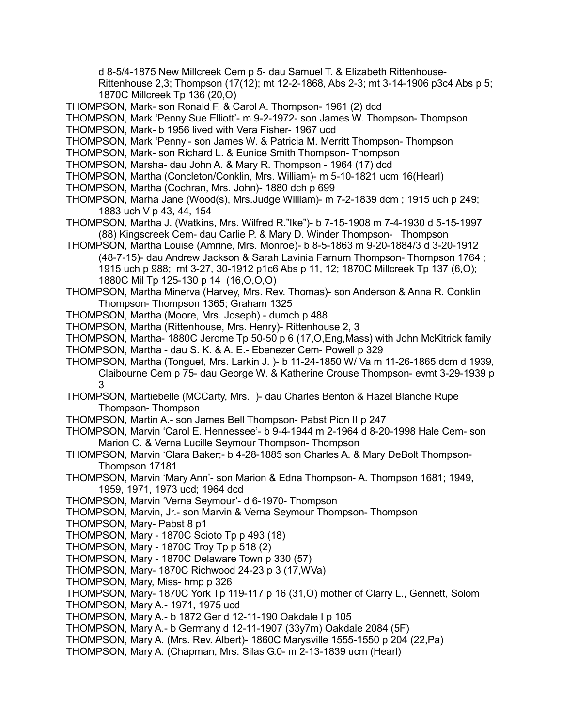d 8-5/4-1875 New Millcreek Cem p 5- dau Samuel T. & Elizabeth Rittenhouse-

Rittenhouse 2,3; Thompson (17(12); mt 12-2-1868, Abs 2-3; mt 3-14-1906 p3c4 Abs p 5; 1870C Millcreek Tp 136 (20,O)

THOMPSON, Mark- son Ronald F. & Carol A. Thompson- 1961 (2) dcd

THOMPSON, Mark 'Penny Sue Elliott'- m 9-2-1972- son James W. Thompson- Thompson

THOMPSON, Mark- b 1956 lived with Vera Fisher- 1967 ucd

- THOMPSON, Mark 'Penny'- son James W. & Patricia M. Merritt Thompson- Thompson
- THOMPSON, Mark- son Richard L. & Eunice Smith Thompson- Thompson
- THOMPSON, Marsha- dau John A. & Mary R. Thompson 1964 (17) dcd
- THOMPSON, Martha (Concleton/Conklin, Mrs. William)- m 5-10-1821 ucm 16(Hearl)
- THOMPSON, Martha (Cochran, Mrs. John)- 1880 dch p 699
- THOMPSON, Marha Jane (Wood(s), Mrs.Judge William)- m 7-2-1839 dcm ; 1915 uch p 249; 1883 uch V p 43, 44, 154

THOMPSON, Martha J. (Watkins, Mrs. Wilfred R."Ike")- b 7-15-1908 m 7-4-1930 d 5-15-1997 (88) Kingscreek Cem- dau Carlie P. & Mary D. Winder Thompson- Thompson

- THOMPSON, Martha Louise (Amrine, Mrs. Monroe)- b 8-5-1863 m 9-20-1884/3 d 3-20-1912 (48-7-15)- dau Andrew Jackson & Sarah Lavinia Farnum Thompson- Thompson 1764 ; 1915 uch p 988; mt 3-27, 30-1912 p1c6 Abs p 11, 12; 1870C Millcreek Tp 137 (6,O); 1880C Mil Tp 125-130 p 14 (16,O,O,O)
- THOMPSON, Martha Minerva (Harvey, Mrs. Rev. Thomas)- son Anderson & Anna R. Conklin Thompson- Thompson 1365; Graham 1325
- THOMPSON, Martha (Moore, Mrs. Joseph) dumch p 488
- THOMPSON, Martha (Rittenhouse, Mrs. Henry)- Rittenhouse 2, 3

THOMPSON, Martha- 1880C Jerome Tp 50-50 p 6 (17,O,Eng,Mass) with John McKitrick family

- THOMPSON, Martha dau S. K. & A. E.- Ebenezer Cem- Powell p 329
- THOMPSON, Martha (Tonguet, Mrs. Larkin J. )- b 11-24-1850 W/ Va m 11-26-1865 dcm d 1939, Claibourne Cem p 75- dau George W. & Katherine Crouse Thompson- evmt 3-29-1939 p 3
- THOMPSON, Martiebelle (MCCarty, Mrs. )- dau Charles Benton & Hazel Blanche Rupe Thompson- Thompson
- THOMPSON, Martin A.- son James Bell Thompson- Pabst Pion II p 247
- THOMPSON, Marvin 'Carol E. Hennessee'- b 9-4-1944 m 2-1964 d 8-20-1998 Hale Cem- son Marion C. & Verna Lucille Seymour Thompson- Thompson
- THOMPSON, Marvin 'Clara Baker;- b 4-28-1885 son Charles A. & Mary DeBolt Thompson-Thompson 17181
- THOMPSON, Marvin 'Mary Ann'- son Marion & Edna Thompson- A. Thompson 1681; 1949, 1959, 1971, 1973 ucd; 1964 dcd
- THOMPSON, Marvin 'Verna Seymour'- d 6-1970- Thompson
- THOMPSON, Marvin, Jr.- son Marvin & Verna Seymour Thompson- Thompson
- THOMPSON, Mary- Pabst 8 p1
- THOMPSON, Mary 1870C Scioto Tp p 493 (18)
- THOMPSON, Mary 1870C Troy Tp p 518 (2)
- THOMPSON, Mary 1870C Delaware Town p 330 (57)
- THOMPSON, Mary- 1870C Richwood 24-23 p 3 (17,WVa)
- THOMPSON, Mary, Miss- hmp p 326
- THOMPSON, Mary- 1870C York Tp 119-117 p 16 (31,O) mother of Clarry L., Gennett, Solom
- THOMPSON, Mary A.- 1971, 1975 ucd
- THOMPSON, Mary A.- b 1872 Ger d 12-11-190 Oakdale I p 105
- THOMPSON, Mary A.- b Germany d 12-11-1907 (33y7m) Oakdale 2084 (5F)
- THOMPSON, Mary A. (Mrs. Rev. Albert)- 1860C Marysville 1555-1550 p 204 (22,Pa)
- THOMPSON, Mary A. (Chapman, Mrs. Silas G.0- m 2-13-1839 ucm (Hearl)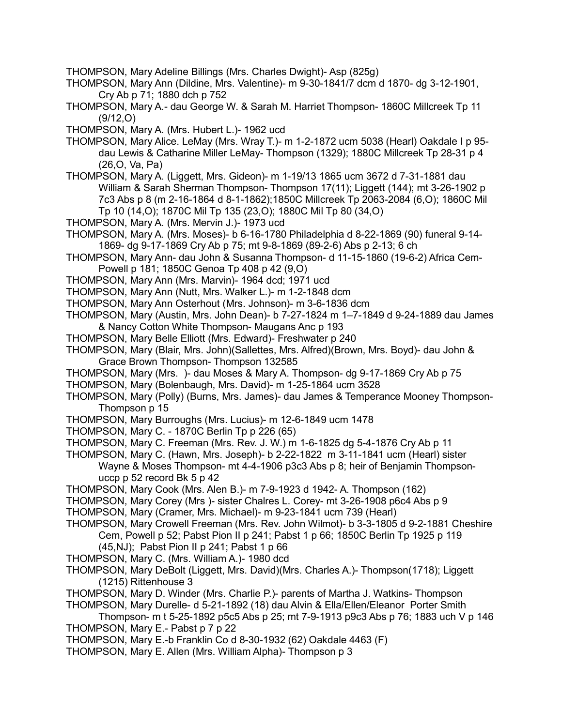- THOMPSON, Mary Adeline Billings (Mrs. Charles Dwight)- Asp (825g)
- THOMPSON, Mary Ann (Dildine, Mrs. Valentine)- m 9-30-1841/7 dcm d 1870- dg 3-12-1901, Cry Ab p 71; 1880 dch p 752
- THOMPSON, Mary A.- dau George W. & Sarah M. Harriet Thompson- 1860C Millcreek Tp 11 (9/12,O)
- THOMPSON, Mary A. (Mrs. Hubert L.)- 1962 ucd
- THOMPSON, Mary Alice. LeMay (Mrs. Wray T.)- m 1-2-1872 ucm 5038 (Hearl) Oakdale I p 95 dau Lewis & Catharine Miller LeMay- Thompson (1329); 1880C Millcreek Tp 28-31 p 4 (26,O, Va, Pa)
- THOMPSON, Mary A. (Liggett, Mrs. Gideon)- m 1-19/13 1865 ucm 3672 d 7-31-1881 dau William & Sarah Sherman Thompson- Thompson 17(11); Liggett (144); mt 3-26-1902 p 7c3 Abs p 8 (m 2-16-1864 d 8-1-1862);1850C Millcreek Tp 2063-2084 (6,O); 1860C Mil Tp 10 (14,O); 1870C Mil Tp 135 (23,O); 1880C Mil Tp 80 (34,O)
- THOMPSON, Mary A. (Mrs. Mervin J.)- 1973 ucd
- THOMPSON, Mary A. (Mrs. Moses)- b 6-16-1780 Philadelphia d 8-22-1869 (90) funeral 9-14- 1869- dg 9-17-1869 Cry Ab p 75; mt 9-8-1869 (89-2-6) Abs p 2-13; 6 ch
- THOMPSON, Mary Ann- dau John & Susanna Thompson- d 11-15-1860 (19-6-2) Africa Cem-Powell p 181; 1850C Genoa Tp 408 p 42 (9,O)
- THOMPSON, Mary Ann (Mrs. Marvin)- 1964 dcd; 1971 ucd
- THOMPSON, Mary Ann (Nutt, Mrs. Walker L.)- m 1-2-1848 dcm
- THOMPSON, Mary Ann Osterhout (Mrs. Johnson)- m 3-6-1836 dcm
- THOMPSON, Mary (Austin, Mrs. John Dean)- b 7-27-1824 m 1–7-1849 d 9-24-1889 dau James & Nancy Cotton White Thompson- Maugans Anc p 193
- THOMPSON, Mary Belle Elliott (Mrs. Edward)- Freshwater p 240
- THOMPSON, Mary (Blair, Mrs. John)(Sallettes, Mrs. Alfred)(Brown, Mrs. Boyd)- dau John & Grace Brown Thompson- Thompson 132585
- THOMPSON, Mary (Mrs. )- dau Moses & Mary A. Thompson- dg 9-17-1869 Cry Ab p 75
- THOMPSON, Mary (Bolenbaugh, Mrs. David)- m 1-25-1864 ucm 3528
- THOMPSON, Mary (Polly) (Burns, Mrs. James)- dau James & Temperance Mooney Thompson-Thompson p 15
- THOMPSON, Mary Burroughs (Mrs. Lucius)- m 12-6-1849 ucm 1478
- THOMPSON, Mary C. 1870C Berlin Tp p 226 (65)
- THOMPSON, Mary C. Freeman (Mrs. Rev. J. W.) m 1-6-1825 dg 5-4-1876 Cry Ab p 11
- THOMPSON, Mary C. (Hawn, Mrs. Joseph)- b 2-22-1822 m 3-11-1841 ucm (Hearl) sister Wayne & Moses Thompson- mt 4-4-1906 p3c3 Abs p 8; heir of Benjamin Thompsonuccp p 52 record Bk 5 p 42
- THOMPSON, Mary Cook (Mrs. Alen B.)- m 7-9-1923 d 1942- A. Thompson (162)
- THOMPSON, Mary Corey (Mrs )- sister Chalres L. Corey- mt 3-26-1908 p6c4 Abs p 9
- THOMPSON, Mary (Cramer, Mrs. Michael)- m 9-23-1841 ucm 739 (Hearl)
- THOMPSON, Mary Crowell Freeman (Mrs. Rev. John Wilmot)- b 3-3-1805 d 9-2-1881 Cheshire Cem, Powell p 52; Pabst Pion II p 241; Pabst 1 p 66; 1850C Berlin Tp 1925 p 119 (45,NJ); Pabst Pion II p 241; Pabst 1 p 66
- THOMPSON, Mary C. (Mrs. William A.)- 1980 dcd
- THOMPSON, Mary DeBolt (Liggett, Mrs. David)(Mrs. Charles A.)- Thompson(1718); Liggett (1215) Rittenhouse 3
- THOMPSON, Mary D. Winder (Mrs. Charlie P.)- parents of Martha J. Watkins- Thompson
- THOMPSON, Mary Durelle- d 5-21-1892 (18) dau Alvin & Ella/Ellen/Eleanor Porter Smith Thompson- m t 5-25-1892 p5c5 Abs p 25; mt 7-9-1913 p9c3 Abs p 76; 1883 uch V p 146
- THOMPSON, Mary E.- Pabst p 7 p 22
- THOMPSON, Mary E.-b Franklin Co d 8-30-1932 (62) Oakdale 4463 (F)
- THOMPSON, Mary E. Allen (Mrs. William Alpha)- Thompson p 3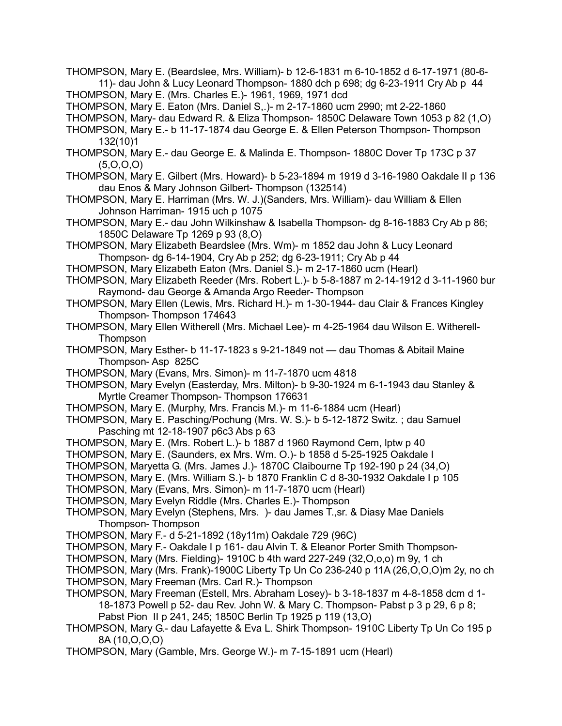THOMPSON, Mary E. (Beardslee, Mrs. William)- b 12-6-1831 m 6-10-1852 d 6-17-1971 (80-6- 11)- dau John & Lucy Leonard Thompson- 1880 dch p 698; dg 6-23-1911 Cry Ab p 44 THOMPSON, Mary E. (Mrs. Charles E.)- 1961, 1969, 1971 dcd

THOMPSON, Mary E. Eaton (Mrs. Daniel S,.)- m 2-17-1860 ucm 2990; mt 2-22-1860

THOMPSON, Mary- dau Edward R. & Eliza Thompson- 1850C Delaware Town 1053 p 82 (1,O)

THOMPSON, Mary E.- b 11-17-1874 dau George E. & Ellen Peterson Thompson- Thompson 132(10)1

- THOMPSON, Mary E.- dau George E. & Malinda E. Thompson- 1880C Dover Tp 173C p 37 (5,O,O,O)
- THOMPSON, Mary E. Gilbert (Mrs. Howard)- b 5-23-1894 m 1919 d 3-16-1980 Oakdale II p 136 dau Enos & Mary Johnson Gilbert- Thompson (132514)
- THOMPSON, Mary E. Harriman (Mrs. W. J.)(Sanders, Mrs. William)- dau William & Ellen Johnson Harriman- 1915 uch p 1075
- THOMPSON, Mary E.- dau John Wilkinshaw & Isabella Thompson- dg 8-16-1883 Cry Ab p 86; 1850C Delaware Tp 1269 p 93 (8,O)
- THOMPSON, Mary Elizabeth Beardslee (Mrs. Wm)- m 1852 dau John & Lucy Leonard Thompson- dg 6-14-1904, Cry Ab p 252; dg 6-23-1911; Cry Ab p 44
- THOMPSON, Mary Elizabeth Eaton (Mrs. Daniel S.)- m 2-17-1860 ucm (Hearl)
- THOMPSON, Mary Elizabeth Reeder (Mrs. Robert L.)- b 5-8-1887 m 2-14-1912 d 3-11-1960 bur Raymond- dau George & Amanda Argo Reeder- Thompson
- THOMPSON, Mary Ellen (Lewis, Mrs. Richard H.)- m 1-30-1944- dau Clair & Frances Kingley Thompson- Thompson 174643
- THOMPSON, Mary Ellen Witherell (Mrs. Michael Lee)- m 4-25-1964 dau Wilson E. Witherell-Thompson
- THOMPSON, Mary Esther- b 11-17-1823 s 9-21-1849 not dau Thomas & Abitail Maine Thompson- Asp 825C
- THOMPSON, Mary (Evans, Mrs. Simon)- m 11-7-1870 ucm 4818
- THOMPSON, Mary Evelyn (Easterday, Mrs. Milton)- b 9-30-1924 m 6-1-1943 dau Stanley & Myrtle Creamer Thompson- Thompson 176631
- THOMPSON, Mary E. (Murphy, Mrs. Francis M.)- m 11-6-1884 ucm (Hearl)
- THOMPSON, Mary E. Pasching/Pochung (Mrs. W. S.)- b 5-12-1872 Switz. ; dau Samuel Pasching mt 12-18-1907 p6c3 Abs p 63
- THOMPSON, Mary E. (Mrs. Robert L.)- b 1887 d 1960 Raymond Cem, lptw p 40
- THOMPSON, Mary E. (Saunders, ex Mrs. Wm. O.)- b 1858 d 5-25-1925 Oakdale I
- THOMPSON, Maryetta G. (Mrs. James J.)- 1870C Claibourne Tp 192-190 p 24 (34,O)
- THOMPSON, Mary E. (Mrs. William S.)- b 1870 Franklin C d 8-30-1932 Oakdale I p 105
- THOMPSON, Mary (Evans, Mrs. Simon)- m 11-7-1870 ucm (Hearl)
- THOMPSON, Mary Evelyn Riddle (Mrs. Charles E.)- Thompson
- THOMPSON, Mary Evelyn (Stephens, Mrs. )- dau James T.,sr. & Diasy Mae Daniels Thompson- Thompson
- THOMPSON, Mary F.- d 5-21-1892 (18y11m) Oakdale 729 (96C)
- THOMPSON, Mary F.- Oakdale I p 161- dau Alvin T. & Eleanor Porter Smith Thompson-
- THOMPSON, Mary (Mrs. Fielding)- 1910C b 4th ward 227-249 (32,O,o,o) m 9y, 1 ch
- THOMPSON, Mary (Mrs. Frank)-1900C Liberty Tp Un Co 236-240 p 11A (26,O,O,O)m 2y, no ch THOMPSON, Mary Freeman (Mrs. Carl R.)- Thompson
- THOMPSON, Mary Freeman (Estell, Mrs. Abraham Losey)- b 3-18-1837 m 4-8-1858 dcm d 1- 18-1873 Powell p 52- dau Rev. John W. & Mary C. Thompson- Pabst p 3 p 29, 6 p 8; Pabst Pion II p 241, 245; 1850C Berlin Tp 1925 p 119 (13,O)
- THOMPSON, Mary G.- dau Lafayette & Eva L. Shirk Thompson- 1910C Liberty Tp Un Co 195 p 8A (10,O,O,O)
- THOMPSON, Mary (Gamble, Mrs. George W.)- m 7-15-1891 ucm (Hearl)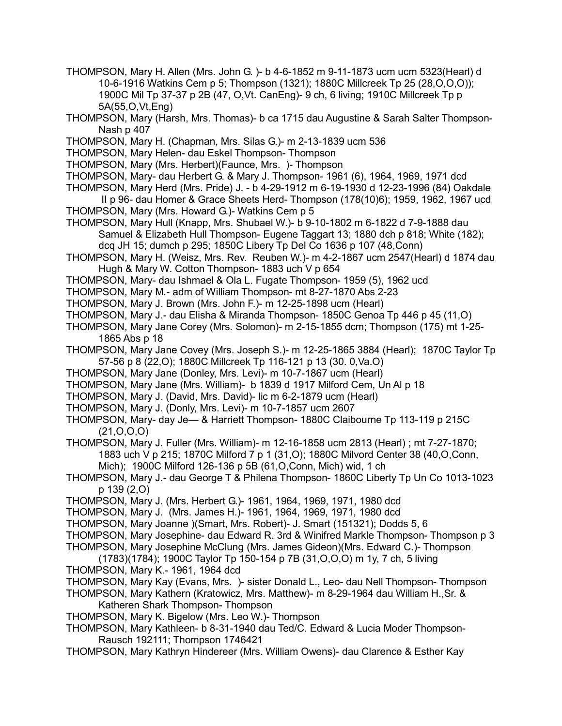- THOMPSON, Mary H. Allen (Mrs. John G. )- b 4-6-1852 m 9-11-1873 ucm ucm 5323(Hearl) d 10-6-1916 Watkins Cem p 5; Thompson (1321); 1880C Millcreek Tp 25 (28,O,O,O)); 1900C Mil Tp 37-37 p 2B (47, O,Vt. CanEng)- 9 ch, 6 living; 1910C Millcreek Tp p 5A(55,O,Vt,Eng)
- THOMPSON, Mary (Harsh, Mrs. Thomas)- b ca 1715 dau Augustine & Sarah Salter Thompson-Nash p 407
- THOMPSON, Mary H. (Chapman, Mrs. Silas G.)- m 2-13-1839 ucm 536
- THOMPSON, Mary Helen- dau Eskel Thompson- Thompson
- THOMPSON, Mary (Mrs. Herbert)(Faunce, Mrs. )- Thompson
- THOMPSON, Mary- dau Herbert G. & Mary J. Thompson- 1961 (6), 1964, 1969, 1971 dcd
- THOMPSON, Mary Herd (Mrs. Pride) J. b 4-29-1912 m 6-19-1930 d 12-23-1996 (84) Oakdale II p 96- dau Homer & Grace Sheets Herd- Thompson (178(10)6); 1959, 1962, 1967 ucd
- THOMPSON, Mary (Mrs. Howard G.)- Watkins Cem p 5
- THOMPSON, Mary Hull (Knapp, Mrs. Shubael W.)- b 9-10-1802 m 6-1822 d 7-9-1888 dau Samuel & Elizabeth Hull Thompson- Eugene Taggart 13; 1880 dch p 818; White (182); dcq JH 15; dumch p 295; 1850C Libery Tp Del Co 1636 p 107 (48,Conn)
- THOMPSON, Mary H. (Weisz, Mrs. Rev. Reuben W.)- m 4-2-1867 ucm 2547(Hearl) d 1874 dau Hugh & Mary W. Cotton Thompson- 1883 uch V p 654
- THOMPSON, Mary- dau Ishmael & Ola L. Fugate Thompson- 1959 (5), 1962 ucd
- THOMPSON, Mary M.- adm of William Thompson- mt 8-27-1870 Abs 2-23
- THOMPSON, Mary J. Brown (Mrs. John F.)- m 12-25-1898 ucm (Hearl)
- THOMPSON, Mary J.- dau Elisha & Miranda Thompson- 1850C Genoa Tp 446 p 45 (11,O)
- THOMPSON, Mary Jane Corey (Mrs. Solomon)- m 2-15-1855 dcm; Thompson (175) mt 1-25- 1865 Abs p 18
- THOMPSON, Mary Jane Covey (Mrs. Joseph S.)- m 12-25-1865 3884 (Hearl); 1870C Taylor Tp 57-56 p 8 (22,O); 1880C Millcreek Tp 116-121 p 13 (30. 0,Va.O)
- THOMPSON, Mary Jane (Donley, Mrs. Levi)- m 10-7-1867 ucm (Hearl)
- THOMPSON, Mary Jane (Mrs. William)- b 1839 d 1917 Milford Cem, Un Al p 18
- THOMPSON, Mary J. (David, Mrs. David)- lic m 6-2-1879 ucm (Hearl)
- THOMPSON, Mary J. (Donly, Mrs. Levi)- m 10-7-1857 ucm 2607
- THOMPSON, Mary- day Je— & Harriett Thompson- 1880C Claibourne Tp 113-119 p 215C (21,O,O,O)
- THOMPSON, Mary J. Fuller (Mrs. William)- m 12-16-1858 ucm 2813 (Hearl) ; mt 7-27-1870; 1883 uch V p 215; 1870C Milford 7 p 1 (31,O); 1880C Milvord Center 38 (40,O,Conn, Mich); 1900C Milford 126-136 p 5B (61,O,Conn, Mich) wid, 1 ch
- THOMPSON, Mary J.- dau George T & Philena Thompson- 1860C Liberty Tp Un Co 1013-1023 p 139 (2,O)
- THOMPSON, Mary J. (Mrs. Herbert G.)- 1961, 1964, 1969, 1971, 1980 dcd
- THOMPSON, Mary J. (Mrs. James H.)- 1961, 1964, 1969, 1971, 1980 dcd
- THOMPSON, Mary Joanne )(Smart, Mrs. Robert)- J. Smart (151321); Dodds 5, 6
- THOMPSON, Mary Josephine- dau Edward R. 3rd & Winifred Markle Thompson- Thompson p 3
- THOMPSON, Mary Josephine McClung (Mrs. James Gideon)(Mrs. Edward C.)- Thompson
- (1783)(1784); 1900C Taylor Tp 150-154 p 7B (31,O,O,O) m 1y, 7 ch, 5 living THOMPSON, Mary K.- 1961, 1964 dcd
- THOMPSON, Mary Kay (Evans, Mrs. )- sister Donald L., Leo- dau Nell Thompson- Thompson
- THOMPSON, Mary Kathern (Kratowicz, Mrs. Matthew)- m 8-29-1964 dau William H.,Sr. & Katheren Shark Thompson- Thompson
- THOMPSON, Mary K. Bigelow (Mrs. Leo W.)- Thompson
- THOMPSON, Mary Kathleen- b 8-31-1940 dau Ted/C. Edward & Lucia Moder Thompson-Rausch 192111; Thompson 1746421
- THOMPSON, Mary Kathryn Hindereer (Mrs. William Owens)- dau Clarence & Esther Kay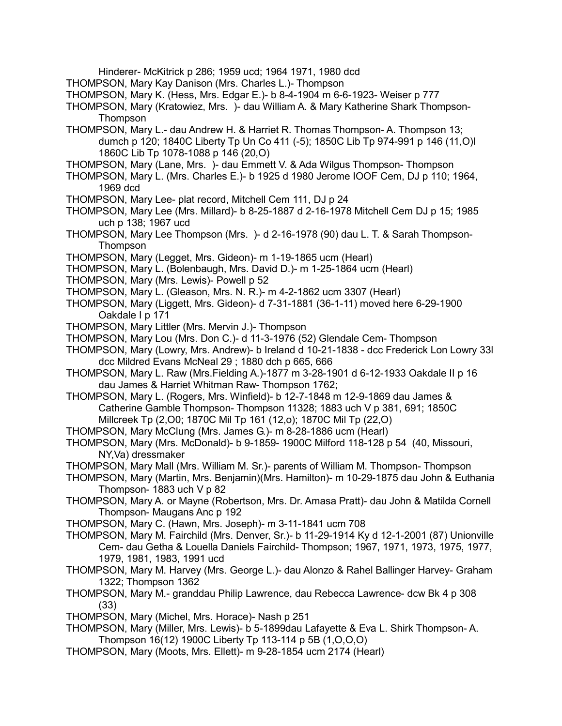Hinderer- McKitrick p 286; 1959 ucd; 1964 1971, 1980 dcd

- THOMPSON, Mary Kay Danison (Mrs. Charles L.)- Thompson
- THOMPSON, Mary K. (Hess, Mrs. Edgar E.)- b 8-4-1904 m 6-6-1923- Weiser p 777
- THOMPSON, Mary (Kratowiez, Mrs. )- dau William A. & Mary Katherine Shark Thompson-**Thompson**
- THOMPSON, Mary L.- dau Andrew H. & Harriet R. Thomas Thompson- A. Thompson 13; dumch p 120; 1840C Liberty Tp Un Co 411 (-5); 1850C Lib Tp 974-991 p 146 (11,O)l 1860C Lib Tp 1078-1088 p 146 (20,O)
- THOMPSON, Mary (Lane, Mrs. )- dau Emmett V. & Ada Wilgus Thompson- Thompson
- THOMPSON, Mary L. (Mrs. Charles E.)- b 1925 d 1980 Jerome IOOF Cem, DJ p 110; 1964, 1969 dcd
- THOMPSON, Mary Lee- plat record, Mitchell Cem 111, DJ p 24
- THOMPSON, Mary Lee (Mrs. Millard)- b 8-25-1887 d 2-16-1978 Mitchell Cem DJ p 15; 1985 uch p 138; 1967 ucd
- THOMPSON, Mary Lee Thompson (Mrs. )- d 2-16-1978 (90) dau L. T. & Sarah Thompson-Thompson
- THOMPSON, Mary (Legget, Mrs. Gideon)- m 1-19-1865 ucm (Hearl)
- THOMPSON, Mary L. (Bolenbaugh, Mrs. David D.)- m 1-25-1864 ucm (Hearl)
- THOMPSON, Mary (Mrs. Lewis)- Powell p 52
- THOMPSON, Mary L. (Gleason, Mrs. N. R.)- m 4-2-1862 ucm 3307 (Hearl)
- THOMPSON, Mary (Liggett, Mrs. Gideon)- d 7-31-1881 (36-1-11) moved here 6-29-1900 Oakdale I p 171
- THOMPSON, Mary Littler (Mrs. Mervin J.)- Thompson
- THOMPSON, Mary Lou (Mrs. Don C.)- d 11-3-1976 (52) Glendale Cem- Thompson
- THOMPSON, Mary (Lowry, Mrs. Andrew)- b Ireland d 10-21-1838 dcc Frederick Lon Lowry 33l dcc Mildred Evans McNeal 29 ; 1880 dch p 665, 666
- THOMPSON, Mary L. Raw (Mrs.Fielding A.)-1877 m 3-28-1901 d 6-12-1933 Oakdale II p 16 dau James & Harriet Whitman Raw- Thompson 1762;
- THOMPSON, Mary L. (Rogers, Mrs. Winfield)- b 12-7-1848 m 12-9-1869 dau James & Catherine Gamble Thompson- Thompson 11328; 1883 uch V p 381, 691; 1850C Millcreek Tp (2,O0; 1870C Mil Tp 161 (12,o); 1870C Mil Tp (22,O)
- THOMPSON, Mary McClung (Mrs. James G.)- m 8-28-1886 ucm (Hearl)
- THOMPSON, Mary (Mrs. McDonald)- b 9-1859- 1900C Milford 118-128 p 54 (40, Missouri, NY,Va) dressmaker
- THOMPSON, Mary Mall (Mrs. William M. Sr.)- parents of William M. Thompson- Thompson
- THOMPSON, Mary (Martin, Mrs. Benjamin)(Mrs. Hamilton)- m 10-29-1875 dau John & Euthania Thompson- 1883 uch V p 82
- THOMPSON, Mary A. or Mayne (Robertson, Mrs. Dr. Amasa Pratt)- dau John & Matilda Cornell Thompson- Maugans Anc p 192
- THOMPSON, Mary C. (Hawn, Mrs. Joseph)- m 3-11-1841 ucm 708
- THOMPSON, Mary M. Fairchild (Mrs. Denver, Sr.)- b 11-29-1914 Ky d 12-1-2001 (87) Unionville Cem- dau Getha & Louella Daniels Fairchild- Thompson; 1967, 1971, 1973, 1975, 1977, 1979, 1981, 1983, 1991 ucd
- THOMPSON, Mary M. Harvey (Mrs. George L.)- dau Alonzo & Rahel Ballinger Harvey- Graham 1322; Thompson 1362
- THOMPSON, Mary M.- granddau Philip Lawrence, dau Rebecca Lawrence- dcw Bk 4 p 308 (33)
- THOMPSON, Mary (Michel, Mrs. Horace)- Nash p 251
- THOMPSON, Mary (Miller, Mrs. Lewis)- b 5-1899dau Lafayette & Eva L. Shirk Thompson- A. Thompson 16(12) 1900C Liberty Tp 113-114 p 5B (1,O,O,O)
- THOMPSON, Mary (Moots, Mrs. Ellett)- m 9-28-1854 ucm 2174 (Hearl)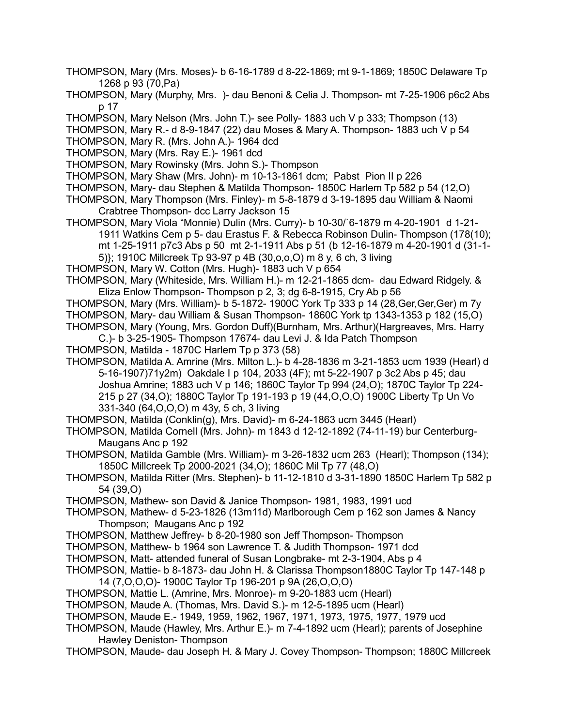- THOMPSON, Mary (Mrs. Moses)- b 6-16-1789 d 8-22-1869; mt 9-1-1869; 1850C Delaware Tp 1268 p 93 (70,Pa)
- THOMPSON, Mary (Murphy, Mrs. )- dau Benoni & Celia J. Thompson- mt 7-25-1906 p6c2 Abs p 17
- THOMPSON, Mary Nelson (Mrs. John T.)- see Polly- 1883 uch V p 333; Thompson (13)
- THOMPSON, Mary R.- d 8-9-1847 (22) dau Moses & Mary A. Thompson- 1883 uch V p 54
- THOMPSON, Mary R. (Mrs. John A.)- 1964 dcd
- THOMPSON, Mary (Mrs. Ray E.)- 1961 dcd
- THOMPSON, Mary Rowinsky (Mrs. John S.)- Thompson
- THOMPSON, Mary Shaw (Mrs. John)- m 10-13-1861 dcm; Pabst Pion II p 226
- THOMPSON, Mary- dau Stephen & Matilda Thompson- 1850C Harlem Tp 582 p 54 (12,O)
- THOMPSON, Mary Thompson (Mrs. Finley)- m 5-8-1879 d 3-19-1895 dau William & Naomi Crabtree Thompson- dcc Larry Jackson 15
- THOMPSON, Mary Viola "Monnie) Dulin (Mrs. Curry)- b 10-30/`6-1879 m 4-20-1901 d 1-21- 1911 Watkins Cem p 5- dau Erastus F. & Rebecca Robinson Dulin- Thompson (178(10); mt 1-25-1911 p7c3 Abs p 50 mt 2-1-1911 Abs p 51 (b 12-16-1879 m 4-20-1901 d (31-1- 5)}; 1910C Millcreek Tp 93-97 p 4B (30,o,o,O) m 8 y, 6 ch, 3 living
- THOMPSON, Mary W. Cotton (Mrs. Hugh)- 1883 uch V p 654
- THOMPSON, Mary (Whiteside, Mrs. William H.)- m 12-21-1865 dcm- dau Edward Ridgely. & Eliza Enlow Thompson- Thompson p 2, 3; dg 6-8-1915, Cry Ab p 56
- THOMPSON, Mary (Mrs. William)- b 5-1872- 1900C York Tp 333 p 14 (28,Ger,Ger,Ger) m 7y THOMPSON, Mary- dau William & Susan Thompson- 1860C York tp 1343-1353 p 182 (15,O) THOMPSON, Mary (Young, Mrs. Gordon Duff)(Burnham, Mrs. Arthur)(Hargreaves, Mrs. Harry

C.)- b 3-25-1905- Thompson 17674- dau Levi J. & Ida Patch Thompson

- THOMPSON, Matilda 1870C Harlem Tp p 373 (58)
- THOMPSON, Matilda A. Amrine (Mrs. Milton L.)- b 4-28-1836 m 3-21-1853 ucm 1939 (Hearl) d 5-16-1907)71y2m) Oakdale I p 104, 2033 (4F); mt 5-22-1907 p 3c2 Abs p 45; dau Joshua Amrine; 1883 uch V p 146; 1860C Taylor Tp 994 (24,O); 1870C Taylor Tp 224- 215 p 27 (34,O); 1880C Taylor Tp 191-193 p 19 (44,O,O,O) 1900C Liberty Tp Un Vo 331-340 (64,O,O,O) m 43y, 5 ch, 3 living
- THOMPSON, Matilda (Conklin(g), Mrs. David)- m 6-24-1863 ucm 3445 (Hearl)
- THOMPSON, Matilda Cornell (Mrs. John)- m 1843 d 12-12-1892 (74-11-19) bur Centerburg-Maugans Anc p 192
- THOMPSON, Matilda Gamble (Mrs. William)- m 3-26-1832 ucm 263 (Hearl); Thompson (134); 1850C Millcreek Tp 2000-2021 (34,O); 1860C Mil Tp 77 (48,O)
- THOMPSON, Matilda Ritter (Mrs. Stephen)- b 11-12-1810 d 3-31-1890 1850C Harlem Tp 582 p 54 (39,O)
- THOMPSON, Mathew- son David & Janice Thompson- 1981, 1983, 1991 ucd
- THOMPSON, Mathew- d 5-23-1826 (13m11d) Marlborough Cem p 162 son James & Nancy Thompson; Maugans Anc p 192
- THOMPSON, Matthew Jeffrey- b 8-20-1980 son Jeff Thompson- Thompson
- THOMPSON, Matthew- b 1964 son Lawrence T. & Judith Thompson- 1971 dcd
- THOMPSON, Matt- attended funeral of Susan Longbrake- mt 2-3-1904, Abs p 4
- THOMPSON, Mattie- b 8-1873- dau John H. & Clarissa Thompson1880C Taylor Tp 147-148 p 14 (7,O,O,O)- 1900C Taylor Tp 196-201 p 9A (26,O,O,O)
- THOMPSON, Mattie L. (Amrine, Mrs. Monroe)- m 9-20-1883 ucm (Hearl)
- THOMPSON, Maude A. (Thomas, Mrs. David S.)- m 12-5-1895 ucm (Hearl)
- THOMPSON, Maude E.- 1949, 1959, 1962, 1967, 1971, 1973, 1975, 1977, 1979 ucd
- THOMPSON, Maude (Hawley, Mrs. Arthur E.)- m 7-4-1892 ucm (Hearl); parents of Josephine Hawley Deniston- Thompson
- THOMPSON, Maude- dau Joseph H. & Mary J. Covey Thompson- Thompson; 1880C Millcreek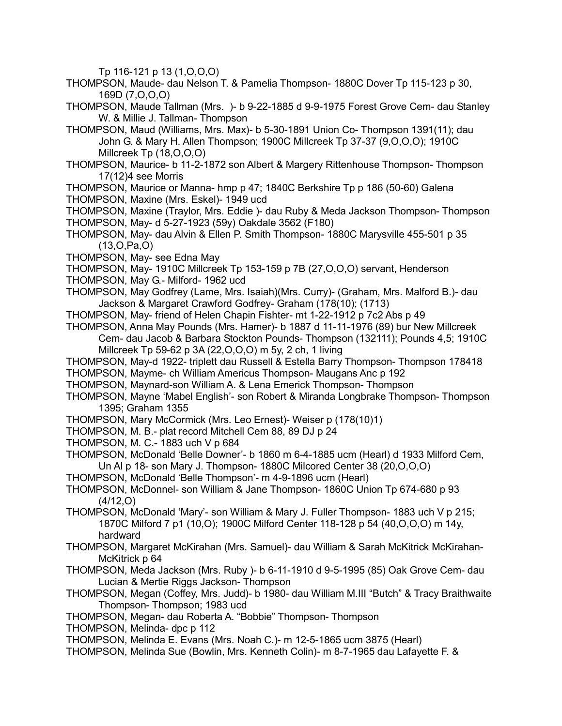Tp 116-121 p 13 (1,O,O,O)

- THOMPSON, Maude- dau Nelson T. & Pamelia Thompson- 1880C Dover Tp 115-123 p 30, 169D (7,O,O,O)
- THOMPSON, Maude Tallman (Mrs. )- b 9-22-1885 d 9-9-1975 Forest Grove Cem- dau Stanley W. & Millie J. Tallman- Thompson
- THOMPSON, Maud (Williams, Mrs. Max)- b 5-30-1891 Union Co- Thompson 1391(11); dau John G. & Mary H. Allen Thompson; 1900C Millcreek Tp 37-37 (9,O,O,O); 1910C Millcreek Tp (18,O,O,O)
- THOMPSON, Maurice- b 11-2-1872 son Albert & Margery Rittenhouse Thompson- Thompson 17(12)4 see Morris
- THOMPSON, Maurice or Manna- hmp p 47; 1840C Berkshire Tp p 186 (50-60) Galena
- THOMPSON, Maxine (Mrs. Eskel)- 1949 ucd
- THOMPSON, Maxine (Traylor, Mrs. Eddie )- dau Ruby & Meda Jackson Thompson- Thompson
- THOMPSON, May- d 5-27-1923 (59y) Oakdale 3562 (F180)
- THOMPSON, May- dau Alvin & Ellen P. Smith Thompson- 1880C Marysville 455-501 p 35 (13,O,Pa,O)
- THOMPSON, May- see Edna May
- THOMPSON, May- 1910C Millcreek Tp 153-159 p 7B (27,O,O,O) servant, Henderson
- THOMPSON, May G.- Milford- 1962 ucd
- THOMPSON, May Godfrey (Lame, Mrs. Isaiah)(Mrs. Curry)- (Graham, Mrs. Malford B.)- dau Jackson & Margaret Crawford Godfrey- Graham (178(10); (1713)
- THOMPSON, May- friend of Helen Chapin Fishter- mt 1-22-1912 p 7c2 Abs p 49
- THOMPSON, Anna May Pounds (Mrs. Hamer)- b 1887 d 11-11-1976 (89) bur New Millcreek Cem- dau Jacob & Barbara Stockton Pounds- Thompson (132111); Pounds 4,5; 1910C Millcreek Tp 59-62 p 3A (22,O,O,O) m 5y, 2 ch, 1 living
- THOMPSON, May-d 1922- triplett dau Russell & Estella Barry Thompson- Thompson 178418 THOMPSON, Mayme- ch William Americus Thompson- Maugans Anc p 192
- THOMPSON, Maynard-son William A. & Lena Emerick Thompson- Thompson
- THOMPSON, Mayne 'Mabel English'- son Robert & Miranda Longbrake Thompson- Thompson 1395; Graham 1355
- THOMPSON, Mary McCormick (Mrs. Leo Ernest)- Weiser p (178(10)1)
- THOMPSON, M. B.- plat record Mitchell Cem 88, 89 DJ p 24
- THOMPSON, M. C.- 1883 uch V p 684
- THOMPSON, McDonald 'Belle Downer'- b 1860 m 6-4-1885 ucm (Hearl) d 1933 Milford Cem, Un Al p 18- son Mary J. Thompson- 1880C Milcored Center 38 (20,O,O,O)
- THOMPSON, McDonald 'Belle Thompson'- m 4-9-1896 ucm (Hearl)
- THOMPSON, McDonnel- son William & Jane Thompson- 1860C Union Tp 674-680 p 93 (4/12,O)
- THOMPSON, McDonald 'Mary'- son William & Mary J. Fuller Thompson- 1883 uch V p 215; 1870C Milford 7 p1 (10,O); 1900C Milford Center 118-128 p 54 (40,O,O,O) m 14y, hardward
- THOMPSON, Margaret McKirahan (Mrs. Samuel)- dau William & Sarah McKitrick McKirahan-McKitrick p 64
- THOMPSON, Meda Jackson (Mrs. Ruby )- b 6-11-1910 d 9-5-1995 (85) Oak Grove Cem- dau Lucian & Mertie Riggs Jackson- Thompson
- THOMPSON, Megan (Coffey, Mrs. Judd)- b 1980- dau William M.III "Butch" & Tracy Braithwaite Thompson- Thompson; 1983 ucd
- THOMPSON, Megan- dau Roberta A. "Bobbie" Thompson- Thompson
- THOMPSON, Melinda- dpc p 112
- THOMPSON, Melinda E. Evans (Mrs. Noah C.)- m 12-5-1865 ucm 3875 (Hearl)
- THOMPSON, Melinda Sue (Bowlin, Mrs. Kenneth Colin)- m 8-7-1965 dau Lafayette F. &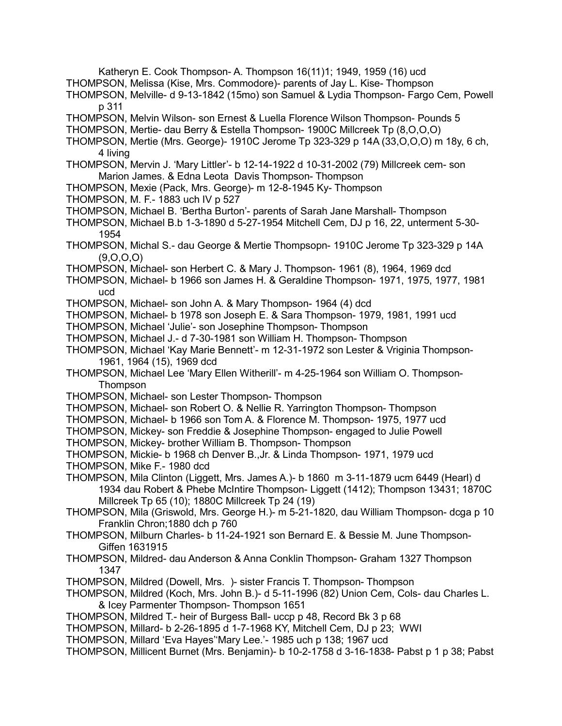Katheryn E. Cook Thompson- A. Thompson 16(11)1; 1949, 1959 (16) ucd THOMPSON, Melissa (Kise, Mrs. Commodore)- parents of Jay L. Kise- Thompson

- THOMPSON, Melville- d 9-13-1842 (15mo) son Samuel & Lydia Thompson- Fargo Cem, Powell p 311
- THOMPSON, Melvin Wilson- son Ernest & Luella Florence Wilson Thompson- Pounds 5
- THOMPSON, Mertie- dau Berry & Estella Thompson- 1900C Millcreek Tp (8,O,O,O)
- THOMPSON, Mertie (Mrs. George)- 1910C Jerome Tp 323-329 p 14A (33,O,O,O) m 18y, 6 ch, 4 living
- THOMPSON, Mervin J. 'Mary Littler'- b 12-14-1922 d 10-31-2002 (79) Millcreek cem- son Marion James. & Edna Leota Davis Thompson- Thompson
- THOMPSON, Mexie (Pack, Mrs. George)- m 12-8-1945 Ky- Thompson
- THOMPSON, M. F.- 1883 uch IV p 527
- THOMPSON, Michael B. 'Bertha Burton'- parents of Sarah Jane Marshall- Thompson
- THOMPSON, Michael B.b 1-3-1890 d 5-27-1954 Mitchell Cem, DJ p 16, 22, unterment 5-30- 1954
- THOMPSON, Michal S.- dau George & Mertie Thompsopn- 1910C Jerome Tp 323-329 p 14A (9,O,O,O)
- THOMPSON, Michael- son Herbert C. & Mary J. Thompson- 1961 (8), 1964, 1969 dcd
- THOMPSON, Michael- b 1966 son James H. & Geraldine Thompson- 1971, 1975, 1977, 1981 ucd
- THOMPSON, Michael- son John A. & Mary Thompson- 1964 (4) dcd
- THOMPSON, Michael- b 1978 son Joseph E. & Sara Thompson- 1979, 1981, 1991 ucd
- THOMPSON, Michael 'Julie'- son Josephine Thompson- Thompson
- THOMPSON, Michael J.- d 7-30-1981 son William H. Thompson- Thompson
- THOMPSON, Michael 'Kay Marie Bennett'- m 12-31-1972 son Lester & Vriginia Thompson-1961, 1964 (15), 1969 dcd
- THOMPSON, Michael Lee 'Mary Ellen Witherill'- m 4-25-1964 son William O. Thompson-Thompson
- THOMPSON, Michael- son Lester Thompson- Thompson
- THOMPSON, Michael- son Robert O. & Nellie R. Yarrington Thompson- Thompson
- THOMPSON, Michael- b 1966 son Tom A. & Florence M. Thompson- 1975, 1977 ucd
- THOMPSON, Mickey- son Freddie & Josephine Thompson- engaged to Julie Powell
- THOMPSON, Mickey- brother William B. Thompson- Thompson
- THOMPSON, Mickie- b 1968 ch Denver B.,Jr. & Linda Thompson- 1971, 1979 ucd
- THOMPSON, Mike F.- 1980 dcd
- THOMPSON, Mila Clinton (Liggett, Mrs. James A.)- b 1860 m 3-11-1879 ucm 6449 (Hearl) d 1934 dau Robert & Phebe McIntire Thompson- Liggett (1412); Thompson 13431; 1870C Millcreek Tp 65 (10); 1880C Millcreek Tp 24 (19)
- THOMPSON, Mila (Griswold, Mrs. George H.)- m 5-21-1820, dau William Thompson- dcga p 10 Franklin Chron;1880 dch p 760
- THOMPSON, Milburn Charles- b 11-24-1921 son Bernard E. & Bessie M. June Thompson-Giffen 1631915
- THOMPSON, Mildred- dau Anderson & Anna Conklin Thompson- Graham 1327 Thompson 1347
- THOMPSON, Mildred (Dowell, Mrs. )- sister Francis T. Thompson- Thompson
- THOMPSON, Mildred (Koch, Mrs. John B.)- d 5-11-1996 (82) Union Cem, Cols- dau Charles L. & Icey Parmenter Thompson- Thompson 1651
- THOMPSON, Mildred T.- heir of Burgess Ball- uccp p 48, Record Bk 3 p 68
- THOMPSON, Millard- b 2-26-1895 d 1-7-1968 KY, Mitchell Cem, DJ p 23; WWI
- THOMPSON, Millard 'Eva Hayes''Mary Lee.'- 1985 uch p 138; 1967 ucd
- THOMPSON, Millicent Burnet (Mrs. Benjamin)- b 10-2-1758 d 3-16-1838- Pabst p 1 p 38; Pabst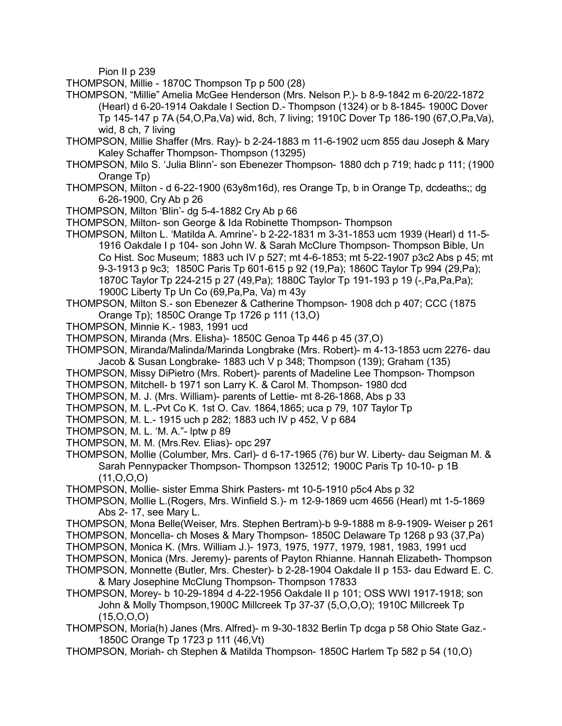Pion II p 239

- THOMPSON, Millie 1870C Thompson Tp p 500 (28)
- THOMPSON, "Millie" Amelia McGee Henderson (Mrs. Nelson P.)- b 8-9-1842 m 6-20/22-1872 (Hearl) d 6-20-1914 Oakdale I Section D.- Thompson (1324) or b 8-1845- 1900C Dover Tp 145-147 p 7A (54,O,Pa,Va) wid, 8ch, 7 living; 1910C Dover Tp 186-190 (67,O,Pa,Va), wid, 8 ch, 7 living
- THOMPSON, Millie Shaffer (Mrs. Ray)- b 2-24-1883 m 11-6-1902 ucm 855 dau Joseph & Mary Kaley Schaffer Thompson- Thompson (13295)
- THOMPSON, Milo S. 'Julia Blinn'- son Ebenezer Thompson- 1880 dch p 719; hadc p 111; (1900 Orange Tp)
- THOMPSON, Milton d 6-22-1900 (63y8m16d), res Orange Tp, b in Orange Tp, dcdeaths;; dg 6-26-1900, Cry Ab p 26
- THOMPSON, Milton 'Blin'- dg 5-4-1882 Cry Ab p 66
- THOMPSON, Milton- son George & Ida Robinette Thompson- Thompson
- THOMPSON, Milton L. 'Matilda A. Amrine'- b 2-22-1831 m 3-31-1853 ucm 1939 (Hearl) d 11-5- 1916 Oakdale I p 104- son John W. & Sarah McClure Thompson- Thompson Bible, Un Co Hist. Soc Museum; 1883 uch IV p 527; mt 4-6-1853; mt 5-22-1907 p3c2 Abs p 45; mt 9-3-1913 p 9c3; 1850C Paris Tp 601-615 p 92 (19,Pa); 1860C Taylor Tp 994 (29,Pa); 1870C Taylor Tp 224-215 p 27 (49,Pa); 1880C Taylor Tp 191-193 p 19 (-,Pa,Pa,Pa); 1900C Liberty Tp Un Co (69,Pa,Pa, Va) m 43y
- THOMPSON, Milton S.- son Ebenezer & Catherine Thompson- 1908 dch p 407; CCC (1875 Orange Tp); 1850C Orange Tp 1726 p 111 (13,O)
- THOMPSON, Minnie K.- 1983, 1991 ucd
- THOMPSON, Miranda (Mrs. Elisha)- 1850C Genoa Tp 446 p 45 (37,O)
- THOMPSON, Miranda/Malinda/Marinda Longbrake (Mrs. Robert)- m 4-13-1853 ucm 2276- dau Jacob & Susan Longbrake- 1883 uch V p 348; Thompson (139); Graham (135)
- THOMPSON, Missy DiPietro (Mrs. Robert)- parents of Madeline Lee Thompson- Thompson
- THOMPSON, Mitchell- b 1971 son Larry K. & Carol M. Thompson- 1980 dcd
- THOMPSON, M. J. (Mrs. William)- parents of Lettie- mt 8-26-1868, Abs p 33
- THOMPSON, M. L.-Pvt Co K. 1st O. Cav. 1864,1865; uca p 79, 107 Taylor Tp
- THOMPSON, M. L.- 1915 uch p 282; 1883 uch IV p 452, V p 684
- THOMPSON, M. L. 'M. A."- lptw p 89
- THOMPSON, M. M. (Mrs.Rev. Elias)- opc 297
- THOMPSON, Mollie (Columber, Mrs. Carl)- d 6-17-1965 (76) bur W. Liberty- dau Seigman M. & Sarah Pennypacker Thompson- Thompson 132512; 1900C Paris Tp 10-10- p 1B (11,O,O,O)
- THOMPSON, Mollie- sister Emma Shirk Pasters- mt 10-5-1910 p5c4 Abs p 32
- THOMPSON, Mollie L.(Rogers, Mrs. Winfield S.)- m 12-9-1869 ucm 4656 (Hearl) mt 1-5-1869 Abs 2- 17, see Mary L.
- THOMPSON, Mona Belle(Weiser, Mrs. Stephen Bertram)-b 9-9-1888 m 8-9-1909- Weiser p 261
- THOMPSON, Moncella- ch Moses & Mary Thompson- 1850C Delaware Tp 1268 p 93 (37,Pa)
- THOMPSON, Monica K. (Mrs. William J.)- 1973, 1975, 1977, 1979, 1981, 1983, 1991 ucd
- THOMPSON, Monica (Mrs. Jeremy)- parents of Payton Rhianne. Hannah Elizabeth- Thompson
- THOMPSON, Monnette (Butler, Mrs. Chester)- b 2-28-1904 Oakdale II p 153- dau Edward E. C. & Mary Josephine McClung Thompson- Thompson 17833
- THOMPSON, Morey- b 10-29-1894 d 4-22-1956 Oakdale II p 101; OSS WWI 1917-1918; son John & Molly Thompson,1900C Millcreek Tp 37-37 (5,O,O,O); 1910C Millcreek Tp  $(15, 0, 0, 0)$
- THOMPSON, Moria(h) Janes (Mrs. Alfred)- m 9-30-1832 Berlin Tp dcga p 58 Ohio State Gaz.- 1850C Orange Tp 1723 p 111 (46,Vt)
- THOMPSON, Moriah- ch Stephen & Matilda Thompson- 1850C Harlem Tp 582 p 54 (10,O)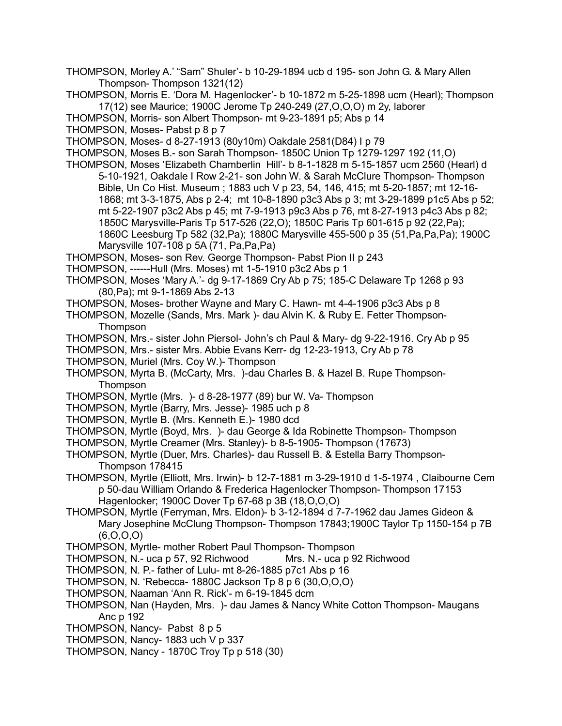- THOMPSON, Morley A.' "Sam" Shuler'- b 10-29-1894 ucb d 195- son John G. & Mary Allen Thompson- Thompson 1321(12)
- THOMPSON, Morris E. 'Dora M. Hagenlocker'- b 10-1872 m 5-25-1898 ucm (Hearl); Thompson 17(12) see Maurice; 1900C Jerome Tp 240-249 (27,O,O,O) m 2y, laborer
- THOMPSON, Morris- son Albert Thompson- mt 9-23-1891 p5; Abs p 14
- THOMPSON, Moses- Pabst p 8 p 7
- THOMPSON, Moses- d 8-27-1913 (80y10m) Oakdale 2581(D84) I p 79
- THOMPSON, Moses B.- son Sarah Thompson- 1850C Union Tp 1279-1297 192 (11,O)
- THOMPSON, Moses 'Elizabeth Chamberlin Hill'- b 8-1-1828 m 5-15-1857 ucm 2560 (Hearl) d 5-10-1921, Oakdale I Row 2-21- son John W. & Sarah McClure Thompson- Thompson Bible, Un Co Hist. Museum ; 1883 uch V p 23, 54, 146, 415; mt 5-20-1857; mt 12-16- 1868; mt 3-3-1875, Abs p 2-4; mt 10-8-1890 p3c3 Abs p 3; mt 3-29-1899 p1c5 Abs p 52; mt 5-22-1907 p3c2 Abs p 45; mt 7-9-1913 p9c3 Abs p 76, mt 8-27-1913 p4c3 Abs p 82; 1850C Marysville-Paris Tp 517-526 (22,O); 1850C Paris Tp 601-615 p 92 (22,Pa); 1860C Leesburg Tp 582 (32,Pa); 1880C Marysville 455-500 p 35 (51,Pa,Pa,Pa); 1900C Marysville 107-108 p 5A (71, Pa,Pa,Pa)
- THOMPSON, Moses- son Rev. George Thompson- Pabst Pion II p 243
- THOMPSON, ------Hull (Mrs. Moses) mt 1-5-1910 p3c2 Abs p 1
- THOMPSON, Moses 'Mary A.'- dg 9-17-1869 Cry Ab p 75; 185-C Delaware Tp 1268 p 93 (80,Pa); mt 9-1-1869 Abs 2-13
- THOMPSON, Moses- brother Wayne and Mary C. Hawn- mt 4-4-1906 p3c3 Abs p 8
- THOMPSON, Mozelle (Sands, Mrs. Mark )- dau Alvin K. & Ruby E. Fetter Thompson-Thompson
- THOMPSON, Mrs.- sister John Piersol- John's ch Paul & Mary- dg 9-22-1916. Cry Ab p 95
- THOMPSON, Mrs.- sister Mrs. Abbie Evans Kerr- dg 12-23-1913, Cry Ab p 78
- THOMPSON, Muriel (Mrs. Coy W.)- Thompson
- THOMPSON, Myrta B. (McCarty, Mrs. )-dau Charles B. & Hazel B. Rupe Thompson-**Thompson**
- THOMPSON, Myrtle (Mrs. )- d 8-28-1977 (89) bur W. Va- Thompson
- THOMPSON, Myrtle (Barry, Mrs. Jesse)- 1985 uch p 8
- THOMPSON, Myrtle B. (Mrs. Kenneth E.)- 1980 dcd
- THOMPSON, Myrtle (Boyd, Mrs. )- dau George & Ida Robinette Thompson- Thompson
- THOMPSON, Myrtle Creamer (Mrs. Stanley)- b 8-5-1905- Thompson (17673)
- THOMPSON, Myrtle (Duer, Mrs. Charles)- dau Russell B. & Estella Barry Thompson-Thompson 178415
- THOMPSON, Myrtle (Elliott, Mrs. Irwin)- b 12-7-1881 m 3-29-1910 d 1-5-1974 , Claibourne Cem p 50-dau William Orlando & Frederica Hagenlocker Thompson- Thompson 17153 Hagenlocker; 1900C Dover Tp 67-68 p 3B (18,O,O,O)
- THOMPSON, Myrtle (Ferryman, Mrs. Eldon)- b 3-12-1894 d 7-7-1962 dau James Gideon & Mary Josephine McClung Thompson- Thompson 17843;1900C Taylor Tp 1150-154 p 7B (6,O,O,O)
- THOMPSON, Myrtle- mother Robert Paul Thompson- Thompson
- THOMPSON, N.- uca p 57, 92 Richwood Mrs. N.- uca p 92 Richwood
- THOMPSON, N. P.- father of Lulu- mt 8-26-1885 p7c1 Abs p 16
- THOMPSON, N. 'Rebecca- 1880C Jackson Tp 8 p 6 (30,O,O,O)
- THOMPSON, Naaman 'Ann R. Rick'- m 6-19-1845 dcm
- THOMPSON, Nan (Hayden, Mrs. )- dau James & Nancy White Cotton Thompson- Maugans Anc p 192
- THOMPSON, Nancy- Pabst 8 p 5
- THOMPSON, Nancy- 1883 uch V p 337
- THOMPSON, Nancy 1870C Troy Tp p 518 (30)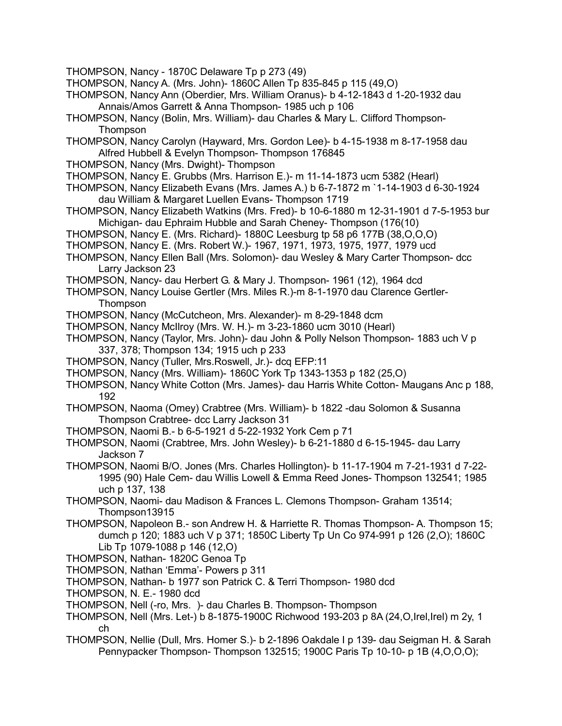- THOMPSON, Nancy 1870C Delaware Tp p 273 (49)
- THOMPSON, Nancy A. (Mrs. John)- 1860C Allen Tp 835-845 p 115 (49,O)
- THOMPSON, Nancy Ann (Oberdier, Mrs. William Oranus)- b 4-12-1843 d 1-20-1932 dau Annais/Amos Garrett & Anna Thompson- 1985 uch p 106
- THOMPSON, Nancy (Bolin, Mrs. William)- dau Charles & Mary L. Clifford Thompson-**Thompson**
- THOMPSON, Nancy Carolyn (Hayward, Mrs. Gordon Lee)- b 4-15-1938 m 8-17-1958 dau Alfred Hubbell & Evelyn Thompson- Thompson 176845
- THOMPSON, Nancy (Mrs. Dwight)- Thompson
- THOMPSON, Nancy E. Grubbs (Mrs. Harrison E.)- m 11-14-1873 ucm 5382 (Hearl)
- THOMPSON, Nancy Elizabeth Evans (Mrs. James A.) b 6-7-1872 m `1-14-1903 d 6-30-1924 dau William & Margaret Luellen Evans- Thompson 1719
- THOMPSON, Nancy Elizabeth Watkins (Mrs. Fred)- b 10-6-1880 m 12-31-1901 d 7-5-1953 bur Michigan- dau Ephraim Hubble and Sarah Cheney- Thompson (176(10)
- THOMPSON, Nancy E. (Mrs. Richard)- 1880C Leesburg tp 58 p6 177B (38,O,O,O)
- THOMPSON, Nancy E. (Mrs. Robert W.)- 1967, 1971, 1973, 1975, 1977, 1979 ucd
- THOMPSON, Nancy Ellen Ball (Mrs. Solomon)- dau Wesley & Mary Carter Thompson- dcc Larry Jackson 23
- THOMPSON, Nancy- dau Herbert G. & Mary J. Thompson- 1961 (12), 1964 dcd
- THOMPSON, Nancy Louise Gertler (Mrs. Miles R.)-m 8-1-1970 dau Clarence Gertler-**Thompson**
- THOMPSON, Nancy (McCutcheon, Mrs. Alexander)- m 8-29-1848 dcm
- THOMPSON, Nancy McIlroy (Mrs. W. H.)- m 3-23-1860 ucm 3010 (Hearl)
- THOMPSON, Nancy (Taylor, Mrs. John)- dau John & Polly Nelson Thompson- 1883 uch V p 337, 378; Thompson 134; 1915 uch p 233
- THOMPSON, Nancy (Tuller, Mrs.Roswell, Jr.)- dcq EFP:11
- THOMPSON, Nancy (Mrs. William)- 1860C York Tp 1343-1353 p 182 (25,O)
- THOMPSON, Nancy White Cotton (Mrs. James)- dau Harris White Cotton- Maugans Anc p 188, 192
- THOMPSON, Naoma (Omey) Crabtree (Mrs. William)- b 1822 -dau Solomon & Susanna Thompson Crabtree- dcc Larry Jackson 31
- THOMPSON, Naomi B.- b 6-5-1921 d 5-22-1932 York Cem p 71
- THOMPSON, Naomi (Crabtree, Mrs. John Wesley)- b 6-21-1880 d 6-15-1945- dau Larry Jackson 7
- THOMPSON, Naomi B/O. Jones (Mrs. Charles Hollington)- b 11-17-1904 m 7-21-1931 d 7-22- 1995 (90) Hale Cem- dau Willis Lowell & Emma Reed Jones- Thompson 132541; 1985 uch p 137, 138
- THOMPSON, Naomi- dau Madison & Frances L. Clemons Thompson- Graham 13514; Thompson13915
- THOMPSON, Napoleon B.- son Andrew H. & Harriette R. Thomas Thompson- A. Thompson 15; dumch p 120; 1883 uch V p 371; 1850C Liberty Tp Un Co 974-991 p 126 (2,O); 1860C Lib Tp 1079-1088 p 146 (12,O)
- THOMPSON, Nathan- 1820C Genoa Tp
- THOMPSON, Nathan 'Emma'- Powers p 311
- THOMPSON, Nathan- b 1977 son Patrick C. & Terri Thompson- 1980 dcd
- THOMPSON, N. E.- 1980 dcd
- THOMPSON, Nell (-ro, Mrs. )- dau Charles B. Thompson- Thompson
- THOMPSON, Nell (Mrs. Let-) b 8-1875-1900C Richwood 193-203 p 8A (24,O,Irel,Irel) m 2y, 1 ch
- THOMPSON, Nellie (Dull, Mrs. Homer S.)- b 2-1896 Oakdale I p 139- dau Seigman H. & Sarah Pennypacker Thompson- Thompson 132515; 1900C Paris Tp 10-10- p 1B (4,O,O,O);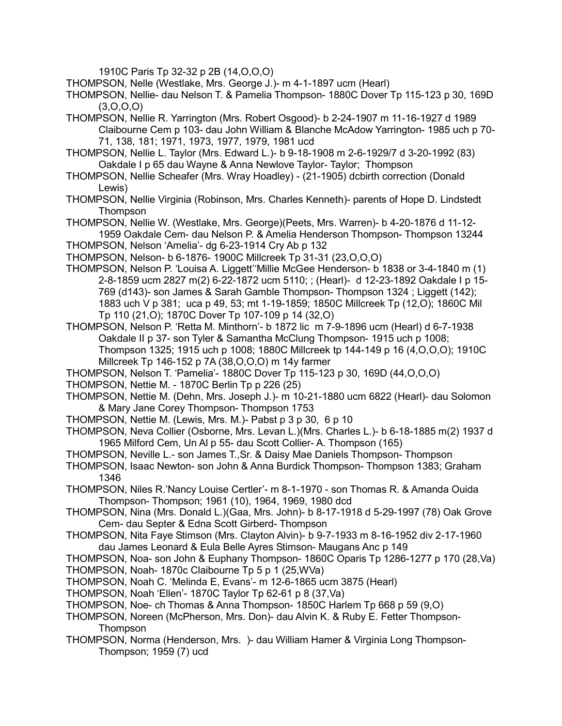1910C Paris Tp 32-32 p 2B (14,O,O,O)

THOMPSON, Nelle (Westlake, Mrs. George J.)- m 4-1-1897 ucm (Hearl)

- THOMPSON, Nellie- dau Nelson T. & Pamelia Thompson- 1880C Dover Tp 115-123 p 30, 169D  $(3,0,0,0)$
- THOMPSON, Nellie R. Yarrington (Mrs. Robert Osgood)- b 2-24-1907 m 11-16-1927 d 1989 Claibourne Cem p 103- dau John William & Blanche McAdow Yarrington- 1985 uch p 70- 71, 138, 181; 1971, 1973, 1977, 1979, 1981 ucd
- THOMPSON, Nellie L. Taylor (Mrs. Edward L.)- b 9-18-1908 m 2-6-1929/7 d 3-20-1992 (83) Oakdale I p 65 dau Wayne & Anna Newlove Taylor- Taylor; Thompson
- THOMPSON, Nellie Scheafer (Mrs. Wray Hoadley) (21-1905) dcbirth correction (Donald Lewis)
- THOMPSON, Nellie Virginia (Robinson, Mrs. Charles Kenneth)- parents of Hope D. Lindstedt Thompson

THOMPSON, Nellie W. (Westlake, Mrs. George)(Peets, Mrs. Warren)- b 4-20-1876 d 11-12- 1959 Oakdale Cem- dau Nelson P. & Amelia Henderson Thompson- Thompson 13244 THOMPSON, Nelson 'Amelia'- dg 6-23-1914 Cry Ab p 132

- 
- THOMPSON, Nelson- b 6-1876- 1900C Millcreek Tp 31-31 (23,O,O,O)
- THOMPSON, Nelson P. 'Louisa A. Liggett''Millie McGee Henderson- b 1838 or 3-4-1840 m (1) 2-8-1859 ucm 2827 m(2) 6-22-1872 ucm 5110; ; (Hearl)- d 12-23-1892 Oakdale I p 15- 769 (d143)- son James & Sarah Gamble Thompson- Thompson 1324 ; Liggett (142); 1883 uch V p 381; uca p 49, 53; mt 1-19-1859; 1850C Millcreek Tp (12,O); 1860C Mil Tp 110 (21,O); 1870C Dover Tp 107-109 p 14 (32,O)
- THOMPSON, Nelson P. 'Retta M. Minthorn'- b 1872 lic m 7-9-1896 ucm (Hearl) d 6-7-1938 Oakdale II p 37- son Tyler & Samantha McClung Thompson- 1915 uch p 1008; Thompson 1325; 1915 uch p 1008; 1880C Millcreek tp 144-149 p 16 (4,O,O,O); 1910C Millcreek Tp 146-152 p 7A (38,O,O,O) m 14y farmer
- THOMPSON, Nelson T. 'Pamelia'- 1880C Dover Tp 115-123 p 30, 169D (44,O,O,O)
- THOMPSON, Nettie M. 1870C Berlin Tp p 226 (25)
- THOMPSON, Nettie M. (Dehn, Mrs. Joseph J.)- m 10-21-1880 ucm 6822 (Hearl)- dau Solomon & Mary Jane Corey Thompson- Thompson 1753
- THOMPSON, Nettie M. (Lewis, Mrs. M.)- Pabst p 3 p 30, 6 p 10
- THOMPSON, Neva Collier (Osborne, Mrs. Levan L.)(Mrs. Charles L.)- b 6-18-1885 m(2) 1937 d 1965 Milford Cem, Un Al p 55- dau Scott Collier- A. Thompson (165)
- THOMPSON, Neville L.- son James T.,Sr. & Daisy Mae Daniels Thompson- Thompson
- THOMPSON, Isaac Newton- son John & Anna Burdick Thompson- Thompson 1383; Graham 1346
- THOMPSON, Niles R.'Nancy Louise Certler'- m 8-1-1970 son Thomas R. & Amanda Ouida Thompson- Thompson; 1961 (10), 1964, 1969, 1980 dcd
- THOMPSON, Nina (Mrs. Donald L.)(Gaa, Mrs. John)- b 8-17-1918 d 5-29-1997 (78) Oak Grove Cem- dau Septer & Edna Scott Girberd- Thompson
- THOMPSON, Nita Faye Stimson (Mrs. Clayton Alvin)- b 9-7-1933 m 8-16-1952 div 2-17-1960 dau James Leonard & Eula Belle Ayres Stimson- Maugans Anc p 149
- THOMPSON, Noa- son John & Euphany Thompson- 1860C Oparis Tp 1286-1277 p 170 (28,Va)
- THOMPSON, Noah- 1870c Claibourne Tp 5 p 1 (25,WVa)
- THOMPSON, Noah C. 'Melinda E, Evans'- m 12-6-1865 ucm 3875 (Hearl)
- THOMPSON, Noah 'Ellen'- 1870C Taylor Tp 62-61 p 8 (37,Va)
- THOMPSON, Noe- ch Thomas & Anna Thompson- 1850C Harlem Tp 668 p 59 (9,O)
- THOMPSON, Noreen (McPherson, Mrs. Don)- dau Alvin K. & Ruby E. Fetter Thompson-Thompson
- THOMPSON, Norma (Henderson, Mrs. )- dau William Hamer & Virginia Long Thompson-Thompson; 1959 (7) ucd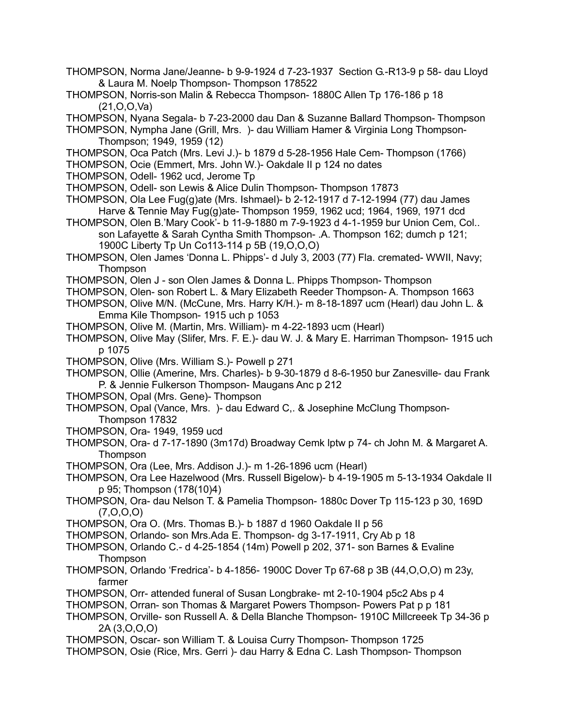- THOMPSON, Norma Jane/Jeanne- b 9-9-1924 d 7-23-1937 Section G.-R13-9 p 58- dau Lloyd & Laura M. Noelp Thompson- Thompson 178522
- THOMPSON, Norris-son Malin & Rebecca Thompson- 1880C Allen Tp 176-186 p 18 (21,O,O,Va)
- THOMPSON, Nyana Segala- b 7-23-2000 dau Dan & Suzanne Ballard Thompson- Thompson
- THOMPSON, Nympha Jane (Grill, Mrs. )- dau William Hamer & Virginia Long Thompson-Thompson; 1949, 1959 (12)
- THOMPSON, Oca Patch (Mrs. Levi J.)- b 1879 d 5-28-1956 Hale Cem- Thompson (1766)
- THOMPSON, Ocie (Emmert, Mrs. John W.)- Oakdale II p 124 no dates
- THOMPSON, Odell- 1962 ucd, Jerome Tp
- THOMPSON, Odell- son Lewis & Alice Dulin Thompson- Thompson 17873
- THOMPSON, Ola Lee Fug(g)ate (Mrs. Ishmael)- b 2-12-1917 d 7-12-1994 (77) dau James Harve & Tennie May Fug(g)ate- Thompson 1959, 1962 ucd; 1964, 1969, 1971 dcd
- THOMPSON, Olen B.'Mary Cook'- b 11-9-1880 m 7-9-1923 d 4-1-1959 bur Union Cem, Col.. son Lafayette & Sarah Cyntha Smith Thompson- .A. Thompson 162; dumch p 121; 1900C Liberty Tp Un Co113-114 p 5B (19,O,O,O)
- THOMPSON, Olen James 'Donna L. Phipps'- d July 3, 2003 (77) Fla. cremated- WWII, Navy; **Thompson**
- THOMPSON, Olen J son Olen James & Donna L. Phipps Thompson- Thompson
- THOMPSON, Olen- son Robert L. & Mary Elizabeth Reeder Thompson- A. Thompson 1663
- THOMPSON, Olive M/N. (McCune, Mrs. Harry K/H.)- m 8-18-1897 ucm (Hearl) dau John L. & Emma Kile Thompson- 1915 uch p 1053
- THOMPSON, Olive M. (Martin, Mrs. William)- m 4-22-1893 ucm (Hearl)
- THOMPSON, Olive May (Slifer, Mrs. F. E.)- dau W. J. & Mary E. Harriman Thompson- 1915 uch p 1075
- THOMPSON, Olive (Mrs. William S.)- Powell p 271
- THOMPSON, Ollie (Amerine, Mrs. Charles)- b 9-30-1879 d 8-6-1950 bur Zanesville- dau Frank P. & Jennie Fulkerson Thompson- Maugans Anc p 212
- THOMPSON, Opal (Mrs. Gene)- Thompson
- THOMPSON, Opal (Vance, Mrs. )- dau Edward C,. & Josephine McClung Thompson-Thompson 17832
- THOMPSON, Ora- 1949, 1959 ucd
- THOMPSON, Ora- d 7-17-1890 (3m17d) Broadway Cemk lptw p 74- ch John M. & Margaret A. Thompson
- THOMPSON, Ora (Lee, Mrs. Addison J.)- m 1-26-1896 ucm (Hearl)
- THOMPSON, Ora Lee Hazelwood (Mrs. Russell Bigelow)- b 4-19-1905 m 5-13-1934 Oakdale II p 95; Thompson (178(10)4)
- THOMPSON, Ora- dau Nelson T. & Pamelia Thompson- 1880c Dover Tp 115-123 p 30, 169D  $(7, 0, 0, 0)$
- THOMPSON, Ora O. (Mrs. Thomas B.)- b 1887 d 1960 Oakdale II p 56
- THOMPSON, Orlando- son Mrs.Ada E. Thompson- dg 3-17-1911, Cry Ab p 18
- THOMPSON, Orlando C.- d 4-25-1854 (14m) Powell p 202, 371- son Barnes & Evaline **Thompson**
- THOMPSON, Orlando 'Fredrica'- b 4-1856- 1900C Dover Tp 67-68 p 3B (44,O,O,O) m 23y, farmer
- THOMPSON, Orr- attended funeral of Susan Longbrake- mt 2-10-1904 p5c2 Abs p 4
- THOMPSON, Orran- son Thomas & Margaret Powers Thompson- Powers Pat p p 181
- THOMPSON, Orville- son Russell A. & Della Blanche Thompson- 1910C Millcreeek Tp 34-36 p 2A (3,O,O,O)
- THOMPSON, Oscar- son William T. & Louisa Curry Thompson- Thompson 1725
- THOMPSON, Osie (Rice, Mrs. Gerri )- dau Harry & Edna C. Lash Thompson- Thompson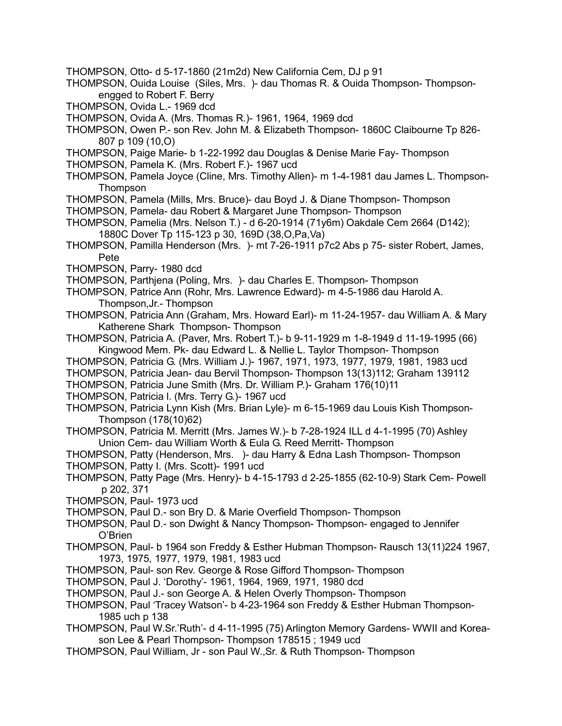- THOMPSON, Otto- d 5-17-1860 (21m2d) New California Cem, DJ p 91
- THOMPSON, Ouida Louise (Siles, Mrs. )- dau Thomas R. & Ouida Thompson- Thompsonengged to Robert F. Berry
- THOMPSON, Ovida L.- 1969 dcd
- THOMPSON, Ovida A. (Mrs. Thomas R.)- 1961, 1964, 1969 dcd
- THOMPSON, Owen P.- son Rev. John M. & Elizabeth Thompson- 1860C Claibourne Tp 826- 807 p 109 (10,O)
- THOMPSON, Paige Marie- b 1-22-1992 dau Douglas & Denise Marie Fay- Thompson
- THOMPSON, Pamela K. (Mrs. Robert F.)- 1967 ucd
- THOMPSON, Pamela Joyce (Cline, Mrs. Timothy Allen)- m 1-4-1981 dau James L. Thompson-**Thompson**
- THOMPSON, Pamela (Mills, Mrs. Bruce)- dau Boyd J. & Diane Thompson- Thompson
- THOMPSON, Pamela- dau Robert & Margaret June Thompson- Thompson
- THOMPSON, Pamelia (Mrs. Nelson T.) d 6-20-1914 (71y6m) Oakdale Cem 2664 (D142); 1880C Dover Tp 115-123 p 30, 169D (38,O,Pa,Va)
- THOMPSON, Pamilla Henderson (Mrs. )- mt 7-26-1911 p7c2 Abs p 75- sister Robert, James, Pete
- THOMPSON, Parry- 1980 dcd
- THOMPSON, Parthjena (Poling, Mrs. )- dau Charles E. Thompson- Thompson
- THOMPSON, Patrice Ann (Rohr, Mrs. Lawrence Edward)- m 4-5-1986 dau Harold A. Thompson,Jr.- Thompson
- THOMPSON, Patricia Ann (Graham, Mrs. Howard Earl)- m 11-24-1957- dau William A. & Mary Katherene Shark Thompson- Thompson
- THOMPSON, Patricia A. (Paver, Mrs. Robert T.)- b 9-11-1929 m 1-8-1949 d 11-19-1995 (66) Kingwood Mem. Pk- dau Edward L. & Nellie L. Taylor Thompson- Thompson
- THOMPSON, Patricia G. (Mrs. William J.)- 1967, 1971, 1973, 1977, 1979, 1981, 1983 ucd
- THOMPSON, Patricia Jean- dau Bervil Thompson- Thompson 13(13)112; Graham 139112
- THOMPSON, Patricia June Smith (Mrs. Dr. William P.)- Graham 176(10)11
- THOMPSON, Patricia l. (Mrs. Terry G.)- 1967 ucd
- THOMPSON, Patricia Lynn Kish (Mrs. Brian Lyle)- m 6-15-1969 dau Louis Kish Thompson-Thompson (178(10)62)
- THOMPSON, Patricia M. Merritt (Mrs. James W.)- b 7-28-1924 ILL d 4-1-1995 (70) Ashley Union Cem- dau William Worth & Eula G. Reed Merritt- Thompson
- THOMPSON, Patty (Henderson, Mrs. )- dau Harry & Edna Lash Thompson- Thompson
- THOMPSON, Patty I. (Mrs. Scott)- 1991 ucd
- THOMPSON, Patty Page (Mrs. Henry)- b 4-15-1793 d 2-25-1855 (62-10-9) Stark Cem- Powell p 202, 371
- THOMPSON, Paul- 1973 ucd
- THOMPSON, Paul D.- son Bry D. & Marie Overfield Thompson- Thompson
- THOMPSON, Paul D.- son Dwight & Nancy Thompson- Thompson- engaged to Jennifer O'Brien
- THOMPSON, Paul- b 1964 son Freddy & Esther Hubman Thompson- Rausch 13(11)224 1967, 1973, 1975, 1977, 1979, 1981, 1983 ucd
- THOMPSON, Paul- son Rev. George & Rose Gifford Thompson- Thompson
- THOMPSON, Paul J. 'Dorothy'- 1961, 1964, 1969, 1971, 1980 dcd
- THOMPSON, Paul J.- son George A. & Helen Overly Thompson- Thompson
- THOMPSON, Paul 'Tracey Watson'- b 4-23-1964 son Freddy & Esther Hubman Thompson-1985 uch p 138
- THOMPSON, Paul W.Sr.'Ruth'- d 4-11-1995 (75) Arlington Memory Gardens- WWII and Koreason Lee & Pearl Thompson- Thompson 178515 ; 1949 ucd
- THOMPSON, Paul William, Jr son Paul W.,Sr. & Ruth Thompson- Thompson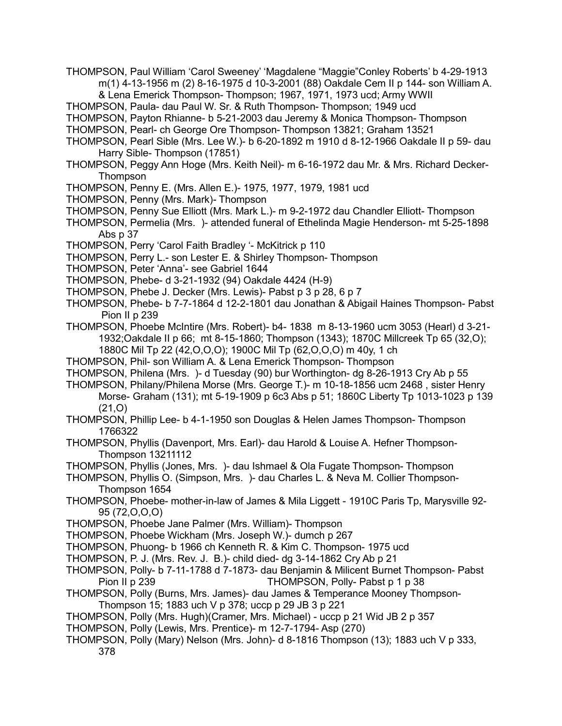- THOMPSON, Paul William 'Carol Sweeney' 'Magdalene "Maggie"Conley Roberts' b 4-29-1913 m(1) 4-13-1956 m (2) 8-16-1975 d 10-3-2001 (88) Oakdale Cem II p 144- son William A.
	- & Lena Emerick Thompson- Thompson; 1967, 1971, 1973 ucd; Army WWII
- THOMPSON, Paula- dau Paul W. Sr. & Ruth Thompson- Thompson; 1949 ucd

THOMPSON, Payton Rhianne- b 5-21-2003 dau Jeremy & Monica Thompson- Thompson

- THOMPSON, Pearl- ch George Ore Thompson- Thompson 13821; Graham 13521
- THOMPSON, Pearl Sible (Mrs. Lee W.)- b 6-20-1892 m 1910 d 8-12-1966 Oakdale II p 59- dau Harry Sible- Thompson (17851)
- THOMPSON, Peggy Ann Hoge (Mrs. Keith Neil)- m 6-16-1972 dau Mr. & Mrs. Richard Decker-Thompson
- THOMPSON, Penny E. (Mrs. Allen E.)- 1975, 1977, 1979, 1981 ucd
- THOMPSON, Penny (Mrs. Mark)- Thompson
- THOMPSON, Penny Sue Elliott (Mrs. Mark L.)- m 9-2-1972 dau Chandler Elliott- Thompson
- THOMPSON, Permelia (Mrs. )- attended funeral of Ethelinda Magie Henderson- mt 5-25-1898 Abs p 37
- THOMPSON, Perry 'Carol Faith Bradley '- McKitrick p 110
- THOMPSON, Perry L.- son Lester E. & Shirley Thompson- Thompson
- THOMPSON, Peter 'Anna'- see Gabriel 1644
- THOMPSON, Phebe- d 3-21-1932 (94) Oakdale 4424 (H-9)
- THOMPSON, Phebe J. Decker (Mrs. Lewis)- Pabst p 3 p 28, 6 p 7
- THOMPSON, Phebe- b 7-7-1864 d 12-2-1801 dau Jonathan & Abigail Haines Thompson- Pabst Pion II p 239
- THOMPSON, Phoebe McIntire (Mrs. Robert)- b4- 1838 m 8-13-1960 ucm 3053 (Hearl) d 3-21- 1932;Oakdale II p 66; mt 8-15-1860; Thompson (1343); 1870C Millcreek Tp 65 (32,O); 1880C Mil Tp 22 (42,O,O,O); 1900C Mil Tp (62,O,O,O) m 40y, 1 ch
- THOMPSON, Phil- son William A. & Lena Emerick Thompson- Thompson
- THOMPSON, Philena (Mrs. )- d Tuesday (90) bur Worthington- dg 8-26-1913 Cry Ab p 55
- THOMPSON, Philany/Philena Morse (Mrs. George T.)- m 10-18-1856 ucm 2468 , sister Henry Morse- Graham (131); mt 5-19-1909 p 6c3 Abs p 51; 1860C Liberty Tp 1013-1023 p 139 (21,O)
- THOMPSON, Phillip Lee- b 4-1-1950 son Douglas & Helen James Thompson- Thompson 1766322
- THOMPSON, Phyllis (Davenport, Mrs. Earl)- dau Harold & Louise A. Hefner Thompson-Thompson 13211112
- THOMPSON, Phyllis (Jones, Mrs. )- dau Ishmael & Ola Fugate Thompson- Thompson

THOMPSON, Phyllis O. (Simpson, Mrs. )- dau Charles L. & Neva M. Collier Thompson-Thompson 1654

- THOMPSON, Phoebe- mother-in-law of James & Mila Liggett 1910C Paris Tp, Marysville 92- 95 (72,O,O,O)
- THOMPSON, Phoebe Jane Palmer (Mrs. William)- Thompson
- THOMPSON, Phoebe Wickham (Mrs. Joseph W.)- dumch p 267
- THOMPSON, Phuong- b 1966 ch Kenneth R. & Kim C. Thompson- 1975 ucd
- THOMPSON, P. J. (Mrs. Rev. J. B.)- child died- dg 3-14-1862 Cry Ab p 21
- THOMPSON, Polly- b 7-11-1788 d 7-1873- dau Benjamin & Milicent Burnet Thompson- Pabst Pion II p 239 THOMPSON, Polly- Pabst p 1 p 38
- THOMPSON, Polly (Burns, Mrs. James)- dau James & Temperance Mooney Thompson-Thompson 15; 1883 uch V p 378; uccp p 29 JB 3 p 221
- THOMPSON, Polly (Mrs. Hugh)(Cramer, Mrs. Michael) uccp p 21 Wid JB 2 p 357
- THOMPSON, Polly (Lewis, Mrs. Prentice)- m 12-7-1794- Asp (270)
- THOMPSON, Polly (Mary) Nelson (Mrs. John)- d 8-1816 Thompson (13); 1883 uch V p 333, 378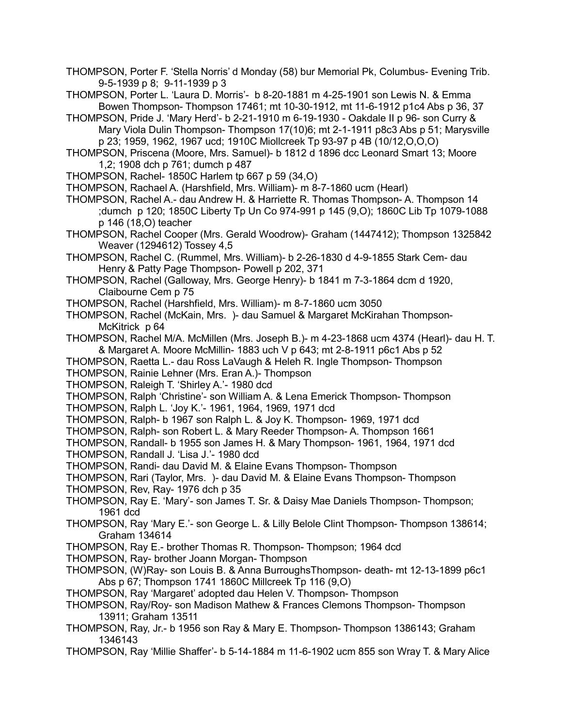THOMPSON, Porter F. 'Stella Norris' d Monday (58) bur Memorial Pk, Columbus- Evening Trib. 9-5-1939 p 8; 9-11-1939 p 3

THOMPSON, Porter L. 'Laura D. Morris'- b 8-20-1881 m 4-25-1901 son Lewis N. & Emma Bowen Thompson- Thompson 17461; mt 10-30-1912, mt 11-6-1912 p1c4 Abs p 36, 37

THOMPSON, Pride J. 'Mary Herd'- b 2-21-1910 m 6-19-1930 - Oakdale II p 96- son Curry & Mary Viola Dulin Thompson- Thompson 17(10)6; mt 2-1-1911 p8c3 Abs p 51; Marysville p 23; 1959, 1962, 1967 ucd; 1910C Miollcreek Tp 93-97 p 4B (10/12,O,O,O)

THOMPSON, Priscena (Moore, Mrs. Samuel)- b 1812 d 1896 dcc Leonard Smart 13; Moore 1,2; 1908 dch p 761; dumch p 487

THOMPSON, Rachel- 1850C Harlem tp 667 p 59 (34,O)

THOMPSON, Rachael A. (Harshfield, Mrs. William)- m 8-7-1860 ucm (Hearl)

THOMPSON, Rachel A.- dau Andrew H. & Harriette R. Thomas Thompson- A. Thompson 14 ;dumch p 120; 1850C Liberty Tp Un Co 974-991 p 145 (9,O); 1860C Lib Tp 1079-1088 p 146 (18,O) teacher

THOMPSON, Rachel Cooper (Mrs. Gerald Woodrow)- Graham (1447412); Thompson 1325842 Weaver (1294612) Tossey 4,5

THOMPSON, Rachel C. (Rummel, Mrs. William)- b 2-26-1830 d 4-9-1855 Stark Cem- dau Henry & Patty Page Thompson- Powell p 202, 371

THOMPSON, Rachel (Galloway, Mrs. George Henry)- b 1841 m 7-3-1864 dcm d 1920, Claibourne Cem p 75

THOMPSON, Rachel (Harshfield, Mrs. William)- m 8-7-1860 ucm 3050

THOMPSON, Rachel (McKain, Mrs. )- dau Samuel & Margaret McKirahan Thompson-McKitrick p 64

THOMPSON, Rachel M/A. McMillen (Mrs. Joseph B.)- m 4-23-1868 ucm 4374 (Hearl)- dau H. T. & Margaret A. Moore McMillin- 1883 uch V p 643; mt 2-8-1911 p6c1 Abs p 52

THOMPSON, Raetta L.- dau Ross LaVaugh & Heleh R. Ingle Thompson- Thompson

THOMPSON, Rainie Lehner (Mrs. Eran A.)- Thompson

THOMPSON, Raleigh T. 'Shirley A.'- 1980 dcd

THOMPSON, Ralph 'Christine'- son William A. & Lena Emerick Thompson- Thompson

THOMPSON, Ralph L. 'Joy K.'- 1961, 1964, 1969, 1971 dcd

THOMPSON, Ralph- b 1967 son Ralph L. & Joy K. Thompson- 1969, 1971 dcd

THOMPSON, Ralph- son Robert L. & Mary Reeder Thompson- A. Thompson 1661

THOMPSON, Randall- b 1955 son James H. & Mary Thompson- 1961, 1964, 1971 dcd

THOMPSON, Randall J. 'Lisa J.'- 1980 dcd

THOMPSON, Randi- dau David M. & Elaine Evans Thompson- Thompson

THOMPSON, Rari (Taylor, Mrs. )- dau David M. & Elaine Evans Thompson- Thompson

- THOMPSON, Rev, Ray- 1976 dch p 35
- THOMPSON, Ray E. 'Mary'- son James T. Sr. & Daisy Mae Daniels Thompson- Thompson; 1961 dcd
- THOMPSON, Ray 'Mary E.'- son George L. & Lilly Belole Clint Thompson- Thompson 138614; Graham 134614

THOMPSON, Ray E.- brother Thomas R. Thompson- Thompson; 1964 dcd

- THOMPSON, Ray- brother Joann Morgan- Thompson
- THOMPSON, (W)Ray- son Louis B. & Anna BurroughsThompson- death- mt 12-13-1899 p6c1 Abs p 67; Thompson 1741 1860C Millcreek Tp 116 (9,O)

THOMPSON, Ray 'Margaret' adopted dau Helen V. Thompson- Thompson

THOMPSON, Ray/Roy- son Madison Mathew & Frances Clemons Thompson- Thompson 13911; Graham 13511

- THOMPSON, Ray, Jr.- b 1956 son Ray & Mary E. Thompson- Thompson 1386143; Graham 1346143
- THOMPSON, Ray 'Millie Shaffer'- b 5-14-1884 m 11-6-1902 ucm 855 son Wray T. & Mary Alice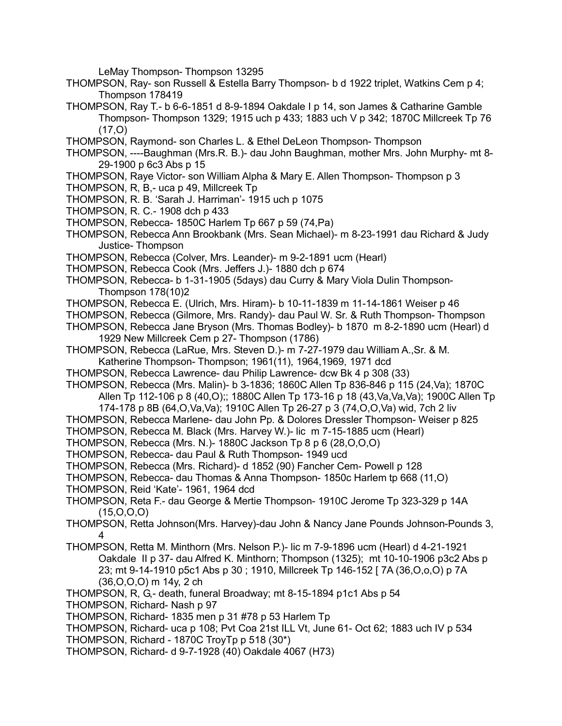LeMay Thompson- Thompson 13295

- THOMPSON, Ray- son Russell & Estella Barry Thompson- b d 1922 triplet, Watkins Cem p 4; Thompson 178419
- THOMPSON, Ray T.- b 6-6-1851 d 8-9-1894 Oakdale I p 14, son James & Catharine Gamble Thompson- Thompson 1329; 1915 uch p 433; 1883 uch V p 342; 1870C Millcreek Tp 76  $(17.0)$
- THOMPSON, Raymond- son Charles L. & Ethel DeLeon Thompson- Thompson
- THOMPSON, ----Baughman (Mrs.R. B.)- dau John Baughman, mother Mrs. John Murphy- mt 8- 29-1900 p 6c3 Abs p 15
- THOMPSON, Raye Victor- son William Alpha & Mary E. Allen Thompson- Thompson p 3
- THOMPSON, R, B,- uca p 49, Millcreek Tp
- THOMPSON, R. B. 'Sarah J. Harriman'- 1915 uch p 1075
- THOMPSON, R. C.- 1908 dch p 433
- THOMPSON, Rebecca- 1850C Harlem Tp 667 p 59 (74,Pa)
- THOMPSON, Rebecca Ann Brookbank (Mrs. Sean Michael)- m 8-23-1991 dau Richard & Judy Justice- Thompson
- THOMPSON, Rebecca (Colver, Mrs. Leander)- m 9-2-1891 ucm (Hearl)
- THOMPSON, Rebecca Cook (Mrs. Jeffers J.)- 1880 dch p 674
- THOMPSON, Rebecca- b 1-31-1905 (5days) dau Curry & Mary Viola Dulin Thompson-Thompson 178(10)2
- THOMPSON, Rebecca E. (Ulrich, Mrs. Hiram)- b 10-11-1839 m 11-14-1861 Weiser p 46
- THOMPSON, Rebecca (Gilmore, Mrs. Randy)- dau Paul W. Sr. & Ruth Thompson- Thompson
- THOMPSON, Rebecca Jane Bryson (Mrs. Thomas Bodley)- b 1870 m 8-2-1890 ucm (Hearl) d 1929 New Millcreek Cem p 27- Thompson (1786)
- THOMPSON, Rebecca (LaRue, Mrs. Steven D.)- m 7-27-1979 dau William A.,Sr. & M. Katherine Thompson- Thompson; 1961(11), 1964,1969, 1971 dcd
- THOMPSON, Rebecca Lawrence- dau Philip Lawrence- dcw Bk 4 p 308 (33)
- THOMPSON, Rebecca (Mrs. Malin)- b 3-1836; 1860C Allen Tp 836-846 p 115 (24,Va); 1870C Allen Tp 112-106 p 8 (40,O);; 1880C Allen Tp 173-16 p 18 (43,Va,Va,Va); 1900C Allen Tp
	- 174-178 p 8B (64,O,Va,Va); 1910C Allen Tp 26-27 p 3 (74,O,O,Va) wid, 7ch 2 liv
- THOMPSON, Rebecca Marlene- dau John Pp. & Dolores Dressler Thompson- Weiser p 825
- THOMPSON, Rebecca M. Black (Mrs. Harvey W.)- lic m 7-15-1885 ucm (Hearl)
- THOMPSON, Rebecca (Mrs. N.)- 1880C Jackson Tp 8 p 6 (28,O,O,O)
- THOMPSON, Rebecca- dau Paul & Ruth Thompson- 1949 ucd
- THOMPSON, Rebecca (Mrs. Richard)- d 1852 (90) Fancher Cem- Powell p 128
- THOMPSON, Rebecca- dau Thomas & Anna Thompson- 1850c Harlem tp 668 (11,O)
- THOMPSON, Reid 'Kate'- 1961, 1964 dcd
- THOMPSON, Reta F.- dau George & Mertie Thompson- 1910C Jerome Tp 323-329 p 14A  $(15, 0, 0, 0)$
- THOMPSON, Retta Johnson(Mrs. Harvey)-dau John & Nancy Jane Pounds Johnson-Pounds 3, 4
- THOMPSON, Retta M. Minthorn (Mrs. Nelson P.)- lic m 7-9-1896 ucm (Hearl) d 4-21-1921 Oakdale II p 37- dau Alfred K. Minthorn; Thompson (1325); mt 10-10-1906 p3c2 Abs p 23; mt 9-14-1910 p5c1 Abs p 30 ; 1910, Millcreek Tp 146-152 [ 7A (36,O,o,O) p 7A (36,O,O,O) m 14y, 2 ch
- THOMPSON, R, G,- death, funeral Broadway; mt 8-15-1894 p1c1 Abs p 54
- THOMPSON, Richard- Nash p 97
- THOMPSON, Richard- 1835 men p 31 #78 p 53 Harlem Tp
- THOMPSON, Richard- uca p 108; Pvt Coa 21st ILL Vt, June 61- Oct 62; 1883 uch IV p 534
- THOMPSON, Richard 1870C TroyTp p 518 (30\*)
- THOMPSON, Richard- d 9-7-1928 (40) Oakdale 4067 (H73)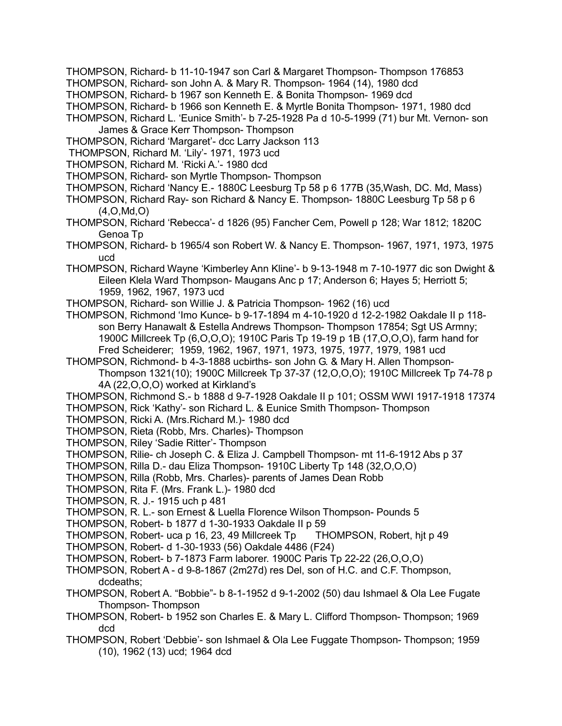- THOMPSON, Richard- b 11-10-1947 son Carl & Margaret Thompson- Thompson 176853
- THOMPSON, Richard- son John A. & Mary R. Thompson- 1964 (14), 1980 dcd
- THOMPSON, Richard- b 1967 son Kenneth E. & Bonita Thompson- 1969 dcd
- THOMPSON, Richard- b 1966 son Kenneth E. & Myrtle Bonita Thompson- 1971, 1980 dcd
- THOMPSON, Richard L. 'Eunice Smith'- b 7-25-1928 Pa d 10-5-1999 (71) bur Mt. Vernon- son James & Grace Kerr Thompson- Thompson
- THOMPSON, Richard 'Margaret'- dcc Larry Jackson 113
- THOMPSON, Richard M. 'Lily'- 1971, 1973 ucd
- THOMPSON, Richard M. 'Ricki A.'- 1980 dcd
- THOMPSON, Richard- son Myrtle Thompson- Thompson
- THOMPSON, Richard 'Nancy E.- 1880C Leesburg Tp 58 p 6 177B (35,Wash, DC. Md, Mass)
- THOMPSON, Richard Ray- son Richard & Nancy E. Thompson- 1880C Leesburg Tp 58 p 6 (4,O,Md,O)
- THOMPSON, Richard 'Rebecca'- d 1826 (95) Fancher Cem, Powell p 128; War 1812; 1820C Genoa Tp
- THOMPSON, Richard- b 1965/4 son Robert W. & Nancy E. Thompson- 1967, 1971, 1973, 1975 ucd
- THOMPSON, Richard Wayne 'Kimberley Ann Kline'- b 9-13-1948 m 7-10-1977 dic son Dwight & Eileen Klela Ward Thompson- Maugans Anc p 17; Anderson 6; Hayes 5; Herriott 5; 1959, 1962, 1967, 1973 ucd
- THOMPSON, Richard- son Willie J. & Patricia Thompson- 1962 (16) ucd
- THOMPSON, Richmond 'Imo Kunce- b 9-17-1894 m 4-10-1920 d 12-2-1982 Oakdale II p 118 son Berry Hanawalt & Estella Andrews Thompson- Thompson 17854; Sgt US Armny; 1900C Millcreek Tp (6,O,O,O); 1910C Paris Tp 19-19 p 1B (17,O,O,O), farm hand for Fred Scheiderer; 1959, 1962, 1967, 1971, 1973, 1975, 1977, 1979, 1981 ucd
- THOMPSON, Richmond- b 4-3-1888 ucbirths- son John G. & Mary H. Allen Thompson-
	- Thompson 1321(10); 1900C Millcreek Tp 37-37 (12,O,O,O); 1910C Millcreek Tp 74-78 p 4A (22,O,O,O) worked at Kirkland's
- THOMPSON, Richmond S.- b 1888 d 9-7-1928 Oakdale II p 101; OSSM WWI 1917-1918 17374
- THOMPSON, Rick 'Kathy'- son Richard L. & Eunice Smith Thompson- Thompson
- THOMPSON, Ricki A. (Mrs.Richard M.)- 1980 dcd
- THOMPSON, Rieta (Robb, Mrs. Charles)- Thompson
- THOMPSON, Riley 'Sadie Ritter'- Thompson
- THOMPSON, Rilie- ch Joseph C. & Eliza J. Campbell Thompson- mt 11-6-1912 Abs p 37
- THOMPSON, Rilla D.- dau Eliza Thompson- 1910C Liberty Tp 148 (32,O,O,O)
- THOMPSON, Rilla (Robb, Mrs. Charles)- parents of James Dean Robb
- THOMPSON, Rita F. (Mrs. Frank L.)- 1980 dcd
- THOMPSON, R. J.- 1915 uch p 481
- THOMPSON, R. L.- son Ernest & Luella Florence Wilson Thompson- Pounds 5
- THOMPSON, Robert- b 1877 d 1-30-1933 Oakdale II p 59
- THOMPSON, Robert- uca p 16, 23, 49 Millcreek Tp THOMPSON, Robert, hjt p 49
- THOMPSON, Robert- d 1-30-1933 (56) Oakdale 4486 (F24)
- THOMPSON, Robert- b 7-1873 Farm laborer. 1900C Paris Tp 22-22 (26,O,O,O)
- THOMPSON, Robert A d 9-8-1867 (2m27d) res Del, son of H.C. and C.F. Thompson, dcdeaths;
- THOMPSON, Robert A. "Bobbie"- b 8-1-1952 d 9-1-2002 (50) dau Ishmael & Ola Lee Fugate Thompson- Thompson
- THOMPSON, Robert- b 1952 son Charles E. & Mary L. Clifford Thompson- Thompson; 1969 dcd
- THOMPSON, Robert 'Debbie'- son Ishmael & Ola Lee Fuggate Thompson- Thompson; 1959 (10), 1962 (13) ucd; 1964 dcd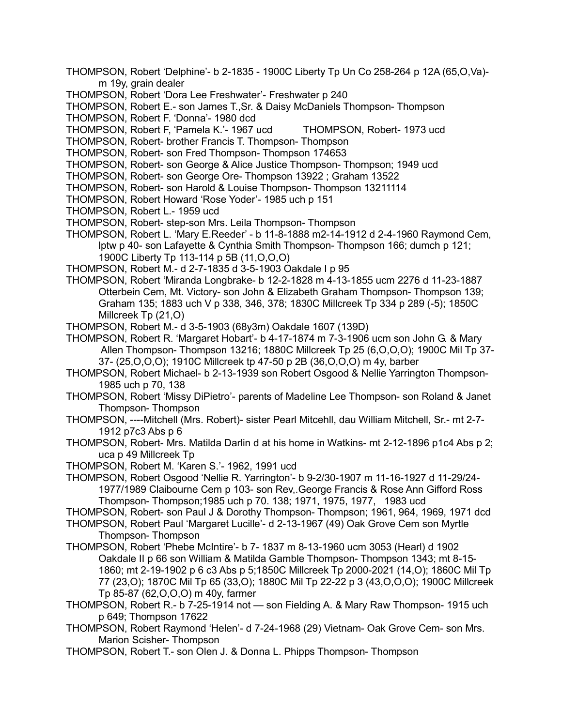- THOMPSON, Robert 'Delphine'- b 2-1835 1900C Liberty Tp Un Co 258-264 p 12A (65,O,Va) m 19y, grain dealer
- THOMPSON, Robert 'Dora Lee Freshwater'- Freshwater p 240
- THOMPSON, Robert E.- son James T.,Sr. & Daisy McDaniels Thompson- Thompson
- THOMPSON, Robert F. 'Donna'- 1980 dcd
- THOMPSON, Robert F, 'Pamela K.'- 1967 ucd THOMPSON, Robert- 1973 ucd
- THOMPSON, Robert- brother Francis T. Thompson- Thompson
- THOMPSON, Robert- son Fred Thompson- Thompson 174653
- THOMPSON, Robert- son George & Alice Justice Thompson- Thompson; 1949 ucd
- THOMPSON, Robert- son George Ore- Thompson 13922 ; Graham 13522
- THOMPSON, Robert- son Harold & Louise Thompson- Thompson 13211114
- THOMPSON, Robert Howard 'Rose Yoder'- 1985 uch p 151
- THOMPSON, Robert L.- 1959 ucd
- THOMPSON, Robert- step-son Mrs. Leila Thompson- Thompson
- THOMPSON, Robert L. 'Mary E.Reeder' b 11-8-1888 m2-14-1912 d 2-4-1960 Raymond Cem, lptw p 40- son Lafayette & Cynthia Smith Thompson- Thompson 166; dumch p 121; 1900C Liberty Tp 113-114 p 5B (11,O,O,O)
- THOMPSON, Robert M.- d 2-7-1835 d 3-5-1903 Oakdale I p 95
- THOMPSON, Robert 'Miranda Longbrake- b 12-2-1828 m 4-13-1855 ucm 2276 d 11-23-1887 Otterbein Cem, Mt. Victory- son John & Elizabeth Graham Thompson- Thompson 139; Graham 135; 1883 uch V p 338, 346, 378; 1830C Millcreek Tp 334 p 289 (-5); 1850C Millcreek Tp (21,O)
- THOMPSON, Robert M.- d 3-5-1903 (68y3m) Oakdale 1607 (139D)
- THOMPSON, Robert R. 'Margaret Hobart'- b 4-17-1874 m 7-3-1906 ucm son John G. & Mary Allen Thompson- Thompson 13216; 1880C Millcreek Tp 25 (6,O,O,O); 1900C Mil Tp 37- 37- (25,O,O,O); 1910C Millcreek tp 47-50 p 2B (36,O,O,O) m 4y, barber
- THOMPSON, Robert Michael- b 2-13-1939 son Robert Osgood & Nellie Yarrington Thompson-1985 uch p 70, 138
- THOMPSON, Robert 'Missy DiPietro'- parents of Madeline Lee Thompson- son Roland & Janet Thompson- Thompson
- THOMPSON, ----Mitchell (Mrs. Robert)- sister Pearl Mitcehll, dau William Mitchell, Sr.- mt 2-7- 1912 p7c3 Abs p 6
- THOMPSON, Robert- Mrs. Matilda Darlin d at his home in Watkins- mt 2-12-1896 p1c4 Abs p 2; uca p 49 Millcreek Tp
- THOMPSON, Robert M. 'Karen S.'- 1962, 1991 ucd
- THOMPSON, Robert Osgood 'Nellie R. Yarrington'- b 9-2/30-1907 m 11-16-1927 d 11-29/24- 1977/1989 Claibourne Cem p 103- son Rev,.George Francis & Rose Ann Gifford Ross Thompson- Thompson;1985 uch p 70. 138; 1971, 1975, 1977, 1983 ucd
- THOMPSON, Robert- son Paul J & Dorothy Thompson- Thompson; 1961, 964, 1969, 1971 dcd
- THOMPSON, Robert Paul 'Margaret Lucille'- d 2-13-1967 (49) Oak Grove Cem son Myrtle
- Thompson- Thompson
- THOMPSON, Robert 'Phebe McIntire'- b 7- 1837 m 8-13-1960 ucm 3053 (Hearl) d 1902 Oakdale II p 66 son William & Matilda Gamble Thompson- Thompson 1343; mt 8-15- 1860; mt 2-19-1902 p 6 c3 Abs p 5;1850C Millcreek Tp 2000-2021 (14,O); 1860C Mil Tp 77 (23,O); 1870C Mil Tp 65 (33,O); 1880C Mil Tp 22-22 p 3 (43,O,O,O); 1900C Millcreek Tp 85-87 (62,O,O,O) m 40y, farmer
- THOMPSON, Robert R.- b 7-25-1914 not son Fielding A. & Mary Raw Thompson- 1915 uch p 649; Thompson 17622
- THOMPSON, Robert Raymond 'Helen'- d 7-24-1968 (29) Vietnam- Oak Grove Cem- son Mrs. Marion Scisher- Thompson
- THOMPSON, Robert T.- son Olen J. & Donna L. Phipps Thompson- Thompson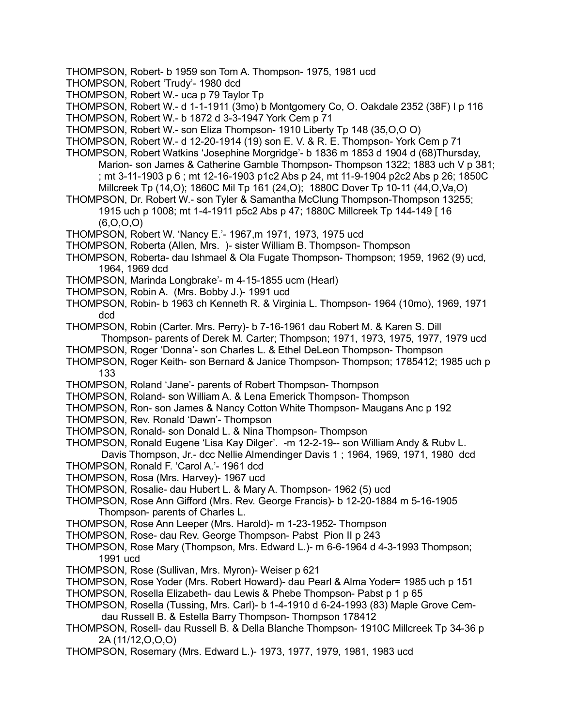- THOMPSON, Robert- b 1959 son Tom A. Thompson- 1975, 1981 ucd
- THOMPSON, Robert 'Trudy'- 1980 dcd
- THOMPSON, Robert W.- uca p 79 Taylor Tp
- THOMPSON, Robert W.- d 1-1-1911 (3mo) b Montgomery Co, O. Oakdale 2352 (38F) I p 116
- THOMPSON, Robert W.- b 1872 d 3-3-1947 York Cem p 71
- THOMPSON, Robert W.- son Eliza Thompson- 1910 Liberty Tp 148 (35,O,O O)
- THOMPSON, Robert W.- d 12-20-1914 (19) son E. V. & R. E. Thompson- York Cem p 71
- THOMPSON, Robert Watkins 'Josephine Morgridge'- b 1836 m 1853 d 1904 d (68)Thursday, Marion- son James & Catherine Gamble Thompson- Thompson 1322; 1883 uch V p 381; ; mt 3-11-1903 p 6 ; mt 12-16-1903 p1c2 Abs p 24, mt 11-9-1904 p2c2 Abs p 26; 1850C Millcreek Tp (14,O); 1860C Mil Tp 161 (24,O); 1880C Dover Tp 10-11 (44,O,Va,O)
- THOMPSON, Dr. Robert W.- son Tyler & Samantha McClung Thompson-Thompson 13255; 1915 uch p 1008; mt 1-4-1911 p5c2 Abs p 47; 1880C Millcreek Tp 144-149 [ 16 (6,O,O,O)
- THOMPSON, Robert W. 'Nancy E.'- 1967,m 1971, 1973, 1975 ucd
- THOMPSON, Roberta (Allen, Mrs. )- sister William B. Thompson- Thompson
- THOMPSON, Roberta- dau Ishmael & Ola Fugate Thompson- Thompson; 1959, 1962 (9) ucd, 1964, 1969 dcd
- THOMPSON, Marinda Longbrake'- m 4-15-1855 ucm (Hearl)
- THOMPSON, Robin A. (Mrs. Bobby J.)- 1991 ucd
- THOMPSON, Robin- b 1963 ch Kenneth R. & Virginia L. Thompson- 1964 (10mo), 1969, 1971 dcd
- THOMPSON, Robin (Carter. Mrs. Perry)- b 7-16-1961 dau Robert M. & Karen S. Dill
- Thompson- parents of Derek M. Carter; Thompson; 1971, 1973, 1975, 1977, 1979 ucd THOMPSON, Roger 'Donna'- son Charles L. & Ethel DeLeon Thompson- Thompson
- 
- THOMPSON, Roger Keith- son Bernard & Janice Thompson- Thompson; 1785412; 1985 uch p 133
- THOMPSON, Roland 'Jane'- parents of Robert Thompson- Thompson
- THOMPSON, Roland- son William A. & Lena Emerick Thompson- Thompson
- THOMPSON, Ron- son James & Nancy Cotton White Thompson- Maugans Anc p 192
- THOMPSON, Rev. Ronald 'Dawn'- Thompson
- THOMPSON, Ronald- son Donald L. & Nina Thompson- Thompson
- THOMPSON, Ronald Eugene 'Lisa Kay Dilger'. -m 12-2-19-- son William Andy & Rubv L. Davis Thompson, Jr.- dcc Nellie Almendinger Davis 1 ; 1964, 1969, 1971, 1980 dcd
- THOMPSON, Ronald F. 'Carol A.'- 1961 dcd
- THOMPSON, Rosa (Mrs. Harvey)- 1967 ucd
- THOMPSON, Rosalie- dau Hubert L. & Mary A. Thompson- 1962 (5) ucd
- THOMPSON, Rose Ann Gifford (Mrs. Rev. George Francis)- b 12-20-1884 m 5-16-1905 Thompson- parents of Charles L.
- THOMPSON, Rose Ann Leeper (Mrs. Harold)- m 1-23-1952- Thompson
- THOMPSON, Rose- dau Rev. George Thompson- Pabst Pion II p 243
- THOMPSON, Rose Mary (Thompson, Mrs. Edward L.)- m 6-6-1964 d 4-3-1993 Thompson; 1991 ucd
- THOMPSON, Rose (Sullivan, Mrs. Myron)- Weiser p 621
- THOMPSON, Rose Yoder (Mrs. Robert Howard)- dau Pearl & Alma Yoder= 1985 uch p 151
- THOMPSON, Rosella Elizabeth- dau Lewis & Phebe Thompson- Pabst p 1 p 65
- THOMPSON, Rosella (Tussing, Mrs. Carl)- b 1-4-1910 d 6-24-1993 (83) Maple Grove Cemdau Russell B. & Estella Barry Thompson- Thompson 178412
- THOMPSON, Rosell- dau Russell B. & Della Blanche Thompson- 1910C Millcreek Tp 34-36 p 2A (11/12,O,O,O)
- THOMPSON, Rosemary (Mrs. Edward L.)- 1973, 1977, 1979, 1981, 1983 ucd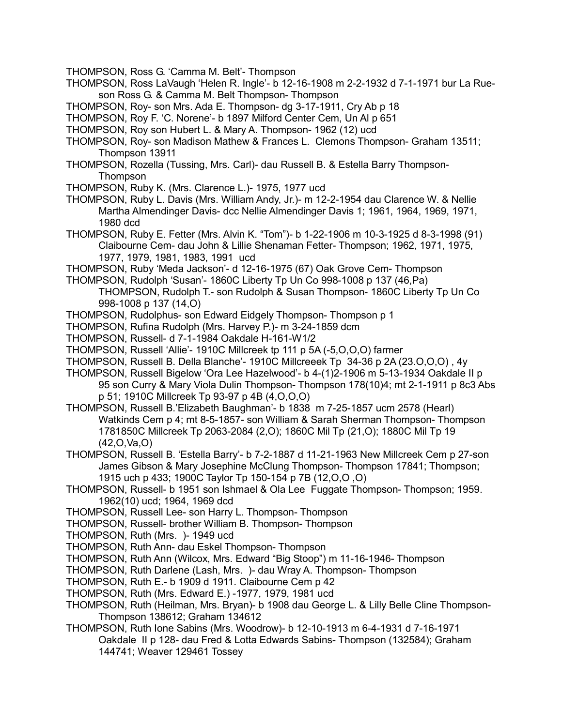- THOMPSON, Ross G. 'Camma M. Belt'- Thompson
- THOMPSON, Ross LaVaugh 'Helen R. Ingle'- b 12-16-1908 m 2-2-1932 d 7-1-1971 bur La Rueson Ross G. & Camma M. Belt Thompson- Thompson
- THOMPSON, Roy- son Mrs. Ada E. Thompson- dg 3-17-1911, Cry Ab p 18

THOMPSON, Roy F. 'C. Norene'- b 1897 Milford Center Cem, Un Al p 651

- THOMPSON, Roy son Hubert L. & Mary A. Thompson- 1962 (12) ucd
- THOMPSON, Roy- son Madison Mathew & Frances L. Clemons Thompson- Graham 13511; Thompson 13911
- THOMPSON, Rozella (Tussing, Mrs. Carl)- dau Russell B. & Estella Barry Thompson-**Thompson**
- THOMPSON, Ruby K. (Mrs. Clarence L.)- 1975, 1977 ucd
- THOMPSON, Ruby L. Davis (Mrs. William Andy, Jr.)- m 12-2-1954 dau Clarence W. & Nellie Martha Almendinger Davis- dcc Nellie Almendinger Davis 1; 1961, 1964, 1969, 1971, 1980 dcd
- THOMPSON, Ruby E. Fetter (Mrs. Alvin K. "Tom")- b 1-22-1906 m 10-3-1925 d 8-3-1998 (91) Claibourne Cem- dau John & Lillie Shenaman Fetter- Thompson; 1962, 1971, 1975, 1977, 1979, 1981, 1983, 1991 ucd
- THOMPSON, Ruby 'Meda Jackson'- d 12-16-1975 (67) Oak Grove Cem- Thompson
- THOMPSON, Rudolph 'Susan'- 1860C Liberty Tp Un Co 998-1008 p 137 (46,Pa)
	- THOMPSON, Rudolph T.- son Rudolph & Susan Thompson- 1860C Liberty Tp Un Co 998-1008 p 137 (14,O)
- THOMPSON, Rudolphus- son Edward Eidgely Thompson- Thompson p 1
- THOMPSON, Rufina Rudolph (Mrs. Harvey P.)- m 3-24-1859 dcm
- THOMPSON, Russell- d 7-1-1984 Oakdale H-161-W1/2
- THOMPSON, Russell 'Allie'- 1910C Millcreek tp 111 p 5A (-5,O,O,O) farmer
- THOMPSON, Russell B. Della Blanche'- 1910C Millcreeek Tp 34-36 p 2A (23.O,O,O) , 4y
- THOMPSON, Russell Bigelow 'Ora Lee Hazelwood'- b 4-(1)2-1906 m 5-13-1934 Oakdale II p 95 son Curry & Mary Viola Dulin Thompson- Thompson 178(10)4; mt 2-1-1911 p 8c3 Abs p 51; 1910C Millcreek Tp 93-97 p 4B (4,O,O,O)
- THOMPSON, Russell B.'Elizabeth Baughman'- b 1838 m 7-25-1857 ucm 2578 (Hearl) Watkinds Cem p 4; mt 8-5-1857- son William & Sarah Sherman Thompson- Thompson 1781850C Millcreek Tp 2063-2084 (2,O); 1860C Mil Tp (21,O); 1880C Mil Tp 19 (42,O,Va,O)
- THOMPSON, Russell B. 'Estella Barry'- b 7-2-1887 d 11-21-1963 New Millcreek Cem p 27-son James Gibson & Mary Josephine McClung Thompson- Thompson 17841; Thompson; 1915 uch p 433; 1900C Taylor Tp 150-154 p 7B (12,O,O ,O)
- THOMPSON, Russell- b 1951 son Ishmael & Ola Lee Fuggate Thompson- Thompson; 1959. 1962(10) ucd; 1964, 1969 dcd
- THOMPSON, Russell Lee- son Harry L. Thompson- Thompson
- THOMPSON, Russell- brother William B. Thompson- Thompson
- THOMPSON, Ruth (Mrs. )- 1949 ucd
- THOMPSON, Ruth Ann- dau Eskel Thompson- Thompson
- THOMPSON, Ruth Ann (Wilcox, Mrs. Edward "Big Stoop") m 11-16-1946- Thompson
- THOMPSON, Ruth Darlene (Lash, Mrs. )- dau Wray A. Thompson- Thompson
- THOMPSON, Ruth E.- b 1909 d 1911. Claibourne Cem p 42
- THOMPSON, Ruth (Mrs. Edward E.) -1977, 1979, 1981 ucd
- THOMPSON, Ruth (Heilman, Mrs. Bryan)- b 1908 dau George L. & Lilly Belle Cline Thompson-Thompson 138612; Graham 134612
- THOMPSON, Ruth Ione Sabins (Mrs. Woodrow)- b 12-10-1913 m 6-4-1931 d 7-16-1971 Oakdale II p 128- dau Fred & Lotta Edwards Sabins- Thompson (132584); Graham 144741; Weaver 129461 Tossey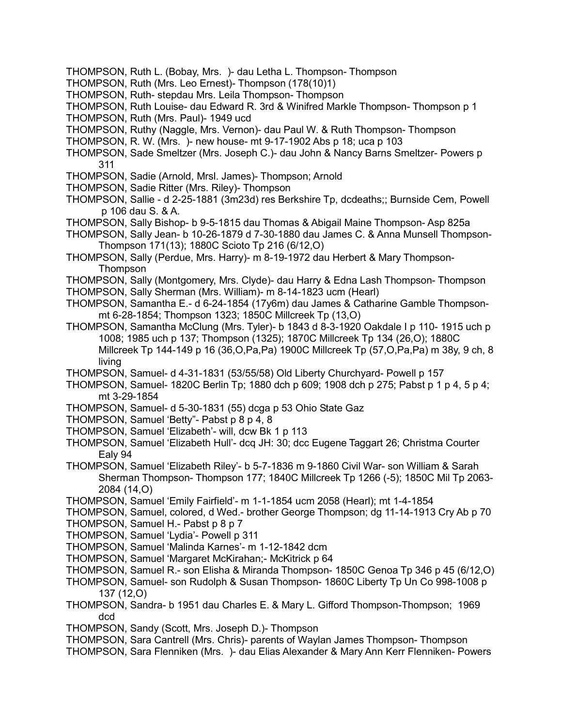- THOMPSON, Ruth L. (Bobay, Mrs. )- dau Letha L. Thompson- Thompson
- THOMPSON, Ruth (Mrs. Leo Ernest)- Thompson (178(10)1)
- THOMPSON, Ruth- stepdau Mrs. Leila Thompson- Thompson
- THOMPSON, Ruth Louise- dau Edward R. 3rd & Winifred Markle Thompson- Thompson p 1
- THOMPSON, Ruth (Mrs. Paul)- 1949 ucd
- THOMPSON, Ruthy (Naggle, Mrs. Vernon)- dau Paul W. & Ruth Thompson- Thompson
- THOMPSON, R. W. (Mrs. )- new house- mt 9-17-1902 Abs p 18; uca p 103
- THOMPSON, Sade Smeltzer (Mrs. Joseph C.)- dau John & Nancy Barns Smeltzer- Powers p 311
- THOMPSON, Sadie (Arnold, Mrsl. James)- Thompson; Arnold
- THOMPSON, Sadie Ritter (Mrs. Riley)- Thompson
- THOMPSON, Sallie d 2-25-1881 (3m23d) res Berkshire Tp, dcdeaths;; Burnside Cem, Powell p 106 dau S. & A.
- THOMPSON, Sally Bishop- b 9-5-1815 dau Thomas & Abigail Maine Thompson- Asp 825a
- THOMPSON, Sally Jean- b 10-26-1879 d 7-30-1880 dau James C. & Anna Munsell Thompson-Thompson 171(13); 1880C Scioto Tp 216 (6/12,O)
- THOMPSON, Sally (Perdue, Mrs. Harry)- m 8-19-1972 dau Herbert & Mary Thompson-**Thompson**
- THOMPSON, Sally (Montgomery, Mrs. Clyde)- dau Harry & Edna Lash Thompson- Thompson
- THOMPSON, Sally Sherman (Mrs. William)- m 8-14-1823 ucm (Hearl)
- THOMPSON, Samantha E.- d 6-24-1854 (17y6m) dau James & Catharine Gamble Thompsonmt 6-28-1854; Thompson 1323; 1850C Millcreek Tp (13,O)
- THOMPSON, Samantha McClung (Mrs. Tyler)- b 1843 d 8-3-1920 Oakdale I p 110- 1915 uch p 1008; 1985 uch p 137; Thompson (1325); 1870C Millcreek Tp 134 (26,O); 1880C Millcreek Tp 144-149 p 16 (36,O,Pa,Pa) 1900C Millcreek Tp (57,O,Pa,Pa) m 38y, 9 ch, 8 living
- THOMPSON, Samuel- d 4-31-1831 (53/55/58) Old Liberty Churchyard- Powell p 157
- THOMPSON, Samuel- 1820C Berlin Tp; 1880 dch p 609; 1908 dch p 275; Pabst p 1 p 4, 5 p 4; mt 3-29-1854
- THOMPSON, Samuel- d 5-30-1831 (55) dcga p 53 Ohio State Gaz
- THOMPSON, Samuel 'Betty"- Pabst p 8 p 4, 8
- THOMPSON, Samuel 'Elizabeth'- will, dcw Bk 1 p 113
- THOMPSON, Samuel 'Elizabeth Hull'- dcq JH: 30; dcc Eugene Taggart 26; Christma Courter Ealy 94
- THOMPSON, Samuel 'Elizabeth Riley'- b 5-7-1836 m 9-1860 Civil War- son William & Sarah Sherman Thompson- Thompson 177; 1840C Millcreek Tp 1266 (-5); 1850C Mil Tp 2063- 2084 (14,O)
- THOMPSON, Samuel 'Emily Fairfield'- m 1-1-1854 ucm 2058 (Hearl); mt 1-4-1854
- THOMPSON, Samuel, colored, d Wed.- brother George Thompson; dg 11-14-1913 Cry Ab p 70
- THOMPSON, Samuel H.- Pabst p 8 p 7
- THOMPSON, Samuel 'Lydia'- Powell p 311
- THOMPSON, Samuel 'Malinda Karnes'- m 1-12-1842 dcm
- THOMPSON, Samuel 'Margaret McKirahan;- McKitrick p 64
- THOMPSON, Samuel R.- son Elisha & Miranda Thompson- 1850C Genoa Tp 346 p 45 (6/12,O)
- THOMPSON, Samuel- son Rudolph & Susan Thompson- 1860C Liberty Tp Un Co 998-1008 p 137 (12,O)
- THOMPSON, Sandra- b 1951 dau Charles E. & Mary L. Gifford Thompson-Thompson; 1969 dcd
- THOMPSON, Sandy (Scott, Mrs. Joseph D.)- Thompson
- THOMPSON, Sara Cantrell (Mrs. Chris)- parents of Waylan James Thompson- Thompson
- THOMPSON, Sara Flenniken (Mrs. )- dau Elias Alexander & Mary Ann Kerr Flenniken- Powers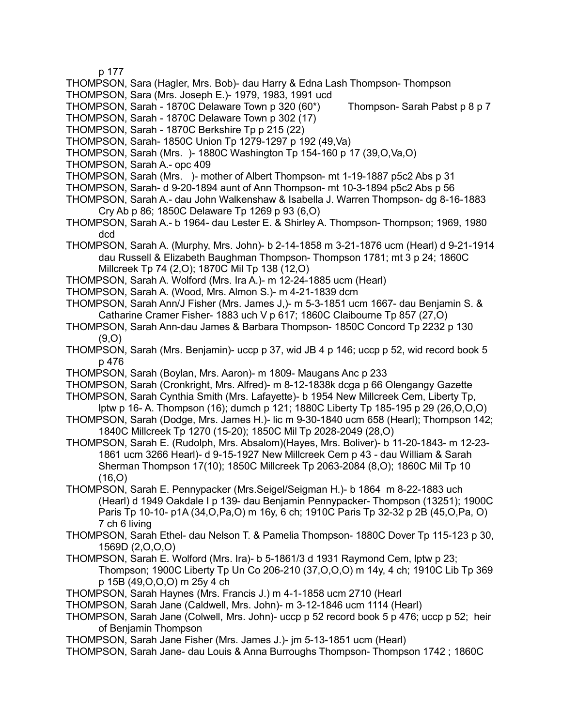p 177

- THOMPSON, Sara (Hagler, Mrs. Bob)- dau Harry & Edna Lash Thompson- Thompson
- THOMPSON, Sara (Mrs. Joseph E.)- 1979, 1983, 1991 ucd

THOMPSON, Sarah - 1870C Delaware Town p 320 (60\*) Thompson- Sarah Pabst p 8 p 7

- THOMPSON, Sarah 1870C Delaware Town p 302 (17)
- THOMPSON, Sarah 1870C Berkshire Tp p 215 (22)
- THOMPSON, Sarah- 1850C Union Tp 1279-1297 p 192 (49,Va)
- THOMPSON, Sarah (Mrs. )- 1880C Washington Tp 154-160 p 17 (39,O,Va,O)
- THOMPSON, Sarah A.- opc 409
- THOMPSON, Sarah (Mrs. )- mother of Albert Thompson- mt 1-19-1887 p5c2 Abs p 31
- THOMPSON, Sarah- d 9-20-1894 aunt of Ann Thompson- mt 10-3-1894 p5c2 Abs p 56
- THOMPSON, Sarah A.- dau John Walkenshaw & Isabella J. Warren Thompson- dg 8-16-1883 Cry Ab p 86; 1850C Delaware Tp 1269 p 93 (6,O)
- THOMPSON, Sarah A.- b 1964- dau Lester E. & Shirley A. Thompson- Thompson; 1969, 1980 dcd
- THOMPSON, Sarah A. (Murphy, Mrs. John)- b 2-14-1858 m 3-21-1876 ucm (Hearl) d 9-21-1914 dau Russell & Elizabeth Baughman Thompson- Thompson 1781; mt 3 p 24; 1860C Millcreek Tp 74 (2,O); 1870C Mil Tp 138 (12,O)
- THOMPSON, Sarah A. Wolford (Mrs. Ira A.)- m 12-24-1885 ucm (Hearl)
- THOMPSON, Sarah A. (Wood, Mrs. Almon S.)- m 4-21-1839 dcm
- THOMPSON, Sarah Ann/J Fisher (Mrs. James J,)- m 5-3-1851 ucm 1667- dau Benjamin S. & Catharine Cramer Fisher- 1883 uch V p 617; 1860C Claibourne Tp 857 (27,O)
- THOMPSON, Sarah Ann-dau James & Barbara Thompson- 1850C Concord Tp 2232 p 130 (9,O)
- THOMPSON, Sarah (Mrs. Benjamin)- uccp p 37, wid JB 4 p 146; uccp p 52, wid record book 5 p 476
- THOMPSON, Sarah (Boylan, Mrs. Aaron)- m 1809- Maugans Anc p 233
- THOMPSON, Sarah (Cronkright, Mrs. Alfred)- m 8-12-1838k dcga p 66 Olengangy Gazette
- THOMPSON, Sarah Cynthia Smith (Mrs. Lafayette)- b 1954 New Millcreek Cem, Liberty Tp, lptw p 16- A. Thompson (16); dumch p 121; 1880C Liberty Tp 185-195 p 29 (26,O,O,O)
- THOMPSON, Sarah (Dodge, Mrs. James H.)- lic m 9-30-1840 ucm 658 (Hearl); Thompson 142; 1840C Millcreek Tp 1270 (15-20); 1850C Mil Tp 2028-2049 (28,O)
- THOMPSON, Sarah E. (Rudolph, Mrs. Absalom)(Hayes, Mrs. Boliver)- b 11-20-1843- m 12-23- 1861 ucm 3266 Hearl)- d 9-15-1927 New Millcreek Cem p 43 - dau William & Sarah Sherman Thompson 17(10); 1850C Millcreek Tp 2063-2084 (8,O); 1860C Mil Tp 10 (16,O)
- THOMPSON, Sarah E. Pennypacker (Mrs.Seigel/Seigman H.)- b 1864 m 8-22-1883 uch (Hearl) d 1949 Oakdale I p 139- dau Benjamin Pennypacker- Thompson (13251); 1900C Paris Tp 10-10- p1A (34,O,Pa,O) m 16y, 6 ch; 1910C Paris Tp 32-32 p 2B (45,O,Pa, O) 7 ch 6 living
- THOMPSON, Sarah Ethel- dau Nelson T. & Pamelia Thompson- 1880C Dover Tp 115-123 p 30, 1569D (2,O,O,O)
- THOMPSON, Sarah E. Wolford (Mrs. Ira)- b 5-1861/3 d 1931 Raymond Cem, lptw p 23; Thompson; 1900C Liberty Tp Un Co 206-210 (37,O,O,O) m 14y, 4 ch; 1910C Lib Tp 369 p 15B (49,O,O,O) m 25y 4 ch
- THOMPSON, Sarah Haynes (Mrs. Francis J.) m 4-1-1858 ucm 2710 (Hearl
- THOMPSON, Sarah Jane (Caldwell, Mrs. John)- m 3-12-1846 ucm 1114 (Hearl)
- THOMPSON, Sarah Jane (Colwell, Mrs. John)- uccp p 52 record book 5 p 476; uccp p 52; heir of Benjamin Thompson
- THOMPSON, Sarah Jane Fisher (Mrs. James J.)- jm 5-13-1851 ucm (Hearl)
- THOMPSON, Sarah Jane- dau Louis & Anna Burroughs Thompson- Thompson 1742 ; 1860C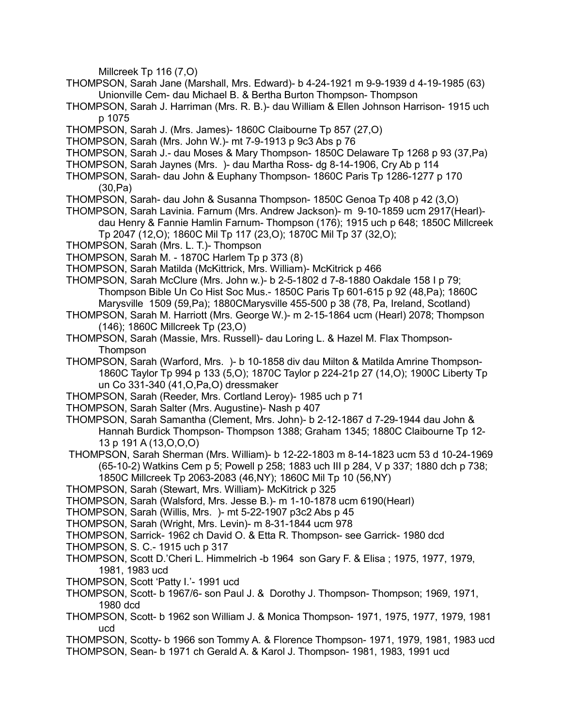Millcreek Tp 116 (7,O)

- THOMPSON, Sarah Jane (Marshall, Mrs. Edward)- b 4-24-1921 m 9-9-1939 d 4-19-1985 (63) Unionville Cem- dau Michael B. & Bertha Burton Thompson- Thompson
- THOMPSON, Sarah J. Harriman (Mrs. R. B.)- dau William & Ellen Johnson Harrison- 1915 uch p 1075
- THOMPSON, Sarah J. (Mrs. James)- 1860C Claibourne Tp 857 (27,O)
- THOMPSON, Sarah (Mrs. John W.)- mt 7-9-1913 p 9c3 Abs p 76
- THOMPSON, Sarah J.- dau Moses & Mary Thompson- 1850C Delaware Tp 1268 p 93 (37,Pa)
- THOMPSON, Sarah Jaynes (Mrs. )- dau Martha Ross- dg 8-14-1906, Cry Ab p 114
- THOMPSON, Sarah- dau John & Euphany Thompson- 1860C Paris Tp 1286-1277 p 170 (30,Pa)
- THOMPSON, Sarah- dau John & Susanna Thompson- 1850C Genoa Tp 408 p 42 (3,O)
- THOMPSON, Sarah Lavinia. Farnum (Mrs. Andrew Jackson)- m 9-10-1859 ucm 2917(Hearl) dau Henry & Fannie Hamlin Farnum- Thompson (176); 1915 uch p 648; 1850C Millcreek Tp 2047 (12,O); 1860C Mil Tp 117 (23,O); 1870C Mil Tp 37 (32,O);
- THOMPSON, Sarah (Mrs. L. T.)- Thompson
- THOMPSON, Sarah M. 1870C Harlem Tp p 373 (8)
- THOMPSON, Sarah Matilda (McKittrick, Mrs. William)- McKitrick p 466
- THOMPSON, Sarah McClure (Mrs. John w.)- b 2-5-1802 d 7-8-1880 Oakdale 158 I p 79; Thompson Bible Un Co Hist Soc Mus.- 1850C Paris Tp 601-615 p 92 (48,Pa); 1860C Marysville 1509 (59,Pa); 1880CMarysville 455-500 p 38 (78, Pa, Ireland, Scotland)
- THOMPSON, Sarah M. Harriott (Mrs. George W.)- m 2-15-1864 ucm (Hearl) 2078; Thompson (146); 1860C Millcreek Tp (23,O)
- THOMPSON, Sarah (Massie, Mrs. Russell)- dau Loring L. & Hazel M. Flax Thompson-Thompson
- THOMPSON, Sarah (Warford, Mrs. )- b 10-1858 div dau Milton & Matilda Amrine Thompson-1860C Taylor Tp 994 p 133 (5,O); 1870C Taylor p 224-21p 27 (14,O); 1900C Liberty Tp un Co 331-340 (41,O,Pa,O) dressmaker
- THOMPSON, Sarah (Reeder, Mrs. Cortland Leroy)- 1985 uch p 71
- THOMPSON, Sarah Salter (Mrs. Augustine)- Nash p 407
- THOMPSON, Sarah Samantha (Clement, Mrs. John)- b 2-12-1867 d 7-29-1944 dau John & Hannah Burdick Thompson- Thompson 1388; Graham 1345; 1880C Claibourne Tp 12- 13 p 191 A (13,O,O,O)
- THOMPSON, Sarah Sherman (Mrs. William)- b 12-22-1803 m 8-14-1823 ucm 53 d 10-24-1969 (65-10-2) Watkins Cem p 5; Powell p 258; 1883 uch III p 284, V p 337; 1880 dch p 738; 1850C Millcreek Tp 2063-2083 (46,NY); 1860C Mil Tp 10 (56,NY)
- THOMPSON, Sarah (Stewart, Mrs. William)- McKitrick p 325
- THOMPSON, Sarah (Walsford, Mrs. Jesse B.)- m 1-10-1878 ucm 6190(Hearl)
- THOMPSON, Sarah (Willis, Mrs. )- mt 5-22-1907 p3c2 Abs p 45
- THOMPSON, Sarah (Wright, Mrs. Levin)- m 8-31-1844 ucm 978
- THOMPSON, Sarrick- 1962 ch David O. & Etta R. Thompson- see Garrick- 1980 dcd
- THOMPSON, S. C.- 1915 uch p 317
- THOMPSON, Scott D.'Cheri L. Himmelrich -b 1964 son Gary F. & Elisa ; 1975, 1977, 1979, 1981, 1983 ucd
- THOMPSON, Scott 'Patty I.'- 1991 ucd
- THOMPSON, Scott- b 1967/6- son Paul J. & Dorothy J. Thompson- Thompson; 1969, 1971, 1980 dcd
- THOMPSON, Scott- b 1962 son William J. & Monica Thompson- 1971, 1975, 1977, 1979, 1981 ucd
- THOMPSON, Scotty- b 1966 son Tommy A. & Florence Thompson- 1971, 1979, 1981, 1983 ucd
- THOMPSON, Sean- b 1971 ch Gerald A. & Karol J. Thompson- 1981, 1983, 1991 ucd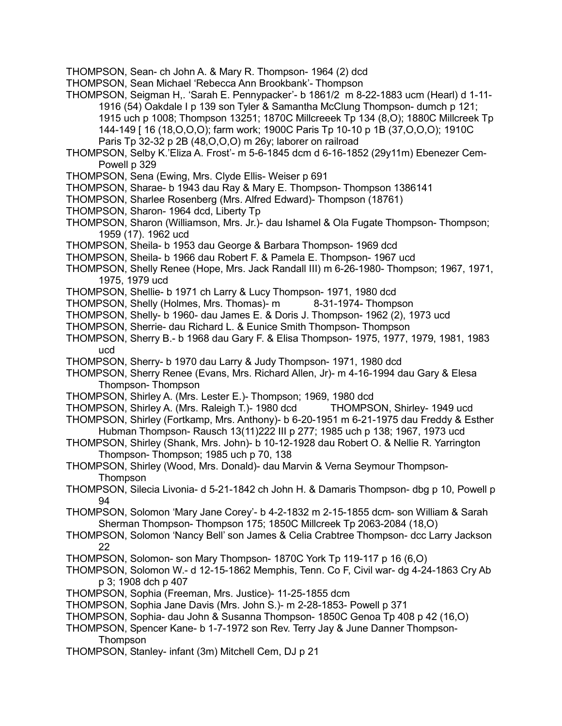THOMPSON, Sean- ch John A. & Mary R. Thompson- 1964 (2) dcd

THOMPSON, Sean Michael 'Rebecca Ann Brookbank'- Thompson

THOMPSON, Seigman H,. 'Sarah E. Pennypacker'- b 1861/2 m 8-22-1883 ucm (Hearl) d 1-11- 1916 (54) Oakdale I p 139 son Tyler & Samantha McClung Thompson- dumch p 121; 1915 uch p 1008; Thompson 13251; 1870C Millcreeek Tp 134 (8,O); 1880C Millcreek Tp 144-149 [ 16 (18,O,O,O); farm work; 1900C Paris Tp 10-10 p 1B (37,O,O,O); 1910C Paris Tp 32-32 p 2B (48,O,O,O) m 26y; laborer on railroad

THOMPSON, Selby K.'Eliza A. Frost'- m 5-6-1845 dcm d 6-16-1852 (29y11m) Ebenezer Cem-Powell p 329

- THOMPSON, Sena (Ewing, Mrs. Clyde Ellis- Weiser p 691
- THOMPSON, Sharae- b 1943 dau Ray & Mary E. Thompson- Thompson 1386141
- THOMPSON, Sharlee Rosenberg (Mrs. Alfred Edward)- Thompson (18761)
- THOMPSON, Sharon- 1964 dcd, Liberty Tp
- THOMPSON, Sharon (Williamson, Mrs. Jr.)- dau Ishamel & Ola Fugate Thompson- Thompson; 1959 (17). 1962 ucd
- THOMPSON, Sheila- b 1953 dau George & Barbara Thompson- 1969 dcd
- THOMPSON, Sheila- b 1966 dau Robert F. & Pamela E. Thompson- 1967 ucd
- THOMPSON, Shelly Renee (Hope, Mrs. Jack Randall III) m 6-26-1980- Thompson; 1967, 1971, 1975, 1979 ucd
- THOMPSON, Shellie- b 1971 ch Larry & Lucy Thompson- 1971, 1980 dcd
- THOMPSON, Shelly (Holmes, Mrs. Thomas)- m 8-31-1974- Thompson
- THOMPSON, Shelly- b 1960- dau James E. & Doris J. Thompson- 1962 (2), 1973 ucd
- THOMPSON, Sherrie- dau Richard L. & Eunice Smith Thompson- Thompson
- THOMPSON, Sherry B.- b 1968 dau Gary F. & Elisa Thompson- 1975, 1977, 1979, 1981, 1983 ucd
- THOMPSON, Sherry- b 1970 dau Larry & Judy Thompson- 1971, 1980 dcd
- THOMPSON, Sherry Renee (Evans, Mrs. Richard Allen, Jr)- m 4-16-1994 dau Gary & Elesa Thompson- Thompson
- THOMPSON, Shirley A. (Mrs. Lester E.)- Thompson; 1969, 1980 dcd
- THOMPSON, Shirley A. (Mrs. Raleigh T.)- 1980 dcd THOMPSON, Shirley- 1949 ucd
- THOMPSON, Shirley (Fortkamp, Mrs. Anthony)- b 6-20-1951 m 6-21-1975 dau Freddy & Esther Hubman Thompson- Rausch 13(11)222 III p 277; 1985 uch p 138; 1967, 1973 ucd
- THOMPSON, Shirley (Shank, Mrs. John)- b 10-12-1928 dau Robert O. & Nellie R. Yarrington Thompson- Thompson; 1985 uch p 70, 138
- THOMPSON, Shirley (Wood, Mrs. Donald)- dau Marvin & Verna Seymour Thompson-Thompson
- THOMPSON, Silecia Livonia- d 5-21-1842 ch John H. & Damaris Thompson- dbg p 10, Powell p 94
- THOMPSON, Solomon 'Mary Jane Corey'- b 4-2-1832 m 2-15-1855 dcm- son William & Sarah Sherman Thompson- Thompson 175; 1850C Millcreek Tp 2063-2084 (18,O)
- THOMPSON, Solomon 'Nancy Bell' son James & Celia Crabtree Thompson- dcc Larry Jackson 22
- THOMPSON, Solomon- son Mary Thompson- 1870C York Tp 119-117 p 16 (6,O)
- THOMPSON, Solomon W.- d 12-15-1862 Memphis, Tenn. Co F, Civil war- dg 4-24-1863 Cry Ab p 3; 1908 dch p 407
- THOMPSON, Sophia (Freeman, Mrs. Justice)- 11-25-1855 dcm
- THOMPSON, Sophia Jane Davis (Mrs. John S.)- m 2-28-1853- Powell p 371
- THOMPSON, Sophia- dau John & Susanna Thompson- 1850C Genoa Tp 408 p 42 (16,O)
- THOMPSON, Spencer Kane- b 1-7-1972 son Rev. Terry Jay & June Danner Thompson-Thompson
- THOMPSON, Stanley- infant (3m) Mitchell Cem, DJ p 21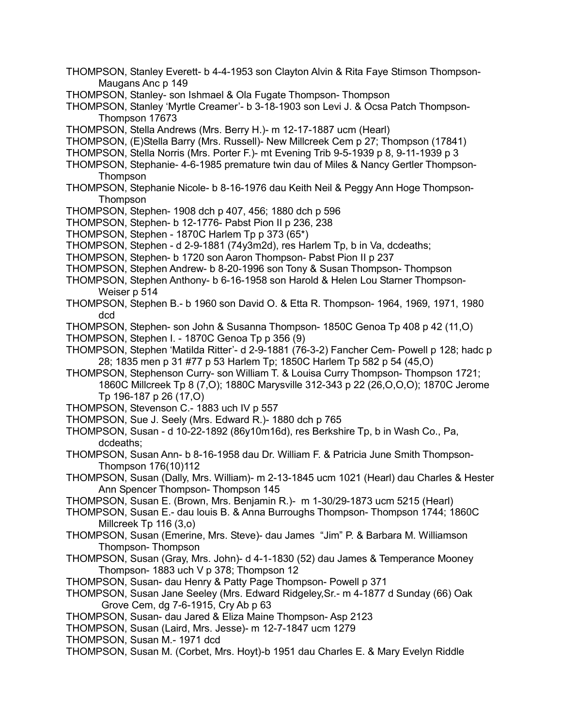- THOMPSON, Stanley Everett- b 4-4-1953 son Clayton Alvin & Rita Faye Stimson Thompson-Maugans Anc p 149
- THOMPSON, Stanley- son Ishmael & Ola Fugate Thompson- Thompson
- THOMPSON, Stanley 'Myrtle Creamer'- b 3-18-1903 son Levi J. & Ocsa Patch Thompson-Thompson 17673
- THOMPSON, Stella Andrews (Mrs. Berry H.)- m 12-17-1887 ucm (Hearl)
- THOMPSON, (E)Stella Barry (Mrs. Russell)- New Millcreek Cem p 27; Thompson (17841)
- THOMPSON, Stella Norris (Mrs. Porter F.)- mt Evening Trib 9-5-1939 p 8, 9-11-1939 p 3
- THOMPSON, Stephanie- 4-6-1985 premature twin dau of Miles & Nancy Gertler Thompson-Thompson
- THOMPSON, Stephanie Nicole- b 8-16-1976 dau Keith Neil & Peggy Ann Hoge Thompson-**Thompson**
- THOMPSON, Stephen- 1908 dch p 407, 456; 1880 dch p 596
- THOMPSON, Stephen- b 12-1776- Pabst Pion II p 236, 238
- THOMPSON, Stephen 1870C Harlem Tp p 373 (65\*)
- THOMPSON, Stephen d 2-9-1881 (74y3m2d), res Harlem Tp, b in Va, dcdeaths;
- THOMPSON, Stephen- b 1720 son Aaron Thompson- Pabst Pion II p 237
- THOMPSON, Stephen Andrew- b 8-20-1996 son Tony & Susan Thompson- Thompson
- THOMPSON, Stephen Anthony- b 6-16-1958 son Harold & Helen Lou Starner Thompson-Weiser p 514
- THOMPSON, Stephen B.- b 1960 son David O. & Etta R. Thompson- 1964, 1969, 1971, 1980 dcd
- THOMPSON, Stephen- son John & Susanna Thompson- 1850C Genoa Tp 408 p 42 (11,O)
- THOMPSON, Stephen I. 1870C Genoa Tp p 356 (9)
- THOMPSON, Stephen 'Matilda Ritter'- d 2-9-1881 (76-3-2) Fancher Cem- Powell p 128; hadc p 28; 1835 men p 31 #77 p 53 Harlem Tp; 1850C Harlem Tp 582 p 54 (45,O)
- THOMPSON, Stephenson Curry- son William T. & Louisa Curry Thompson- Thompson 1721; 1860C Millcreek Tp 8 (7,O); 1880C Marysville 312-343 p 22 (26,O,O,O); 1870C Jerome Tp 196-187 p 26 (17,O)
- THOMPSON, Stevenson C.- 1883 uch IV p 557
- THOMPSON, Sue J. Seely (Mrs. Edward R.)- 1880 dch p 765
- THOMPSON, Susan d 10-22-1892 (86y10m16d), res Berkshire Tp, b in Wash Co., Pa, dcdeaths;
- THOMPSON, Susan Ann- b 8-16-1958 dau Dr. William F. & Patricia June Smith Thompson-Thompson 176(10)112
- THOMPSON, Susan (Dally, Mrs. William)- m 2-13-1845 ucm 1021 (Hearl) dau Charles & Hester Ann Spencer Thompson- Thompson 145
- THOMPSON, Susan E. (Brown, Mrs. Benjamin R.)- m 1-30/29-1873 ucm 5215 (Hearl)
- THOMPSON, Susan E.- dau louis B. & Anna Burroughs Thompson- Thompson 1744; 1860C Millcreek Tp 116 (3,o)
- THOMPSON, Susan (Emerine, Mrs. Steve)- dau James "Jim" P. & Barbara M. Williamson Thompson- Thompson
- THOMPSON, Susan (Gray, Mrs. John)- d 4-1-1830 (52) dau James & Temperance Mooney Thompson- 1883 uch V p 378; Thompson 12
- THOMPSON, Susan- dau Henry & Patty Page Thompson- Powell p 371
- THOMPSON, Susan Jane Seeley (Mrs. Edward Ridgeley,Sr.- m 4-1877 d Sunday (66) Oak Grove Cem, dg 7-6-1915, Cry Ab p 63
- THOMPSON, Susan- dau Jared & Eliza Maine Thompson- Asp 2123
- THOMPSON, Susan (Laird, Mrs. Jesse)- m 12-7-1847 ucm 1279
- THOMPSON, Susan M.- 1971 dcd
- THOMPSON, Susan M. (Corbet, Mrs. Hoyt)-b 1951 dau Charles E. & Mary Evelyn Riddle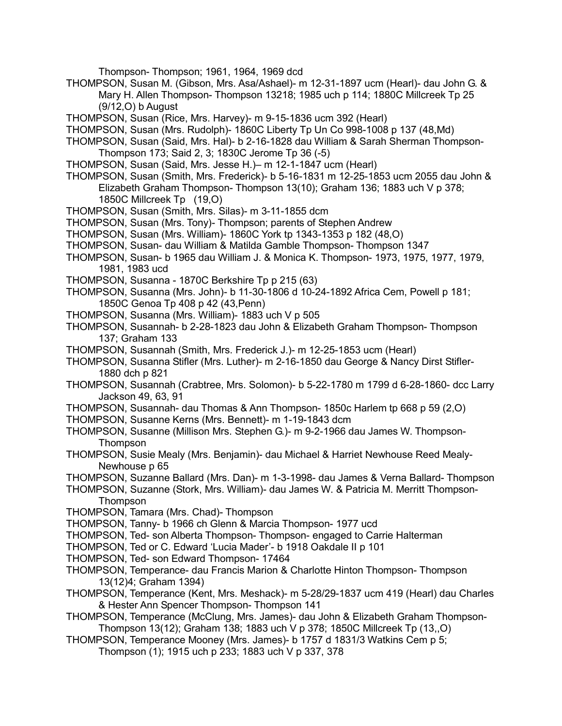Thompson- Thompson; 1961, 1964, 1969 dcd

- THOMPSON, Susan M. (Gibson, Mrs. Asa/Ashael)- m 12-31-1897 ucm (Hearl)- dau John G. & Mary H. Allen Thompson- Thompson 13218; 1985 uch p 114; 1880C Millcreek Tp 25 (9/12,O) b August
- THOMPSON, Susan (Rice, Mrs. Harvey)- m 9-15-1836 ucm 392 (Hearl)
- THOMPSON, Susan (Mrs. Rudolph)- 1860C Liberty Tp Un Co 998-1008 p 137 (48,Md)
- THOMPSON, Susan (Said, Mrs. Hal)- b 2-16-1828 dau William & Sarah Sherman Thompson-Thompson 173; Said 2, 3; 1830C Jerome Tp 36 (-5)
- THOMPSON, Susan (Said, Mrs. Jesse H.)– m 12-1-1847 ucm (Hearl)
- THOMPSON, Susan (Smith, Mrs. Frederick)- b 5-16-1831 m 12-25-1853 ucm 2055 dau John & Elizabeth Graham Thompson- Thompson 13(10); Graham 136; 1883 uch V p 378; 1850C Millcreek Tp (19,O)
- THOMPSON, Susan (Smith, Mrs. Silas)- m 3-11-1855 dcm
- THOMPSON, Susan (Mrs. Tony)- Thompson; parents of Stephen Andrew
- THOMPSON, Susan (Mrs. William)- 1860C York tp 1343-1353 p 182 (48,O)
- THOMPSON, Susan- dau William & Matilda Gamble Thompson- Thompson 1347
- THOMPSON, Susan- b 1965 dau William J. & Monica K. Thompson- 1973, 1975, 1977, 1979, 1981, 1983 ucd
- THOMPSON, Susanna 1870C Berkshire Tp p 215 (63)
- THOMPSON, Susanna (Mrs. John)- b 11-30-1806 d 10-24-1892 Africa Cem, Powell p 181; 1850C Genoa Tp 408 p 42 (43,Penn)
- THOMPSON, Susanna (Mrs. William)- 1883 uch V p 505
- THOMPSON, Susannah- b 2-28-1823 dau John & Elizabeth Graham Thompson- Thompson 137; Graham 133
- THOMPSON, Susannah (Smith, Mrs. Frederick J.)- m 12-25-1853 ucm (Hearl)
- THOMPSON, Susanna Stifler (Mrs. Luther)- m 2-16-1850 dau George & Nancy Dirst Stifler-1880 dch p 821
- THOMPSON, Susannah (Crabtree, Mrs. Solomon)- b 5-22-1780 m 1799 d 6-28-1860- dcc Larry Jackson 49, 63, 91
- THOMPSON, Susannah- dau Thomas & Ann Thompson- 1850c Harlem tp 668 p 59 (2,O)
- THOMPSON, Susanne Kerns (Mrs. Bennett)- m 1-19-1843 dcm
- THOMPSON, Susanne (Millison Mrs. Stephen G.)- m 9-2-1966 dau James W. Thompson-Thompson
- THOMPSON, Susie Mealy (Mrs. Benjamin)- dau Michael & Harriet Newhouse Reed Mealy-Newhouse p 65
- THOMPSON, Suzanne Ballard (Mrs. Dan)- m 1-3-1998- dau James & Verna Ballard- Thompson
- THOMPSON, Suzanne (Stork, Mrs. William)- dau James W. & Patricia M. Merritt Thompson-**Thompson**
- THOMPSON, Tamara (Mrs. Chad)- Thompson
- THOMPSON, Tanny- b 1966 ch Glenn & Marcia Thompson- 1977 ucd
- THOMPSON, Ted- son Alberta Thompson- Thompson- engaged to Carrie Halterman
- THOMPSON, Ted or C. Edward 'Lucia Mader'- b 1918 Oakdale II p 101
- THOMPSON, Ted- son Edward Thompson- 17464
- THOMPSON, Temperance- dau Francis Marion & Charlotte Hinton Thompson- Thompson 13(12)4; Graham 1394)
- THOMPSON, Temperance (Kent, Mrs. Meshack)- m 5-28/29-1837 ucm 419 (Hearl) dau Charles & Hester Ann Spencer Thompson- Thompson 141
- THOMPSON, Temperance (McClung, Mrs. James)- dau John & Elizabeth Graham Thompson-Thompson 13(12); Graham 138; 1883 uch V p 378; 1850C Millcreek Tp (13,,O)
- THOMPSON, Temperance Mooney (Mrs. James)- b 1757 d 1831/3 Watkins Cem p 5; Thompson (1); 1915 uch p 233; 1883 uch V p 337, 378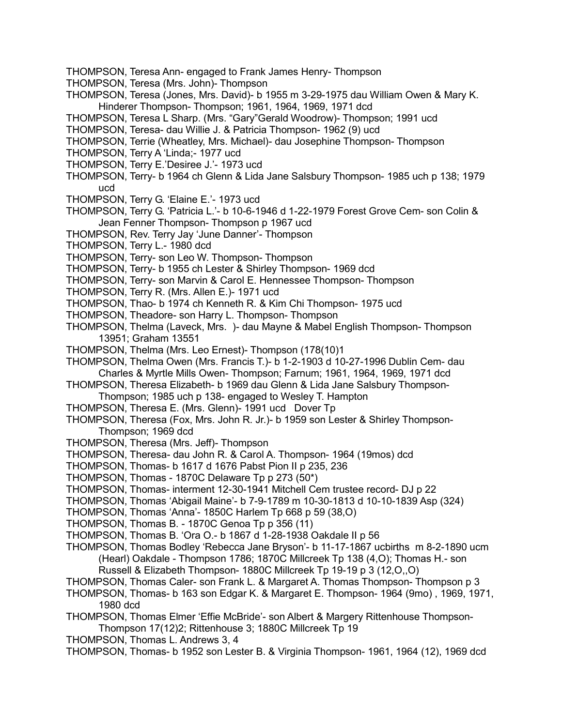- THOMPSON, Teresa Ann- engaged to Frank James Henry- Thompson
- THOMPSON, Teresa (Mrs. John)- Thompson
- THOMPSON, Teresa (Jones, Mrs. David)- b 1955 m 3-29-1975 dau William Owen & Mary K. Hinderer Thompson- Thompson; 1961, 1964, 1969, 1971 dcd
- THOMPSON, Teresa L Sharp. (Mrs. "Gary"Gerald Woodrow)- Thompson; 1991 ucd
- THOMPSON, Teresa- dau Willie J. & Patricia Thompson- 1962 (9) ucd
- THOMPSON, Terrie (Wheatley, Mrs. Michael)- dau Josephine Thompson- Thompson
- THOMPSON, Terry A 'Linda;- 1977 ucd
- THOMPSON, Terry E.'Desiree J.'- 1973 ucd
- THOMPSON, Terry- b 1964 ch Glenn & Lida Jane Salsbury Thompson- 1985 uch p 138; 1979 ucd
- THOMPSON, Terry G. 'Elaine E.'- 1973 ucd
- THOMPSON, Terry G. 'Patricia L.'- b 10-6-1946 d 1-22-1979 Forest Grove Cem- son Colin & Jean Fenner Thompson- Thompson p 1967 ucd
- THOMPSON, Rev. Terry Jay 'June Danner'- Thompson
- THOMPSON, Terry L.- 1980 dcd
- THOMPSON, Terry- son Leo W. Thompson- Thompson
- THOMPSON, Terry- b 1955 ch Lester & Shirley Thompson- 1969 dcd
- THOMPSON, Terry- son Marvin & Carol E. Hennessee Thompson- Thompson
- THOMPSON, Terry R. (Mrs. Allen E.)- 1971 ucd
- THOMPSON, Thao- b 1974 ch Kenneth R. & Kim Chi Thompson- 1975 ucd
- THOMPSON, Theadore- son Harry L. Thompson- Thompson
- THOMPSON, Thelma (Laveck, Mrs. )- dau Mayne & Mabel English Thompson- Thompson 13951; Graham 13551
- THOMPSON, Thelma (Mrs. Leo Ernest)- Thompson (178(10)1
- THOMPSON, Thelma Owen (Mrs. Francis T.)- b 1-2-1903 d 10-27-1996 Dublin Cem- dau Charles & Myrtle Mills Owen- Thompson; Farnum; 1961, 1964, 1969, 1971 dcd
- THOMPSON, Theresa Elizabeth- b 1969 dau Glenn & Lida Jane Salsbury Thompson-Thompson; 1985 uch p 138- engaged to Wesley T. Hampton
- THOMPSON, Theresa E. (Mrs. Glenn)- 1991 ucd Dover Tp
- THOMPSON, Theresa (Fox, Mrs. John R. Jr.)- b 1959 son Lester & Shirley Thompson-Thompson; 1969 dcd
- THOMPSON, Theresa (Mrs. Jeff)- Thompson
- THOMPSON, Theresa- dau John R. & Carol A. Thompson- 1964 (19mos) dcd
- THOMPSON, Thomas- b 1617 d 1676 Pabst Pion II p 235, 236
- THOMPSON, Thomas 1870C Delaware Tp p 273 (50\*)
- THOMPSON, Thomas- interment 12-30-1941 Mitchell Cem trustee record- DJ p 22
- THOMPSON, Thomas 'Abigail Maine'- b 7-9-1789 m 10-30-1813 d 10-10-1839 Asp (324)
- THOMPSON, Thomas 'Anna'- 1850C Harlem Tp 668 p 59 (38,O)
- THOMPSON, Thomas B. 1870C Genoa Tp p 356 (11)
- THOMPSON, Thomas B. 'Ora O.- b 1867 d 1-28-1938 Oakdale II p 56
- THOMPSON, Thomas Bodley 'Rebecca Jane Bryson'- b 11-17-1867 ucbirths m 8-2-1890 ucm (Hearl) Oakdale - Thompson 1786; 1870C Millcreek Tp 138 (4,O); Thomas H.- son
	- Russell & Elizabeth Thompson- 1880C Millcreek Tp 19-19 p 3 (12,O,,O)
- THOMPSON, Thomas Caler- son Frank L. & Margaret A. Thomas Thompson- Thompson p 3
- THOMPSON, Thomas- b 163 son Edgar K. & Margaret E. Thompson- 1964 (9mo) , 1969, 1971, 1980 dcd
- THOMPSON, Thomas Elmer 'Effie McBride'- son Albert & Margery Rittenhouse Thompson-Thompson 17(12)2; Rittenhouse 3; 1880C Millcreek Tp 19
- THOMPSON, Thomas L. Andrews 3, 4
- THOMPSON, Thomas- b 1952 son Lester B. & Virginia Thompson- 1961, 1964 (12), 1969 dcd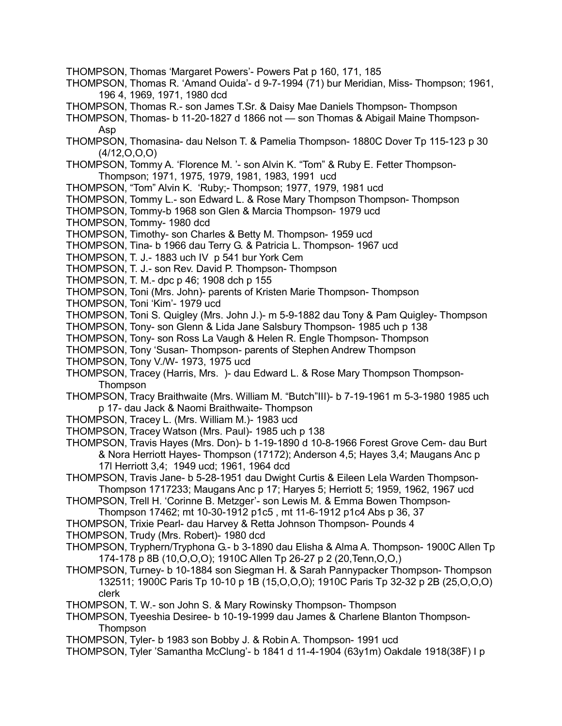- THOMPSON, Thomas 'Margaret Powers'- Powers Pat p 160, 171, 185
- THOMPSON, Thomas R. 'Amand Ouida'- d 9-7-1994 (71) bur Meridian, Miss- Thompson; 1961, 196 4, 1969, 1971, 1980 dcd
- THOMPSON, Thomas R.- son James T.Sr. & Daisy Mae Daniels Thompson- Thompson
- THOMPSON, Thomas- b 11-20-1827 d 1866 not son Thomas & Abigail Maine Thompson-Asp
- THOMPSON, Thomasina- dau Nelson T. & Pamelia Thompson- 1880C Dover Tp 115-123 p 30  $(4/12, 0, 0, 0)$
- THOMPSON, Tommy A. 'Florence M. '- son Alvin K. "Tom" & Ruby E. Fetter Thompson-Thompson; 1971, 1975, 1979, 1981, 1983, 1991 ucd
- THOMPSON, "Tom" Alvin K. 'Ruby;- Thompson; 1977, 1979, 1981 ucd
- THOMPSON, Tommy L.- son Edward L. & Rose Mary Thompson Thompson- Thompson

THOMPSON, Tommy-b 1968 son Glen & Marcia Thompson- 1979 ucd

- THOMPSON, Tommy- 1980 dcd
- THOMPSON, Timothy- son Charles & Betty M. Thompson- 1959 ucd
- THOMPSON, Tina- b 1966 dau Terry G. & Patricia L. Thompson- 1967 ucd
- THOMPSON, T. J.- 1883 uch IV p 541 bur York Cem
- THOMPSON, T. J.- son Rev. David P. Thompson- Thompson
- THOMPSON, T. M.- dpc p 46; 1908 dch p 155
- THOMPSON, Toni (Mrs. John)- parents of Kristen Marie Thompson- Thompson
- THOMPSON, Toni 'Kim'- 1979 ucd
- THOMPSON, Toni S. Quigley (Mrs. John J.)- m 5-9-1882 dau Tony & Pam Quigley- Thompson
- THOMPSON, Tony- son Glenn & Lida Jane Salsbury Thompson- 1985 uch p 138
- THOMPSON, Tony- son Ross La Vaugh & Helen R. Engle Thompson- Thompson
- THOMPSON, Tony 'Susan- Thompson- parents of Stephen Andrew Thompson
- THOMPSON, Tony V./W- 1973, 1975 ucd
- THOMPSON, Tracey (Harris, Mrs. )- dau Edward L. & Rose Mary Thompson Thompson-**Thompson**
- THOMPSON, Tracy Braithwaite (Mrs. William M. "Butch"III)- b 7-19-1961 m 5-3-1980 1985 uch p 17- dau Jack & Naomi Braithwaite- Thompson
- THOMPSON, Tracey L. (Mrs. William M.)- 1983 ucd
- THOMPSON, Tracey Watson (Mrs. Paul)- 1985 uch p 138
- THOMPSON, Travis Hayes (Mrs. Don)- b 1-19-1890 d 10-8-1966 Forest Grove Cem- dau Burt & Nora Herriott Hayes- Thompson (17172); Anderson 4,5; Hayes 3,4; Maugans Anc p 17l Herriott 3,4; 1949 ucd; 1961, 1964 dcd
- THOMPSON, Travis Jane- b 5-28-1951 dau Dwight Curtis & Eileen Lela Warden Thompson-Thompson 1717233; Maugans Anc p 17; Haryes 5; Herriott 5; 1959, 1962, 1967 ucd
- THOMPSON, Trell H. 'Corinne B. Metzger'- son Lewis M. & Emma Bowen Thompson-Thompson 17462; mt 10-30-1912 p1c5 , mt 11-6-1912 p1c4 Abs p 36, 37
- THOMPSON, Trixie Pearl- dau Harvey & Retta Johnson Thompson- Pounds 4
- THOMPSON, Trudy (Mrs. Robert)- 1980 dcd
- THOMPSON, Tryphern/Tryphona G.- b 3-1890 dau Elisha & Alma A. Thompson- 1900C Allen Tp 174-178 p 8B (10,O,O,O); 1910C Allen Tp 26-27 p 2 (20,Tenn,O,O,)
- THOMPSON, Turney- b 10-1884 son Siegman H. & Sarah Pannypacker Thompson- Thompson 132511; 1900C Paris Tp 10-10 p 1B (15,O,O,O); 1910C Paris Tp 32-32 p 2B (25,O,O,O) clerk
- THOMPSON, T. W.- son John S. & Mary Rowinsky Thompson- Thompson
- THOMPSON, Tyeeshia Desiree- b 10-19-1999 dau James & Charlene Blanton Thompson-Thompson
- THOMPSON, Tyler- b 1983 son Bobby J. & Robin A. Thompson- 1991 ucd
- THOMPSON, Tyler 'Samantha McClung'- b 1841 d 11-4-1904 (63y1m) Oakdale 1918(38F) I p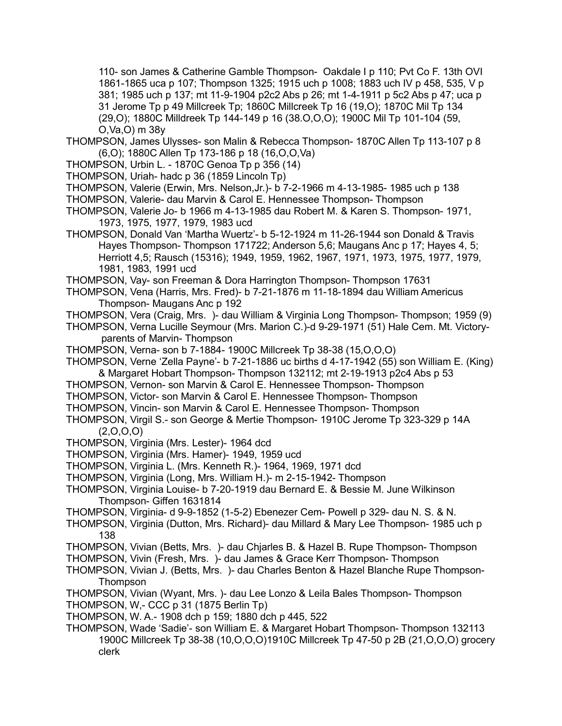110- son James & Catherine Gamble Thompson- Oakdale I p 110; Pvt Co F. 13th OVI 1861-1865 uca p 107; Thompson 1325; 1915 uch p 1008; 1883 uch IV p 458, 535, V p 381; 1985 uch p 137; mt 11-9-1904 p2c2 Abs p 26; mt 1-4-1911 p 5c2 Abs p 47; uca p 31 Jerome Tp p 49 Millcreek Tp; 1860C Millcreek Tp 16 (19,O); 1870C Mil Tp 134 (29,O); 1880C Milldreek Tp 144-149 p 16 (38.O,O,O); 1900C Mil Tp 101-104 (59, O,Va,O) m 38y

- THOMPSON, James Ulysses- son Malin & Rebecca Thompson- 1870C Allen Tp 113-107 p 8 (6,O); 1880C Allen Tp 173-186 p 18 (16,O,O,Va)
- THOMPSON, Urbin L. 1870C Genoa Tp p 356 (14)
- THOMPSON, Uriah- hadc p 36 (1859 Lincoln Tp)
- THOMPSON, Valerie (Erwin, Mrs. Nelson,Jr.)- b 7-2-1966 m 4-13-1985- 1985 uch p 138
- THOMPSON, Valerie- dau Marvin & Carol E. Hennessee Thompson- Thompson
- THOMPSON, Valerie Jo- b 1966 m 4-13-1985 dau Robert M. & Karen S. Thompson- 1971, 1973, 1975, 1977, 1979, 1983 ucd
- THOMPSON, Donald Van 'Martha Wuertz'- b 5-12-1924 m 11-26-1944 son Donald & Travis Hayes Thompson- Thompson 171722; Anderson 5,6; Maugans Anc p 17; Hayes 4, 5; Herriott 4,5; Rausch (15316); 1949, 1959, 1962, 1967, 1971, 1973, 1975, 1977, 1979, 1981, 1983, 1991 ucd
- THOMPSON, Vay- son Freeman & Dora Harrington Thompson- Thompson 17631
- THOMPSON, Vena (Harris, Mrs. Fred)- b 7-21-1876 m 11-18-1894 dau William Americus Thompson- Maugans Anc p 192
- THOMPSON, Vera (Craig, Mrs. )- dau William & Virginia Long Thompson- Thompson; 1959 (9)
- THOMPSON, Verna Lucille Seymour (Mrs. Marion C.)-d 9-29-1971 (51) Hale Cem. Mt. Victoryparents of Marvin- Thompson
- THOMPSON, Verna- son b 7-1884- 1900C Millcreek Tp 38-38 (15,O,O,O)
- THOMPSON, Verne 'Zella Payne'- b 7-21-1886 uc births d 4-17-1942 (55) son William E. (King) & Margaret Hobart Thompson- Thompson 132112; mt 2-19-1913 p2c4 Abs p 53
- THOMPSON, Vernon- son Marvin & Carol E. Hennessee Thompson- Thompson
- THOMPSON, Victor- son Marvin & Carol E. Hennessee Thompson- Thompson
- THOMPSON, Vincin- son Marvin & Carol E. Hennessee Thompson- Thompson
- THOMPSON, Virgil S.- son George & Mertie Thompson- 1910C Jerome Tp 323-329 p 14A (2,O,O,O)
- THOMPSON, Virginia (Mrs. Lester)- 1964 dcd
- THOMPSON, Virginia (Mrs. Hamer)- 1949, 1959 ucd
- THOMPSON, Virginia L. (Mrs. Kenneth R.)- 1964, 1969, 1971 dcd
- THOMPSON, Virginia (Long, Mrs. William H.)- m 2-15-1942- Thompson
- THOMPSON, Virginia Louise- b 7-20-1919 dau Bernard E. & Bessie M. June Wilkinson Thompson- Giffen 1631814
- THOMPSON, Virginia- d 9-9-1852 (1-5-2) Ebenezer Cem- Powell p 329- dau N. S. & N.
- THOMPSON, Virginia (Dutton, Mrs. Richard)- dau Millard & Mary Lee Thompson- 1985 uch p 138
- THOMPSON, Vivian (Betts, Mrs. )- dau Chjarles B. & Hazel B. Rupe Thompson- Thompson
- THOMPSON, Vivin (Fresh, Mrs. )- dau James & Grace Kerr Thompson- Thompson
- THOMPSON, Vivian J. (Betts, Mrs. )- dau Charles Benton & Hazel Blanche Rupe Thompson-**Thompson**
- THOMPSON, Vivian (Wyant, Mrs. )- dau Lee Lonzo & Leila Bales Thompson- Thompson
- THOMPSON, W,- CCC p 31 (1875 Berlin Tp)
- THOMPSON, W. A.- 1908 dch p 159; 1880 dch p 445, 522
- THOMPSON, Wade 'Sadie'- son William E. & Margaret Hobart Thompson- Thompson 132113 1900C Millcreek Tp 38-38 (10,O,O,O)1910C Millcreek Tp 47-50 p 2B (21,O,O,O) grocery clerk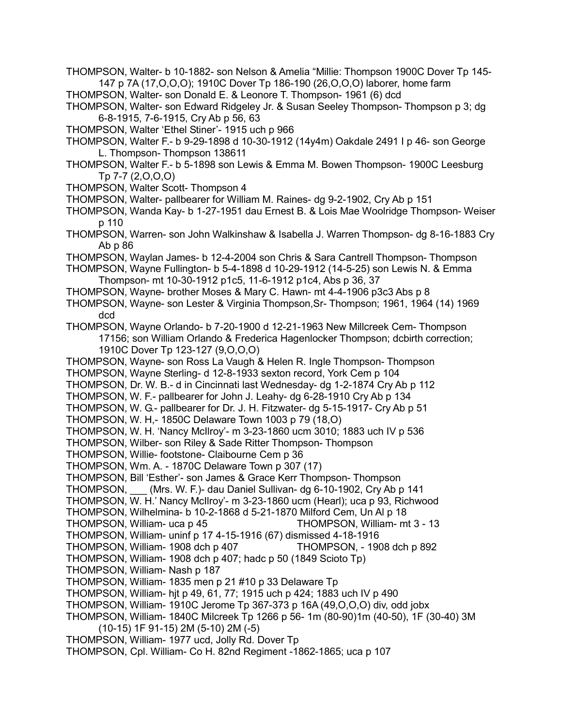- THOMPSON, Walter- b 10-1882- son Nelson & Amelia "Millie: Thompson 1900C Dover Tp 145- 147 p 7A (17,O,O,O); 1910C Dover Tp 186-190 (26,O,O,O) laborer, home farm
- THOMPSON, Walter- son Donald E. & Leonore T. Thompson- 1961 (6) dcd
- THOMPSON, Walter- son Edward Ridgeley Jr. & Susan Seeley Thompson- Thompson p 3; dg 6-8-1915, 7-6-1915, Cry Ab p 56, 63
- THOMPSON, Walter 'Ethel Stiner'- 1915 uch p 966
- THOMPSON, Walter F.- b 9-29-1898 d 10-30-1912 (14y4m) Oakdale 2491 I p 46- son George L. Thompson- Thompson 138611
- THOMPSON, Walter F.- b 5-1898 son Lewis & Emma M. Bowen Thompson- 1900C Leesburg Tp 7-7 (2,O,O,O)
- THOMPSON, Walter Scott- Thompson 4
- THOMPSON, Walter- pallbearer for William M. Raines- dg 9-2-1902, Cry Ab p 151
- THOMPSON, Wanda Kay- b 1-27-1951 dau Ernest B. & Lois Mae Woolridge Thompson- Weiser p 110
- THOMPSON, Warren- son John Walkinshaw & Isabella J. Warren Thompson- dg 8-16-1883 Cry Ab p 86
- THOMPSON, Waylan James- b 12-4-2004 son Chris & Sara Cantrell Thompson- Thompson
- THOMPSON, Wayne Fullington- b 5-4-1898 d 10-29-1912 (14-5-25) son Lewis N. & Emma Thompson- mt 10-30-1912 p1c5, 11-6-1912 p1c4, Abs p 36, 37
- THOMPSON, Wayne- brother Moses & Mary C. Hawn- mt 4-4-1906 p3c3 Abs p 8
- THOMPSON, Wayne- son Lester & Virginia Thompson,Sr- Thompson; 1961, 1964 (14) 1969 dcd

THOMPSON, Wayne Orlando- b 7-20-1900 d 12-21-1963 New Millcreek Cem- Thompson 17156; son William Orlando & Frederica Hagenlocker Thompson; dcbirth correction; 1910C Dover Tp 123-127 (9,O,O,O)

- THOMPSON, Wayne- son Ross La Vaugh & Helen R. Ingle Thompson- Thompson
- THOMPSON, Wayne Sterling- d 12-8-1933 sexton record, York Cem p 104
- THOMPSON, Dr. W. B.- d in Cincinnati last Wednesday- dg 1-2-1874 Cry Ab p 112
- THOMPSON, W. F.- pallbearer for John J. Leahy- dg 6-28-1910 Cry Ab p 134
- THOMPSON, W. G.- pallbearer for Dr. J. H. Fitzwater- dg 5-15-1917- Cry Ab p 51
- THOMPSON, W. H,- 1850C Delaware Town 1003 p 79 (18,O)
- THOMPSON, W. H. 'Nancy McIlroy'- m 3-23-1860 ucm 3010; 1883 uch IV p 536
- THOMPSON, Wilber- son Riley & Sade Ritter Thompson- Thompson
- THOMPSON, Willie- footstone- Claibourne Cem p 36
- THOMPSON, Wm. A. 1870C Delaware Town p 307 (17)
- THOMPSON, Bill 'Esther'- son James & Grace Kerr Thompson- Thompson
- THOMPSON, \_\_\_ (Mrs. W. F.)- dau Daniel Sullivan- dg 6-10-1902, Cry Ab p 141
- THOMPSON, W. H.' Nancy McIlroy'- m 3-23-1860 ucm (Hearl); uca p 93, Richwood
- THOMPSON, Wilhelmina- b 10-2-1868 d 5-21-1870 Milford Cem, Un Al p 18
- THOMPSON, William- uca p 45 THOMPSON, William- mt 3 13
- THOMPSON, William- uninf p 17 4-15-1916 (67) dismissed 4-18-1916
- THOMPSON, William- 1908 dch p 407 THOMPSON, 1908 dch p 892
- THOMPSON, William- 1908 dch p 407; hadc p 50 (1849 Scioto Tp)
- THOMPSON, William- Nash p 187
- THOMPSON, William- 1835 men p 21 #10 p 33 Delaware Tp
- THOMPSON, William- hjt p 49, 61, 77; 1915 uch p 424; 1883 uch IV p 490
- THOMPSON, William- 1910C Jerome Tp 367-373 p 16A (49,O,O,O) div, odd jobx
- THOMPSON, William- 1840C Milcreek Tp 1266 p 56- 1m (80-90)1m (40-50), 1F (30-40) 3M (10-15) 1F 91-15) 2M (5-10) 2M (-5)
- THOMPSON, William- 1977 ucd, Jolly Rd. Dover Tp
- THOMPSON, Cpl. William- Co H. 82nd Regiment -1862-1865; uca p 107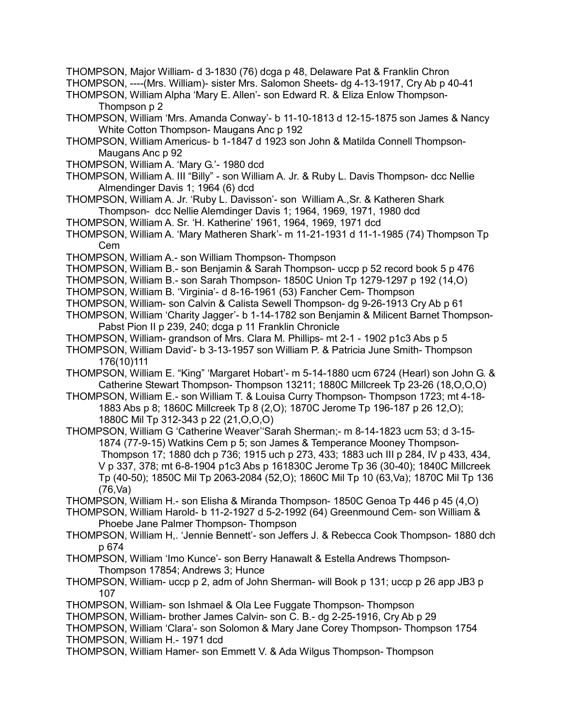THOMPSON, Major William- d 3-1830 (76) dcga p 48, Delaware Pat & Franklin Chron

THOMPSON, ----(Mrs. William)- sister Mrs. Salomon Sheets- dg 4-13-1917, Cry Ab p 40-41

THOMPSON, William Alpha 'Mary E. Allen'- son Edward R. & Eliza Enlow Thompson-Thompson p 2

- THOMPSON, William 'Mrs. Amanda Conway'- b 11-10-1813 d 12-15-1875 son James & Nancy White Cotton Thompson- Maugans Anc p 192
- THOMPSON, William Americus- b 1-1847 d 1923 son John & Matilda Connell Thompson-Maugans Anc p 92
- THOMPSON, William A. 'Mary G.'- 1980 dcd
- THOMPSON, William A. III "Billy" son William A. Jr. & Ruby L. Davis Thompson- dcc Nellie Almendinger Davis 1; 1964 (6) dcd
- THOMPSON, William A. Jr. 'Ruby L. Davisson'- son William A.,Sr. & Katheren Shark Thompson- dcc Nellie Alemdinger Davis 1; 1964, 1969, 1971, 1980 dcd
- THOMPSON, William A. Sr. 'H. Katherine' 1961, 1964, 1969, 1971 dcd
- THOMPSON, William A. 'Mary Matheren Shark'- m 11-21-1931 d 11-1-1985 (74) Thompson Tp Cem
- THOMPSON, William A.- son William Thompson- Thompson
- THOMPSON, William B.- son Benjamin & Sarah Thompson- uccp p 52 record book 5 p 476
- THOMPSON, William B.- son Sarah Thompson- 1850C Union Tp 1279-1297 p 192 (14,O)
- THOMPSON, William B. 'Virginia'- d 8-16-1961 (53) Fancher Cem- Thompson
- THOMPSON, William- son Calvin & Calista Sewell Thompson- dg 9-26-1913 Cry Ab p 61
- THOMPSON, William 'Charity Jagger'- b 1-14-1782 son Benjamin & Milicent Barnet Thompson-Pabst Pion II p 239, 240; dcga p 11 Franklin Chronicle
- THOMPSON, William- grandson of Mrs. Clara M. Phillips- mt 2-1 1902 p1c3 Abs p 5
- THOMPSON, William David'- b 3-13-1957 son William P. & Patricia June Smith- Thompson 176(10)111
- THOMPSON, William E. "King" 'Margaret Hobart'- m 5-14-1880 ucm 6724 (Hearl) son John G. & Catherine Stewart Thompson- Thompson 13211; 1880C Millcreek Tp 23-26 (18,O,O,O)
- THOMPSON, William E.- son William T. & Louisa Curry Thompson- Thompson 1723; mt 4-18- 1883 Abs p 8; 1860C Millcreek Tp 8 (2,O); 1870C Jerome Tp 196-187 p 26 12,O); 1880C Mil Tp 312-343 p 22 (21,O,O,O)
- THOMPSON, William G 'Catherine Weaver''Sarah Sherman;- m 8-14-1823 ucm 53; d 3-15- 1874 (77-9-15) Watkins Cem p 5; son James & Temperance Mooney Thompson-Thompson 17; 1880 dch p 736; 1915 uch p 273, 433; 1883 uch III p 284, IV p 433, 434, V p 337, 378; mt 6-8-1904 p1c3 Abs p 161830C Jerome Tp 36 (30-40); 1840C Millcreek Tp (40-50); 1850C Mil Tp 2063-2084 (52,O); 1860C Mil Tp 10 (63,Va); 1870C Mil Tp 136 (76,Va)

THOMPSON, William H.- son Elisha & Miranda Thompson- 1850C Genoa Tp 446 p 45 (4,O)

THOMPSON, William Harold- b 11-2-1927 d 5-2-1992 (64) Greenmound Cem- son William & Phoebe Jane Palmer Thompson- Thompson

- THOMPSON, William H,. 'Jennie Bennett'- son Jeffers J. & Rebecca Cook Thompson- 1880 dch p 674
- THOMPSON, William 'Imo Kunce'- son Berry Hanawalt & Estella Andrews Thompson-Thompson 17854; Andrews 3; Hunce
- THOMPSON, William- uccp p 2, adm of John Sherman- will Book p 131; uccp p 26 app JB3 p 107
- THOMPSON, William- son Ishmael & Ola Lee Fuggate Thompson- Thompson
- THOMPSON, William- brother James Calvin- son C. B.- dg 2-25-1916, Cry Ab p 29
- THOMPSON, William 'Clara'- son Solomon & Mary Jane Corey Thompson- Thompson 1754 THOMPSON, William H.- 1971 dcd
- THOMPSON, William Hamer- son Emmett V. & Ada Wilgus Thompson- Thompson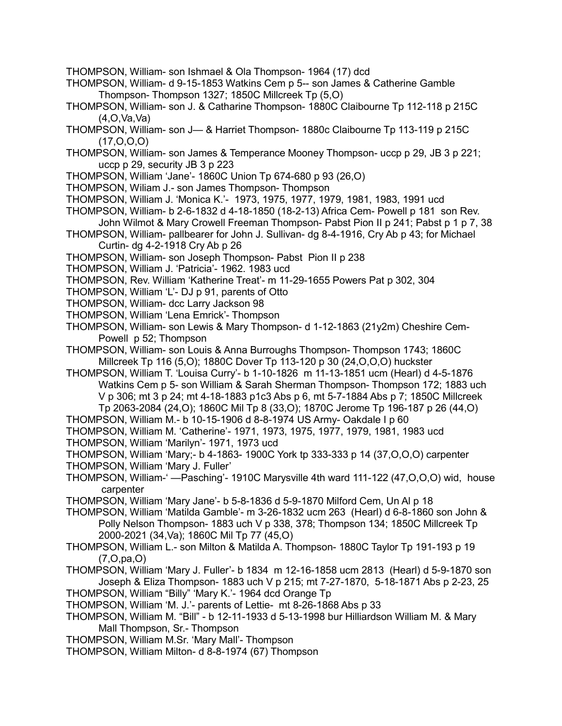- THOMPSON, William- son Ishmael & Ola Thompson- 1964 (17) dcd
- THOMPSON, William- d 9-15-1853 Watkins Cem p 5-- son James & Catherine Gamble Thompson- Thompson 1327; 1850C Millcreek Tp (5,O)
- THOMPSON, William- son J. & Catharine Thompson- 1880C Claibourne Tp 112-118 p 215C  $(4.0$ .Va.Va $)$
- THOMPSON, William- son J— & Harriet Thompson- 1880c Claibourne Tp 113-119 p 215C  $(17, 0, 0, 0)$
- THOMPSON, William- son James & Temperance Mooney Thompson- uccp p 29, JB 3 p 221; uccp p 29, security JB 3 p 223
- THOMPSON, William 'Jane'- 1860C Union Tp 674-680 p 93 (26,O)
- THOMPSON, Wiliam J.- son James Thompson- Thompson
- THOMPSON, William J. 'Monica K.'- 1973, 1975, 1977, 1979, 1981, 1983, 1991 ucd
- THOMPSON, William- b 2-6-1832 d 4-18-1850 (18-2-13) Africa Cem- Powell p 181 son Rev. John Wilmot & Mary Crowell Freeman Thompson- Pabst Pion II p 241; Pabst p 1 p 7, 38
- THOMPSON, William- pallbearer for John J. Sullivan- dg 8-4-1916, Cry Ab p 43; for Michael Curtin- dg 4-2-1918 Cry Ab p 26
- THOMPSON, William- son Joseph Thompson- Pabst Pion II p 238
- THOMPSON, William J. 'Patricia'- 1962. 1983 ucd
- THOMPSON, Rev. William 'Katherine Treat'- m 11-29-1655 Powers Pat p 302, 304
- THOMPSON, William 'L'- DJ p 91, parents of Otto
- THOMPSON, William- dcc Larry Jackson 98
- THOMPSON, William 'Lena Emrick'- Thompson
- THOMPSON, William- son Lewis & Mary Thompson- d 1-12-1863 (21y2m) Cheshire Cem-Powell p 52; Thompson
- THOMPSON, William- son Louis & Anna Burroughs Thompson- Thompson 1743; 1860C Millcreek Tp 116 (5,O); 1880C Dover Tp 113-120 p 30 (24,O,O,O) huckster
- THOMPSON, William T. 'Louisa Curry'- b 1-10-1826 m 11-13-1851 ucm (Hearl) d 4-5-1876 Watkins Cem p 5- son William & Sarah Sherman Thompson- Thompson 172; 1883 uch V p 306; mt 3 p 24; mt 4-18-1883 p1c3 Abs p 6, mt 5-7-1884 Abs p 7; 1850C Millcreek Tp 2063-2084 (24,O); 1860C Mil Tp 8 (33,O); 1870C Jerome Tp 196-187 p 26 (44,O)
- THOMPSON, William M.- b 10-15-1906 d 8-8-1974 US Army- Oakdale I p 60
- THOMPSON, William M. 'Catherine'- 1971, 1973, 1975, 1977, 1979, 1981, 1983 ucd THOMPSON, William 'Marilyn'- 1971, 1973 ucd
- THOMPSON, William 'Mary;- b 4-1863- 1900C York tp 333-333 p 14 (37,O,O,O) carpenter
- THOMPSON, William 'Mary J. Fuller'
- THOMPSON, William-' —Pasching'- 1910C Marysville 4th ward 111-122 (47,O,O,O) wid, house carpenter
- THOMPSON, William 'Mary Jane'- b 5-8-1836 d 5-9-1870 Milford Cem, Un Al p 18
- THOMPSON, William 'Matilda Gamble'- m 3-26-1832 ucm 263 (Hearl) d 6-8-1860 son John & Polly Nelson Thompson- 1883 uch V p 338, 378; Thompson 134; 1850C Millcreek Tp 2000-2021 (34,Va); 1860C Mil Tp 77 (45,O)
- THOMPSON, William L.- son Milton & Matilda A. Thompson- 1880C Taylor Tp 191-193 p 19 (7,O,pa,O)
- THOMPSON, William 'Mary J. Fuller'- b 1834 m 12-16-1858 ucm 2813 (Hearl) d 5-9-1870 son Joseph & Eliza Thompson- 1883 uch V p 215; mt 7-27-1870, 5-18-1871 Abs p 2-23, 25
- THOMPSON, William "Billy" 'Mary K.'- 1964 dcd Orange Tp
- THOMPSON, William 'M. J.'- parents of Lettie- mt 8-26-1868 Abs p 33
- THOMPSON, William M. "Bill" b 12-11-1933 d 5-13-1998 bur Hilliardson William M. & Mary Mall Thompson, Sr.- Thompson
- THOMPSON, William M.Sr. 'Mary Mall'- Thompson
- THOMPSON, William Milton- d 8-8-1974 (67) Thompson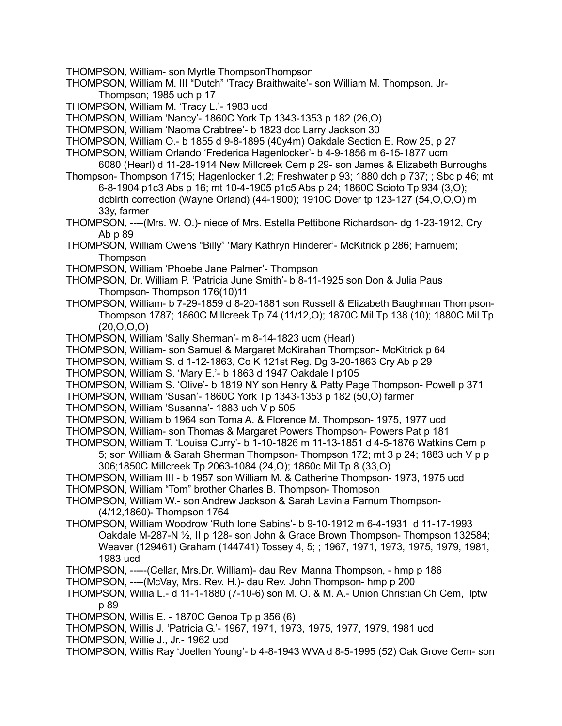THOMPSON, William- son Myrtle ThompsonThompson

- THOMPSON, William M. III "Dutch" 'Tracy Braithwaite'- son William M. Thompson. Jr-Thompson; 1985 uch p 17
- THOMPSON, William M. 'Tracy L.'- 1983 ucd

THOMPSON, William 'Nancy'- 1860C York Tp 1343-1353 p 182 (26,O)

- THOMPSON, William 'Naoma Crabtree'- b 1823 dcc Larry Jackson 30
- THOMPSON, William O.- b 1855 d 9-8-1895 (40y4m) Oakdale Section E. Row 25, p 27
- THOMPSON, William Orlando 'Frederica Hagenlocker'- b 4-9-1856 m 6-15-1877 ucm 6080 (Hearl) d 11-28-1914 New Millcreek Cem p 29- son James & Elizabeth Burroughs
- Thompson- Thompson 1715; Hagenlocker 1.2; Freshwater p 93; 1880 dch p 737; ; Sbc p 46; mt 6-8-1904 p1c3 Abs p 16; mt 10-4-1905 p1c5 Abs p 24; 1860C Scioto Tp 934 (3,O); dcbirth correction (Wayne Orland) (44-1900); 1910C Dover tp 123-127 (54,O,O,O) m 33y, farmer
- THOMPSON, ----(Mrs. W. O.)- niece of Mrs. Estella Pettibone Richardson- dg 1-23-1912, Cry Ab p 89
- THOMPSON, William Owens "Billy" 'Mary Kathryn Hinderer'- McKitrick p 286; Farnuem; Thompson
- THOMPSON, William 'Phoebe Jane Palmer'- Thompson
- THOMPSON, Dr. William P. 'Patricia June Smith'- b 8-11-1925 son Don & Julia Paus Thompson- Thompson 176(10)11
- THOMPSON, William- b 7-29-1859 d 8-20-1881 son Russell & Elizabeth Baughman Thompson-Thompson 1787; 1860C Millcreek Tp 74 (11/12,O); 1870C Mil Tp 138 (10); 1880C Mil Tp (20,O,O,O)
- THOMPSON, William 'Sally Sherman'- m 8-14-1823 ucm (Hearl)
- THOMPSON, William- son Samuel & Margaret McKirahan Thompson- McKitrick p 64
- THOMPSON, William S. d 1-12-1863, Co K 121st Reg. Dg 3-20-1863 Cry Ab p 29
- THOMPSON, William S. 'Mary E.'- b 1863 d 1947 Oakdale I p105
- THOMPSON, William S. 'Olive'- b 1819 NY son Henry & Patty Page Thompson- Powell p 371
- THOMPSON, William 'Susan'- 1860C York Tp 1343-1353 p 182 (50,O) farmer
- THOMPSON, William 'Susanna'- 1883 uch V p 505
- THOMPSON, William b 1964 son Toma A. & Florence M. Thompson- 1975, 1977 ucd
- THOMPSON, William- son Thomas & Margaret Powers Thompson- Powers Pat p 181
- THOMPSON, William T. 'Louisa Curry'- b 1-10-1826 m 11-13-1851 d 4-5-1876 Watkins Cem p 5; son William & Sarah Sherman Thompson- Thompson 172; mt 3 p 24; 1883 uch V p p 306;1850C Millcreek Tp 2063-1084 (24,O); 1860c Mil Tp 8 (33,O)
- THOMPSON, William III b 1957 son William M. & Catherine Thompson- 1973, 1975 ucd
- THOMPSON, William "Tom" brother Charles B. Thompson- Thompson
- THOMPSON, William W.- son Andrew Jackson & Sarah Lavinia Farnum Thompson- (4/12,1860)- Thompson 1764
- THOMPSON, William Woodrow 'Ruth Ione Sabins'- b 9-10-1912 m 6-4-1931 d 11-17-1993 Oakdale M-287-N ½, II p 128- son John & Grace Brown Thompson- Thompson 132584; Weaver (129461) Graham (144741) Tossey 4, 5; ; 1967, 1971, 1973, 1975, 1979, 1981, 1983 ucd
- THOMPSON, -----(Cellar, Mrs.Dr. William)- dau Rev. Manna Thompson, hmp p 186
- THOMPSON, ----(McVay, Mrs. Rev. H.)- dau Rev. John Thompson- hmp p 200
- THOMPSON, Willia L.- d 11-1-1880 (7-10-6) son M. O. & M. A.- Union Christian Ch Cem, lptw p 89
- THOMPSON, Willis E. 1870C Genoa Tp p 356 (6)
- THOMPSON, Willis J. 'Patricia G.'- 1967, 1971, 1973, 1975, 1977, 1979, 1981 ucd
- THOMPSON, Willie J., Jr.- 1962 ucd
- THOMPSON, Willis Ray 'Joellen Young'- b 4-8-1943 WVA d 8-5-1995 (52) Oak Grove Cem- son